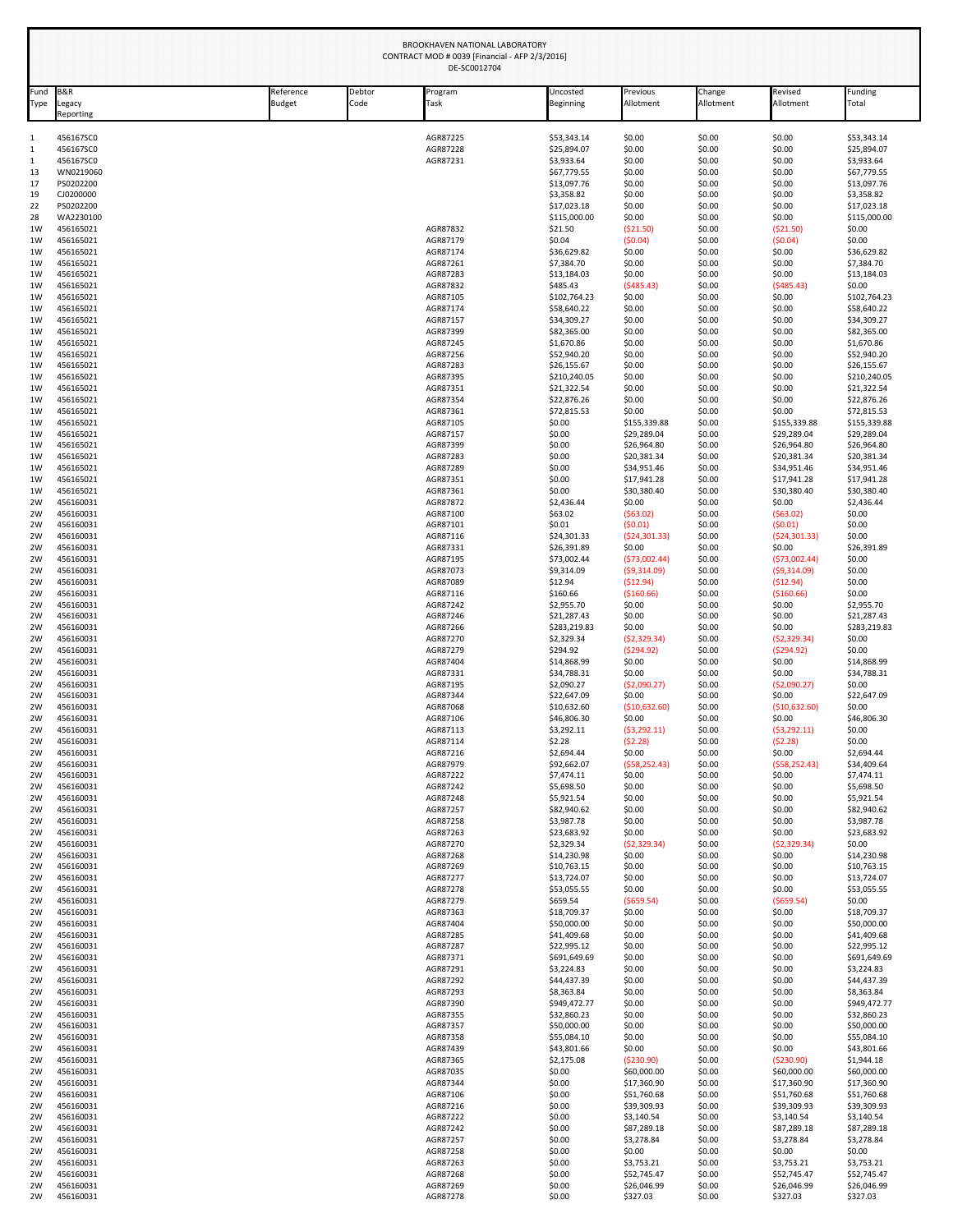| Fund     | <b>B&amp;R</b>         | Reference     | Debtor | Program              | Uncosted                    | Previous                    | Change           | Revised                     | Funding                     |  |
|----------|------------------------|---------------|--------|----------------------|-----------------------------|-----------------------------|------------------|-----------------------------|-----------------------------|--|
| Type     | Legacy<br>Reporting    | <b>Budget</b> | Code   | Task                 | <b>Beginning</b>            | Allotment                   | Allotment        | Allotment                   | Total                       |  |
| 1        | 456167SC0              |               |        | AGR87225             | \$53,343.14                 | \$0.00                      | \$0.00           | \$0.00                      | \$53,343.14                 |  |
| 1<br>1   | 456167SC0<br>456167SC0 |               |        | AGR87228<br>AGR87231 | \$25,894.07<br>\$3,933.64   | \$0.00<br>\$0.00            | \$0.00<br>\$0.00 | \$0.00<br>\$0.00            | \$25,894.07<br>\$3,933.64   |  |
| 13       | WN0219060              |               |        |                      | \$67,779.55                 | \$0.00                      | \$0.00           | \$0.00                      | \$67,779.55                 |  |
| 17<br>19 | PS0202200<br>CJ0200000 |               |        |                      | \$13,097.76<br>\$3,358.82   | \$0.00<br>\$0.00            | \$0.00<br>\$0.00 | \$0.00<br>\$0.00            | \$13,097.76<br>\$3,358.82   |  |
| 22       | PS0202200              |               |        |                      | \$17,023.18                 | \$0.00                      | \$0.00           | \$0.00                      | \$17,023.18                 |  |
| 28       | WA2230100<br>456165021 |               |        | AGR87832             | \$115,000.00                | \$0.00                      | \$0.00           | \$0.00                      | \$115,000.00                |  |
| 1W<br>1W | 456165021              |               |        | AGR87179             | \$21.50<br>\$0.04           | (\$21.50)<br>(50.04)        | \$0.00<br>\$0.00 | (521.50)<br>(50.04)         | \$0.00<br>\$0.00            |  |
| 1W       | 456165021              |               |        | AGR87174             | \$36,629.82                 | \$0.00                      | \$0.00           | \$0.00                      | \$36,629.82                 |  |
| 1W<br>1W | 456165021<br>456165021 |               |        | AGR87261<br>AGR87283 | \$7,384.70<br>\$13,184.03   | \$0.00<br>\$0.00            | \$0.00<br>\$0.00 | \$0.00<br>\$0.00            | \$7,384.70<br>\$13,184.03   |  |
| 1W       | 456165021              |               |        | AGR87832             | \$485.43                    | (5485.43)                   | \$0.00           | (5485.43)                   | \$0.00                      |  |
| 1W<br>1W | 456165021<br>456165021 |               |        | AGR87105<br>AGR87174 | \$102,764.23<br>\$58,640.22 | \$0.00<br>\$0.00            | \$0.00<br>\$0.00 | \$0.00<br>\$0.00            | \$102,764.23<br>\$58,640.22 |  |
| 1W       | 456165021              |               |        | AGR87157             | \$34,309.27                 | \$0.00                      | \$0.00           | \$0.00                      | \$34,309.27                 |  |
| 1W       | 456165021              |               |        | AGR87399             | \$82,365.00                 | \$0.00                      | \$0.00           | \$0.00                      | \$82,365.00                 |  |
| 1W<br>1W | 456165021<br>456165021 |               |        | AGR87245<br>AGR87256 | \$1,670.86<br>\$52,940.20   | \$0.00<br>\$0.00            | \$0.00<br>\$0.00 | \$0.00<br>\$0.00            | \$1,670.86<br>\$52,940.20   |  |
| 1W       | 456165021              |               |        | AGR87283             | \$26,155.67                 | \$0.00                      | \$0.00           | \$0.00                      | \$26,155.67                 |  |
| 1W<br>1W | 456165021<br>456165021 |               |        | AGR87395<br>AGR87351 | \$210,240.05<br>\$21,322.54 | \$0.00<br>\$0.00            | \$0.00<br>\$0.00 | \$0.00<br>\$0.00            | \$210,240.05<br>\$21,322.54 |  |
| 1W       | 456165021              |               |        | AGR87354             | \$22,876.26                 | \$0.00                      | \$0.00           | \$0.00                      | \$22,876.26                 |  |
| 1W       | 456165021              |               |        | AGR87361             | \$72,815.53                 | \$0.00                      | \$0.00           | \$0.00                      | \$72,815.53                 |  |
| 1W<br>1W | 456165021<br>456165021 |               |        | AGR87105<br>AGR87157 | \$0.00<br>\$0.00            | \$155,339.88<br>\$29,289.04 | \$0.00<br>\$0.00 | \$155,339.88<br>\$29,289.04 | \$155,339.88<br>\$29,289.04 |  |
| 1W       | 456165021              |               |        | AGR87399             | \$0.00                      | \$26,964.80                 | \$0.00           | \$26,964.80                 | \$26,964.80                 |  |
| 1W<br>1W | 456165021<br>456165021 |               |        | AGR87283<br>AGR87289 | \$0.00<br>\$0.00            | \$20,381.34<br>\$34,951.46  | \$0.00<br>\$0.00 | \$20,381.34<br>\$34,951.46  | \$20,381.34<br>\$34,951.46  |  |
| 1W       | 456165021              |               |        | AGR87351             | \$0.00                      | \$17,941.28                 | \$0.00           | \$17,941.28                 | \$17,941.28                 |  |
| 1W<br>2W | 456165021<br>456160031 |               |        | AGR87361<br>AGR87872 | \$0.00<br>\$2,436.44        | \$30,380.40<br>\$0.00       | \$0.00<br>\$0.00 | \$30,380.40<br>\$0.00       | \$30,380.40<br>\$2,436.44   |  |
| 2W       | 456160031              |               |        | AGR87100             | \$63.02                     | (563.02)                    | \$0.00           | (563.02)                    | \$0.00                      |  |
| 2W       | 456160031              |               |        | AGR87101             | \$0.01                      | (50.01)                     | \$0.00           | (50.01)                     | \$0.00                      |  |
| 2W<br>2W | 456160031<br>456160031 |               |        | AGR87116<br>AGR87331 | \$24,301.33<br>\$26,391.89  | (524, 301.33)<br>\$0.00     | \$0.00<br>\$0.00 | (524, 301.33)<br>\$0.00     | \$0.00<br>\$26,391.89       |  |
| 2W       | 456160031              |               |        | AGR87195             | \$73,002.44                 | (573,002.44)                | \$0.00           | (573,002.44)                | \$0.00                      |  |
| 2W<br>2W | 456160031<br>456160031 |               |        | AGR87073<br>AGR87089 | \$9,314.09<br>\$12.94       | (59,314.09)<br>( \$12.94)   | \$0.00<br>\$0.00 | (59,314.09)<br>( \$12.94)   | \$0.00<br>\$0.00            |  |
| 2W       | 456160031              |               |        | AGR87116             | \$160.66                    | ( \$160.66)                 | \$0.00           | ( \$160.66)                 | \$0.00                      |  |
| 2W       | 456160031              |               |        | AGR87242             | \$2,955.70                  | \$0.00                      | \$0.00           | \$0.00                      | \$2,955.70                  |  |
| 2W<br>2W | 456160031<br>456160031 |               |        | AGR87246<br>AGR87266 | \$21,287.43<br>\$283,219.83 | \$0.00<br>\$0.00            | \$0.00<br>\$0.00 | \$0.00<br>\$0.00            | \$21,287.43<br>\$283,219.83 |  |
| 2W       | 456160031              |               |        | AGR87270             | \$2,329.34                  | (52, 329.34)                | \$0.00           | (52, 329.34)                | \$0.00                      |  |
| 2W<br>2W | 456160031<br>456160031 |               |        | AGR87279<br>AGR87404 | \$294.92<br>\$14,868.99     | (5294.92)<br>\$0.00         | \$0.00<br>\$0.00 | (5294.92)<br>\$0.00         | \$0.00<br>\$14,868.99       |  |
| 2W       | 456160031              |               |        | AGR87331             | \$34,788.31                 | \$0.00                      | \$0.00           | \$0.00                      | \$34,788.31                 |  |
| 2W       | 456160031              |               |        | AGR87195             | \$2,090.27                  | ( \$2,090.27)               | \$0.00           | ( \$2,090.27)               | \$0.00                      |  |
| 2W<br>2W | 456160031<br>456160031 |               |        | AGR87344<br>AGR87068 | \$22,647.09<br>\$10,632.60  | \$0.00<br>(\$10,632.60)     | \$0.00<br>\$0.00 | \$0.00<br>( \$10,632.60)    | \$22,647.09<br>\$0.00       |  |
| 2W       | 456160031              |               |        | AGR87106             | \$46,806.30                 | \$0.00                      | \$0.00           | \$0.00                      | \$46,806.30                 |  |
| 2W<br>2W | 456160031<br>456160031 |               |        | AGR87113<br>AGR87114 | \$3,292.11<br>\$2.28        | (53, 292.11)<br>(52.28)     | \$0.00<br>\$0.00 | (53, 292.11)<br>(52.28)     | \$0.00<br>\$0.00            |  |
| 2W       | 456160031              |               |        | AGR87216             | \$2,694.44                  | \$0.00                      | \$0.00           | \$0.00                      | \$2,694.44                  |  |
| 2W<br>2W | 456160031<br>456160031 |               |        | AGR87979<br>AGR87222 | \$92,662.07<br>\$7,474.11   | (558, 252.43)<br>\$0.00     | \$0.00<br>\$0.00 | (558, 252.43)<br>\$0.00     | \$34,409.64<br>\$7,474.11   |  |
| 2W       | 456160031              |               |        | AGR87242             | \$5,698.50                  | \$0.00                      | \$0.00           | \$0.00                      | \$5,698.50                  |  |
| 2W       | 456160031              |               |        | AGR87248             | \$5,921.54                  | \$0.00                      | \$0.00           | \$0.00                      | \$5,921.54                  |  |
| 2W<br>2W | 456160031<br>456160031 |               |        | AGR87257<br>AGR87258 | \$82,940.62<br>\$3,987.78   | \$0.00<br>\$0.00            | \$0.00<br>\$0.00 | \$0.00<br>\$0.00            | \$82,940.62<br>\$3,987.78   |  |
| 2W       | 456160031              |               |        | AGR87263             | \$23,683.92                 | \$0.00                      | \$0.00           | \$0.00                      | \$23,683.92                 |  |
| 2W<br>2W | 456160031<br>456160031 |               |        | AGR87270<br>AGR87268 | \$2,329.34<br>\$14,230.98   | (52, 329.34)<br>\$0.00      | \$0.00<br>\$0.00 | (52, 329.34)<br>\$0.00      | \$0.00<br>\$14,230.98       |  |
| 2W       | 456160031              |               |        | AGR87269             | \$10,763.15                 | \$0.00                      | \$0.00           | \$0.00                      | \$10,763.15                 |  |
| 2W<br>2W | 456160031<br>456160031 |               |        | AGR87277<br>AGR87278 | \$13,724.07<br>\$53,055.55  | \$0.00<br>\$0.00            | \$0.00<br>\$0.00 | \$0.00<br>\$0.00            | \$13,724.07<br>\$53,055.55  |  |
| 2W       | 456160031              |               |        | AGR87279             | \$659.54                    | (5659.54)                   | \$0.00           | $($ \$659.54)               | \$0.00                      |  |
| 2W       | 456160031              |               |        | AGR87363             | \$18,709.37                 | \$0.00                      | \$0.00           | \$0.00                      | \$18,709.37                 |  |
| 2W<br>2W | 456160031<br>456160031 |               |        | AGR87404<br>AGR87285 | \$50,000.00<br>\$41,409.68  | \$0.00<br>\$0.00            | \$0.00<br>\$0.00 | \$0.00<br>\$0.00            | \$50,000.00<br>\$41,409.68  |  |
| 2W       | 456160031              |               |        | AGR87287             | \$22,995.12                 | \$0.00                      | \$0.00           | \$0.00                      | \$22,995.12                 |  |
| 2W<br>2W | 456160031<br>456160031 |               |        | AGR87371<br>AGR87291 | \$691,649.69<br>\$3,224.83  | \$0.00<br>\$0.00            | \$0.00<br>\$0.00 | \$0.00<br>\$0.00            | \$691,649.69<br>\$3,224.83  |  |
| 2W       | 456160031              |               |        | AGR87292             | \$44,437.39                 | \$0.00                      | \$0.00           | \$0.00                      | \$44,437.39                 |  |
| 2W       | 456160031              |               |        | AGR87293             | \$8,363.84                  | \$0.00                      | \$0.00           | \$0.00                      | \$8,363.84                  |  |
| 2W<br>2W | 456160031<br>456160031 |               |        | AGR87390<br>AGR87355 | \$949,472.77<br>\$32,860.23 | \$0.00<br>\$0.00            | \$0.00<br>\$0.00 | \$0.00<br>\$0.00            | \$949,472.77<br>\$32,860.23 |  |
| 2W       | 456160031              |               |        | AGR87357             | \$50,000.00                 | \$0.00                      | \$0.00           | \$0.00                      | \$50,000.00                 |  |
| 2W<br>2W | 456160031<br>456160031 |               |        | AGR87358<br>AGR87439 | \$55,084.10<br>\$43,801.66  | \$0.00<br>\$0.00            | \$0.00<br>\$0.00 | \$0.00<br>\$0.00            | \$55,084.10<br>\$43,801.66  |  |
| 2W       | 456160031              |               |        | AGR87365             | \$2,175.08                  | ( \$230.90)                 | \$0.00           | ( \$230.90)                 | \$1,944.18                  |  |
| 2W       | 456160031              |               |        | AGR87035             | \$0.00                      | \$60,000.00                 | \$0.00           | \$60,000.00                 | \$60,000.00                 |  |
| 2W<br>2W | 456160031<br>456160031 |               |        | AGR87344<br>AGR87106 | \$0.00<br>\$0.00            | \$17,360.90<br>\$51,760.68  | \$0.00<br>\$0.00 | \$17,360.90<br>\$51,760.68  | \$17,360.90<br>\$51,760.68  |  |
| 2W       | 456160031              |               |        | AGR87216             | \$0.00                      | \$39,309.93                 | \$0.00           | \$39,309.93                 | \$39,309.93                 |  |
| 2W<br>2W | 456160031<br>456160031 |               |        | AGR87222<br>AGR87242 | \$0.00<br>\$0.00            | \$3,140.54<br>\$87,289.18   | \$0.00<br>\$0.00 | \$3,140.54<br>\$87,289.18   | \$3,140.54<br>\$87,289.18   |  |
| 2W       | 456160031              |               |        | AGR87257             | \$0.00                      | \$3,278.84                  | \$0.00           | \$3,278.84                  | \$3,278.84                  |  |
| 2W       | 456160031              |               |        | AGR87258             | \$0.00                      | \$0.00                      | \$0.00           | \$0.00                      | \$0.00                      |  |
| 2W<br>2W | 456160031<br>456160031 |               |        | AGR87263<br>AGR87268 | \$0.00<br>\$0.00            | \$3,753.21<br>\$52,745.47   | \$0.00<br>\$0.00 | \$3,753.21<br>\$52,745.47   | \$3,753.21<br>\$52,745.47   |  |
| 2W       | 456160031              |               |        | AGR87269             | \$0.00                      | \$26,046.99                 | \$0.00           | \$26,046.99                 | \$26,046.99                 |  |
| 2W       | 456160031              |               |        | AGR87278             | \$0.00                      | \$327.03                    | \$0.00           | \$327.03                    | \$327.03                    |  |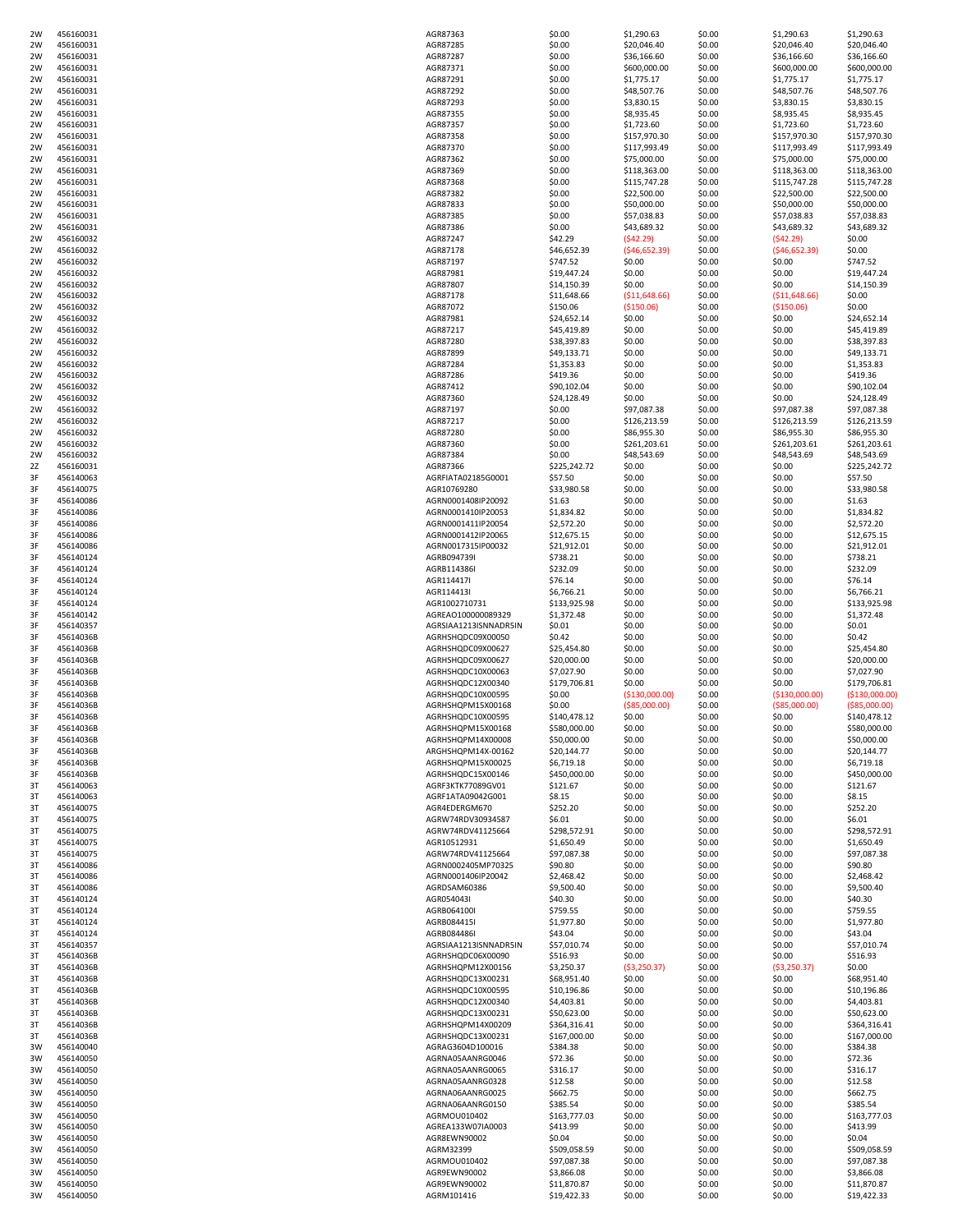| 2W       | 456160031              | AGR87363                   | \$0.00                     | \$1,290.63       | \$0.00           | \$1,290.63       | \$1,290.63                 |
|----------|------------------------|----------------------------|----------------------------|------------------|------------------|------------------|----------------------------|
| 2W       | 456160031              | AGR87285                   | \$0.00                     | \$20,046.40      | \$0.00           | \$20,046.40      | \$20,046.40                |
| 2W       | 456160031              | AGR87287                   | \$0.00                     | \$36,166.60      | \$0.00           | \$36,166.60      | \$36,166.60                |
| 2W       | 456160031              | AGR87371                   | \$0.00                     | \$600,000.00     | \$0.00           | \$600,000.00     | \$600,000.00               |
|          |                        |                            |                            |                  |                  |                  |                            |
| 2W       | 456160031              | AGR87291                   | \$0.00                     | \$1,775.17       | \$0.00           | \$1,775.17       | \$1,775.17                 |
| 2W       | 456160031              | AGR87292                   | \$0.00                     | \$48,507.76      | \$0.00           | \$48,507.76      | \$48,507.76                |
| 2W       | 456160031              | AGR87293                   | \$0.00                     | \$3,830.15       | \$0.00           | \$3,830.15       | \$3,830.15                 |
| 2W       | 456160031              | AGR87355                   | \$0.00                     | \$8,935.45       | \$0.00           | \$8,935.45       | \$8,935.45                 |
| 2W       | 456160031              | AGR87357                   | \$0.00                     | \$1,723.60       | \$0.00           | \$1,723.60       | \$1,723.60                 |
| 2W       | 456160031              | AGR87358                   | \$0.00                     | \$157,970.30     | \$0.00           | \$157,970.30     | \$157,970.30               |
| 2W       | 456160031              | AGR87370                   | \$0.00                     | \$117,993.49     | \$0.00           | \$117,993.49     | \$117,993.49               |
| 2W       | 456160031              | AGR87362                   | \$0.00                     | \$75,000.00      | \$0.00           | \$75,000.00      | \$75,000.00                |
| 2W       | 456160031              | AGR87369                   | \$0.00                     | \$118,363.00     | \$0.00           | \$118,363.00     | \$118,363.00               |
|          |                        |                            |                            |                  |                  |                  |                            |
| 2W       | 456160031              | AGR87368                   | \$0.00                     | \$115,747.28     | \$0.00           | \$115,747.28     | \$115,747.28               |
| 2W       | 456160031              | AGR87382                   | \$0.00                     | \$22,500.00      | \$0.00           | \$22,500.00      | \$22,500.00                |
| 2W       | 456160031              | AGR87833                   | \$0.00                     | \$50,000.00      | \$0.00           | \$50,000.00      | \$50,000.00                |
| 2W       | 456160031              | AGR87385                   | \$0.00                     | \$57,038.83      | \$0.00           | \$57,038.83      | \$57,038.83                |
| 2W       | 456160031              | AGR87386                   | \$0.00                     | \$43,689.32      | \$0.00           | \$43,689.32      | \$43,689.32                |
| 2W       | 456160032              | AGR87247                   | \$42.29                    | (542.29)         | \$0.00           | (542.29)         | \$0.00                     |
| 2W       | 456160032              | AGR87178                   | \$46,652.39                | (546, 652.39)    | \$0.00           | ( \$46, 652.39)  | \$0.00                     |
| 2W       | 456160032              | AGR87197                   | \$747.52                   | \$0.00           | \$0.00           | \$0.00           | \$747.52                   |
| 2W       | 456160032              | AGR87981                   | \$19,447.24                | \$0.00           | \$0.00           | \$0.00           | \$19,447.24                |
| 2W       | 456160032              | AGR87807                   | \$14,150.39                | \$0.00           | \$0.00           | \$0.00           | \$14,150.39                |
| 2W       | 456160032              | AGR87178                   | \$11,648.66                | ( \$11,648.66)   | \$0.00           | ( \$11,648.66)   | \$0.00                     |
|          |                        |                            |                            |                  |                  |                  | \$0.00                     |
| 2W       | 456160032              | AGR87072                   | \$150.06                   | ( \$150.06)      | \$0.00           | ( \$150.06)      |                            |
| 2W       | 456160032              | AGR87981                   | \$24,652.14                | \$0.00           | \$0.00           | \$0.00           | \$24,652.14                |
| 2W       | 456160032              | AGR87217                   | \$45,419.89                | \$0.00           | \$0.00           | \$0.00           | \$45,419.89                |
| 2W       | 456160032              | AGR87280                   | \$38,397.83                | \$0.00           | \$0.00           | \$0.00           | \$38,397.83                |
| 2W       | 456160032              | AGR87899                   | \$49,133.71                | \$0.00           | \$0.00           | \$0.00           | \$49,133.71                |
| 2W       | 456160032              | AGR87284                   | \$1,353.83                 | \$0.00           | \$0.00           | \$0.00           | \$1,353.83                 |
| 2W       | 456160032              | AGR87286                   | \$419.36                   | \$0.00           | \$0.00           | \$0.00           | \$419.36                   |
| 2W       | 456160032              | AGR87412                   | \$90,102.04                | \$0.00           | \$0.00           | \$0.00           | \$90,102.04                |
| 2W       | 456160032              | AGR87360                   | \$24,128.49                | \$0.00           | \$0.00           | \$0.00           | \$24,128.49                |
| 2W       | 456160032              | AGR87197                   | \$0.00                     | \$97,087.38      | \$0.00           | \$97,087.38      | \$97,087.38                |
|          |                        |                            |                            |                  |                  |                  |                            |
| 2W       | 456160032              | AGR87217                   | \$0.00                     | \$126,213.59     | \$0.00           | \$126,213.59     | \$126,213.59               |
| 2W       | 456160032              | AGR87280                   | \$0.00                     | \$86,955.30      | \$0.00           | \$86,955.30      | \$86,955.30                |
| 2W       | 456160032              | AGR87360                   | \$0.00                     | \$261,203.61     | \$0.00           | \$261,203.61     | \$261,203.61               |
| 2W       | 456160032              | AGR87384                   | \$0.00                     | \$48,543.69      | \$0.00           | \$48,543.69      | \$48,543.69                |
| 2Z       | 456160031              | AGR87366                   | \$225,242.72               | \$0.00           | \$0.00           | \$0.00           | \$225,242.72               |
| 3F       | 456140063              | AGRFIATA02185G0001         | \$57.50                    | \$0.00           | \$0.00           | \$0.00           | \$57.50                    |
| 3F       | 456140075              | AGR10769280                | \$33,980.58                | \$0.00           | \$0.00           | \$0.00           | \$33,980.58                |
| 3F       | 456140086              | AGRN0001408IP20092         | \$1.63                     | \$0.00           | \$0.00           | \$0.00           | \$1.63                     |
| 3F       | 456140086              | AGRN0001410IP20053         | \$1,834.82                 | \$0.00           | \$0.00           | \$0.00           | \$1,834.82                 |
| 3F       | 456140086              | AGRN0001411IP20054         | \$2,572.20                 | \$0.00           | \$0.00           | \$0.00           | \$2,572.20                 |
| 3F       | 456140086              | AGRN0001412IP20065         | \$12,675.15                | \$0.00           | \$0.00           | \$0.00           | \$12,675.15                |
|          |                        |                            |                            |                  |                  |                  |                            |
| 3F       | 456140086              | AGRN0017315IP00032         | \$21,912.01                | \$0.00           | \$0.00           | \$0.00           | \$21,912.01                |
| 3F       | 456140124              | AGRB094739I                | \$738.21                   | \$0.00           | \$0.00           | \$0.00           | \$738.21                   |
| 3F       | 456140124              | AGRB114386I                | \$232.09                   | \$0.00           | \$0.00           | \$0.00           | \$232.09                   |
| 3F       | 456140124              | AGR114417I                 | \$76.14                    | \$0.00           | \$0.00           | \$0.00           | \$76.14                    |
| 3F       | 456140124              | AGR114413I                 | \$6,766.21                 | \$0.00           | \$0.00           | \$0.00           | \$6,766.21                 |
| 3F       | 456140124              | AGR1002710731              | \$133,925.98               | \$0.00           | \$0.00           | \$0.00           | \$133,925.98               |
| 3F       | 456140142              | AGREAO100000089329         | \$1,372.48                 | \$0.00           | \$0.00           | \$0.00           | \$1,372.48                 |
| 3F       | 456140357              | AGRSIAA1213ISNNADR5IN      | \$0.01                     | \$0.00           | \$0.00           | \$0.00           | \$0.01                     |
| 3F       | 45614036B              | AGRHSHQDC09X00050          | \$0.42                     | \$0.00           | \$0.00           | \$0.00           | \$0.42                     |
| 3F       | 45614036B              | AGRHSHQDC09X00627          | \$25,454.80                | \$0.00           | \$0.00           | \$0.00           | \$25,454.80                |
|          |                        |                            |                            |                  |                  |                  |                            |
| 3F       | 45614036B              | AGRHSHQDC09X00627          | \$20,000.00                | \$0.00           | \$0.00           | \$0.00           | \$20,000.00                |
| 3F       | 45614036B              | AGRHSHQDC10X00063          | \$7,027.90                 | \$0.00           | \$0.00           | \$0.00           | \$7,027.90                 |
| 3F       | 45614036B              | AGRHSHQDC12X00340          | \$179,706.81               | \$0.00           | \$0.00           | \$0.00           | \$179,706.81               |
| 3F       | 45614036B              | AGRHSHQDC10X00595          | \$0.00                     | ( \$130,000.00)  | \$0.00           | ( \$130,000.00)  | ( \$130,000.00]            |
| 3F       | 45614036B              | AGRHSHQPM15X00168          | \$0.00                     | ( \$85,000.00)   | \$0.00           | ( \$85,000.00)   | ( \$85,000.00)             |
| 3F       | 45614036B              | AGRHSHQDC10X00595          | \$140,478.12               | \$0.00           | \$0.00           | \$0.00           | \$140,478.12               |
| 3F       | 45614036B              | AGRHSHQPM15X00168          | \$580,000.00               | \$0.00           | \$0.00           | \$0.00           | \$580,000.00               |
| 3F       | 45614036B              | AGRHSHQPM14X00008          | \$50,000.00                | \$0.00           | \$0.00           | \$0.00           | \$50,000.00                |
| 3F       | 45614036B              | ARGHSHQPM14X-00162         | \$20,144.77                | \$0.00           | \$0.00           | \$0.00           | \$20,144.77                |
| 3F       | 45614036B              | AGRHSHQPM15X00025          | \$6,719.18                 | \$0.00           | \$0.00           | \$0.00           | \$6,719.18                 |
|          |                        |                            |                            |                  |                  |                  |                            |
| 3F       | 45614036B              | AGRHSHQDC15X00146          | \$450,000.00               | \$0.00           | \$0.00           | \$0.00           | \$450,000.00               |
| 3T       | 456140063              | AGRF3KTK77089GV01          | \$121.67                   | \$0.00           | \$0.00           | \$0.00           | \$121.67                   |
| 3T       | 456140063              | AGRF1ATA09042G001          | \$8.15                     | \$0.00           | \$0.00           | \$0.00           | \$8.15                     |
| 3T       | 456140075              | AGR4EDERGM670              | \$252.20                   | \$0.00           | \$0.00           | \$0.00           | \$252.20                   |
| 3T       | 456140075              | AGRW74RDV30934587          | \$6.01                     | \$0.00           | \$0.00           | \$0.00           | \$6.01                     |
| 3T       | 456140075              | AGRW74RDV41125664          | \$298,572.91               | \$0.00           | \$0.00           | \$0.00           | \$298,572.91               |
| 3T       | 456140075              | AGR10512931                | \$1,650.49                 | \$0.00           | \$0.00           | \$0.00           | \$1,650.49                 |
| 3T       | 456140075              | AGRW74RDV41125664          | \$97,087.38                | \$0.00           | \$0.00           | \$0.00           | \$97,087.38                |
| 3T       | 456140086              | AGRN0002405MP70325         | \$90.80                    | \$0.00           | \$0.00           | \$0.00           | \$90.80                    |
| 3T       | 456140086              | AGRN0001406IP20042         | \$2,468.42                 | \$0.00           | \$0.00           | \$0.00           | \$2,468.42                 |
| 3T       | 456140086              | AGRDSAM60386               | \$9,500.40                 | \$0.00           | \$0.00           | \$0.00           | \$9,500.40                 |
| 3T       | 456140124              | AGR054043I                 | \$40.30                    | \$0.00           | \$0.00           | \$0.00           | \$40.30                    |
| 3T       | 456140124              | AGRB064100I                | \$759.55                   | \$0.00           | \$0.00           | \$0.00           | \$759.55                   |
|          |                        |                            |                            |                  |                  |                  |                            |
| 3T       | 456140124              | AGRB084415I                | \$1,977.80                 | \$0.00           | \$0.00           | \$0.00           | \$1,977.80                 |
| 3T       | 456140124              | AGRB084486I                | \$43.04                    | \$0.00           | \$0.00           | \$0.00           | \$43.04                    |
| 3T       | 456140357              | AGRSIAA1213ISNNADR5IN      | \$57,010.74                | \$0.00           | \$0.00           | \$0.00           | \$57,010.74                |
| 3T       |                        |                            | \$516.93                   | \$0.00           | \$0.00           | \$0.00           | \$516.93                   |
| 3T       | 45614036B              | AGRHSHQDC06X00090          |                            |                  |                  |                  |                            |
| 3T       | 45614036B              | AGRHSHQPM12X00156          | \$3,250.37                 | ( \$3,250.37)    | \$0.00           | ( \$3,250.37)    | \$0.00                     |
| 3T       | 45614036B              | AGRHSHQDC13X00231          | \$68,951.40                | \$0.00           | \$0.00           | \$0.00           | \$68,951.40                |
|          | 45614036B              | AGRHSHQDC10X00595          | \$10,196.86                | \$0.00           | \$0.00           | \$0.00           | \$10,196.86                |
| 3T       | 45614036B              | AGRHSHQDC12X00340          | \$4,403.81                 | \$0.00           | \$0.00           | \$0.00           | \$4,403.81                 |
| 3T       |                        |                            |                            |                  |                  |                  |                            |
|          | 45614036B              | AGRHSHQDC13X00231          | \$50,623.00                | \$0.00           | \$0.00           | \$0.00           | \$50,623.00                |
| 3T       | 45614036B              | AGRHSHQPM14X00209          | \$364,316.41               | \$0.00           | \$0.00           | \$0.00           | \$364,316.41               |
| 3T       | 45614036B              | AGRHSHQDC13X00231          | \$167,000.00               | \$0.00           | \$0.00           | \$0.00           | \$167,000.00               |
| 3W       | 456140040              | AGRAG3604D100016           | \$384.38                   | \$0.00           | \$0.00           | \$0.00           | \$384.38                   |
| 3W       | 456140050              | AGRNA05AANRG0046           | \$72.36                    | \$0.00           | \$0.00           | \$0.00           | \$72.36                    |
| 3W       | 456140050              | AGRNA05AANRG0065           | \$316.17                   | \$0.00           | \$0.00           | \$0.00           | \$316.17                   |
| 3W       | 456140050              | AGRNA05AANRG0328           | \$12.58                    | \$0.00           | \$0.00           | \$0.00           | \$12.58                    |
| 3W       | 456140050              | AGRNA06AANRG0025           | \$662.75                   | \$0.00           | \$0.00           | \$0.00           | \$662.75                   |
| 3W       | 456140050              | AGRNA06AANRG0150           | \$385.54                   | \$0.00           | \$0.00           | \$0.00           | \$385.54                   |
|          |                        |                            |                            |                  |                  |                  |                            |
| 3W       | 456140050              | AGRMOU010402               | \$163,777.03               | \$0.00           | \$0.00           | \$0.00           | \$163,777.03               |
| 3W       | 456140050              | AGREA133W07IA0003          | \$413.99                   | \$0.00           | \$0.00           | \$0.00           | \$413.99                   |
| 3W       | 456140050              | AGR8EWN90002               | \$0.04                     | \$0.00           | \$0.00           | \$0.00           | \$0.04                     |
| 3W       | 456140050              | AGRM32399                  | \$509,058.59               | \$0.00           | \$0.00           | \$0.00           | \$509,058.59               |
| 3W       | 456140050              | AGRMOU010402               | \$97,087.38                | \$0.00           | \$0.00           | \$0.00           | \$97,087.38                |
| 3W       | 456140050              | AGR9EWN90002               | \$3,866.08                 | \$0.00           | \$0.00           | \$0.00           | \$3,866.08                 |
| 3W<br>3W | 456140050<br>456140050 | AGR9EWN90002<br>AGRM101416 | \$11,870.87<br>\$19,422.33 | \$0.00<br>\$0.00 | \$0.00<br>\$0.00 | \$0.00<br>\$0.00 | \$11,870.87<br>\$19,422.33 |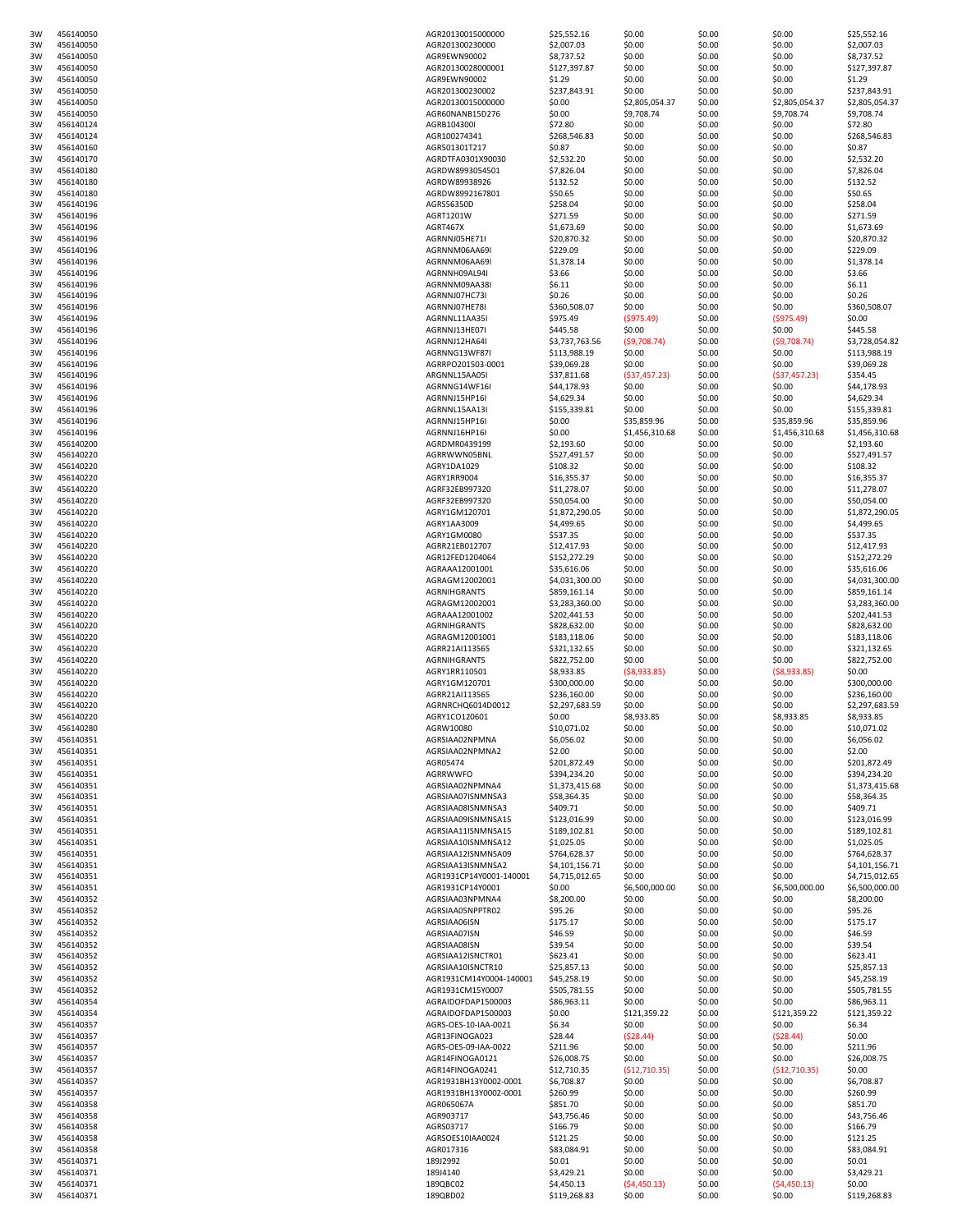| 3W | 456140050 | AGR20130015000000       | \$25,552.16    | \$0.00         | \$0.00 | \$0.00         | \$25,552.16    |
|----|-----------|-------------------------|----------------|----------------|--------|----------------|----------------|
| 3W | 456140050 | AGR201300230000         | \$2,007.03     | \$0.00         | \$0.00 | \$0.00         | \$2,007.03     |
|    |           |                         |                |                |        |                |                |
| 3W | 456140050 | AGR9EWN90002            | \$8,737.52     | \$0.00         | \$0.00 | \$0.00         | \$8,737.52     |
| 3W | 456140050 | AGR20130028000001       | \$127,397.87   | \$0.00         | \$0.00 | \$0.00         | \$127,397.87   |
| 3W | 456140050 | AGR9EWN90002            | \$1.29         | \$0.00         | \$0.00 | \$0.00         | \$1.29         |
| 3W | 456140050 | AGR201300230002         | \$237,843.91   | \$0.00         | \$0.00 | \$0.00         | \$237,843.91   |
| 3W | 456140050 | AGR20130015000000       | \$0.00         | \$2,805,054.37 | \$0.00 | \$2,805,054.37 | \$2,805,054.37 |
| 3W | 456140050 | AGR60NANB15D276         | \$0.00         | \$9,708.74     | \$0.00 | \$9,708.74     | \$9,708.74     |
| 3W | 456140124 | AGRB104300I             | \$72.80        | \$0.00         | \$0.00 | \$0.00         | \$72.80        |
| 3W | 456140124 | AGR100274341            | \$268,546.83   | \$0.00         | \$0.00 | \$0.00         | \$268,546.83   |
|    |           |                         |                |                |        |                |                |
| 3W | 456140160 | AGR501301T217           | \$0.87         | \$0.00         | \$0.00 | \$0.00         | \$0.87         |
| 3W | 456140170 | AGRDTFA0301X90030       | \$2,532.20     | \$0.00         | \$0.00 | \$0.00         | \$2,532.20     |
| 3W | 456140180 | AGRDW8993054501         | \$7,826.04     | \$0.00         | \$0.00 | \$0.00         | \$7,826.04     |
| 3W | 456140180 | AGRDW89938926           | \$132.52       | \$0.00         | \$0.00 | \$0.00         | \$132.52       |
|    |           |                         |                |                |        |                |                |
| 3W | 456140180 | AGRDW8992167801         | \$50.65        | \$0.00         | \$0.00 | \$0.00         | \$50.65        |
| 3W | 456140196 | AGRS56350D              | \$258.04       | \$0.00         | \$0.00 | \$0.00         | \$258.04       |
| 3W | 456140196 | AGRT1201W               | \$271.59       | \$0.00         | \$0.00 | \$0.00         | \$271.59       |
| 3W | 456140196 | AGRT467X                | \$1,673.69     | \$0.00         | \$0.00 | \$0.00         | \$1,673.69     |
| 3W | 456140196 | AGRNNJ05HE71I           | \$20,870.32    | \$0.00         | \$0.00 | \$0.00         | \$20,870.32    |
|    |           |                         |                |                |        |                |                |
| 3W | 456140196 | AGRNNM06AA69I           | \$229.09       | \$0.00         | \$0.00 | \$0.00         | \$229.09       |
| 3W | 456140196 | AGRNNM06AA69I           | \$1,378.14     | \$0.00         | \$0.00 | \$0.00         | \$1,378.14     |
| 3W | 456140196 | AGRNNH09AL94I           | \$3.66         | \$0.00         | \$0.00 | \$0.00         | \$3.66         |
| 3W | 456140196 | AGRNNM09AA38I           | \$6.11         | \$0.00         | \$0.00 | \$0.00         | \$6.11         |
| 3W | 456140196 | AGRNNJ07HC73I           | \$0.26         | \$0.00         | \$0.00 | \$0.00         | \$0.26         |
|    |           |                         |                |                |        |                |                |
| 3W | 456140196 | AGRNNJ07HE78I           | \$360,508.07   | \$0.00         | \$0.00 | \$0.00         | \$360,508.07   |
| 3W | 456140196 | AGRNNL11AA35I           | \$975.49       | ( \$975.49)    | \$0.00 | ( \$975.49)    | \$0.00         |
| 3W | 456140196 | AGRNNJ13HE07I           | \$445.58       | \$0.00         | \$0.00 | \$0.00         | \$445.58       |
| 3W | 456140196 | AGRNNJ12HA64I           | \$3,737,763.56 | (59,708.74)    | \$0.00 | (59,708.74)    | \$3,728,054.82 |
| 3W | 456140196 | AGRNNG13WF87I           |                | \$0.00         | \$0.00 |                | \$113,988.19   |
|    |           |                         | \$113,988.19   |                |        | \$0.00         |                |
| 3W | 456140196 | AGRRPO201503-0001       | \$39,069.28    | \$0.00         | \$0.00 | \$0.00         | \$39,069.28    |
| 3W | 456140196 | ARGNNL15AA05I           | \$37,811.68    | ( \$37,457.23) | \$0.00 | (537, 457.23)  | \$354.45       |
| 3W | 456140196 | AGRNNG14WF16I           | \$44,178.93    | \$0.00         | \$0.00 | \$0.00         | \$44,178.93    |
| 3W | 456140196 | AGRNNJ15HP16I           | \$4,629.34     | \$0.00         | \$0.00 | \$0.00         | \$4,629.34     |
|    |           |                         |                |                |        |                |                |
| 3W | 456140196 | AGRNNL15AA13I           | \$155,339.81   | \$0.00         | \$0.00 | \$0.00         | \$155,339.81   |
| 3W | 456140196 | AGRNNJ15HP16I           | \$0.00         | \$35,859.96    | \$0.00 | \$35,859.96    | \$35,859.96    |
| 3W | 456140196 | AGRNNJ16HP16I           | \$0.00         | \$1,456,310.68 | \$0.00 | \$1,456,310.68 | \$1,456,310.68 |
| 3W | 456140200 | AGRDMR0439199           | \$2,193.60     | \$0.00         | \$0.00 | \$0.00         | \$2,193.60     |
|    |           |                         |                |                |        |                |                |
| 3W | 456140220 | AGRRWWN05BNL            | \$527,491.57   | \$0.00         | \$0.00 | \$0.00         | \$527,491.57   |
| 3W | 456140220 | AGRY1DA1029             | \$108.32       | \$0.00         | \$0.00 | \$0.00         | \$108.32       |
| 3W | 456140220 | AGRY1RR9004             | \$16,355.37    | \$0.00         | \$0.00 | \$0.00         | \$16,355.37    |
| 3W | 456140220 | AGRF32EB997320          | \$11,278.07    | \$0.00         | \$0.00 | \$0.00         | \$11,278.07    |
|    |           |                         |                |                |        |                |                |
| 3W | 456140220 | AGRF32EB997320          | \$50,054.00    | \$0.00         | \$0.00 | \$0.00         | \$50,054.00    |
| 3W | 456140220 | AGRY1GM120701           | \$1,872,290.05 | \$0.00         | \$0.00 | \$0.00         | \$1,872,290.05 |
| 3W | 456140220 | AGRY1AA3009             | \$4,499.65     | \$0.00         | \$0.00 | \$0.00         | \$4,499.65     |
| 3W | 456140220 | AGRY1GM0080             | \$537.35       | \$0.00         | \$0.00 | \$0.00         | \$537.35       |
| 3W | 456140220 | AGRR21EB012707          | \$12,417.93    | \$0.00         | \$0.00 | \$0.00         | \$12,417.93    |
|    |           |                         |                |                |        |                |                |
| 3W | 456140220 | AGR12FED1204064         | \$152,272.29   | \$0.00         | \$0.00 | \$0.00         | \$152,272.29   |
| 3W | 456140220 | AGRAAA12001001          | \$35,616.06    | \$0.00         | \$0.00 | \$0.00         | \$35,616.06    |
| 3W | 456140220 | AGRAGM12002001          | \$4,031,300.00 | \$0.00         | \$0.00 | \$0.00         | \$4,031,300.00 |
| 3W | 456140220 | <b>AGRNIHGRANTS</b>     | \$859,161.14   | \$0.00         | \$0.00 | \$0.00         | \$859,161.14   |
|    | 456140220 | AGRAGM12002001          |                |                | \$0.00 | \$0.00         | \$3,283,360.00 |
| 3W |           |                         | \$3,283,360.00 | \$0.00         |        |                |                |
| 3W | 456140220 | AGRAAA12001002          | \$202,441.53   | \$0.00         | \$0.00 | \$0.00         | \$202,441.53   |
| 3W | 456140220 | <b>AGRNIHGRANTS</b>     | \$828,632.00   | \$0.00         | \$0.00 | \$0.00         | \$828,632.00   |
| 3W | 456140220 | AGRAGM12001001          | \$183,118.06   | \$0.00         | \$0.00 | \$0.00         | \$183,118.06   |
| 3W | 456140220 | AGRR21AI113565          | \$321,132.65   | \$0.00         | \$0.00 | \$0.00         | \$321,132.65   |
|    |           |                         |                |                |        |                |                |
| 3W | 456140220 | <b>AGRNIHGRANTS</b>     | \$822,752.00   | \$0.00         | \$0.00 | \$0.00         | \$822,752.00   |
| 3W | 456140220 | AGRY1RR110501           | \$8,933.85     | ( \$8,933.85)  | \$0.00 | (58,933.85)    | \$0.00         |
| 3W | 456140220 | AGRY1GM120701           | \$300,000.00   | \$0.00         | \$0.00 | \$0.00         | \$300,000.00   |
| 3W | 456140220 | AGRR21AI113565          | \$236,160.00   | \$0.00         | \$0.00 | \$0.00         | \$236,160.00   |
|    |           |                         |                |                |        |                |                |
| 3W | 456140220 | AGRNRCHQ6014D0012       | \$2,297,683.59 | \$0.00         | \$0.00 | \$0.00         | \$2,297,683.59 |
| 3W | 456140220 | AGRY1CO120601           | \$0.00         | \$8,933.85     | \$0.00 | \$8,933.85     | \$8,933.85     |
| 3W | 456140280 | AGRW10080               | \$10,071.02    | \$0.00         | \$0.00 | \$0.00         | \$10,071.02    |
| 3W | 456140351 | AGRSIAA02NPMNA          | \$6,056.02     | \$0.00         | \$0.00 | \$0.00         | \$6,056.02     |
| 3W | 456140351 | AGRSIAA02NPMNA2         | \$2.00         |                |        |                | \$2.00         |
|    |           |                         |                | \$0.00         | \$0.00 | \$0.00         |                |
| 3W | 456140351 | AGR05474                | \$201,872.49   | \$0.00         | \$0.00 | \$0.00         | \$201,872.49   |
| 3W | 456140351 | AGRRWWFO                | \$394,234.20   | \$0.00         | \$0.00 | \$0.00         | \$394,234.20   |
| 3W | 456140351 | AGRSIAA02NPMNA4         | \$1,373,415.68 | \$0.00         | \$0.00 | \$0.00         | \$1,373,415.68 |
| 3W | 456140351 | AGRSIAA07ISNMNSA3       | \$58,364.35    | \$0.00         | \$0.00 | \$0.00         | \$58,364.35    |
|    |           |                         |                |                |        |                |                |
| 3W | 456140351 | AGRSIAA08ISNMNSA3       | \$409.71       | \$0.00         | \$0.00 | \$0.00         | \$409.71       |
| 3W | 456140351 | AGRSIAA09ISNMNSA15      | \$123,016.99   | \$0.00         | \$0.00 | \$0.00         | \$123,016.99   |
| 3W | 456140351 | AGRSIAA11ISNMNSA15      | \$189,102.81   | \$0.00         | \$0.00 | \$0.00         | \$189,102.81   |
| 3W | 456140351 | AGRSIAA10ISNMNSA12      | \$1,025.05     | \$0.00         | \$0.00 | \$0.00         | \$1,025.05     |
| 3W | 456140351 | AGRSIAA12ISNMNSA09      | \$764,628.37   | \$0.00         | \$0.00 | \$0.00         | \$764,628.37   |
|    | 456140351 | AGRSIAA13ISNMNSA2       | \$4,101,156.71 | \$0.00         | \$0.00 |                | \$4,101,156.71 |
| 3W |           |                         |                |                |        | \$0.00         |                |
| 3W | 456140351 | AGR1931CP14Y0001-140001 | \$4,715,012.65 | \$0.00         | \$0.00 | \$0.00         | \$4,715,012.65 |
| 3W | 456140351 | AGR1931CP14Y0001        | \$0.00         | \$6,500,000.00 | \$0.00 | \$6,500,000.00 | \$6,500,000.00 |
| 3W | 456140352 | AGRSIAA03NPMNA4         | \$8,200.00     | \$0.00         | \$0.00 | \$0.00         | \$8,200.00     |
| 3W | 456140352 | AGRSIAA05NPPTR02        | \$95.26        | \$0.00         | \$0.00 | \$0.00         | \$95.26        |
|    |           |                         |                |                |        |                |                |
| 3W | 456140352 | AGRSIAA06ISN            | \$175.17       | \$0.00         | \$0.00 | \$0.00         | \$175.17       |
| 3W | 456140352 | AGRSIAA07ISN            | \$46.59        | \$0.00         | \$0.00 | \$0.00         | \$46.59        |
| 3W | 456140352 | AGRSIAA08ISN            | \$39.54        | \$0.00         | \$0.00 | \$0.00         | \$39.54        |
| 3W | 456140352 | AGRSIAA12ISNCTR01       | \$623.41       | \$0.00         | \$0.00 | \$0.00         | \$623.41       |
|    | 456140352 | AGRSIAA10ISNCTR10       | \$25,857.13    | \$0.00         | \$0.00 | \$0.00         | \$25,857.13    |
| 3W |           |                         |                |                |        |                |                |
| 3W | 456140352 | AGR1931CM14Y0004-140001 | \$45,258.19    | \$0.00         | \$0.00 | \$0.00         | \$45,258.19    |
| 3W | 456140352 | AGR1931CM15Y0007        | \$505,781.55   | \$0.00         | \$0.00 | \$0.00         | \$505,781.55   |
| 3W | 456140354 | AGRAIDOFDAP1500003      | \$86,963.11    | \$0.00         | \$0.00 | \$0.00         | \$86,963.11    |
| 3W | 456140354 | AGRAIDOFDAP1500003      | \$0.00         | \$121,359.22   | \$0.00 | \$121,359.22   | \$121,359.22   |
|    |           |                         |                |                |        |                |                |
| 3W | 456140357 | AGRS-OES-10-IAA-0021    | \$6.34         | \$0.00         | \$0.00 | \$0.00         | \$6.34         |
| 3W | 456140357 | AGR13FINOGA023          | \$28.44        | ( \$28.44)     | \$0.00 | ( \$28.44)     | \$0.00         |
| 3W | 456140357 | AGRS-OES-09-IAA-0022    | \$211.96       | \$0.00         | \$0.00 | \$0.00         | \$211.96       |
| 3W | 456140357 | AGR14FINOGA0121         | \$26,008.75    | \$0.00         | \$0.00 | \$0.00         | \$26,008.75    |
|    |           |                         |                |                |        |                |                |
| 3W | 456140357 | AGR14FINOGA0241         | \$12,710.35    | ( \$12,710.35) | \$0.00 | (\$12,710.35)  | \$0.00         |
| 3W | 456140357 | AGR1931BH13Y0002-0001   | \$6,708.87     | \$0.00         | \$0.00 | \$0.00         | \$6,708.87     |
| 3W | 456140357 | AGR1931BH13Y0002-0001   | \$260.99       | \$0.00         | \$0.00 | \$0.00         | \$260.99       |
| 3W | 456140358 | AGR065067A              | \$851.70       | \$0.00         | \$0.00 | \$0.00         | \$851.70       |
|    |           |                         |                |                |        |                |                |
| 3W | 456140358 | AGR903717               | \$43,756.46    | \$0.00         | \$0.00 | \$0.00         | \$43,756.46    |
| 3W | 456140358 | AGRS03717               | \$166.79       | \$0.00         | \$0.00 | \$0.00         | \$166.79       |
| 3W | 456140358 | AGRSOES10IAA0024        | \$121.25       | \$0.00         | \$0.00 | \$0.00         | \$121.25       |
| 3W | 456140358 | AGR017316               | \$83,084.91    | \$0.00         | \$0.00 | \$0.00         | \$83,084.91    |
|    |           |                         |                |                |        |                |                |
| 3W | 456140371 | 189J2992                | \$0.01         | \$0.00         | \$0.00 | \$0.00         | \$0.01         |
| 3W | 456140371 | 189J4140                | \$3,429.21     | \$0.00         | \$0.00 | \$0.00         | \$3,429.21     |
| 3W | 456140371 | 189QBC02                | \$4,450.13     | (54, 450.13)   | \$0.00 | (54, 450.13)   | \$0.00         |
|    | 456140371 | 189QBD02                | \$119,268.83   | \$0.00         | \$0.00 | \$0.00         | \$119,268.83   |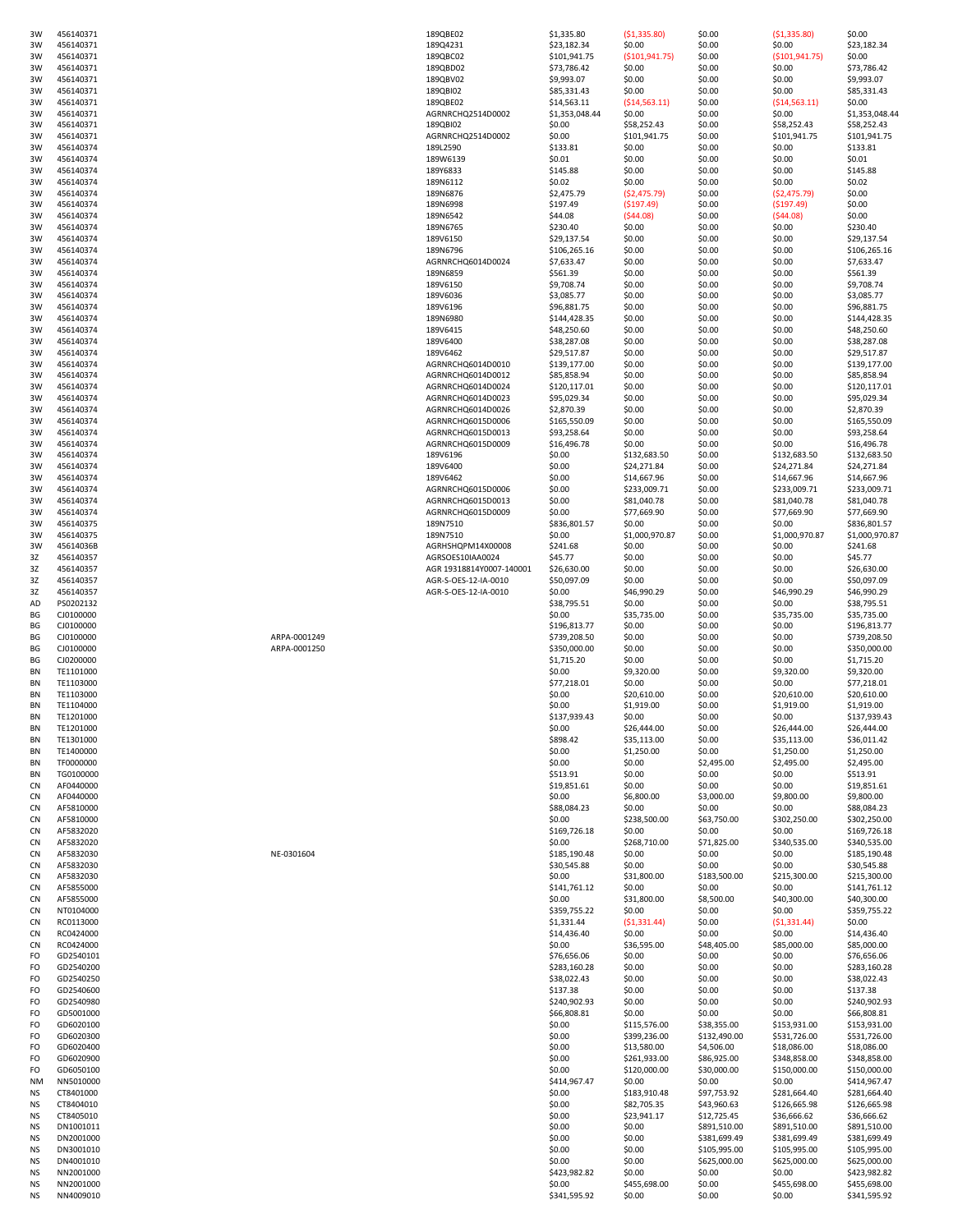| 3W        | 456140371 |              | 189QBE02                 | \$1,335.80     | ( \$1,335.80)    | \$0.00       | ( \$1,335.80)    | \$0.00         |
|-----------|-----------|--------------|--------------------------|----------------|------------------|--------------|------------------|----------------|
| 3W        | 456140371 |              | 189Q4231                 | \$23,182.34    | \$0.00           | \$0.00       | \$0.00           | \$23,182.34    |
| 3W        | 456140371 |              | 189QBC02                 |                |                  | \$0.00       |                  | \$0.00         |
|           |           |              |                          | \$101,941.75   | ( \$101, 941.75) |              | ( \$101, 941.75) |                |
| 3W        | 456140371 |              | 189QBD02                 | \$73,786.42    | \$0.00           | \$0.00       | \$0.00           | \$73,786.42    |
| 3W        | 456140371 |              | 189QBV02                 | \$9,993.07     | \$0.00           | \$0.00       | \$0.00           | \$9,993.07     |
| 3W        | 456140371 |              | 189QBI02                 | \$85,331.43    | \$0.00           | \$0.00       | \$0.00           | \$85,331.43    |
| 3W        | 456140371 |              | 189QBE02                 | \$14,563.11    | ( \$14,563.11)   | \$0.00       | ( \$14,563.11)   | \$0.00         |
| 3W        | 456140371 |              | AGRNRCHQ2514D0002        | \$1,353,048.44 | \$0.00           | \$0.00       | \$0.00           | \$1,353,048.44 |
| 3W        | 456140371 |              | 189QBI02                 | \$0.00         | \$58,252.43      | \$0.00       | \$58,252.43      | \$58,252.43    |
| 3W        | 456140371 |              | AGRNRCHQ2514D0002        | \$0.00         | \$101,941.75     | \$0.00       | \$101,941.75     | \$101,941.75   |
| 3W        | 456140374 |              | 189L2590                 | \$133.81       | \$0.00           | \$0.00       | \$0.00           | \$133.81       |
| 3W        | 456140374 |              | 189W6139                 | \$0.01         | \$0.00           | \$0.00       | \$0.00           | \$0.01         |
|           |           |              |                          |                |                  |              |                  |                |
| 3W        | 456140374 |              | 189Y6833                 | \$145.88       | \$0.00           | \$0.00       | \$0.00           | \$145.88       |
| 3W        | 456140374 |              | 189N6112                 | \$0.02\$       | \$0.00           | \$0.00       | \$0.00           | \$0.02         |
| 3W        | 456140374 |              | 189N6876                 | \$2,475.79     | ( \$2,475.79)    | \$0.00       | (52, 475.79)     | \$0.00         |
| 3W        | 456140374 |              | 189N6998                 | \$197.49       | ( \$197.49)      | \$0.00       | ( \$197.49)      | \$0.00         |
| 3W        | 456140374 |              | 189N6542                 | \$44.08        | (544.08)         | \$0.00       | (544.08)         | \$0.00         |
|           |           |              | 189N6765                 |                | \$0.00           |              |                  | \$230.40       |
| 3W        | 456140374 |              |                          | \$230.40       |                  | \$0.00       | \$0.00           |                |
| 3W        | 456140374 |              | 189V6150                 | \$29,137.54    | \$0.00           | \$0.00       | \$0.00           | \$29,137.54    |
| 3W        | 456140374 |              | 189N6796                 | \$106,265.16   | \$0.00           | \$0.00       | \$0.00           | \$106,265.16   |
| 3W        | 456140374 |              | AGRNRCHQ6014D0024        | \$7,633.47     | \$0.00           | \$0.00       | \$0.00           | \$7,633.47     |
| 3W        | 456140374 |              | 189N6859                 | \$561.39       | \$0.00           | \$0.00       | \$0.00           | \$561.39       |
| 3W        | 456140374 |              | 189V6150                 | \$9,708.74     | \$0.00           | \$0.00       | \$0.00           | \$9,708.74     |
| 3W        | 456140374 |              | 189V6036                 | \$3,085.77     | \$0.00           | \$0.00       | \$0.00           | \$3,085.77     |
|           |           |              |                          |                |                  |              |                  |                |
| 3W        | 456140374 |              | 189V6196                 | \$96,881.75    | \$0.00           | \$0.00       | \$0.00           | \$96,881.75    |
| 3W        | 456140374 |              | 189N6980                 | \$144,428.35   | \$0.00           | \$0.00       | \$0.00           | \$144,428.35   |
| 3W        | 456140374 |              | 189V6415                 | \$48,250.60    | \$0.00           | \$0.00       | \$0.00           | \$48,250.60    |
| 3W        | 456140374 |              | 189V6400                 | \$38,287.08    | \$0.00           | \$0.00       | \$0.00           | \$38,287.08    |
| 3W        | 456140374 |              | 189V6462                 | \$29,517.87    | \$0.00           | \$0.00       | \$0.00           | \$29,517.87    |
| 3W        | 456140374 |              | AGRNRCHQ6014D0010        | \$139,177.00   | \$0.00           | \$0.00       | \$0.00           | \$139,177.00   |
| 3W        | 456140374 |              | AGRNRCHQ6014D0012        | \$85,858.94    | \$0.00           | \$0.00       | \$0.00           | \$85,858.94    |
|           |           |              |                          |                |                  |              |                  |                |
| 3W        | 456140374 |              | AGRNRCHQ6014D0024        | \$120,117.01   | \$0.00           | \$0.00       | \$0.00           | \$120,117.01   |
| 3W        | 456140374 |              | AGRNRCHQ6014D0023        | \$95,029.34    | \$0.00           | \$0.00       | \$0.00           | \$95,029.34    |
| 3W        | 456140374 |              | AGRNRCHQ6014D0026        | \$2,870.39     | \$0.00           | \$0.00       | \$0.00           | \$2,870.39     |
| 3W        | 456140374 |              | AGRNRCHQ6015D0006        | \$165,550.09   | \$0.00           | \$0.00       | \$0.00           | \$165,550.09   |
| 3W        | 456140374 |              | AGRNRCHQ6015D0013        | \$93,258.64    | \$0.00           | \$0.00       | \$0.00           | \$93,258.64    |
| 3W        | 456140374 |              | AGRNRCHQ6015D0009        | \$16,496.78    | \$0.00           | \$0.00       | \$0.00           | \$16,496.78    |
|           | 456140374 |              |                          |                |                  |              |                  |                |
| 3W        |           |              | 189V6196                 | \$0.00         | \$132,683.50     | \$0.00       | \$132,683.50     | \$132,683.50   |
| 3W        | 456140374 |              | 189V6400                 | \$0.00         | \$24,271.84      | \$0.00       | \$24,271.84      | \$24,271.84    |
| 3W        | 456140374 |              | 189V6462                 | \$0.00         | \$14,667.96      | \$0.00       | \$14,667.96      | \$14,667.96    |
| 3W        | 456140374 |              | AGRNRCHQ6015D0006        | \$0.00         | \$233,009.71     | \$0.00       | \$233,009.71     | \$233,009.71   |
| 3W        | 456140374 |              | AGRNRCHQ6015D0013        | \$0.00         | \$81,040.78      | \$0.00       | \$81,040.78      | \$81,040.78    |
| 3W        | 456140374 |              | AGRNRCHQ6015D0009        | \$0.00         | \$77,669.90      | \$0.00       | \$77,669.90      | \$77,669.90    |
|           |           |              |                          |                |                  |              |                  |                |
| 3W        | 456140375 |              | 189N7510                 | \$836,801.57   | \$0.00           | \$0.00       | \$0.00           | \$836,801.57   |
| 3W        | 456140375 |              | 189N7510                 | \$0.00         | \$1,000,970.87   | \$0.00       | \$1,000,970.87   | \$1,000,970.87 |
| 3W        | 45614036B |              | AGRHSHQPM14X00008        | \$241.68       | \$0.00           | \$0.00       | \$0.00           | \$241.68       |
| 3Z        | 456140357 |              | AGRSOES10IAA0024         | \$45.77        | \$0.00           | \$0.00       | \$0.00           | \$45.77        |
| 3Z        | 456140357 |              | AGR 19318814Y0007-140001 | \$26,630.00    | \$0.00           | \$0.00       | \$0.00           | \$26,630.00    |
| 3Z        | 456140357 |              | AGR-S-OES-12-IA-0010     | \$50,097.09    | \$0.00           | \$0.00       | \$0.00           | \$50,097.09    |
| 3Z        | 456140357 |              | AGR-S-OES-12-IA-0010     | \$0.00         | \$46,990.29      | \$0.00       | \$46,990.29      | \$46,990.29    |
|           |           |              |                          |                |                  |              |                  |                |
| AD        | PS0202132 |              |                          | \$38,795.51    | \$0.00           | \$0.00       | \$0.00           | \$38,795.51    |
| BG        | CJ0100000 |              |                          | \$0.00         | \$35,735.00      | \$0.00       | \$35,735.00      | \$35,735.00    |
| BG        | CJ0100000 |              |                          | \$196,813.77   | \$0.00           | \$0.00       | \$0.00           | \$196,813.77   |
| BG        | CJ0100000 | ARPA-0001249 |                          | \$739,208.50   | \$0.00           | \$0.00       | \$0.00           | \$739,208.50   |
| BG        | CJ0100000 | ARPA-0001250 |                          | \$350,000.00   | \$0.00           | \$0.00       | \$0.00           | \$350,000.00   |
| ΒG        | CJ0200000 |              |                          | \$1,715.20     | \$0.00           | \$0.00       | \$0.00           | \$1,715.20     |
|           |           |              |                          |                |                  |              |                  | \$9,320.00     |
| ΒN        | TE1101000 |              |                          | \$0.00         | \$9,320.00       | \$0.00       | \$9,320.00       |                |
| ΒN        | TE1103000 |              |                          | \$77,218.01    | \$0.00           | \$0.00       | \$0.00           | \$77,218.01    |
| ΒN        | TE1103000 |              |                          | \$0.00         | \$20,610.00      | \$0.00       | \$20,610.00      | \$20,610.00    |
| ΒN        | TE1104000 |              |                          | \$0.00         | \$1,919.00       | \$0.00       | \$1,919.00       | \$1,919.00     |
| ΒN        | TE1201000 |              |                          | \$137,939.43   | \$0.00           | \$0.00       | \$0.00           | \$137,939.43   |
| ΒN        | TE1201000 |              |                          | \$0.00         | \$26,444.00      | \$0.00       | \$26,444.00      | \$26,444.00    |
| ΒN        | TE1301000 |              |                          | \$898.42       | \$35,113.00      | \$0.00       | \$35,113.00      | \$36,011.42    |
|           |           |              |                          |                |                  |              |                  |                |
| ΒN        | TE1400000 |              |                          | \$0.00         | \$1,250.00       | \$0.00       | \$1,250.00       | \$1,250.00     |
| ΒN        | TF0000000 |              |                          | \$0.00         | \$0.00           | \$2,495.00   | \$2,495.00       | \$2,495.00     |
| ΒN        | TG0100000 |              |                          | \$513.91       | \$0.00           | \$0.00       | \$0.00           | \$513.91       |
| CN        | AF0440000 |              |                          | \$19,851.61    | \$0.00           | \$0.00       | \$0.00           | \$19,851.61    |
| CN        | AF0440000 |              |                          | \$0.00         | \$6,800.00       | \$3,000.00   | \$9,800.00       | \$9,800.00     |
| CN        | AF5810000 |              |                          | \$88,084.23    | \$0.00           | \$0.00       | \$0.00           | \$88,084.23    |
| CN        | AF5810000 |              |                          | \$0.00         | \$238,500.00     | \$63,750.00  | \$302,250.00     | \$302,250.00   |
|           |           |              |                          |                |                  |              |                  |                |
| CN        | AF5832020 |              |                          | \$169,726.18   | \$0.00           | \$0.00       | \$0.00           | \$169,726.18   |
| <b>CN</b> | AF5832020 |              |                          | \$0.00         | \$268,710.00     | \$71,825.00  | \$340,535.00     | \$340,535.00   |
| <b>CN</b> | AF5832030 | NE-0301604   |                          | \$185,190.48   | \$0.00           | \$0.00       | \$0.00           | \$185,190.48   |
| <b>CN</b> | AF5832030 |              |                          |                |                  |              | \$0.00           | \$30,545.88    |
| CN        | AF5832030 |              |                          | \$30,545.88    | \$0.00           | \$0.00       |                  |                |
| CN        |           |              |                          | \$0.00         | \$31,800.00      | \$183,500.00 | \$215,300.00     | \$215,300.00   |
|           | AF5855000 |              |                          | \$141,761.12   | \$0.00           | \$0.00       | \$0.00           | \$141,761.12   |
| <b>CN</b> | AF5855000 |              |                          | \$0.00         | \$31,800.00      | \$8,500.00   | \$40,300.00      | \$40,300.00    |
| CN        | NT0104000 |              |                          |                |                  |              |                  |                |
|           |           |              |                          | \$359,755.22   | \$0.00           | \$0.00       | \$0.00           | \$359,755.22   |
| <b>CN</b> | RC0113000 |              |                          | \$1,331.44     | ( \$1,331.44)    | \$0.00       | ( \$1,331.44)    | \$0.00         |
| CN        | RC0424000 |              |                          | \$14,436.40    | \$0.00           | \$0.00       | \$0.00           | \$14,436.40    |
| CN        | RC0424000 |              |                          | \$0.00         | \$36,595.00      | \$48,405.00  | \$85,000.00      | \$85,000.00    |
| FO        | GD2540101 |              |                          | \$76,656.06    | \$0.00           | \$0.00       | \$0.00           | \$76,656.06    |
| FO        | GD2540200 |              |                          | \$283,160.28   | \$0.00           | \$0.00       | \$0.00           | \$283,160.28   |
| FO        | GD2540250 |              |                          | \$38,022.43    | \$0.00           | \$0.00       | \$0.00           | \$38,022.43    |
|           |           |              |                          |                |                  |              |                  |                |
| FO        | GD2540600 |              |                          | \$137.38       | \$0.00           | \$0.00       | \$0.00           | \$137.38       |
| FO        | GD2540980 |              |                          | \$240,902.93   | \$0.00           | \$0.00       | \$0.00           | \$240,902.93   |
| FO        | GD5001000 |              |                          | \$66,808.81    | \$0.00           | \$0.00       | \$0.00           | \$66,808.81    |
| FO        | GD6020100 |              |                          | \$0.00         | \$115,576.00     | \$38,355.00  | \$153,931.00     | \$153,931.00   |
| FO        | GD6020300 |              |                          | \$0.00         | \$399,236.00     | \$132,490.00 | \$531,726.00     | \$531,726.00   |
| FO        | GD6020400 |              |                          | \$0.00         | \$13,580.00      | \$4,506.00   | \$18,086.00      | \$18,086.00    |
|           |           |              |                          |                |                  |              |                  |                |
| FO        | GD6020900 |              |                          | \$0.00         | \$261,933.00     | \$86,925.00  | \$348,858.00     | \$348,858.00   |
| FO        | GD6050100 |              |                          | \$0.00         | \$120,000.00     | \$30,000.00  | \$150,000.00     | \$150,000.00   |
| <b>NM</b> | NN5010000 |              |                          | \$414,967.47   | \$0.00           | \$0.00       | \$0.00           | \$414,967.47   |
| ΝS        | CT8401000 |              |                          | \$0.00         | \$183,910.48     | \$97,753.92  | \$281,664.40     | \$281,664.40   |
| <b>NS</b> | CT8404010 |              |                          | \$0.00         | \$82,705.35      | \$43,960.63  | \$126,665.98     | \$126,665.98   |
| <b>NS</b> |           |              |                          |                |                  |              |                  |                |
|           | CT8405010 |              |                          | \$0.00         | \$23,941.17      | \$12,725.45  | \$36,666.62      | \$36,666.62    |
| <b>NS</b> | DN1001011 |              |                          | \$0.00         | \$0.00           | \$891,510.00 | \$891,510.00     | \$891,510.00   |
| <b>NS</b> | DN2001000 |              |                          | \$0.00         | \$0.00           | \$381,699.49 | \$381,699.49     | \$381,699.49   |
| <b>NS</b> | DN3001010 |              |                          | \$0.00         | \$0.00           | \$105,995.00 | \$105,995.00     | \$105,995.00   |
| <b>NS</b> | DN4001010 |              |                          | \$0.00         | \$0.00           | \$625,000.00 | \$625,000.00     | \$625,000.00   |
| <b>NS</b> | NN2001000 |              |                          | \$423,982.82   | \$0.00           | \$0.00       | \$0.00           | \$423,982.82   |
| <b>NS</b> | NN2001000 |              |                          | \$0.00         | \$455,698.00     | \$0.00       | \$455,698.00     | \$455,698.00   |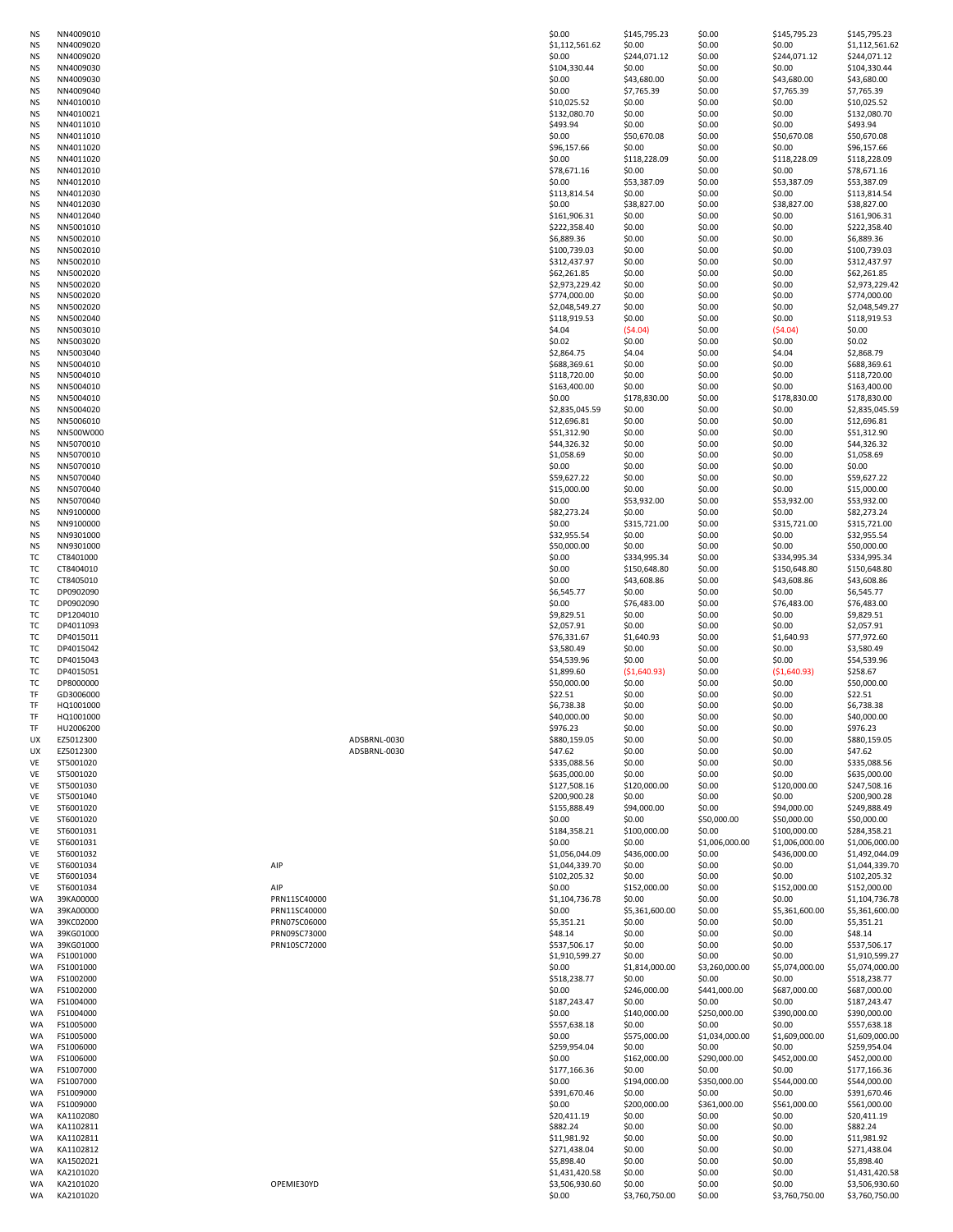| ΝS        | NN4009010              |              | \$0.00                   | \$145,795.23   | \$0.00           | \$145,795.23   | \$145,795.23                     |
|-----------|------------------------|--------------|--------------------------|----------------|------------------|----------------|----------------------------------|
| <b>NS</b> | NN4009020              |              | \$1,112,561.62           | \$0.00         | \$0.00           | \$0.00         | \$1,112,561.62                   |
| <b>NS</b> | NN4009020              |              | \$0.00                   | \$244,071.12   | \$0.00           | \$244,071.12   | \$244,071.12                     |
| <b>NS</b> | NN4009030              |              | \$104,330.44             | \$0.00         | \$0.00           | \$0.00         | \$104,330.44                     |
|           |                        |              |                          |                |                  |                |                                  |
| <b>NS</b> | NN4009030              |              | \$0.00                   | \$43,680.00    | \$0.00           | \$43,680.00    | \$43,680.00                      |
| <b>NS</b> | NN4009040              |              | \$0.00                   | \$7,765.39     | \$0.00           | \$7,765.39     | \$7,765.39                       |
| <b>NS</b> | NN4010010              |              | \$10,025.52              | \$0.00         | \$0.00           | \$0.00         | \$10,025.52                      |
| <b>NS</b> | NN4010021              |              | \$132,080.70             | \$0.00         | \$0.00           | \$0.00         | \$132,080.70                     |
|           |                        |              |                          |                |                  |                |                                  |
| <b>NS</b> | NN4011010              |              | \$493.94                 | \$0.00         | \$0.00           | \$0.00         | \$493.94                         |
| <b>NS</b> | NN4011010              |              | \$0.00                   | \$50,670.08    | \$0.00           | \$50,670.08    | \$50,670.08                      |
| <b>NS</b> | NN4011020              |              | \$96,157.66              | \$0.00         | \$0.00           | \$0.00         | \$96,157.66                      |
|           |                        |              |                          |                |                  |                |                                  |
| <b>NS</b> | NN4011020              |              | \$0.00                   | \$118,228.09   | \$0.00           | \$118,228.09   | \$118,228.09                     |
| <b>NS</b> | NN4012010              |              | \$78,671.16              | \$0.00         | \$0.00           | \$0.00         | \$78,671.16                      |
| <b>NS</b> | NN4012010              |              | \$0.00                   | \$53,387.09    | \$0.00           | \$53,387.09    | \$53,387.09                      |
|           |                        |              |                          |                |                  |                |                                  |
| <b>NS</b> | NN4012030              |              | \$113,814.54             | \$0.00         | \$0.00           | \$0.00         | \$113,814.54                     |
| <b>NS</b> | NN4012030              |              | \$0.00                   | \$38,827.00    | \$0.00           | \$38,827.00    | \$38,827.00                      |
| <b>NS</b> | NN4012040              |              | \$161,906.31             | \$0.00         | \$0.00           | \$0.00         | \$161,906.31                     |
|           |                        |              |                          |                |                  |                |                                  |
| <b>NS</b> | NN5001010              |              | \$222,358.40             | \$0.00         | \$0.00           | \$0.00         | \$222,358.40                     |
| <b>NS</b> | NN5002010              |              | \$6,889.36               | \$0.00         | \$0.00           | \$0.00         | \$6,889.36                       |
| <b>NS</b> | NN5002010              |              | \$100,739.03             | \$0.00         | \$0.00           | \$0.00         | \$100,739.03                     |
|           |                        |              |                          |                |                  |                |                                  |
| <b>NS</b> | NN5002010              |              | \$312,437.97             | \$0.00         | \$0.00           | \$0.00         | \$312,437.97                     |
| <b>NS</b> | NN5002020              |              | \$62,261.85              | \$0.00         | \$0.00           | \$0.00         | \$62,261.85                      |
| <b>NS</b> | NN5002020              |              | \$2,973,229.42           | \$0.00         | \$0.00           | \$0.00         | \$2,973,229.42                   |
| <b>NS</b> | NN5002020              |              | \$774,000.00             | \$0.00         | \$0.00           | \$0.00         | \$774,000.00                     |
|           |                        |              |                          |                |                  |                |                                  |
| <b>NS</b> | NN5002020              |              | \$2,048,549.27           | \$0.00         | \$0.00           | \$0.00         | \$2,048,549.27                   |
| <b>NS</b> | NN5002040              |              | \$118,919.53             | \$0.00         | \$0.00           | \$0.00         | \$118,919.53                     |
| <b>NS</b> | NN5003010              |              | \$4.04                   | (54.04)        | \$0.00           | (54.04)        | \$0.00                           |
|           |                        |              |                          |                |                  |                |                                  |
| <b>NS</b> | NN5003020              |              | \$0.02                   | \$0.00         | \$0.00           | \$0.00         | \$0.02\$                         |
| <b>NS</b> | NN5003040              |              | \$2,864.75               | \$4.04         | \$0.00           | \$4.04         | \$2,868.79                       |
| <b>NS</b> | NN5004010              |              | \$688,369.61             | \$0.00         | \$0.00           | \$0.00         | \$688,369.61                     |
| <b>NS</b> | NN5004010              |              | \$118,720.00             | \$0.00         | \$0.00           | \$0.00         | \$118,720.00                     |
|           |                        |              |                          |                |                  |                |                                  |
| <b>NS</b> | NN5004010              |              | \$163,400.00             | \$0.00         | \$0.00           | \$0.00         | \$163,400.00                     |
| <b>NS</b> | NN5004010              |              | \$0.00                   | \$178,830.00   | \$0.00           | \$178,830.00   | \$178,830.00                     |
| <b>NS</b> | NN5004020              |              | \$2,835,045.59           | \$0.00         | \$0.00           | \$0.00         | \$2,835,045.59                   |
|           |                        |              |                          |                |                  |                |                                  |
| <b>NS</b> | NN5006010              |              | \$12,696.81              | \$0.00         | \$0.00           | \$0.00         | \$12,696.81                      |
| <b>NS</b> | NN500W000              |              | \$51,312.90              | \$0.00         | \$0.00           | \$0.00         | \$51,312.90                      |
| <b>NS</b> | NN5070010              |              | \$44,326.32              | \$0.00         | \$0.00           | \$0.00         | \$44,326.32                      |
|           |                        |              |                          |                | \$0.00           |                |                                  |
| <b>NS</b> | NN5070010              |              | \$1,058.69               | \$0.00         |                  | \$0.00         | \$1,058.69                       |
| NS.       | NN5070010              |              | \$0.00                   | \$0.00         | \$0.00           | \$0.00         | \$0.00                           |
| ΝS        | NN5070040              |              | \$59,627.22              | \$0.00         | \$0.00           | \$0.00         | \$59,627.22                      |
| <b>NS</b> | NN5070040              |              | \$15,000.00              | \$0.00         | \$0.00           | \$0.00         | \$15,000.00                      |
|           |                        |              |                          |                |                  |                |                                  |
| <b>NS</b> | NN5070040              |              | \$0.00                   | \$53,932.00    | \$0.00           | \$53,932.00    | \$53,932.00                      |
| <b>NS</b> | NN9100000              |              | \$82,273.24              | \$0.00         | \$0.00           | \$0.00         | \$82,273.24                      |
| <b>NS</b> | NN9100000              |              | \$0.00                   | \$315,721.00   | \$0.00           | \$315,721.00   | \$315,721.00                     |
|           |                        |              |                          |                |                  |                |                                  |
| <b>NS</b> | NN9301000              |              | \$32,955.54              | \$0.00         | \$0.00           | \$0.00         | \$32,955.54                      |
| <b>NS</b> | NN9301000              |              | \$50,000.00              | \$0.00         | \$0.00           | \$0.00         | \$50,000.00                      |
| TC        | CT8401000              |              | \$0.00                   | \$334,995.34   | \$0.00           | \$334,995.34   | \$334,995.34                     |
|           |                        |              |                          |                |                  |                |                                  |
| ТC        | CT8404010              |              | \$0.00                   | \$150,648.80   | \$0.00           | \$150,648.80   | \$150,648.80                     |
| ТC        | CT8405010              |              | \$0.00                   | \$43,608.86    | \$0.00           | \$43,608.86    | \$43,608.86                      |
| ТC        | DP0902090              |              | \$6,545.77               | \$0.00         | \$0.00           | \$0.00         | \$6,545.77                       |
| TC        | DP0902090              |              | \$0.00                   |                | \$0.00           |                | \$76,483.00                      |
|           |                        |              |                          | \$76,483.00    |                  | \$76,483.00    |                                  |
| TC        | DP1204010              |              | \$9,829.51               | \$0.00         | \$0.00           | \$0.00         | \$9,829.51                       |
| тс        | DP4011093              |              | \$2,057.91               | \$0.00         | \$0.00           | \$0.00         | \$2,057.91                       |
| тс        | DP4015011              |              | \$76,331.67              | \$1,640.93     | \$0.00           | \$1,640.93     | \$77,972.60                      |
|           |                        |              |                          |                |                  |                |                                  |
| TC        | DP4015042              |              | \$3,580.49               | \$0.00         | \$0.00           | \$0.00         | \$3,580.49                       |
| ТC        | DP4015043              |              | \$54,539.96              | \$0.00         | \$0.00           | \$0.00         | \$54,539.96                      |
| TC        | DP4015051              |              | \$1,899.60               | ( \$1,640.93)  | \$0.00           | ( \$1,640.93)  | \$258.67                         |
|           |                        |              |                          |                |                  |                |                                  |
| ТC        | DP8000000              |              | \$50,000.00              | \$0.00         | \$0.00           | \$0.00         | \$50,000.00                      |
| TF        | GD3006000              |              | \$22.51                  | \$0.00         | \$0.00           | \$0.00         | \$22.51                          |
| TF        | HQ1001000              |              | \$6,738.38               | \$0.00         | \$0.00           | \$0.00         | \$6,738.38                       |
|           |                        |              |                          |                |                  |                |                                  |
| TF        | HQ1001000              |              | \$40,000.00              | \$0.00         | \$0.00           | \$0.00         | \$40,000.00                      |
| TF        | HU2006200              |              | \$976.23                 | \$0.00         | \$0.00           | \$0.00         | \$976.23                         |
| UX        | EZ5012300              | ADSBRNL-0030 | \$880,159.05             | \$0.00         | \$0.00           | \$0.00         | \$880,159.05                     |
| UX        | EZ5012300              | ADSBRNL-0030 | \$47.62                  | \$0.00         | \$0.00           | \$0.00         | \$47.62                          |
|           |                        |              |                          |                |                  |                |                                  |
| VE        | ST5001020              |              | \$335,088.56             | \$0.00         | \$0.00           | \$0.00         | \$335,088.56                     |
| <b>VE</b> | ST5001020              |              | \$635,000.00             | \$0.00         | \$0.00           | \$0.00         | \$635,000.00                     |
| <b>VE</b> | ST5001030              |              | \$127,508.16             | \$120,000.00   | \$0.00           | \$120,000.00   | \$247,508.16                     |
| <b>VE</b> | ST5001040              |              | \$200,900.28             | \$0.00         | \$0.00           | \$0.00         | \$200,900.28                     |
|           |                        |              |                          |                |                  |                |                                  |
| <b>VE</b> | ST6001020              |              | \$155,888.49             | \$94,000.00    | \$0.00           | \$94,000.00    | \$249,888.49                     |
| <b>VE</b> | ST6001020              |              | \$0.00                   | \$0.00         | \$50,000.00      | \$50,000.00    | \$50,000.00                      |
| <b>VE</b> | ST6001031              |              | \$184,358.21             | \$100,000.00   | \$0.00           | \$100,000.00   | \$284,358.21                     |
|           | ST6001031              |              | \$0.00                   | \$0.00         |                  |                | \$1,006,000.00                   |
| <b>VE</b> |                        |              |                          |                | \$1,006,000.00   | \$1,006,000.00 |                                  |
| <b>VE</b> | ST6001032              |              | \$1,056,044.09           | \$436,000.00   | \$0.00           | \$436,000.00   | \$1,492,044.09                   |
| <b>VE</b> | ST6001034              | AIP          | \$1,044,339.70           | \$0.00         | \$0.00           | \$0.00         | \$1,044,339.70                   |
| VE        | ST6001034              |              | \$102,205.32             | \$0.00         | \$0.00           | \$0.00         | \$102,205.32                     |
| VE        | ST6001034              | AIP          | \$0.00                   | \$152,000.00   | \$0.00           | \$152,000.00   | \$152,000.00                     |
|           |                        |              |                          |                |                  |                |                                  |
| WA        | 39KA00000              | PRN11SC40000 | \$1,104,736.78           | \$0.00         | \$0.00           | \$0.00         | \$1,104,736.78                   |
| <b>WA</b> | 39KA00000              | PRN11SC40000 | \$0.00                   | \$5,361,600.00 | \$0.00           | \$5,361,600.00 | \$5,361,600.00                   |
| WA        | 39KC02000              | PRN07SC06000 | \$5,351.21               | \$0.00         | \$0.00           | \$0.00         | \$5,351.21                       |
|           |                        |              |                          |                |                  |                | \$48.14                          |
| WA        | 39KG01000              | PRN09SC73000 | \$48.14                  | \$0.00         | \$0.00           | \$0.00         |                                  |
| WA        | 39KG01000              | PRN10SC72000 | \$537,506.17             | \$0.00         | \$0.00           | \$0.00         | \$537,506.17                     |
| WA        | FS1001000              |              | \$1,910,599.27           | \$0.00         | \$0.00           | \$0.00         | \$1,910,599.27                   |
| WA        | FS1001000              |              | \$0.00                   | \$1,814,000.00 | \$3,260,000.00   | \$5,074,000.00 | \$5,074,000.00                   |
|           |                        |              |                          |                |                  |                |                                  |
| WA        | FS1002000              |              | \$518,238.77             | \$0.00         | \$0.00           | \$0.00         | \$518,238.77                     |
| <b>WA</b> | FS1002000              |              | \$0.00                   | \$246,000.00   | \$441,000.00     | \$687,000.00   | \$687,000.00                     |
| WA        | FS1004000              |              | \$187,243.47             | \$0.00         | \$0.00           | \$0.00         | \$187,243.47                     |
| <b>WA</b> | FS1004000              |              | \$0.00                   | \$140,000.00   |                  | \$390,000.00   | \$390,000.00                     |
|           |                        |              |                          |                | \$250,000.00     |                |                                  |
| <b>WA</b> | FS1005000              |              | \$557,638.18             | \$0.00         | \$0.00           | \$0.00         | \$557,638.18                     |
| WA        | FS1005000              |              | \$0.00                   | \$575,000.00   | \$1,034,000.00   | \$1,609,000.00 | \$1,609,000.00                   |
| WA        | FS1006000              |              | \$259,954.04             | \$0.00         | \$0.00           | \$0.00         | \$259,954.04                     |
|           |                        |              |                          |                |                  |                |                                  |
| WA        | FS1006000              |              | \$0.00                   | \$162,000.00   | \$290,000.00     | \$452,000.00   | \$452,000.00                     |
| WA        | FS1007000              |              | \$177,166.36             | \$0.00         | \$0.00           | \$0.00         | \$177,166.36                     |
| WA        |                        |              | \$0.00                   |                |                  |                | \$544,000.00                     |
|           |                        |              |                          | \$194,000.00   | \$350,000.00     | \$544,000.00   |                                  |
| WA        | FS1007000              |              | \$391,670.46             | \$0.00         | \$0.00           | \$0.00         | \$391,670.46                     |
| WA        | FS1009000              |              |                          |                | \$361,000.00     | \$561,000.00   | \$561,000.00                     |
|           | FS1009000              |              | \$0.00                   | \$200,000.00   |                  |                |                                  |
|           |                        |              |                          |                |                  |                |                                  |
| WA        | KA1102080              |              | \$20,411.19              | \$0.00         | \$0.00           | \$0.00         | \$20,411.19                      |
| WA        | KA1102811              |              | \$882.24                 | \$0.00         | \$0.00           | \$0.00         | \$882.24                         |
| WA        | KA1102811              |              | \$11,981.92              | \$0.00         | \$0.00           | \$0.00         | \$11,981.92                      |
| <b>WA</b> | KA1102812              |              | \$271,438.04             | \$0.00         | \$0.00           | \$0.00         | \$271,438.04                     |
|           |                        |              |                          |                |                  |                |                                  |
| WA        | KA1502021              |              | \$5,898.40               | \$0.00         | \$0.00           | \$0.00         | \$5,898.40                       |
| WA        | KA2101020              |              | \$1,431,420.58           | \$0.00         | \$0.00           | \$0.00         | \$1,431,420.58                   |
| WA        | KA2101020<br>KA2101020 | OPEMIE30YD   | \$3,506,930.60<br>\$0.00 | \$0.00         | \$0.00<br>\$0.00 | \$0.00         | \$3,506,930.60<br>\$3,760,750.00 |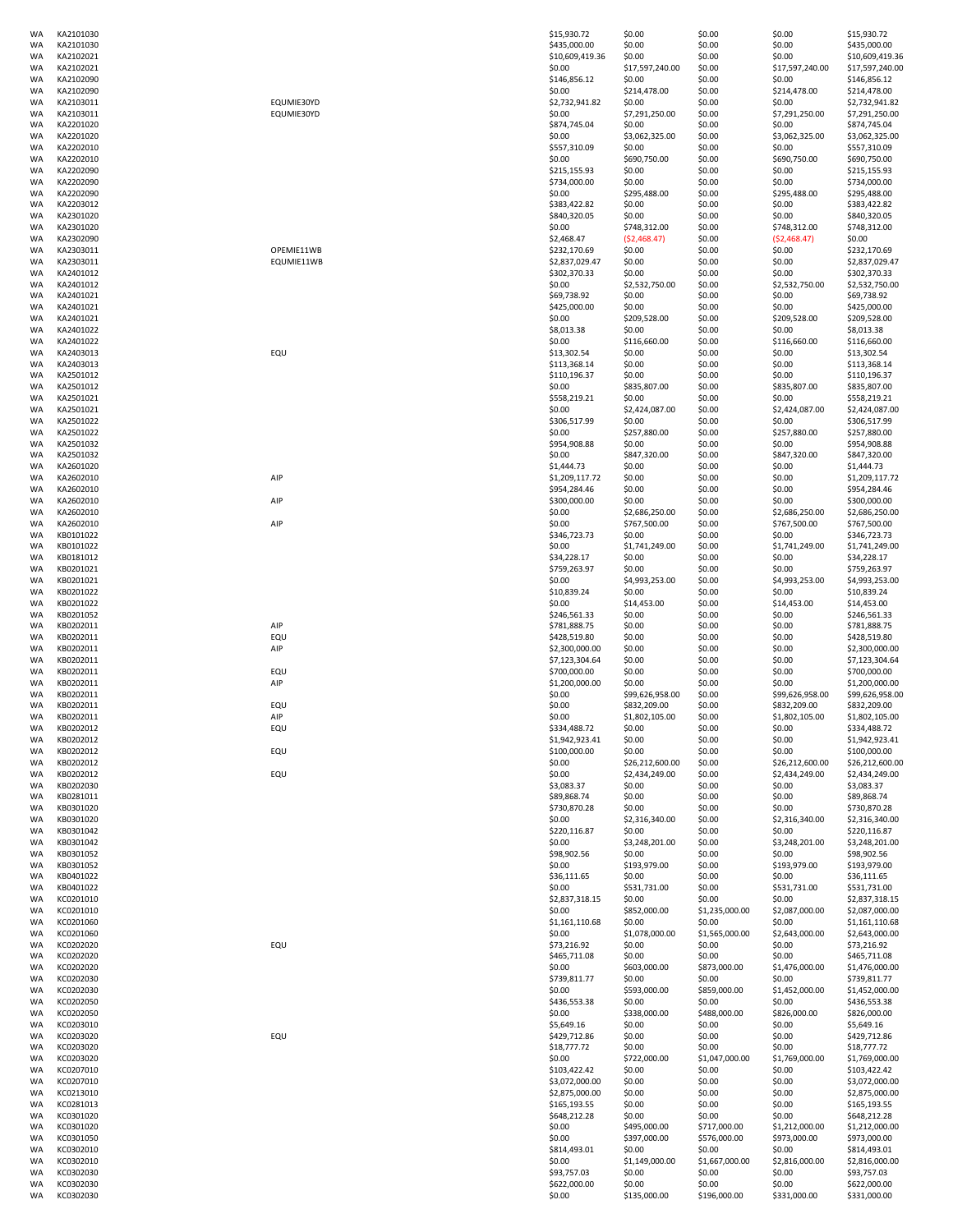| WA        | KA2101030 |            | \$15,930.72     | \$0.00          | \$0.00         | \$0.00          | \$15,930.72     |
|-----------|-----------|------------|-----------------|-----------------|----------------|-----------------|-----------------|
| <b>WA</b> | KA2101030 |            | \$435,000.00    | \$0.00          | \$0.00         | \$0.00          | \$435,000.00    |
| WA        | KA2102021 |            | \$10,609,419.36 | \$0.00          | \$0.00         | \$0.00          | \$10,609,419.36 |
| WA        | KA2102021 |            | \$0.00          | \$17,597,240.00 | \$0.00         | \$17,597,240.00 | \$17,597,240.00 |
|           |           |            |                 |                 |                |                 |                 |
| WA        | KA2102090 |            | \$146,856.12    | \$0.00          | \$0.00         | \$0.00          | \$146,856.12    |
| <b>WA</b> | KA2102090 |            | \$0.00          | \$214,478.00    | \$0.00         | \$214,478.00    | \$214,478.00    |
| WA        | KA2103011 | EQUMIE30YD | \$2,732,941.82  | \$0.00          | \$0.00         | \$0.00          | \$2,732,941.82  |
| <b>WA</b> | KA2103011 | EQUMIE30YD | \$0.00          | \$7,291,250.00  | \$0.00         | \$7,291,250.00  | \$7,291,250.00  |
|           |           |            |                 |                 |                |                 |                 |
| WA        | KA2201020 |            | \$874,745.04    | \$0.00          | \$0.00         | \$0.00          | \$874,745.04    |
| WA        | KA2201020 |            | \$0.00          | \$3,062,325.00  | \$0.00         | \$3,062,325.00  | \$3,062,325.00  |
| WA        | KA2202010 |            |                 | \$0.00          | \$0.00         | \$0.00          | \$557,310.09    |
|           |           |            | \$557,310.09    |                 |                |                 |                 |
| WA        | KA2202010 |            | \$0.00          | \$690,750.00    | \$0.00         | \$690,750.00    | \$690,750.00    |
| WA        | KA2202090 |            | \$215,155.93    | \$0.00          | \$0.00         | \$0.00          | \$215,155.93    |
|           |           |            |                 |                 |                |                 |                 |
| WA        | KA2202090 |            | \$734,000.00    | \$0.00          | \$0.00         | \$0.00          | \$734,000.00    |
| WA        | KA2202090 |            | \$0.00          | \$295,488.00    | \$0.00         | \$295,488.00    | \$295,488.00    |
| WA        | KA2203012 |            | \$383,422.82    | \$0.00          | \$0.00         | \$0.00          | \$383,422.82    |
| WA        |           |            |                 |                 |                |                 |                 |
|           | KA2301020 |            | \$840,320.05    | \$0.00          | \$0.00         | \$0.00          | \$840,320.05    |
| WA        | KA2301020 |            | \$0.00          | \$748,312.00    | \$0.00         | \$748,312.00    | \$748,312.00    |
| <b>WA</b> | KA2302090 |            | \$2,468.47      | (52, 468.47)    | \$0.00         | (52, 468.47)    | \$0.00          |
|           |           |            |                 |                 |                |                 |                 |
| WA        | KA2303011 | OPEMIE11WB | \$232,170.69    | \$0.00          | \$0.00         | \$0.00          | \$232,170.69    |
| WA        | KA2303011 | EQUMIE11WB | \$2,837,029.47  | \$0.00          | \$0.00         | \$0.00          | \$2,837,029.47  |
| WA        | KA2401012 |            | \$302,370.33    | \$0.00          | \$0.00         | \$0.00          | \$302,370.33    |
|           | KA2401012 |            | \$0.00          |                 |                |                 | \$2,532,750.00  |
| WA        |           |            |                 | \$2,532,750.00  | \$0.00         | \$2,532,750.00  |                 |
| WA        | KA2401021 |            | \$69,738.92     | \$0.00          | \$0.00         | \$0.00          | \$69,738.92     |
| WA        | KA2401021 |            | \$425,000.00    | \$0.00          | \$0.00         | \$0.00          | \$425,000.00    |
|           |           |            |                 |                 |                |                 |                 |
| WA        | KA2401021 |            | \$0.00          | \$209,528.00    | \$0.00         | \$209,528.00    | \$209,528.00    |
| WA        | KA2401022 |            | \$8,013.38      | \$0.00          | \$0.00         | \$0.00          | \$8,013.38      |
| WA        | KA2401022 |            | \$0.00          | \$116,660.00    | \$0.00         | \$116,660.00    | \$116,660.00    |
| WA        | KA2403013 | EQU        | \$13,302.54     | \$0.00          | \$0.00         | \$0.00          | \$13,302.54     |
|           |           |            |                 |                 |                |                 |                 |
| WA        | KA2403013 |            | \$113,368.14    | \$0.00          | \$0.00         | \$0.00          | \$113,368.14    |
| WA        | KA2501012 |            | \$110,196.37    | \$0.00          | \$0.00         | \$0.00          | \$110,196.37    |
| WA        | KA2501012 |            | \$0.00          | \$835,807.00    | \$0.00         | \$835,807.00    | \$835,807.00    |
|           |           |            |                 |                 |                |                 |                 |
| WA        | KA2501021 |            | \$558,219.21    | \$0.00          | \$0.00         | \$0.00          | \$558,219.21    |
| WA        | KA2501021 |            | \$0.00          | \$2,424,087.00  | \$0.00         | \$2,424,087.00  | \$2,424,087.00  |
| WA        | KA2501022 |            | \$306,517.99    | \$0.00          | \$0.00         | \$0.00          | \$306,517.99    |
|           |           |            |                 |                 |                |                 |                 |
| WA        | KA2501022 |            | \$0.00          | \$257,880.00    | \$0.00         | \$257,880.00    | \$257,880.00    |
| WA        | KA2501032 |            | \$954,908.88    | \$0.00          | \$0.00         | \$0.00          | \$954,908.88    |
|           |           |            |                 |                 |                |                 |                 |
| WA        | KA2501032 |            | \$0.00          | \$847,320.00    | \$0.00         | \$847,320.00    | \$847,320.00    |
| <b>WA</b> | KA2601020 |            | \$1,444.73      | \$0.00          | \$0.00         | \$0.00          | \$1,444.73      |
| WA        | KA2602010 | AIP        | \$1,209,117.72  | \$0.00          | \$0.00         | \$0.00          | \$1,209,117.72  |
| WA        |           |            |                 |                 |                |                 |                 |
|           | KA2602010 |            | \$954,284.46    | \$0.00          | \$0.00         | \$0.00          | \$954,284.46    |
| WA        | KA2602010 | AIP        | \$300,000.00    | \$0.00          | \$0.00         | \$0.00          | \$300,000.00    |
| WA        | KA2602010 |            | \$0.00          | \$2,686,250.00  | \$0.00         | \$2,686,250.00  | \$2,686,250.00  |
|           |           |            |                 |                 |                |                 |                 |
| WA        | KA2602010 | AIP        | \$0.00          | \$767,500.00    | \$0.00         | \$767,500.00    | \$767,500.00    |
| WA        | KB0101022 |            | \$346,723.73    | \$0.00          | \$0.00         | \$0.00          | \$346,723.73    |
| WA        | KB0101022 |            | \$0.00          | \$1,741,249.00  | \$0.00         | \$1,741,249.00  | \$1,741,249.00  |
|           |           |            |                 |                 |                |                 |                 |
| WA        | KB0181012 |            | \$34,228.17     | \$0.00          | \$0.00         | \$0.00          | \$34,228.17     |
| WA        | KB0201021 |            | \$759,263.97    | \$0.00          | \$0.00         | \$0.00          | \$759,263.97    |
| WA        | KB0201021 |            | \$0.00          | \$4,993,253.00  | \$0.00         | \$4,993,253.00  | \$4,993,253.00  |
|           |           |            |                 |                 |                |                 |                 |
| WA        | KB0201022 |            | \$10,839.24     | \$0.00          | \$0.00         | \$0.00          | \$10,839.24     |
| <b>WA</b> | KB0201022 |            | \$0.00          | \$14,453.00     | \$0.00         | \$14,453.00     | \$14,453.00     |
| WA        | KB0201052 |            | \$246,561.33    | \$0.00          | \$0.00         | \$0.00          | \$246,561.33    |
| WA        | KB0202011 | AIP        | \$781,888.75    | \$0.00          | \$0.00         | \$0.00          | \$781,888.75    |
|           |           |            |                 |                 |                |                 |                 |
| WA        | KB0202011 | EQU        | \$428,519.80    | \$0.00          | \$0.00         | \$0.00          | \$428,519.80    |
| WA        | KB0202011 | AIP        | \$2,300,000.00  | \$0.00          | \$0.00         | \$0.00          | \$2,300,000.00  |
| WA        | KB0202011 |            | \$7,123,304.64  | \$0.00          | \$0.00         | \$0.00          | \$7,123,304.64  |
|           |           |            |                 |                 |                |                 |                 |
| WA        | KB0202011 | EQU        | \$700,000.00    | \$0.00          | \$0.00         | \$0.00          | \$700,000.00    |
| WA        | KB0202011 | AIP        | \$1,200,000.00  | \$0.00          | \$0.00         | \$0.00          | \$1,200,000.00  |
| WA        | KB0202011 |            | \$0.00          | \$99,626,958.00 | \$0.00         | \$99,626,958.00 | \$99,626,958.00 |
|           |           |            |                 |                 |                |                 |                 |
| WA        | KB0202011 | EQU        | \$0.00          | \$832,209.00    | \$0.00         | \$832,209.00    | \$832,209.00    |
| WA        | KB0202011 | AIP        | \$0.00          | \$1,802,105.00  | \$0.00         | \$1,802,105.00  | \$1,802,105.00  |
| <b>WA</b> | KB0202012 | EQU        | \$334,488.72    | \$0.00          | \$0.00         | \$0.00          | \$334,488.72    |
|           |           |            |                 |                 |                |                 |                 |
| WA        | KB0202012 |            | \$1,942,923.41  | \$0.00          | \$0.00         | \$0.00          | \$1,942,923.41  |
| WA        | KB0202012 | EQU        | \$100,000.00    | \$0.00          | \$0.00         | \$0.00          | \$100,000.00    |
| WA        | KB0202012 |            | \$0.00          | \$26,212,600.00 | \$0.00         | \$26,212,600.00 | \$26,212,600.00 |
| WA        |           |            | \$0.00          |                 |                |                 | \$2,434,249.00  |
|           | KB0202012 | EQU        |                 | \$2,434,249.00  | \$0.00         | \$2,434,249.00  |                 |
| WA        | KB0202030 |            | \$3,083.37      | \$0.00          | \$0.00         | \$0.00          | \$3,083.37      |
| WA        | KB0281011 |            | \$89,868.74     | \$0.00          | \$0.00         | \$0.00          | \$89,868.74     |
| WA        | KB0301020 |            | \$730,870.28    | \$0.00          | \$0.00         | \$0.00          | \$730,870.28    |
|           |           |            |                 |                 |                |                 |                 |
| WA        | KB0301020 |            | \$0.00          | \$2,316,340.00  | \$0.00         | \$2,316,340.00  | \$2,316,340.00  |
| WA        | KB0301042 |            | \$220,116.87    | \$0.00          | \$0.00         | \$0.00          | \$220,116.87    |
| <b>WA</b> | KB0301042 |            | \$0.00          | \$3,248,201.00  | \$0.00         | \$3,248,201.00  | \$3,248,201.00  |
| <b>WA</b> | KB0301052 |            | \$98,902.56     | \$0.00          | \$0.00         | \$0.00          | \$98,902.56     |
|           |           |            |                 |                 |                |                 |                 |
| WA        | KB0301052 |            | \$0.00          | \$193,979.00    | \$0.00         | \$193,979.00    | \$193,979.00    |
| WA        | KB0401022 |            | \$36,111.65     | \$0.00          | \$0.00         | \$0.00          | \$36,111.65     |
| WA        | KB0401022 |            | \$0.00          | \$531,731.00    | \$0.00         | \$531,731.00    | \$531,731.00    |
|           |           |            |                 |                 |                |                 |                 |
| WA        | KC0201010 |            | \$2,837,318.15  | \$0.00          | \$0.00         | \$0.00          | \$2,837,318.15  |
| WA        | KC0201010 |            | \$0.00          | \$852,000.00    | \$1,235,000.00 | \$2,087,000.00  | \$2,087,000.00  |
| <b>WA</b> | KC0201060 |            | \$1,161,110.68  | \$0.00          | \$0.00         | \$0.00          | \$1,161,110.68  |
|           |           |            |                 |                 |                |                 |                 |
| <b>WA</b> | KC0201060 |            | \$0.00          | \$1,078,000.00  | \$1,565,000.00 | \$2,643,000.00  | \$2,643,000.00  |
| WA        | KC0202020 | EQU        | \$73,216.92     | \$0.00          | \$0.00         | \$0.00          | \$73,216.92     |
| WA        | KC0202020 |            | \$465,711.08    | \$0.00          | \$0.00         | \$0.00          | \$465,711.08    |
|           |           |            |                 |                 |                |                 |                 |
| WA        | KC0202020 |            | \$0.00          | \$603,000.00    | \$873,000.00   | \$1,476,000.00  | \$1,476,000.00  |
| <b>WA</b> | KC0202030 |            | \$739,811.77    | \$0.00          | \$0.00         | \$0.00          | \$739,811.77    |
| WA        | KC0202030 |            | \$0.00          | \$593,000.00    | \$859,000.00   | \$1,452,000.00  | \$1,452,000.00  |
| WA        | KC0202050 |            | \$436,553.38    | \$0.00          | \$0.00         | \$0.00          | \$436,553.38    |
|           |           |            |                 |                 |                |                 |                 |
| WA        | KC0202050 |            | \$0.00          | \$338,000.00    | \$488,000.00   | \$826,000.00    | \$826,000.00    |
| WA        | KC0203010 |            | \$5,649.16      | \$0.00          | \$0.00         | \$0.00          | \$5,649.16      |
|           |           |            |                 |                 |                |                 |                 |
| WA        | KC0203020 | EQU        | \$429,712.86    | \$0.00          | \$0.00         | \$0.00          | \$429,712.86    |
| WA        | KC0203020 |            | \$18,777.72     | \$0.00          | \$0.00         | \$0.00          | \$18,777.72     |
| WA        | KC0203020 |            | \$0.00          | \$722,000.00    | \$1,047,000.00 | \$1,769,000.00  | \$1,769,000.00  |
|           |           |            |                 |                 |                |                 |                 |
| WA        | KC0207010 |            | \$103,422.42    | \$0.00          | \$0.00         | \$0.00          | \$103,422.42    |
| WA        | KC0207010 |            | \$3,072,000.00  | \$0.00          | \$0.00         | \$0.00          | \$3,072,000.00  |
| WA        | KC0213010 |            | \$2,875,000.00  | \$0.00          | \$0.00         | \$0.00          | \$2,875,000.00  |
|           |           |            |                 |                 |                |                 |                 |
| WA        | KC0281013 |            | \$165,193.55    | \$0.00          | \$0.00         | \$0.00          | \$165,193.55    |
| WA        | KC0301020 |            | \$648,212.28    | \$0.00          | \$0.00         | \$0.00          | \$648,212.28    |
| WA        | KC0301020 |            | \$0.00          | \$495,000.00    | \$717,000.00   | \$1,212,000.00  | \$1,212,000.00  |
|           |           |            |                 |                 |                |                 |                 |
| WA        | KC0301050 |            | \$0.00          | \$397,000.00    | \$576,000.00   | \$973,000.00    | \$973,000.00    |
| WA        | KC0302010 |            | \$814,493.01    | \$0.00          | \$0.00         | \$0.00          | \$814,493.01    |
| WA        | KC0302010 |            | \$0.00          | \$1,149,000.00  | \$1,667,000.00 | \$2,816,000.00  | \$2,816,000.00  |
|           |           |            |                 |                 |                |                 |                 |
| WA        | KC0302030 |            | \$93,757.03     | \$0.00          | \$0.00         | \$0.00          | \$93,757.03     |
|           |           |            |                 | \$0.00          | \$0.00         | \$0.00          | \$622,000.00    |
| <b>WA</b> | KC0302030 |            | \$622,000.00    |                 |                |                 |                 |
| <b>WA</b> | KC0302030 |            | \$0.00          | \$135,000.00    | \$196,000.00   | \$331,000.00    | \$331,000.00    |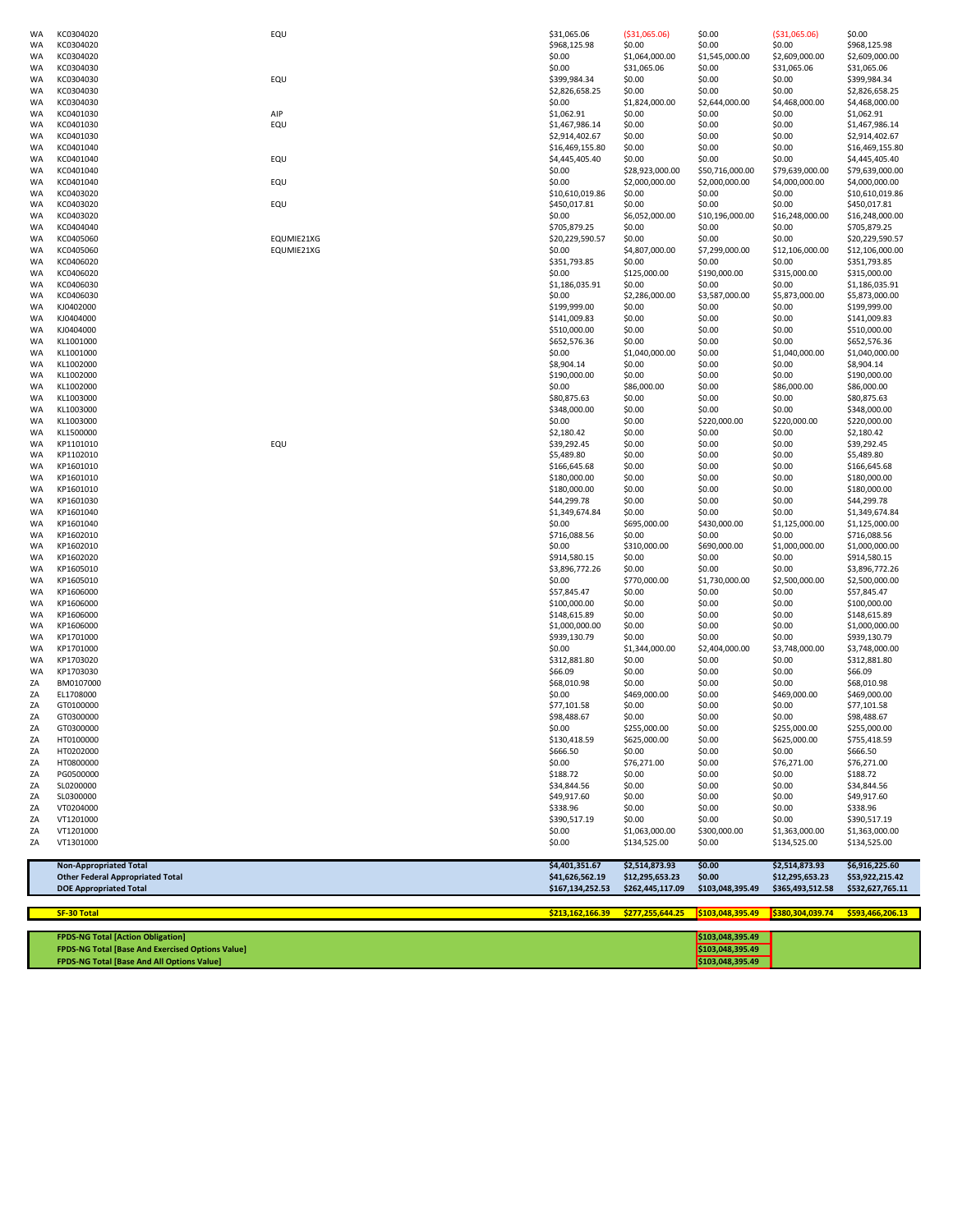|                        | <b>Other Federal Appropriated Total</b><br><b>DOE Appropriated Total</b> |            | \$41,626,562.19<br>\$167,134,252.53 | \$12,295,653.23<br>\$262,445,117.09 | \$0.00<br>\$103,048,395.49 | \$12,295,653.23<br>\$365,493,512.58 | \$53,922,215.42<br>\$532,627,765.11 |
|------------------------|--------------------------------------------------------------------------|------------|-------------------------------------|-------------------------------------|----------------------------|-------------------------------------|-------------------------------------|
|                        | <b>Non-Appropriated Total</b>                                            |            | \$4,401,351.67                      | \$2,514,873.93                      | \$0.00                     | \$2,514,873.93                      | \$6,916,225.60                      |
| ΖA                     | VT1301000                                                                |            | \$0.00                              | \$134,525.00                        | \$0.00                     | \$134,525.00                        | \$134,525.00                        |
| ΖA                     | VT1201000                                                                |            | \$0.00                              | \$1,063,000.00                      | \$300,000.00               | \$1,363,000.00                      | \$1,363,000.00                      |
| ΖA                     | VT1201000                                                                |            | \$390,517.19                        | \$0.00                              | \$0.00                     | \$0.00                              | \$390,517.19                        |
| ΖA                     | VT0204000                                                                |            | \$338.96                            | \$0.00                              | \$0.00                     | \$0.00                              | \$338.96                            |
| ΖA<br>ΖA               | SL0200000<br>SL0300000                                                   |            | \$34,844.56<br>\$49,917.60          | \$0.00<br>\$0.00                    | \$0.00<br>\$0.00           | \$0.00<br>\$0.00                    | \$34,844.56<br>\$49,917.60          |
| ΖA                     | PG0500000                                                                |            | \$188.72                            | \$0.00                              | \$0.00                     | \$0.00                              | \$188.72                            |
| ΖA                     | HT0800000                                                                |            | \$0.00                              | \$76,271.00                         | \$0.00                     | \$76,271.00                         | \$76,271.00                         |
| ΖA                     | HT0202000                                                                |            | \$666.50                            | \$0.00                              | \$0.00                     | \$0.00                              | \$666.50                            |
| ZΑ                     | HT0100000                                                                |            | \$130,418.59                        | \$625,000.00                        | \$0.00                     | \$625,000.00                        | \$755,418.59                        |
| ΖA<br>ΖA               | GT0300000<br>GT0300000                                                   |            | \$98,488.67<br>\$0.00               | \$0.00<br>\$255,000.00              | \$0.00<br>\$0.00           | \$0.00<br>\$255,000.00              | \$98,488.67<br>\$255,000.00         |
| ΖA                     | GT0100000                                                                |            | \$77,101.58                         | \$0.00                              | \$0.00                     | \$0.00                              | \$77,101.58                         |
| ΖA                     | EL1708000                                                                |            | \$0.00                              | \$469,000.00                        | \$0.00                     | \$469,000.00                        | \$469,000.00                        |
| ΖA                     | BM0107000                                                                |            | \$68,010.98                         | \$0.00                              | \$0.00                     | \$0.00                              | \$68,010.98                         |
| <b>WA</b>              | KP1703030                                                                |            | \$66.09                             | \$0.00                              | \$0.00                     | \$0.00                              | \$66.09                             |
| WA<br>WA               | KP1703020                                                                |            | \$312,881.80                        | \$1,344,000.00<br>\$0.00            | \$0.00                     | \$0.00                              | \$312,881.80                        |
| WA                     | KP1701000<br>KP1701000                                                   |            | \$939,130.79<br>\$0.00              | \$0.00                              | \$0.00<br>\$2,404,000.00   | \$0.00<br>\$3,748,000.00            | \$939,130.79<br>\$3,748,000.00      |
| <b>WA</b>              | KP1606000                                                                |            | \$1,000,000.00                      | \$0.00                              | \$0.00                     | \$0.00                              | \$1,000,000.00                      |
| <b>WA</b>              | KP1606000                                                                |            | \$148,615.89                        | \$0.00                              | \$0.00                     | \$0.00                              | \$148,615.89                        |
| <b>WA</b>              | KP1606000                                                                |            | \$100,000.00                        | \$0.00                              | \$0.00                     | \$0.00                              | \$100,000.00                        |
| WA                     | KP1606000                                                                |            | \$57,845.47                         | \$0.00                              | \$0.00                     | \$0.00                              | \$57,845.47                         |
| WA                     | KP1605010                                                                |            | \$0.00                              | \$770,000.00                        | \$1,730,000.00             | \$2,500,000.00                      | \$2,500,000.00                      |
| WA                     | KP1605010                                                                |            | \$3,896,772.26                      | \$0.00                              | \$0.00                     | \$0.00                              | \$3,896,772.26                      |
| <b>WA</b><br><b>WA</b> | KP1602010<br>KP1602020                                                   |            | \$0.00<br>\$914,580.15              | \$310,000.00<br>\$0.00              | \$690,000.00<br>\$0.00     | \$1,000,000.00<br>\$0.00            | \$1,000,000.00<br>\$914,580.15      |
| WA                     | KP1602010                                                                |            | \$716,088.56                        | \$0.00                              | \$0.00                     | \$0.00                              | \$716,088.56                        |
| WA                     | KP1601040                                                                |            | \$0.00                              | \$695,000.00                        | \$430,000.00               | \$1,125,000.00                      | \$1,125,000.00                      |
| WA                     | KP1601040                                                                |            | \$1,349,674.84                      | \$0.00                              | \$0.00                     | \$0.00                              | \$1,349,674.84                      |
| <b>WA</b>              | KP1601030                                                                |            | \$44,299.78                         | \$0.00                              | \$0.00                     | \$0.00                              | \$44,299.78                         |
| WA                     | KP1601010                                                                |            | \$180,000.00                        | \$0.00                              | \$0.00                     | \$0.00                              | \$180,000.00                        |
| WA.<br>WA              | KP1601010<br>KP1601010                                                   |            | \$166,645.68<br>\$180,000.00        | \$0.00<br>\$0.00                    | \$0.00<br>\$0.00           | \$0.00<br>\$0.00                    | \$166,645.68<br>\$180,000.00        |
| WA                     | KP1102010                                                                |            | \$5,489.80                          | \$0.00                              | \$0.00                     | \$0.00                              | \$5,489.80                          |
| WA                     | KP1101010                                                                | EQU        | \$39,292.45                         | \$0.00                              | \$0.00                     | \$0.00                              | \$39,292.45                         |
| WA                     | KL1500000                                                                |            | \$2,180.42                          | \$0.00                              | \$0.00                     | \$0.00                              | \$2,180.42                          |
| WA                     | KL1003000                                                                |            | \$0.00                              | \$0.00                              | \$220,000.00               | \$220,000.00                        | \$220,000.00                        |
| WA                     | KL1003000                                                                |            | \$348,000.00                        | \$0.00                              | \$0.00                     | \$0.00                              | \$348,000.00                        |
| <b>WA</b><br>WA        | KL1002000<br>KL1003000                                                   |            | \$0.00<br>\$80,875.63               | \$86,000.00<br>\$0.00               | \$0.00<br>\$0.00           | \$86,000.00<br>\$0.00               | \$86,000.00<br>\$80,875.63          |
| <b>WA</b>              | KL1002000                                                                |            | \$190,000.00                        | \$0.00                              | \$0.00                     | \$0.00                              | \$190,000.00                        |
| <b>WA</b>              | KL1002000                                                                |            | \$8,904.14                          | \$0.00                              | \$0.00                     | \$0.00                              | \$8,904.14                          |
| WA                     | KL1001000                                                                |            | \$0.00                              | \$1,040,000.00                      | \$0.00                     | \$1,040,000.00                      | \$1,040,000.00                      |
| <b>WA</b>              | KL1001000                                                                |            | \$652,576.36                        | \$0.00                              | \$0.00                     | \$0.00                              | \$652,576.36                        |
| <b>WA</b>              | KJ0404000                                                                |            | \$510,000.00                        | \$0.00                              | \$0.00                     | \$0.00                              | \$510,000.00                        |
| <b>WA</b>              | KJ0404000                                                                |            | \$141,009.83                        | \$0.00                              | \$0.00                     | \$0.00                              | \$141,009.83                        |
| WA<br>WA               | KC0406030<br>KJ0402000                                                   |            | \$0.00<br>\$199,999.00              | \$2,286,000.00<br>\$0.00            | \$3,587,000.00<br>\$0.00   | \$5,873,000.00<br>\$0.00            | \$5,873,000.00<br>\$199,999.00      |
| WA                     | KC0406030                                                                |            | \$1,186,035.91                      | \$0.00                              | \$0.00                     | \$0.00                              | \$1,186,035.91                      |
| WA                     | KC0406020                                                                |            | \$0.00                              | \$125,000.00                        | \$190,000.00               | \$315,000.00                        | \$315,000.00                        |
| WA                     | KC0406020                                                                |            | \$351,793.85                        | \$0.00                              | \$0.00                     | \$0.00                              | \$351,793.85                        |
| <b>WA</b>              | KC0405060                                                                | EQUMIE21XG | \$0.00                              | \$4,807,000.00                      | \$7,299,000.00             | \$12,106,000.00                     | \$12,106,000.00                     |
| WA                     | KC0405060                                                                | EQUMIE21XG | \$20,229,590.57                     | \$0.00                              | \$0.00                     | \$0.00                              | \$20,229,590.57                     |
| WA                     | KC0404040                                                                |            | \$705,879.25                        | \$0.00                              | \$0.00                     | \$0.00                              | \$705,879.25                        |
| <b>WA</b><br>WA        | KC0403020<br>KC0403020                                                   | EQU        | \$450,017.81<br>\$0.00              | \$0.00<br>\$6,052,000.00            | \$0.00<br>\$10,196,000.00  | \$0.00<br>\$16,248,000.00           | \$450,017.81<br>\$16,248,000.00     |
| <b>WA</b>              | KC0403020                                                                |            | \$10,610,019.86                     | \$0.00                              | \$0.00                     | \$0.00                              | \$10,610,019.86                     |
| WA                     | KC0401040                                                                | EQU        | \$0.00                              | \$2,000,000.00                      | \$2,000,000.00             | \$4,000,000.00                      | \$4,000,000.00                      |
| WA                     | KC0401040                                                                |            | \$0.00                              | \$28,923,000.00                     | \$50,716,000.00            | \$79,639,000.00                     | \$79,639,000.00                     |
| WA                     | KC0401040                                                                | EQU        | \$4,445,405.40                      | \$0.00                              | \$0.00                     | \$0.00                              | \$4,445,405.40                      |
| <b>WA</b><br>WA        | KC0401030<br>KC0401040                                                   |            | \$2,914,402.67<br>\$16,469,155.80   | \$0.00<br>\$0.00                    | \$0.00<br>\$0.00           | \$0.00<br>\$0.00                    | \$2,914,402.67<br>\$16,469,155.80   |
| <b>WA</b>              | KC0401030                                                                | EQU        | \$1,467,986.14                      | \$0.00                              | \$0.00                     | \$0.00                              | \$1,467,986.14                      |
| WA                     | KC0401030                                                                | AIP        | \$1,062.91                          | \$0.00                              | \$0.00                     | \$0.00                              | \$1,062.91                          |
| <b>WA</b>              | KC0304030                                                                |            | \$0.00                              | \$1,824,000.00                      | \$2,644,000.00             | \$4,468,000.00                      | \$4,468,000.00                      |
| WA                     | KC0304030                                                                |            | \$2,826,658.25                      | \$0.00                              | \$0.00                     | \$0.00                              | \$2,826,658.25                      |
| <b>WA</b><br>WA        | KC0304030<br>KC0304030                                                   | EQU        | \$0.00<br>\$399,984.34              | \$31,065.06<br>\$0.00               | \$0.00<br>\$0.00           | \$31,065.06<br>\$0.00               | \$31,065.06<br>\$399,984.34         |
| WA                     | KC0304020                                                                |            | \$0.00                              | \$1,064,000.00                      | \$1,545,000.00             | \$2,609,000.00                      | \$2,609,000.00                      |
| WA                     | KC0304020                                                                |            | \$968,125.98                        | \$0.00                              | \$0.00                     | \$0.00                              | \$968,125.98                        |
| WA.                    | KC0304020                                                                | EQU        | \$31,065.06                         | ( \$31,065.06)                      | \$0.00                     | ( \$31,065.06)                      | \$0.00                              |

| <b>SF-30 Total</b> |  |  |
|--------------------|--|--|
|                    |  |  |
|                    |  |  |

| <b>FPDS-NG Total [Action Obligation]</b>                | \$103,048,395.49 |  |
|---------------------------------------------------------|------------------|--|
| <b>FPDS-NG Total [Base And Exercised Options Value]</b> | \$103,048,395.49 |  |
| <b>FPDS-NG Total [Base And All Options Value]</b>       | \$103,048,395.49 |  |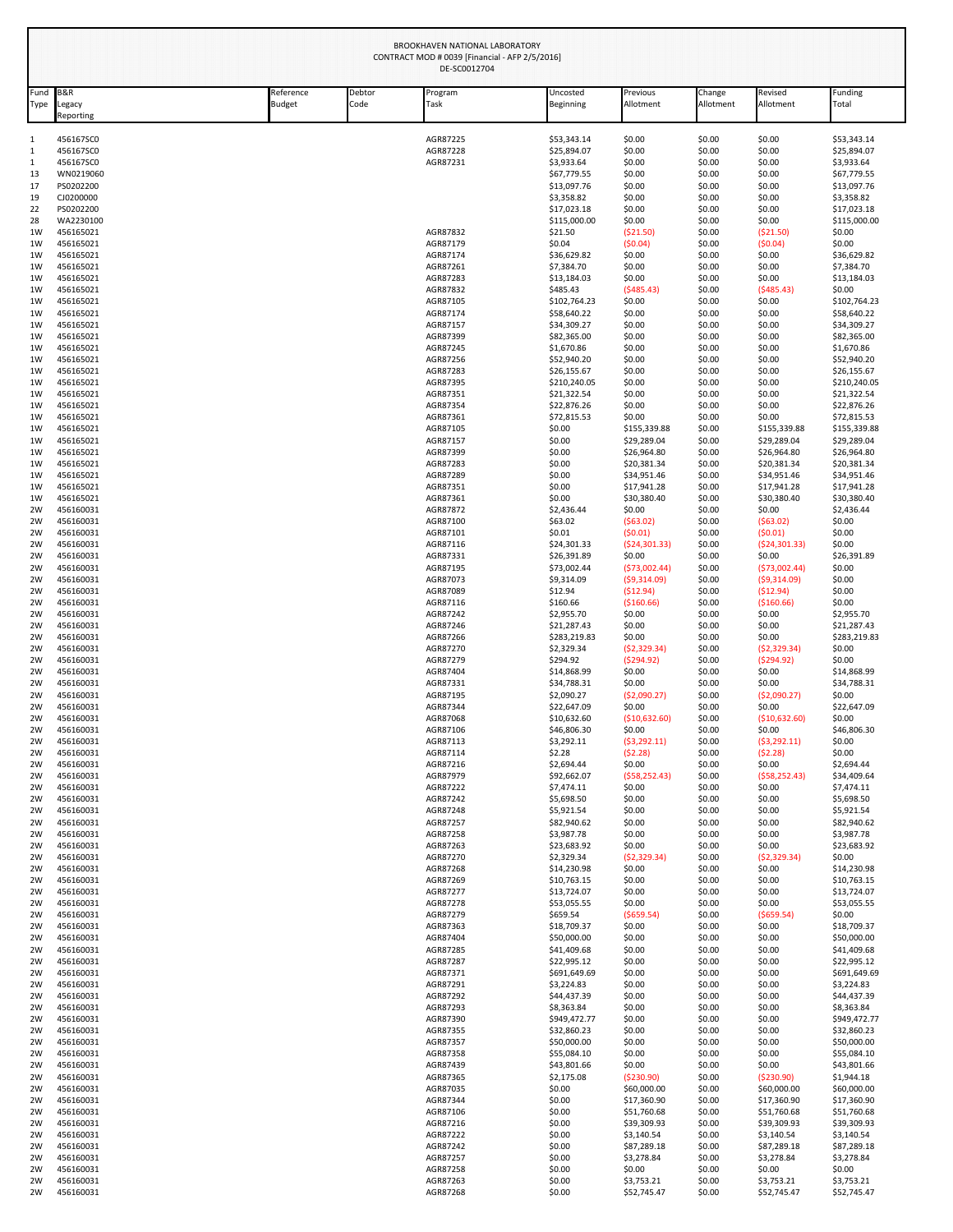| Fund<br>Type | <b>B&amp;R</b><br>Legacy | Reference<br><b>Budget</b> | Debtor<br>Code | Program<br><b>Task</b> | Uncosted<br><b>Beginning</b> | Previous<br>Allotment      | Change<br>Allotment | Revised<br>Allotment       | Funding<br>Total            |
|--------------|--------------------------|----------------------------|----------------|------------------------|------------------------------|----------------------------|---------------------|----------------------------|-----------------------------|
|              | Reporting                |                            |                |                        |                              |                            |                     |                            |                             |
|              | 456167SC0                |                            |                | AGR87225               | \$53,343.14                  | \$0.00                     | \$0.00              | \$0.00                     | \$53,343.14                 |
|              | 456167SC0<br>456167SC0   |                            |                | AGR87228<br>AGR87231   | \$25,894.07<br>\$3,933.64    | \$0.00<br>\$0.00           | \$0.00<br>\$0.00    | \$0.00<br>\$0.00           | \$25,894.07<br>\$3,933.64   |
| 13           | WN0219060                |                            |                |                        | \$67,779.55                  | \$0.00                     | \$0.00              | \$0.00                     | \$67,779.55                 |
| 17           | PS0202200                |                            |                |                        | \$13,097.76                  | \$0.00                     | \$0.00              | \$0.00                     | \$13,097.76                 |
| 19<br>22     | CJ0200000<br>PS0202200   |                            |                |                        | \$3,358.82<br>\$17,023.18    | \$0.00<br>\$0.00           | \$0.00<br>\$0.00    | \$0.00<br>\$0.00           | \$3,358.82<br>\$17,023.18   |
| 28           | WA2230100                |                            |                |                        | \$115,000.00                 | \$0.00                     | \$0.00              | \$0.00                     | \$115,000.00                |
| 1W           | 456165021                |                            |                | AGR87832               | \$21.50                      | ( \$21.50)                 | \$0.00              | (\$21.50)                  | \$0.00                      |
| 1W           | 456165021                |                            |                | AGR87179               | \$0.04                       | (50.04)                    | \$0.00              | (50.04)                    | \$0.00                      |
| 1W<br>1W     | 456165021<br>456165021   |                            |                | AGR87174<br>AGR87261   | \$36,629.82<br>\$7,384.70    | \$0.00<br>\$0.00           | \$0.00<br>\$0.00    | \$0.00<br>\$0.00           | \$36,629.82<br>\$7,384.70   |
| 1W           | 456165021                |                            |                | AGR87283               | \$13,184.03                  | \$0.00                     | \$0.00              | \$0.00                     | \$13,184.03                 |
| 1W           | 456165021                |                            |                | AGR87832               | \$485.43                     | (5485.43)                  | \$0.00              | (5485.43)                  | \$0.00                      |
| 1W           | 456165021<br>456165021   |                            |                | AGR87105<br>AGR87174   | \$102,764.23<br>\$58,640.22  | \$0.00<br>\$0.00           | \$0.00<br>\$0.00    | \$0.00<br>\$0.00           | \$102,764.23<br>\$58,640.22 |
| 1W<br>1W     | 456165021                |                            |                | AGR87157               | \$34,309.27                  | \$0.00                     | \$0.00              | \$0.00                     | \$34,309.27                 |
| 1W           | 456165021                |                            |                | AGR87399               | \$82,365.00                  | \$0.00                     | \$0.00              | \$0.00                     | \$82,365.00                 |
| 1W           | 456165021                |                            |                | AGR87245               | \$1,670.86                   | \$0.00                     | \$0.00              | \$0.00                     | \$1,670.86                  |
| 1W           | 456165021<br>456165021   |                            |                | AGR87256<br>AGR87283   | \$52,940.20<br>\$26,155.67   | \$0.00<br>\$0.00           | \$0.00<br>\$0.00    | \$0.00<br>\$0.00           | \$52,940.20<br>\$26,155.67  |
| 1W<br>1W     | 456165021                |                            |                | AGR87395               | \$210,240.05                 | \$0.00                     | \$0.00              | \$0.00                     | \$210,240.05                |
| 1W           | 456165021                |                            |                | AGR87351               | \$21,322.54                  | \$0.00                     | \$0.00              | \$0.00                     | \$21,322.54                 |
| 1W           | 456165021                |                            |                | AGR87354               | \$22,876.26                  | \$0.00                     | \$0.00              | \$0.00                     | \$22,876.26                 |
| 1W<br>1W     | 456165021<br>456165021   |                            |                | AGR87361<br>AGR87105   | \$72,815.53<br>\$0.00        | \$0.00<br>\$155,339.88     | \$0.00<br>\$0.00    | \$0.00<br>\$155,339.88     | \$72,815.53<br>\$155,339.88 |
| 1W           | 456165021                |                            |                | AGR87157               | \$0.00                       | \$29,289.04                | \$0.00              | \$29,289.04                | \$29,289.04                 |
| 1W           | 456165021                |                            |                | AGR87399               | \$0.00                       | \$26,964.80                | \$0.00              | \$26,964.80                | \$26,964.80                 |
| 1W           | 456165021                |                            |                | AGR87283               | \$0.00                       | \$20,381.34                | \$0.00              | \$20,381.34                | \$20,381.34                 |
| 1W<br>1W     | 456165021<br>456165021   |                            |                | AGR87289<br>AGR87351   | \$0.00<br>\$0.00             | \$34,951.46<br>\$17,941.28 | \$0.00<br>\$0.00    | \$34,951.46<br>\$17,941.28 | \$34,951.46<br>\$17,941.28  |
| 1W           | 456165021                |                            |                | AGR87361               | \$0.00                       | \$30,380.40                | \$0.00              | \$30,380.40                | \$30,380.40                 |
| 2W           | 456160031                |                            |                | AGR87872               | \$2,436.44                   | \$0.00                     | \$0.00              | \$0.00                     | \$2,436.44                  |
| 2W           | 456160031                |                            |                | AGR87100               | \$63.02                      | (563.02)                   | \$0.00              | (563.02)                   | \$0.00                      |
| 2W<br>2W     | 456160031<br>456160031   |                            |                | AGR87101<br>AGR87116   | \$0.01<br>\$24,301.33        | (50.01)<br>( \$24, 301.33) | \$0.00<br>\$0.00    | (50.01)<br>(524, 301.33)   | \$0.00<br>\$0.00            |
| 2W           | 456160031                |                            |                | AGR87331               | \$26,391.89                  | \$0.00                     | \$0.00              | \$0.00                     | \$26,391.89                 |
| 2W           | 456160031                |                            |                | AGR87195               | \$73,002.44                  | (573,002.44)               | \$0.00              | (573,002.44)               | \$0.00                      |
| 2W           | 456160031                |                            |                | AGR87073               | \$9,314.09                   | (59,314.09)                | \$0.00              | (59,314.09)                | \$0.00                      |
| 2W<br>2W     | 456160031<br>456160031   |                            |                | AGR87089<br>AGR87116   | \$12.94<br>\$160.66          | ( \$12.94)<br>( \$160.66)  | \$0.00<br>\$0.00    | (512.94)<br>( \$160.66)    | \$0.00<br>\$0.00            |
| 2W           | 456160031                |                            |                | AGR87242               | \$2,955.70                   | \$0.00                     | \$0.00              | \$0.00                     | \$2,955.70                  |
| 2W           | 456160031                |                            |                | AGR87246               | \$21,287.43                  | \$0.00                     | \$0.00              | \$0.00                     | \$21,287.43                 |
| 2W           | 456160031                |                            |                | AGR87266               | \$283,219.83                 | \$0.00                     | \$0.00              | \$0.00                     | \$283,219.83                |
| 2W           | 456160031                |                            |                | AGR87270               | \$2,329.34<br>\$294.92       | (52, 329.34)               | \$0.00              | (52, 329.34)               | \$0.00<br>\$0.00            |
| 2W<br>2W     | 456160031<br>456160031   |                            |                | AGR87279<br>AGR87404   | \$14,868.99                  | (5294.92)<br>\$0.00        | \$0.00<br>\$0.00    | (5294.92)<br>\$0.00        | \$14,868.99                 |
| 2W           | 456160031                |                            |                | AGR87331               | \$34,788.31                  | \$0.00                     | \$0.00              | \$0.00                     | \$34,788.31                 |
| 2W           | 456160031                |                            |                | AGR87195               | \$2,090.27                   | (52,090.27)                | \$0.00              | ( \$2,090.27)              | \$0.00                      |
| 2W           | 456160031                |                            |                | AGR87344<br>AGR87068   | \$22,647.09                  | \$0.00                     | \$0.00              | \$0.00                     | \$22,647.09                 |
| 2W<br>2W     | 456160031<br>456160031   |                            |                | AGR87106               | \$10,632.60<br>\$46,806.30   | ( \$10,632.60)<br>\$0.00   | \$0.00<br>\$0.00    | ( \$10,632.60)<br>\$0.00   | \$0.00<br>\$46,806.30       |
| 2W           | 456160031                |                            |                | AGR87113               | \$3,292.11                   | (53, 292.11)               | \$0.00              | (53, 292.11)               | \$0.00                      |
| 2W           | 456160031                |                            |                | AGR87114               | \$2.28                       | (52.28)                    | \$0.00              | (52.28)                    | \$0.00                      |
| 2W<br>2W     | 456160031<br>456160031   |                            |                | AGR87216<br>AGR87979   | \$2,694.44<br>\$92,662.07    | \$0.00<br>(558, 252.43)    | \$0.00              | \$0.00<br>(558, 252.43)    | \$2,694.44                  |
| 2W           | 456160031                |                            |                | AGR87222               | \$7,474.11                   | \$0.00                     | \$0.00<br>\$0.00    | \$0.00                     | \$34,409.64<br>\$7,474.11   |
| 2W           | 456160031                |                            |                | AGR87242               | \$5,698.50                   | \$0.00                     | \$0.00              | \$0.00                     | \$5,698.50                  |
| 2W           | 456160031                |                            |                | AGR87248               | \$5,921.54                   | \$0.00                     | \$0.00              | \$0.00                     | \$5,921.54                  |
| 2W           | 456160031<br>456160031   |                            |                | AGR87257               | \$82,940.62                  | \$0.00                     | \$0.00              | \$0.00                     | \$82,940.62                 |
| 2W<br>2W     | 456160031                |                            |                | AGR87258<br>AGR87263   | \$3,987.78<br>\$23,683.92    | \$0.00<br>\$0.00           | \$0.00<br>\$0.00    | \$0.00<br>\$0.00           | \$3,987.78<br>\$23,683.92   |
| 2W           | 456160031                |                            |                | AGR87270               | \$2,329.34                   | (52, 329.34)               | \$0.00              | (52, 329.34)               | \$0.00                      |
| 2W           | 456160031                |                            |                | AGR87268               | \$14,230.98                  | \$0.00                     | \$0.00              | \$0.00                     | \$14,230.98                 |
| 2W<br>2W     | 456160031<br>456160031   |                            |                | AGR87269<br>AGR87277   | \$10,763.15<br>\$13,724.07   | \$0.00<br>\$0.00           | \$0.00<br>\$0.00    | \$0.00<br>\$0.00           | \$10,763.15<br>\$13,724.07  |
| 2W           | 456160031                |                            |                | AGR87278               | \$53,055.55                  | \$0.00                     | \$0.00              | \$0.00                     | \$53,055.55                 |
| 2W           | 456160031                |                            |                | AGR87279               | \$659.54                     | (5659.54)                  | \$0.00              | ( \$659.54)                | \$0.00                      |
| 2W           | 456160031                |                            |                | AGR87363               | \$18,709.37                  | \$0.00                     | \$0.00              | \$0.00                     | \$18,709.37                 |
| 2W<br>2W     | 456160031<br>456160031   |                            |                | AGR87404<br>AGR87285   | \$50,000.00<br>\$41,409.68   | \$0.00<br>\$0.00           | \$0.00<br>\$0.00    | \$0.00<br>\$0.00           | \$50,000.00<br>\$41,409.68  |
| 2W           | 456160031                |                            |                | AGR87287               | \$22,995.12                  | \$0.00                     | \$0.00              | \$0.00                     | \$22,995.12                 |
| 2W           | 456160031                |                            |                | AGR87371               | \$691,649.69                 | \$0.00                     | \$0.00              | \$0.00                     | \$691,649.69                |
| 2W           | 456160031                |                            |                | AGR87291               | \$3,224.83                   | \$0.00                     | \$0.00              | \$0.00                     | \$3,224.83                  |
| 2W           | 456160031                |                            |                | AGR87292               | \$44,437.39                  | \$0.00                     | \$0.00              | \$0.00                     | \$44,437.39                 |
| 2W<br>2W     | 456160031<br>456160031   |                            |                | AGR87293<br>AGR87390   | \$8,363.84<br>\$949,472.77   | \$0.00<br>\$0.00           | \$0.00<br>\$0.00    | \$0.00<br>\$0.00           | \$8,363.84<br>\$949,472.77  |
| 2W           | 456160031                |                            |                | AGR87355               | \$32,860.23                  | \$0.00                     | \$0.00              | \$0.00                     | \$32,860.23                 |
| 2W           | 456160031                |                            |                | AGR87357               | \$50,000.00                  | \$0.00                     | \$0.00              | \$0.00                     | \$50,000.00                 |
| 2W           | 456160031                |                            |                | AGR87358               | \$55,084.10                  | \$0.00                     | \$0.00              | \$0.00                     | \$55,084.10                 |
| 2W<br>2W     | 456160031<br>456160031   |                            |                | AGR87439<br>AGR87365   | \$43,801.66<br>\$2,175.08    | \$0.00<br>( \$230.90)      | \$0.00<br>\$0.00    | \$0.00<br>(5230.90)        | \$43,801.66<br>\$1,944.18   |
| 2W           | 456160031                |                            |                | AGR87035               | \$0.00                       | \$60,000.00                | \$0.00              | \$60,000.00                | \$60,000.00                 |
| 2W           | 456160031                |                            |                | AGR87344               | \$0.00                       | \$17,360.90                | \$0.00              | \$17,360.90                | \$17,360.90                 |
| 2W           | 456160031                |                            |                | AGR87106               | \$0.00                       | \$51,760.68                | \$0.00              | \$51,760.68                | \$51,760.68                 |
| 2W           | 456160031                |                            |                | AGR87216               | \$0.00                       | \$39,309.93                | \$0.00              | \$39,309.93                | \$39,309.93                 |
| 2W<br>2W     | 456160031<br>456160031   |                            |                | AGR87222<br>AGR87242   | \$0.00<br>\$0.00             | \$3,140.54<br>\$87,289.18  | \$0.00<br>\$0.00    | \$3,140.54<br>\$87,289.18  | \$3,140.54<br>\$87,289.18   |
| 2W           | 456160031                |                            |                | AGR87257               | \$0.00                       | \$3,278.84                 | \$0.00              | \$3,278.84                 | \$3,278.84                  |
| 2W           | 456160031                |                            |                | AGR87258               | \$0.00                       | \$0.00                     | \$0.00              | \$0.00                     | \$0.00                      |
| 2W           | 456160031                |                            |                | AGR87263               | \$0.00                       | \$3,753.21                 | \$0.00              | \$3,753.21                 | \$3,753.21                  |
| 2W           | 456160031                |                            |                | AGR87268               | \$0.00                       | \$52,745.47                | \$0.00              | \$52,745.47                | \$52,745.47                 |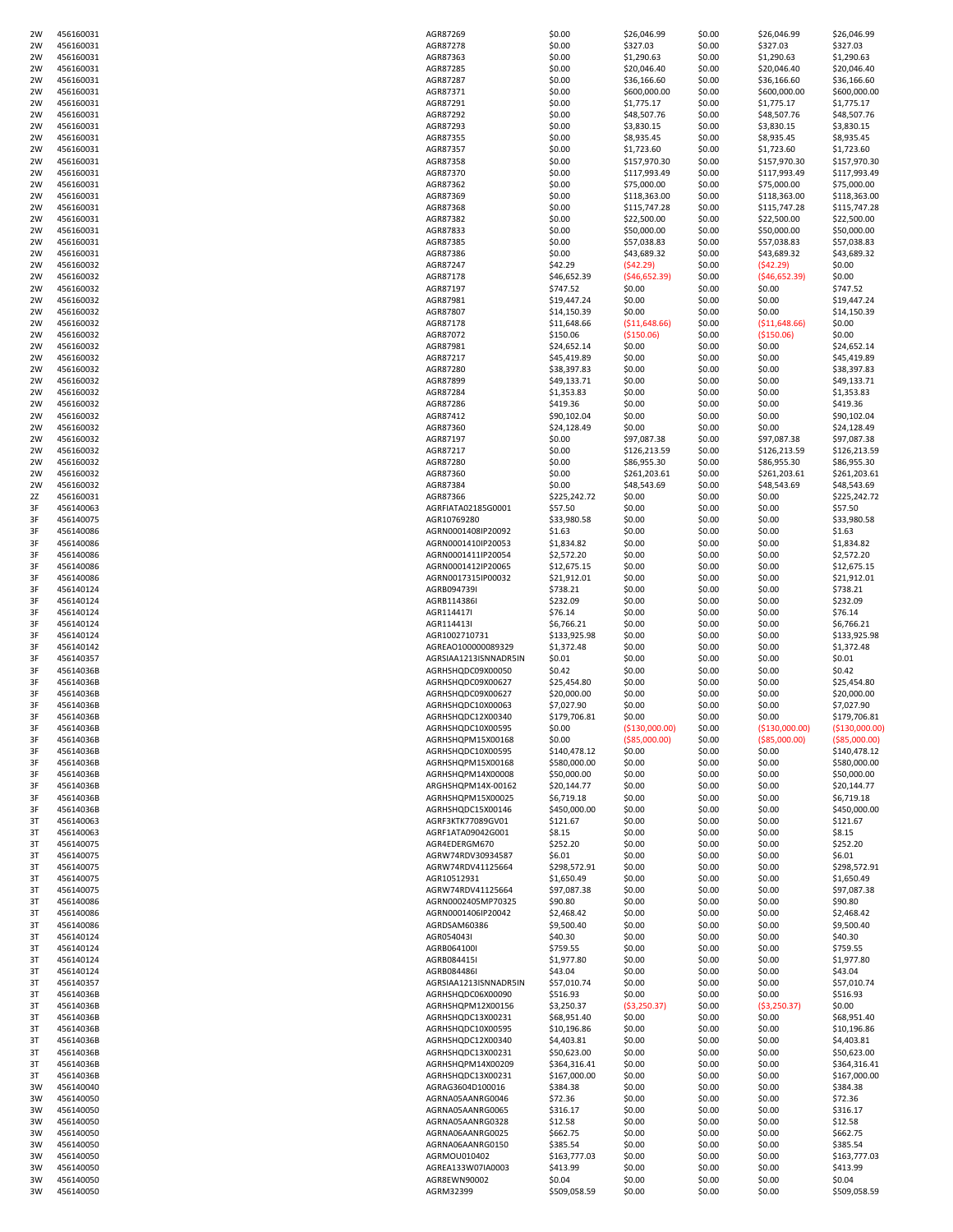| 2W | 456160031 | AGR87269              | \$0.00       | \$26,046.99    | \$0.00 | \$26,046.99     | \$26,046.99     |
|----|-----------|-----------------------|--------------|----------------|--------|-----------------|-----------------|
| 2W | 456160031 | AGR87278              | \$0.00       | \$327.03       | \$0.00 | \$327.03        | \$327.03        |
| 2W | 456160031 | AGR87363              | \$0.00       | \$1,290.63     | \$0.00 | \$1,290.63      | \$1,290.63      |
| 2W | 456160031 | AGR87285              | \$0.00       | \$20,046.40    | \$0.00 | \$20,046.40     | \$20,046.40     |
| 2W | 456160031 | AGR87287              | \$0.00       | \$36,166.60    | \$0.00 | \$36,166.60     | \$36,166.60     |
| 2W | 456160031 | AGR87371              | \$0.00       | \$600,000.00   | \$0.00 | \$600,000.00    | \$600,000.00    |
| 2W | 456160031 | AGR87291              | \$0.00       | \$1,775.17     | \$0.00 | \$1,775.17      | \$1,775.17      |
| 2W | 456160031 | AGR87292              | \$0.00       | \$48,507.76    | \$0.00 | \$48,507.76     | \$48,507.76     |
| 2W | 456160031 | AGR87293              | \$0.00       | \$3,830.15     | \$0.00 | \$3,830.15      | \$3,830.15      |
| 2W | 456160031 | AGR87355              | \$0.00       | \$8,935.45     | \$0.00 | \$8,935.45      | \$8,935.45      |
|    |           |                       |              |                |        |                 |                 |
| 2W | 456160031 | AGR87357              | \$0.00       | \$1,723.60     | \$0.00 | \$1,723.60      | \$1,723.60      |
| 2W | 456160031 | AGR87358              | \$0.00       | \$157,970.30   | \$0.00 | \$157,970.30    | \$157,970.30    |
| 2W | 456160031 | AGR87370              | \$0.00       | \$117,993.49   | \$0.00 | \$117,993.49    | \$117,993.49    |
| 2W | 456160031 | AGR87362              | \$0.00       | \$75,000.00    | \$0.00 | \$75,000.00     | \$75,000.00     |
| 2W | 456160031 | AGR87369              | \$0.00       | \$118,363.00   | \$0.00 | \$118,363.00    | \$118,363.00    |
| 2W | 456160031 | AGR87368              | \$0.00       | \$115,747.28   | \$0.00 | \$115,747.28    | \$115,747.28    |
| 2W | 456160031 | AGR87382              | \$0.00       | \$22,500.00    | \$0.00 | \$22,500.00     | \$22,500.00     |
| 2W | 456160031 | AGR87833              | \$0.00       | \$50,000.00    | \$0.00 | \$50,000.00     | \$50,000.00     |
| 2W | 456160031 | AGR87385              | \$0.00       | \$57,038.83    | \$0.00 | \$57,038.83     | \$57,038.83     |
| 2W | 456160031 | AGR87386              | \$0.00       | \$43,689.32    | \$0.00 | \$43,689.32     | \$43,689.32     |
| 2W | 456160032 | AGR87247              | \$42.29      | (542.29)       | \$0.00 | (542.29)        | \$0.00          |
|    |           |                       |              |                |        |                 |                 |
| 2W | 456160032 | AGR87178              | \$46,652.39  | (546, 652.39)  | \$0.00 | (546, 652.39)   | \$0.00          |
| 2W | 456160032 | AGR87197              | \$747.52     | \$0.00         | \$0.00 | \$0.00          | \$747.52        |
| 2W | 456160032 | AGR87981              | \$19,447.24  | \$0.00         | \$0.00 | \$0.00          | \$19,447.24     |
| 2W | 456160032 | AGR87807              | \$14,150.39  | \$0.00         | \$0.00 | \$0.00          | \$14,150.39     |
| 2W | 456160032 | AGR87178              | \$11,648.66  | ( \$11,648.66) | \$0.00 | ( \$11,648.66)  | \$0.00          |
| 2W | 456160032 | AGR87072              | \$150.06     | ( \$150.06)    | \$0.00 | ( \$150.06)     | \$0.00          |
| 2W | 456160032 | AGR87981              | \$24,652.14  | \$0.00         | \$0.00 | \$0.00          | \$24,652.14     |
| 2W | 456160032 | AGR87217              | \$45,419.89  | \$0.00         | \$0.00 | \$0.00          | \$45,419.89     |
| 2W | 456160032 | AGR87280              | \$38,397.83  | \$0.00         | \$0.00 | \$0.00          | \$38,397.83     |
| 2W | 456160032 | AGR87899              | \$49,133.71  | \$0.00         | \$0.00 | \$0.00          | \$49,133.71     |
| 2W | 456160032 | AGR87284              | \$1,353.83   | \$0.00         | \$0.00 | \$0.00          | \$1,353.83      |
|    |           |                       |              |                |        |                 | \$419.36        |
| 2W | 456160032 | AGR87286              | \$419.36     | \$0.00         | \$0.00 | \$0.00          |                 |
| 2W | 456160032 | AGR87412              | \$90,102.04  | \$0.00         | \$0.00 | \$0.00          | \$90,102.04     |
| 2W | 456160032 | AGR87360              | \$24,128.49  | \$0.00         | \$0.00 | \$0.00          | \$24,128.49     |
| 2W | 456160032 | AGR87197              | \$0.00       | \$97,087.38    | \$0.00 | \$97,087.38     | \$97,087.38     |
| 2W | 456160032 | AGR87217              | \$0.00       | \$126,213.59   | \$0.00 | \$126,213.59    | \$126,213.59    |
| 2W | 456160032 | AGR87280              | \$0.00       | \$86,955.30    | \$0.00 | \$86,955.30     | \$86,955.30     |
| 2W | 456160032 | AGR87360              | \$0.00       | \$261,203.61   | \$0.00 | \$261,203.61    | \$261,203.61    |
| 2W | 456160032 | AGR87384              | \$0.00       | \$48,543.69    | \$0.00 | \$48,543.69     | \$48,543.69     |
| 2Z | 456160031 | AGR87366              | \$225,242.72 | \$0.00         | \$0.00 | \$0.00          | \$225,242.72    |
| 3F | 456140063 | AGRFIATA02185G0001    | \$57.50      | \$0.00         | \$0.00 | \$0.00          | \$57.50         |
| 3F | 456140075 | AGR10769280           | \$33,980.58  | \$0.00         | \$0.00 | \$0.00          | \$33,980.58     |
| 3F | 456140086 | AGRN0001408IP20092    | \$1.63       | \$0.00         | \$0.00 | \$0.00          | \$1.63          |
|    |           | AGRN0001410IP20053    |              |                |        |                 |                 |
| 3F | 456140086 |                       | \$1,834.82   | \$0.00         | \$0.00 | \$0.00          | \$1,834.82      |
| 3F | 456140086 | AGRN0001411IP20054    | \$2,572.20   | \$0.00         | \$0.00 | \$0.00          | \$2,572.20      |
| 3F | 456140086 | AGRN0001412IP20065    | \$12,675.15  | \$0.00         | \$0.00 | \$0.00          | \$12,675.15     |
| 3F | 456140086 | AGRN0017315IP00032    | \$21,912.01  | \$0.00         | \$0.00 | \$0.00          | \$21,912.01     |
| 3F | 456140124 | AGRB094739I           | \$738.21     | \$0.00         | \$0.00 | \$0.00          | \$738.21        |
| 3F | 456140124 | AGRB114386I           | \$232.09     | \$0.00         | \$0.00 | \$0.00          | \$232.09        |
| 3F | 456140124 | AGR114417I            | \$76.14      | \$0.00         | \$0.00 | \$0.00          | \$76.14         |
| 3F | 456140124 | AGR114413I            | \$6,766.21   | \$0.00         | \$0.00 | \$0.00          | \$6,766.21      |
| 3F | 456140124 | AGR1002710731         | \$133,925.98 | \$0.00         | \$0.00 | \$0.00          | \$133,925.98    |
| 3F | 456140142 | AGREAO100000089329    | \$1,372.48   | \$0.00         | \$0.00 | \$0.00          | \$1,372.48      |
| 3F | 456140357 | AGRSIAA1213ISNNADR5IN | \$0.01       | \$0.00         | \$0.00 | \$0.00          | \$0.01          |
|    | 45614036B | AGRHSHQDC09X00050     | \$0.42       | \$0.00         | \$0.00 | \$0.00          | \$0.42          |
| 3F |           |                       |              |                |        |                 |                 |
| 3F | 45614036B | AGRHSHQDC09X00627     | \$25,454.80  | \$0.00         | \$0.00 | \$0.00          | \$25,454.80     |
| 3F | 45614036B | AGRHSHQDC09X00627     | \$20,000.00  | \$0.00         | \$0.00 | \$0.00          | \$20,000.00     |
| 3F | 45614036B | AGRHSHQDC10X00063     | \$7,027.90   | \$0.00         | \$0.00 | \$0.00          | \$7,027.90      |
| 3F | 45614036B | AGRHSHQDC12X00340     | \$179,706.81 | \$0.00         | \$0.00 | \$0.00          | \$179,706.81    |
| 3F | 45614036B | AGRHSHQDC10X00595     | \$0.00       | (\$130,000.00) | \$0.00 | ( \$130,000.00) | ( \$130,000.00) |
| 3F | 45614036B | AGRHSHQPM15X00168     | \$0.00       | ( \$85,000.00) | \$0.00 | ( \$85,000.00)  | ( \$85,000.00)  |
| 3F | 45614036B | AGRHSHQDC10X00595     | \$140,478.12 | \$0.00         | \$0.00 | \$0.00          | \$140,478.12    |
| 3F | 45614036B | AGRHSHQPM15X00168     | \$580,000.00 | \$0.00         | \$0.00 | \$0.00          | \$580,000.00    |
| 3F | 45614036B | AGRHSHQPM14X00008     | \$50,000.00  | \$0.00         | \$0.00 | \$0.00          | \$50,000.00     |
| 3F | 45614036B | ARGHSHQPM14X-00162    | \$20,144.77  | \$0.00         | \$0.00 | \$0.00          | \$20,144.77     |
| 3F | 45614036B | AGRHSHQPM15X00025     | \$6,719.18   | \$0.00         | \$0.00 | \$0.00          | \$6,719.18      |
| 3F | 45614036B | AGRHSHQDC15X00146     | \$450,000.00 | \$0.00         | \$0.00 | \$0.00          | \$450,000.00    |
| 3T | 456140063 | AGRF3KTK77089GV01     | \$121.67     | \$0.00         | \$0.00 | \$0.00          | \$121.67        |
| 3T | 456140063 | AGRF1ATA09042G001     | \$8.15       | \$0.00         | \$0.00 | \$0.00          | \$8.15          |
| 3T | 456140075 | AGR4EDERGM670         | \$252.20     | \$0.00         | \$0.00 | \$0.00          | \$252.20        |
| 3T | 456140075 | AGRW74RDV30934587     | \$6.01       | \$0.00         | \$0.00 | \$0.00          | \$6.01          |
|    |           |                       |              |                |        |                 |                 |
| 3T | 456140075 | AGRW74RDV41125664     | \$298,572.91 | \$0.00         | \$0.00 | \$0.00          | \$298,572.91    |
| 3T | 456140075 | AGR10512931           | \$1,650.49   | \$0.00         | \$0.00 | \$0.00          | \$1,650.49      |
| 3T | 456140075 | AGRW74RDV41125664     | \$97,087.38  | \$0.00         | \$0.00 | \$0.00          | \$97,087.38     |
| 3T | 456140086 | AGRN0002405MP70325    | \$90.80      | \$0.00         | \$0.00 | \$0.00          | \$90.80         |
| 3T | 456140086 | AGRN0001406IP20042    | \$2,468.42   | \$0.00         | \$0.00 | \$0.00          | \$2,468.42      |
| 3T | 456140086 | AGRDSAM60386          | \$9,500.40   | \$0.00         | \$0.00 | \$0.00          | \$9,500.40      |
| 3T | 456140124 | AGR054043I            | \$40.30      | \$0.00         | \$0.00 | \$0.00          | \$40.30         |
| 3T | 456140124 | AGRB064100I           | \$759.55     | \$0.00         | \$0.00 | \$0.00          | \$759.55        |
| 3T | 456140124 | AGRB084415I           | \$1,977.80   | \$0.00         | \$0.00 | \$0.00          | \$1,977.80      |
| 3T | 456140124 | AGRB084486I           | \$43.04      | \$0.00         | \$0.00 | \$0.00          | \$43.04         |
| 3T | 456140357 | AGRSIAA1213ISNNADR5IN | \$57,010.74  | \$0.00         | \$0.00 | \$0.00          | \$57,010.74     |
| 3T | 45614036B | AGRHSHQDC06X00090     | \$516.93     | \$0.00         | \$0.00 | \$0.00          | \$516.93        |
| 3T | 45614036B | AGRHSHQPM12X00156     | \$3,250.37   | ( \$3,250.37)  | \$0.00 | ( \$3,250.37)   | \$0.00          |
| 3T | 45614036B | AGRHSHQDC13X00231     | \$68,951.40  | \$0.00         | \$0.00 | \$0.00          | \$68,951.40     |
|    | 45614036B | AGRHSHQDC10X00595     |              | \$0.00         |        |                 |                 |
| 3T |           |                       | \$10,196.86  |                | \$0.00 | \$0.00          | \$10,196.86     |
| 3T | 45614036B | AGRHSHQDC12X00340     | \$4,403.81   | \$0.00         | \$0.00 | \$0.00          | \$4,403.81      |
| 3T | 45614036B | AGRHSHQDC13X00231     | \$50,623.00  | \$0.00         | \$0.00 | \$0.00          | \$50,623.00     |
| 3T | 45614036B | AGRHSHQPM14X00209     | \$364,316.41 | \$0.00         | \$0.00 | \$0.00          | \$364,316.41    |
| 3T | 45614036B | AGRHSHQDC13X00231     | \$167,000.00 | \$0.00         | \$0.00 | \$0.00          | \$167,000.00    |
| 3W | 456140040 | AGRAG3604D100016      | \$384.38     | \$0.00         | \$0.00 | \$0.00          | \$384.38        |
| 3W | 456140050 | AGRNA05AANRG0046      | \$72.36      | \$0.00         | \$0.00 | \$0.00          | \$72.36         |
| 3W | 456140050 | AGRNA05AANRG0065      | \$316.17     | \$0.00         | \$0.00 | \$0.00          | \$316.17        |
| 3W | 456140050 | AGRNA05AANRG0328      | \$12.58      | \$0.00         | \$0.00 | \$0.00          | \$12.58         |
| 3W | 456140050 | AGRNA06AANRG0025      | \$662.75     | \$0.00         | \$0.00 | \$0.00          | \$662.75        |
| 3W | 456140050 | AGRNA06AANRG0150      | \$385.54     | \$0.00         | \$0.00 | \$0.00          | \$385.54        |
| 3W | 456140050 | AGRMOU010402          | \$163,777.03 | \$0.00         | \$0.00 | \$0.00          | \$163,777.03    |
| 3W | 456140050 | AGREA133W07IA0003     |              | \$0.00         |        |                 | \$413.99        |
|    |           |                       | \$413.99     |                | \$0.00 | \$0.00          | \$0.04          |
| 3W | 456140050 | AGR8EWN90002          | \$0.04       | \$0.00         | \$0.00 | \$0.00          |                 |
| 3W | 456140050 | AGRM32399             | \$509,058.59 | \$0.00         | \$0.00 | \$0.00          | \$509,058.59    |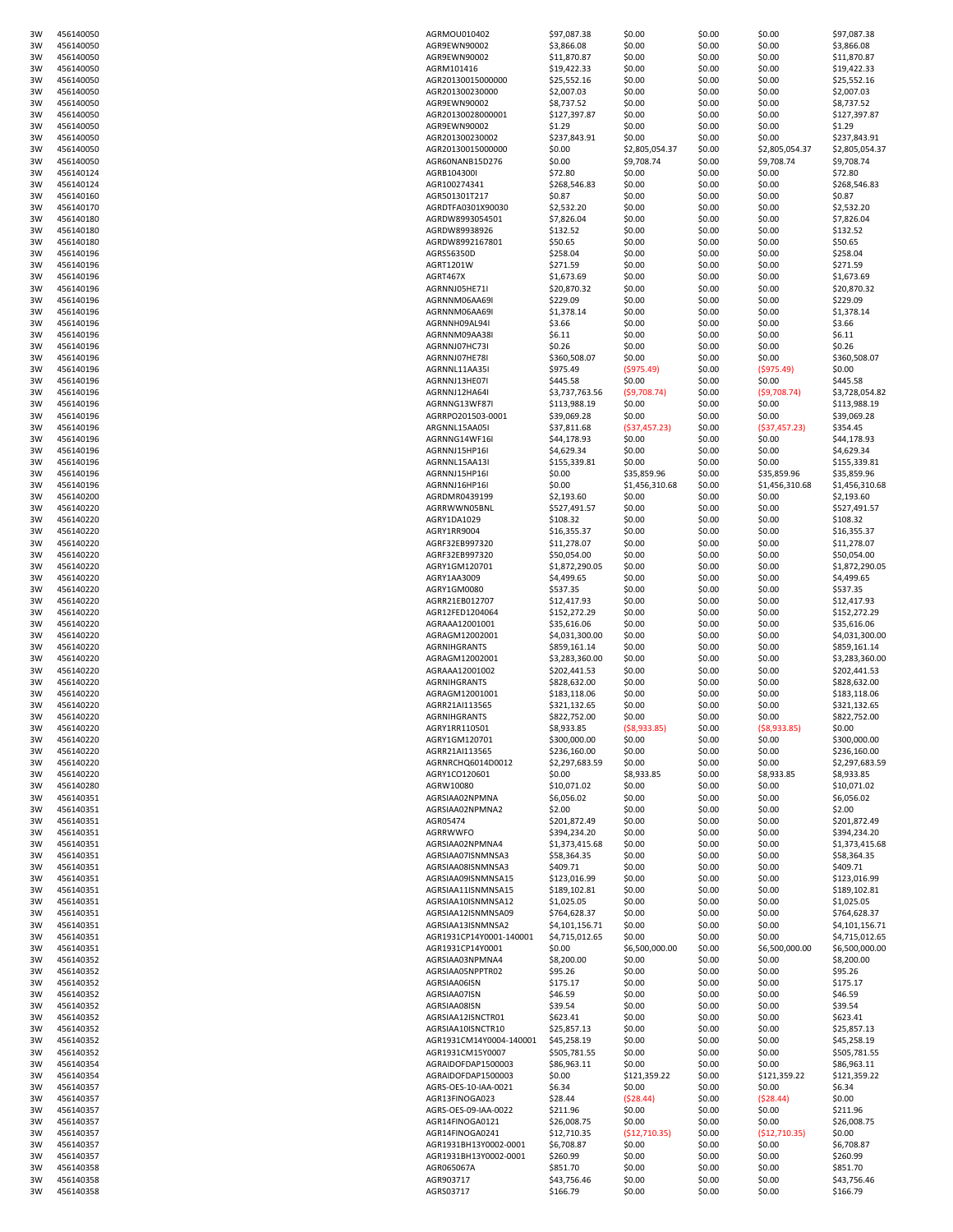| 3W | 456140050 | AGRMOU010402            | \$97,087.38    | \$0.00         | \$0.00 | \$0.00         | \$97,087.38    |
|----|-----------|-------------------------|----------------|----------------|--------|----------------|----------------|
| 3W | 456140050 | AGR9EWN90002            | \$3,866.08     | \$0.00         | \$0.00 | \$0.00         | \$3,866.08     |
| 3W | 456140050 | AGR9EWN90002            | \$11,870.87    | \$0.00         | \$0.00 | \$0.00         | \$11,870.87    |
| 3W | 456140050 | AGRM101416              | \$19,422.33    | \$0.00         | \$0.00 | \$0.00         | \$19,422.33    |
| 3W | 456140050 | AGR20130015000000       | \$25,552.16    | \$0.00         | \$0.00 | \$0.00         | \$25,552.16    |
| 3W | 456140050 | AGR201300230000         | \$2,007.03     | \$0.00         | \$0.00 | \$0.00         | \$2,007.03     |
| 3W | 456140050 | AGR9EWN90002            | \$8,737.52     | \$0.00         | \$0.00 | \$0.00         | \$8,737.52     |
| 3W | 456140050 | AGR20130028000001       | \$127,397.87   | \$0.00         | \$0.00 | \$0.00         | \$127,397.87   |
| 3W | 456140050 | AGR9EWN90002            | \$1.29         | \$0.00         | \$0.00 | \$0.00         | \$1.29         |
| 3W | 456140050 | AGR201300230002         | \$237,843.91   | \$0.00         | \$0.00 | \$0.00         | \$237,843.91   |
|    |           |                         |                |                |        |                |                |
| 3W | 456140050 | AGR20130015000000       | \$0.00         | \$2,805,054.37 | \$0.00 | \$2,805,054.37 | \$2,805,054.37 |
| 3W | 456140050 | AGR60NANB15D276         | \$0.00         | \$9,708.74     | \$0.00 | \$9,708.74     | \$9,708.74     |
| 3W | 456140124 | AGRB104300I             | \$72.80        | \$0.00         | \$0.00 | \$0.00         | \$72.80        |
| 3W | 456140124 | AGR100274341            | \$268,546.83   | \$0.00         | \$0.00 | \$0.00         | \$268,546.83   |
| 3W | 456140160 | AGR501301T217           | \$0.87         | \$0.00         | \$0.00 | \$0.00         | \$0.87         |
| 3W | 456140170 | AGRDTFA0301X90030       | \$2,532.20     | \$0.00         | \$0.00 | \$0.00         | \$2,532.20     |
| 3W | 456140180 | AGRDW8993054501         | \$7,826.04     | \$0.00         | \$0.00 | \$0.00         | \$7,826.04     |
| 3W | 456140180 | AGRDW89938926           | \$132.52       | \$0.00         | \$0.00 | \$0.00         | \$132.52       |
|    |           |                         |                |                |        |                |                |
| 3W | 456140180 | AGRDW8992167801         | \$50.65        | \$0.00         | \$0.00 | \$0.00         | \$50.65        |
| 3W | 456140196 | AGRS56350D              | \$258.04       | \$0.00         | \$0.00 | \$0.00         | \$258.04       |
| 3W | 456140196 | AGRT1201W               | \$271.59       | \$0.00         | \$0.00 | \$0.00         | \$271.59       |
| 3W | 456140196 | AGRT467X                | \$1,673.69     | \$0.00         | \$0.00 | \$0.00         | \$1,673.69     |
| 3W | 456140196 | AGRNNJ05HE71I           | \$20,870.32    | \$0.00         | \$0.00 | \$0.00         | \$20,870.32    |
| 3W | 456140196 | AGRNNM06AA69I           | \$229.09       | \$0.00         | \$0.00 | \$0.00         | \$229.09       |
| 3W | 456140196 | AGRNNM06AA69I           | \$1,378.14     | \$0.00         | \$0.00 | \$0.00         | \$1,378.14     |
| 3W | 456140196 | AGRNNH09AL94I           | \$3.66         | \$0.00         | \$0.00 | \$0.00         | \$3.66         |
| 3W | 456140196 | AGRNNM09AA38I           | \$6.11         | \$0.00         | \$0.00 | \$0.00         | \$6.11         |
|    |           |                         |                |                |        |                |                |
| 3W | 456140196 | AGRNNJ07HC73I           | \$0.26         | \$0.00         | \$0.00 | \$0.00         | \$0.26         |
| 3W | 456140196 | AGRNNJ07HE78I           | \$360,508.07   | \$0.00         | \$0.00 | \$0.00         | \$360,508.07   |
| 3W | 456140196 | AGRNNL11AA35I           | \$975.49       | ( \$975.49)    | \$0.00 | (5975.49)      | \$0.00         |
| 3W | 456140196 | AGRNNJ13HE07I           | \$445.58       | \$0.00         | \$0.00 | \$0.00         | \$445.58       |
| 3W | 456140196 | AGRNNJ12HA64I           | \$3,737,763.56 | (59,708.74)    | \$0.00 | (59,708.74)    | \$3,728,054.82 |
| 3W | 456140196 | AGRNNG13WF87I           | \$113,988.19   | \$0.00         | \$0.00 | \$0.00         | \$113,988.19   |
| 3W | 456140196 | AGRRPO201503-0001       | \$39,069.28    | \$0.00         | \$0.00 | \$0.00         | \$39,069.28    |
| 3W | 456140196 | ARGNNL15AA05I           | \$37,811.68    | (537, 457.23)  | \$0.00 | (537, 457.23)  | \$354.45       |
|    |           |                         |                |                |        |                |                |
| 3W | 456140196 | AGRNNG14WF16I           | \$44,178.93    | \$0.00         | \$0.00 | \$0.00         | \$44,178.93    |
| 3W | 456140196 | AGRNNJ15HP16I           | \$4,629.34     | \$0.00         | \$0.00 | \$0.00         | \$4,629.34     |
| 3W | 456140196 | AGRNNL15AA13I           | \$155,339.81   | \$0.00         | \$0.00 | \$0.00         | \$155,339.81   |
| 3W | 456140196 | AGRNNJ15HP16I           | \$0.00         | \$35,859.96    | \$0.00 | \$35,859.96    | \$35,859.96    |
| 3W | 456140196 | AGRNNJ16HP16I           | \$0.00         | \$1,456,310.68 | \$0.00 | \$1,456,310.68 | \$1,456,310.68 |
| 3W | 456140200 | AGRDMR0439199           | \$2,193.60     | \$0.00         | \$0.00 | \$0.00         | \$2,193.60     |
| 3W | 456140220 | AGRRWWN05BNL            | \$527,491.57   | \$0.00         | \$0.00 | \$0.00         | \$527,491.57   |
| 3W | 456140220 | AGRY1DA1029             | \$108.32       | \$0.00         | \$0.00 | \$0.00         | \$108.32       |
|    | 456140220 | AGRY1RR9004             | \$16,355.37    | \$0.00         | \$0.00 | \$0.00         | \$16,355.37    |
| 3W |           |                         |                |                |        |                |                |
| 3W | 456140220 | AGRF32EB997320          | \$11,278.07    | \$0.00         | \$0.00 | \$0.00         | \$11,278.07    |
| 3W | 456140220 | AGRF32EB997320          | \$50,054.00    | \$0.00         | \$0.00 | \$0.00         | \$50,054.00    |
| 3W | 456140220 | AGRY1GM120701           | \$1,872,290.05 | \$0.00         | \$0.00 | \$0.00         | \$1,872,290.05 |
| 3W | 456140220 | AGRY1AA3009             | \$4,499.65     | \$0.00         | \$0.00 | \$0.00         | \$4,499.65     |
| 3W | 456140220 | AGRY1GM0080             | \$537.35       | \$0.00         | \$0.00 | \$0.00         | \$537.35       |
| 3W | 456140220 | AGRR21EB012707          | \$12,417.93    | \$0.00         | \$0.00 | \$0.00         | \$12,417.93    |
| 3W | 456140220 | AGR12FED1204064         | \$152,272.29   | \$0.00         | \$0.00 | \$0.00         | \$152,272.29   |
|    |           |                         |                |                |        |                |                |
| 3W | 456140220 | AGRAAA12001001          | \$35,616.06    | \$0.00         | \$0.00 | \$0.00         | \$35,616.06    |
| 3W | 456140220 | AGRAGM12002001          | \$4,031,300.00 | \$0.00         | \$0.00 | \$0.00         | \$4,031,300.00 |
| 3W | 456140220 | AGRNIHGRANTS            | \$859,161.14   | \$0.00         | \$0.00 | \$0.00         | \$859,161.14   |
| 3W | 456140220 | AGRAGM12002001          | \$3,283,360.00 | \$0.00         | \$0.00 | \$0.00         | \$3,283,360.00 |
| 3W | 456140220 | AGRAAA12001002          | \$202,441.53   | \$0.00         | \$0.00 | \$0.00         | \$202,441.53   |
| 3W | 456140220 | AGRNIHGRANTS            | \$828,632.00   | \$0.00         | \$0.00 | \$0.00         | \$828,632.00   |
| 3W | 456140220 | AGRAGM12001001          | \$183,118.06   | \$0.00         | \$0.00 | \$0.00         | \$183,118.06   |
| 3W | 456140220 | AGRR21AI113565          | \$321,132.65   | \$0.00         | \$0.00 | \$0.00         | \$321,132.65   |
|    |           |                         |                |                |        |                |                |
| 3W | 456140220 | AGRNIHGRANTS            | \$822,752.00   | \$0.00         | \$0.00 | \$0.00         | \$822,752.00   |
| 3W | 456140220 | AGRY1RR110501           | \$8,933.85     | (58,933.85)    | \$0.00 | ( \$8,933.85)  | \$0.00         |
| 3W | 456140220 | AGRY1GM120701           | \$300,000.00   | \$0.00         | \$0.00 | \$0.00         | \$300,000.00   |
| 3W | 456140220 | AGRR21AI113565          | \$236,160.00   | \$0.00         | \$0.00 | \$0.00         | \$236,160.00   |
| 3W | 456140220 | AGRNRCHQ6014D0012       | \$2,297,683.59 | \$0.00         | \$0.00 | \$0.00         | \$2,297,683.59 |
| 3W | 456140220 | AGRY1CO120601           | \$0.00         | \$8,933.85     | \$0.00 | \$8,933.85     | \$8,933.85     |
| 3W | 456140280 | AGRW10080               | \$10,071.02    | \$0.00         | \$0.00 | \$0.00         | \$10,071.02    |
| 3W | 456140351 | AGRSIAA02NPMNA          | \$6,056.02     | \$0.00         | \$0.00 | \$0.00         | \$6,056.02     |
|    | 456140351 | AGRSIAA02NPMNA2         | \$2.00         | \$0.00         | \$0.00 | \$0.00         | \$2.00         |
| 3W |           |                         |                |                |        |                |                |
| 3W | 456140351 | AGR05474                | \$201,872.49   | \$0.00         | \$0.00 | \$0.00         | \$201,872.49   |
| 3W | 456140351 | AGRRWWFO                | \$394,234.20   | \$0.00         | \$0.00 | \$0.00         | \$394,234.20   |
| 3W | 456140351 | AGRSIAA02NPMNA4         | \$1,373,415.68 | \$0.00         | \$0.00 | \$0.00         | \$1,373,415.68 |
| 3W | 456140351 | AGRSIAA07ISNMNSA3       | \$58,364.35    | \$0.00         | \$0.00 | \$0.00         | \$58,364.35    |
| 3W | 456140351 | AGRSIAA08ISNMNSA3       | \$409.71       | \$0.00         | \$0.00 | \$0.00         | \$409.71       |
| 3W | 456140351 | AGRSIAA09ISNMNSA15      | \$123,016.99   | \$0.00         | \$0.00 | \$0.00         | \$123,016.99   |
| 3W | 456140351 | AGRSIAA11ISNMNSA15      | \$189,102.81   | \$0.00         | \$0.00 | \$0.00         | \$189,102.81   |
| 3W | 456140351 | AGRSIAA10ISNMNSA12      | \$1,025.05     | \$0.00         | \$0.00 | \$0.00         | \$1,025.05     |
| 3W | 456140351 | AGRSIAA12ISNMNSA09      | \$764,628.37   | \$0.00         | \$0.00 | \$0.00         | \$764,628.37   |
|    | 456140351 | AGRSIAA13ISNMNSA2       |                | \$0.00         | \$0.00 | \$0.00         |                |
| 3W |           |                         | \$4,101,156.71 |                |        |                | \$4,101,156.71 |
| 3W | 456140351 | AGR1931CP14Y0001-140001 | \$4,715,012.65 | \$0.00         | \$0.00 | \$0.00         | \$4,715,012.65 |
| 3W | 456140351 | AGR1931CP14Y0001        | \$0.00         | \$6,500,000.00 | \$0.00 | \$6,500,000.00 | \$6,500,000.00 |
| 3W | 456140352 | AGRSIAA03NPMNA4         | \$8,200.00     | \$0.00         | \$0.00 | \$0.00         | \$8,200.00     |
| 3W | 456140352 | AGRSIAA05NPPTR02        | \$95.26        | \$0.00         | \$0.00 | \$0.00         | \$95.26        |
| 3W | 456140352 | AGRSIAA06ISN            | \$175.17       | \$0.00         | \$0.00 | \$0.00         | \$175.17       |
| 3W | 456140352 | AGRSIAA07ISN            | \$46.59        | \$0.00         | \$0.00 | \$0.00         | \$46.59        |
| 3W | 456140352 | AGRSIAA08ISN            | \$39.54        | \$0.00         | \$0.00 | \$0.00         | \$39.54        |
| 3W | 456140352 | AGRSIAA12ISNCTR01       | \$623.41       | \$0.00         | \$0.00 | \$0.00         | \$623.41       |
|    |           |                         |                |                |        |                |                |
| 3W | 456140352 | AGRSIAA10ISNCTR10       | \$25,857.13    | \$0.00         | \$0.00 | \$0.00         | \$25,857.13    |
| 3W | 456140352 | AGR1931CM14Y0004-140001 | \$45,258.19    | \$0.00         | \$0.00 | \$0.00         | \$45,258.19    |
| 3W | 456140352 | AGR1931CM15Y0007        | \$505,781.55   | \$0.00         | \$0.00 | \$0.00         | \$505,781.55   |
| 3W | 456140354 | AGRAIDOFDAP1500003      | \$86,963.11    | \$0.00         | \$0.00 | \$0.00         | \$86,963.11    |
| 3W | 456140354 | AGRAIDOFDAP1500003      | \$0.00         | \$121,359.22   | \$0.00 | \$121,359.22   | \$121,359.22   |
| 3W | 456140357 | AGRS-OES-10-IAA-0021    | \$6.34         | \$0.00         | \$0.00 | \$0.00         | \$6.34         |
| 3W | 456140357 | AGR13FINOGA023          | \$28.44        | (528.44)       | \$0.00 | (528.44)       | \$0.00         |
| 3W | 456140357 | AGRS-OES-09-IAA-0022    | \$211.96       | \$0.00         | \$0.00 | \$0.00         | \$211.96       |
|    |           |                         |                |                |        |                |                |
| 3W | 456140357 | AGR14FINOGA0121         | \$26,008.75    | \$0.00         | \$0.00 | \$0.00         | \$26,008.75    |
| 3W | 456140357 | AGR14FINOGA0241         | \$12,710.35    | (512, 710.35)  | \$0.00 | ( \$12,710.35) | \$0.00         |
| 3W | 456140357 | AGR1931BH13Y0002-0001   | \$6,708.87     | \$0.00         | \$0.00 | \$0.00         | \$6,708.87     |
| 3W | 456140357 | AGR1931BH13Y0002-0001   | \$260.99       | \$0.00         | \$0.00 | \$0.00         | \$260.99       |
| 3W | 456140358 | AGR065067A              | \$851.70       | \$0.00         | \$0.00 | \$0.00         | \$851.70       |
| 3W | 456140358 | AGR903717               | \$43,756.46    | \$0.00         | \$0.00 | \$0.00         | \$43,756.46    |
| 3W | 456140358 | AGRS03717               | \$166.79       | \$0.00         | \$0.00 | \$0.00         | \$166.79       |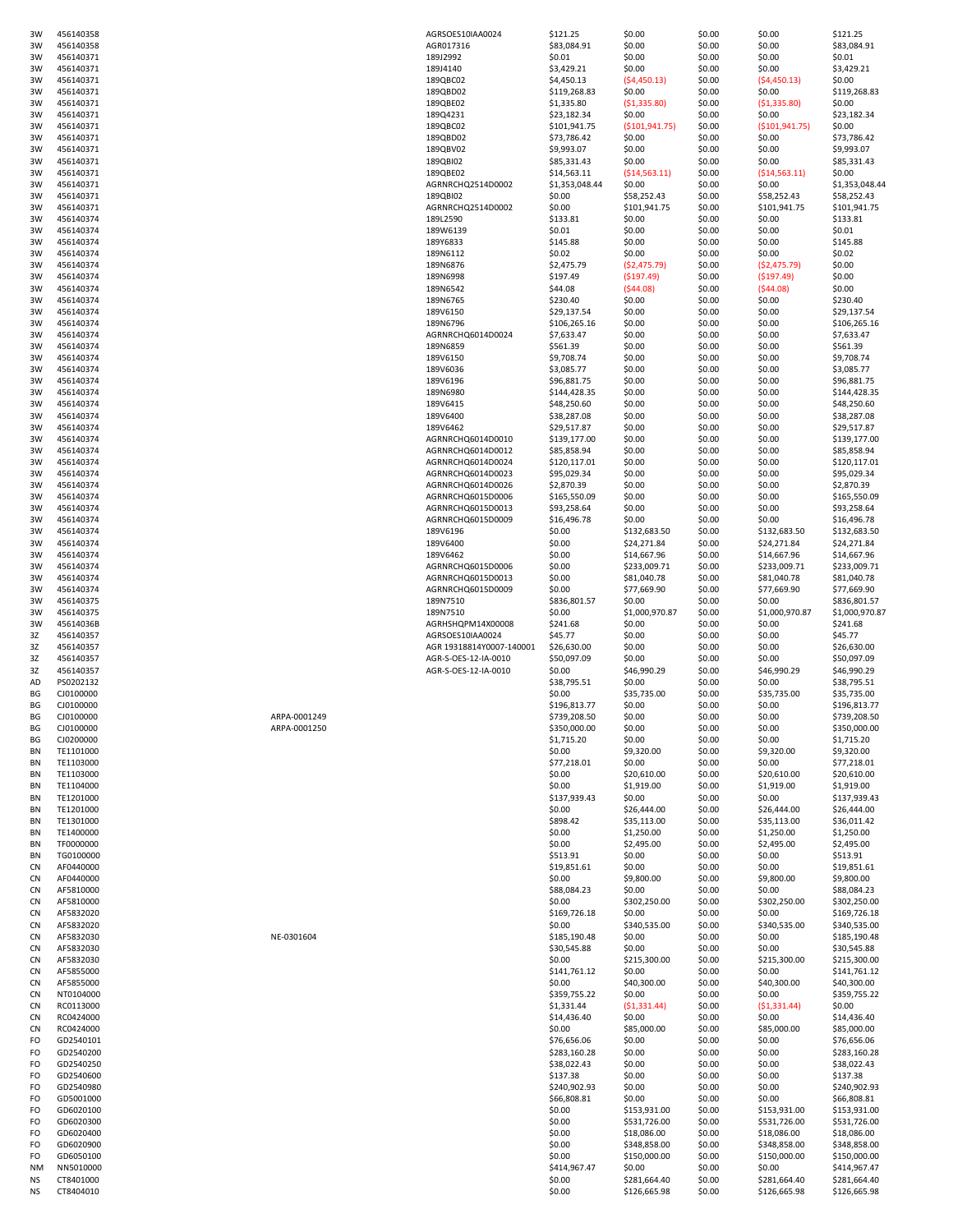| 3W              | 456140358              |              | AGRSOES10IAA0024              | \$121.25                    | \$0.00                       | \$0.00           | \$0.00                       | \$121.25                     |
|-----------------|------------------------|--------------|-------------------------------|-----------------------------|------------------------------|------------------|------------------------------|------------------------------|
| 3W              | 456140358              |              | AGR017316                     | \$83,084.91                 | \$0.00                       | \$0.00           | \$0.00                       | \$83,084.91                  |
| 3W              | 456140371              |              | 189J2992                      | \$0.01                      | \$0.00                       | \$0.00           | \$0.00                       | \$0.01                       |
| 3W              | 456140371              |              | 189J4140                      | \$3,429.21                  | \$0.00                       | \$0.00           | \$0.00                       | \$3,429.21<br>\$0.00         |
| 3W<br>3W        | 456140371<br>456140371 |              | 189QBC02<br>189QBD02          | \$4,450.13<br>\$119,268.83  | (54, 450.13)<br>\$0.00       | \$0.00<br>\$0.00 | (54, 450.13)<br>\$0.00       | \$119,268.83                 |
| 3W              | 456140371              |              | 189QBE02                      | \$1,335.80                  | (51, 335.80)                 | \$0.00           | (\$1,335.80)                 | \$0.00                       |
| 3W              | 456140371              |              | 189Q4231                      | \$23,182.34                 | \$0.00                       | \$0.00           | \$0.00                       | \$23,182.34                  |
| 3W              | 456140371              |              | 189QBC02                      | \$101,941.75                | ( \$101, 941.75)             | \$0.00           | ( \$101, 941.75)             | \$0.00                       |
| 3W              | 456140371              |              | 189QBD02                      | \$73,786.42                 | \$0.00                       | \$0.00           | \$0.00                       | \$73,786.42                  |
| 3W              | 456140371<br>456140371 |              | 189QBV02                      | \$9,993.07                  | \$0.00                       | \$0.00           | \$0.00                       | \$9,993.07                   |
| 3W<br>3W        | 456140371              |              | 189QBI02<br>189QBE02          | \$85,331.43<br>\$14,563.11  | \$0.00<br>( \$14,563.11)     | \$0.00<br>\$0.00 | \$0.00<br>( \$14,563.11)     | \$85,331.43<br>\$0.00        |
| 3W              | 456140371              |              | AGRNRCHQ2514D0002             | \$1,353,048.44              | \$0.00                       | \$0.00           | \$0.00                       | \$1,353,048.44               |
| 3W              | 456140371              |              | 189QBI02                      | \$0.00                      | \$58,252.43                  | \$0.00           | \$58,252.43                  | \$58,252.43                  |
| 3W              | 456140371              |              | AGRNRCHQ2514D0002             | \$0.00                      | \$101,941.75                 | \$0.00           | \$101,941.75                 | \$101,941.75                 |
| 3W              | 456140374              |              | 189L2590                      | \$133.81                    | \$0.00                       | \$0.00           | \$0.00                       | \$133.81                     |
| 3W              | 456140374              |              | 189W6139                      | \$0.01                      | \$0.00                       | \$0.00           | \$0.00                       | \$0.01                       |
| 3W              | 456140374              |              | 189Y6833                      | \$145.88                    | \$0.00<br>\$0.00             | \$0.00           | \$0.00                       | \$145.88                     |
| 3W<br>3W        | 456140374<br>456140374 |              | 189N6112<br>189N6876          | \$0.02<br>\$2,475.79        | (52, 475.79)                 | \$0.00<br>\$0.00 | \$0.00<br>(52, 475.79)       | \$0.02<br>\$0.00             |
| 3W              | 456140374              |              | 189N6998                      | \$197.49                    | (5197.49)                    | \$0.00           | (5197.49)                    | \$0.00                       |
| 3W              | 456140374              |              | 189N6542                      | \$44.08                     | (544.08)                     | \$0.00           | (544.08)                     | \$0.00                       |
| 3W              | 456140374              |              | 189N6765                      | \$230.40                    | \$0.00                       | \$0.00           | \$0.00                       | \$230.40                     |
| 3W              | 456140374              |              | 189V6150                      | \$29,137.54                 | \$0.00                       | \$0.00           | \$0.00                       | \$29,137.54                  |
| 3W              | 456140374              |              | 189N6796                      | \$106,265.16                | \$0.00                       | \$0.00           | \$0.00                       | \$106,265.16                 |
| 3W<br>3W        | 456140374<br>456140374 |              | AGRNRCHQ6014D0024<br>189N6859 | \$7,633.47<br>\$561.39      | \$0.00<br>\$0.00             | \$0.00<br>\$0.00 | \$0.00<br>\$0.00             | \$7,633.47<br>\$561.39       |
| 3W              | 456140374              |              | 189V6150                      | \$9,708.74                  | \$0.00                       | \$0.00           | \$0.00                       | \$9,708.74                   |
| 3W              | 456140374              |              | 189V6036                      | \$3,085.77                  | \$0.00                       | \$0.00           | \$0.00                       | \$3,085.77                   |
| 3W              | 456140374              |              | 189V6196                      | \$96,881.75                 | \$0.00                       | \$0.00           | \$0.00                       | \$96,881.75                  |
| 3W              | 456140374              |              | 189N6980                      | \$144,428.35                | \$0.00                       | \$0.00           | \$0.00                       | \$144,428.35                 |
| 3W              | 456140374              |              | 189V6415                      | \$48,250.60                 | \$0.00                       | \$0.00           | \$0.00                       | \$48,250.60                  |
| 3W              | 456140374              |              | 189V6400                      | \$38,287.08                 | \$0.00                       | \$0.00           | \$0.00                       | \$38,287.08                  |
| 3W<br>3W        | 456140374<br>456140374 |              | 189V6462<br>AGRNRCHQ6014D0010 | \$29,517.87<br>\$139,177.00 | \$0.00<br>\$0.00             | \$0.00<br>\$0.00 | \$0.00<br>\$0.00             | \$29,517.87<br>\$139,177.00  |
| 3W              | 456140374              |              | AGRNRCHQ6014D0012             | \$85,858.94                 | \$0.00                       | \$0.00           | \$0.00                       | \$85,858.94                  |
| 3W              | 456140374              |              | AGRNRCHQ6014D0024             | \$120,117.01                | \$0.00                       | \$0.00           | \$0.00                       | \$120,117.01                 |
| 3W              | 456140374              |              | AGRNRCHQ6014D0023             | \$95,029.34                 | \$0.00                       | \$0.00           | \$0.00                       | \$95,029.34                  |
| 3W              | 456140374              |              | AGRNRCHQ6014D0026             | \$2,870.39                  | \$0.00                       | \$0.00           | \$0.00                       | \$2,870.39                   |
| 3W              | 456140374              |              | AGRNRCHQ6015D0006             | \$165,550.09                | \$0.00                       | \$0.00           | \$0.00                       | \$165,550.09                 |
| 3W              | 456140374              |              | AGRNRCHQ6015D0013             | \$93,258.64                 | \$0.00                       | \$0.00           | \$0.00                       | \$93,258.64                  |
| 3W<br>3W        | 456140374<br>456140374 |              | AGRNRCHQ6015D0009<br>189V6196 | \$16,496.78<br>\$0.00       | \$0.00<br>\$132,683.50       | \$0.00<br>\$0.00 | \$0.00<br>\$132,683.50       | \$16,496.78<br>\$132,683.50  |
| 3W              | 456140374              |              | 189V6400                      | \$0.00                      | \$24,271.84                  | \$0.00           | \$24,271.84                  | \$24,271.84                  |
| 3W              | 456140374              |              | 189V6462                      | \$0.00                      | \$14,667.96                  | \$0.00           | \$14,667.96                  | \$14,667.96                  |
| 3W              | 456140374              |              | AGRNRCHQ6015D0006             | \$0.00                      | \$233,009.71                 | \$0.00           | \$233,009.71                 | \$233,009.71                 |
| 3W              | 456140374              |              | AGRNRCHQ6015D0013             | \$0.00                      | \$81,040.78                  | \$0.00           | \$81,040.78                  | \$81,040.78                  |
| 3W              | 456140374              |              | AGRNRCHQ6015D0009             | \$0.00                      | \$77,669.90                  | \$0.00           | \$77,669.90                  | \$77,669.90                  |
| 3W              | 456140375              |              | 189N7510<br>189N7510          | \$836,801.57                | \$0.00                       | \$0.00           | \$0.00                       | \$836,801.57                 |
| 3W<br>3W        | 456140375<br>45614036B |              | AGRHSHQPM14X00008             | \$0.00<br>\$241.68          | \$1,000,970.87<br>\$0.00     | \$0.00<br>\$0.00 | \$1,000,970.87<br>\$0.00     | \$1,000,970.87<br>\$241.68   |
| 3Z              | 456140357              |              | AGRSOES10IAA0024              | \$45.77                     | \$0.00                       | \$0.00           | \$0.00                       | \$45.77                      |
| 3Z              | 456140357              |              | AGR 19318814Y0007-140001      | \$26,630.00                 | \$0.00                       | \$0.00           | \$0.00                       | \$26,630.00                  |
| 3Z              | 456140357              |              | AGR-S-OES-12-IA-0010          | \$50,097.09                 | \$0.00                       | \$0.00           | \$0.00                       | \$50,097.09                  |
| 3Z              | 456140357              |              | AGR-S-OES-12-IA-0010          | \$0.00                      | \$46,990.29                  | \$0.00           | \$46,990.29                  | \$46,990.29                  |
| AD              | PS0202132              |              |                               | \$38,795.51                 | \$0.00                       | \$0.00           | \$0.00                       | \$38,795.51                  |
| BG<br>ВG        | CJ0100000<br>CJ0100000 |              |                               | \$0.00<br>\$196,813.77      | \$35,735.00<br>\$0.00        | \$0.00<br>\$0.00 | \$35,735.00<br>\$0.00        | \$35,735.00<br>\$196,813.77  |
| BG              | CJ0100000              | ARPA-0001249 |                               | \$739,208.50                | \$0.00                       | \$0.00           | \$0.00                       | \$739,208.50                 |
| BG              | CJ0100000              | ARPA-0001250 |                               | \$350,000.00                | \$0.00                       | \$0.00           | \$0.00                       | \$350,000.00                 |
| ΒG              | CJ0200000              |              |                               | \$1,715.20                  | \$0.00                       | \$0.00           | \$0.00                       | \$1,715.20                   |
| ΒN              | TE1101000              |              |                               | \$0.00                      | \$9,320.00                   | \$0.00           | \$9,320.00                   | \$9,320.00                   |
| ΒN              | TE1103000              |              |                               | \$77,218.01                 | \$0.00                       | \$0.00           | \$0.00                       | \$77,218.01                  |
| ΒN<br>ΒN        | TE1103000<br>TE1104000 |              |                               | \$0.00<br>\$0.00            | \$20,610.00<br>\$1,919.00    | \$0.00<br>\$0.00 | \$20,610.00<br>\$1,919.00    | \$20,610.00<br>\$1,919.00    |
| ΒN              | TE1201000              |              |                               | \$137,939.43                | \$0.00                       | \$0.00           | \$0.00                       | \$137,939.43                 |
| ΒN              | TE1201000              |              |                               | \$0.00                      | \$26,444.00                  | \$0.00           | \$26,444.00                  | \$26,444.00                  |
| ΒN              | TE1301000              |              |                               | \$898.42                    | \$35,113.00                  | \$0.00           | \$35,113.00                  | \$36,011.42                  |
| BN              | TE1400000              |              |                               | \$0.00                      | \$1,250.00                   | \$0.00           | \$1,250.00                   | \$1,250.00                   |
| ΒN              | TF0000000              |              |                               | \$0.00                      | \$2,495.00                   | \$0.00           | \$2,495.00                   | \$2,495.00                   |
| ΒN<br>CN        | TG0100000<br>AF0440000 |              |                               | \$513.91<br>\$19,851.61     | \$0.00<br>\$0.00             | \$0.00<br>\$0.00 | \$0.00<br>\$0.00             | \$513.91<br>\$19,851.61      |
| CN              | AF0440000              |              |                               | \$0.00                      | \$9,800.00                   | \$0.00           | \$9,800.00                   | \$9,800.00                   |
| CN              | AF5810000              |              |                               | \$88,084.23                 | \$0.00                       | \$0.00           | \$0.00                       | \$88,084.23                  |
| CN              | AF5810000              |              |                               | \$0.00                      | \$302,250.00                 | \$0.00           | \$302,250.00                 | \$302,250.00                 |
| CN              | AF5832020              |              |                               | \$169,726.18                | \$0.00                       | \$0.00           | \$0.00                       | \$169,726.18                 |
| CN              | AF5832020              |              |                               | \$0.00                      | \$340,535.00                 | \$0.00           | \$340,535.00                 | \$340,535.00                 |
| <b>CN</b><br>CN | AF5832030<br>AF5832030 | NE-0301604   |                               | \$185,190.48<br>\$30,545.88 | \$0.00<br>\$0.00             | \$0.00<br>\$0.00 | \$0.00<br>\$0.00             | \$185,190.48<br>\$30,545.88  |
| <b>CN</b>       | AF5832030              |              |                               | \$0.00                      | \$215,300.00                 | \$0.00           | \$215,300.00                 | \$215,300.00                 |
| CN              | AF5855000              |              |                               | \$141,761.12                | \$0.00                       | \$0.00           | \$0.00                       | \$141,761.12                 |
| <b>CN</b>       | AF5855000              |              |                               | \$0.00                      | \$40,300.00                  | \$0.00           | \$40,300.00                  | \$40,300.00                  |
| CN              | NT0104000              |              |                               | \$359,755.22                | \$0.00                       | \$0.00           | \$0.00                       | \$359,755.22                 |
| CN              | RC0113000              |              |                               | \$1,331.44                  | (51, 331.44)                 | \$0.00           | (51, 331.44)                 | \$0.00                       |
| <b>CN</b><br>CN | RC0424000<br>RC0424000 |              |                               | \$14,436.40<br>\$0.00       | \$0.00<br>\$85,000.00        | \$0.00<br>\$0.00 | \$0.00<br>\$85,000.00        | \$14,436.40<br>\$85,000.00   |
| FO              | GD2540101              |              |                               | \$76,656.06                 | \$0.00                       | \$0.00           | \$0.00                       | \$76,656.06                  |
| FO              | GD2540200              |              |                               | \$283,160.28                | \$0.00                       | \$0.00           | \$0.00                       | \$283,160.28                 |
| FO              | GD2540250              |              |                               | \$38,022.43                 | \$0.00                       | \$0.00           | \$0.00                       | \$38,022.43                  |
| FO              | GD2540600              |              |                               | \$137.38                    | \$0.00                       | \$0.00           | \$0.00                       | \$137.38                     |
| FO              | GD2540980              |              |                               | \$240,902.93                | \$0.00                       | \$0.00           | \$0.00                       | \$240,902.93                 |
| FO              | GD5001000              |              |                               | \$66,808.81                 | \$0.00                       | \$0.00           | \$0.00                       | \$66,808.81                  |
| FO<br>FO        | GD6020100<br>GD6020300 |              |                               | \$0.00<br>\$0.00            | \$153,931.00<br>\$531,726.00 | \$0.00<br>\$0.00 | \$153,931.00<br>\$531,726.00 | \$153,931.00<br>\$531,726.00 |
| FO              | GD6020400              |              |                               | \$0.00                      | \$18,086.00                  | \$0.00           | \$18,086.00                  | \$18,086.00                  |
| FO              | GD6020900              |              |                               | \$0.00                      | \$348,858.00                 | \$0.00           | \$348,858.00                 | \$348,858.00                 |
| FO              | GD6050100              |              |                               | \$0.00                      | \$150,000.00                 | \$0.00           | \$150,000.00                 | \$150,000.00                 |
| <b>NM</b>       | NN5010000              |              |                               | \$414,967.47                | \$0.00                       | \$0.00           | \$0.00                       | \$414,967.47                 |
| <b>NS</b>       | CT8401000              |              |                               | \$0.00                      | \$281,664.40                 | \$0.00           | \$281,664.40                 | \$281,664.40                 |
| <b>NS</b>       | CT8404010              |              |                               | \$0.00                      | \$126,665.98                 | \$0.00           | \$126,665.98                 | \$126,665.98                 |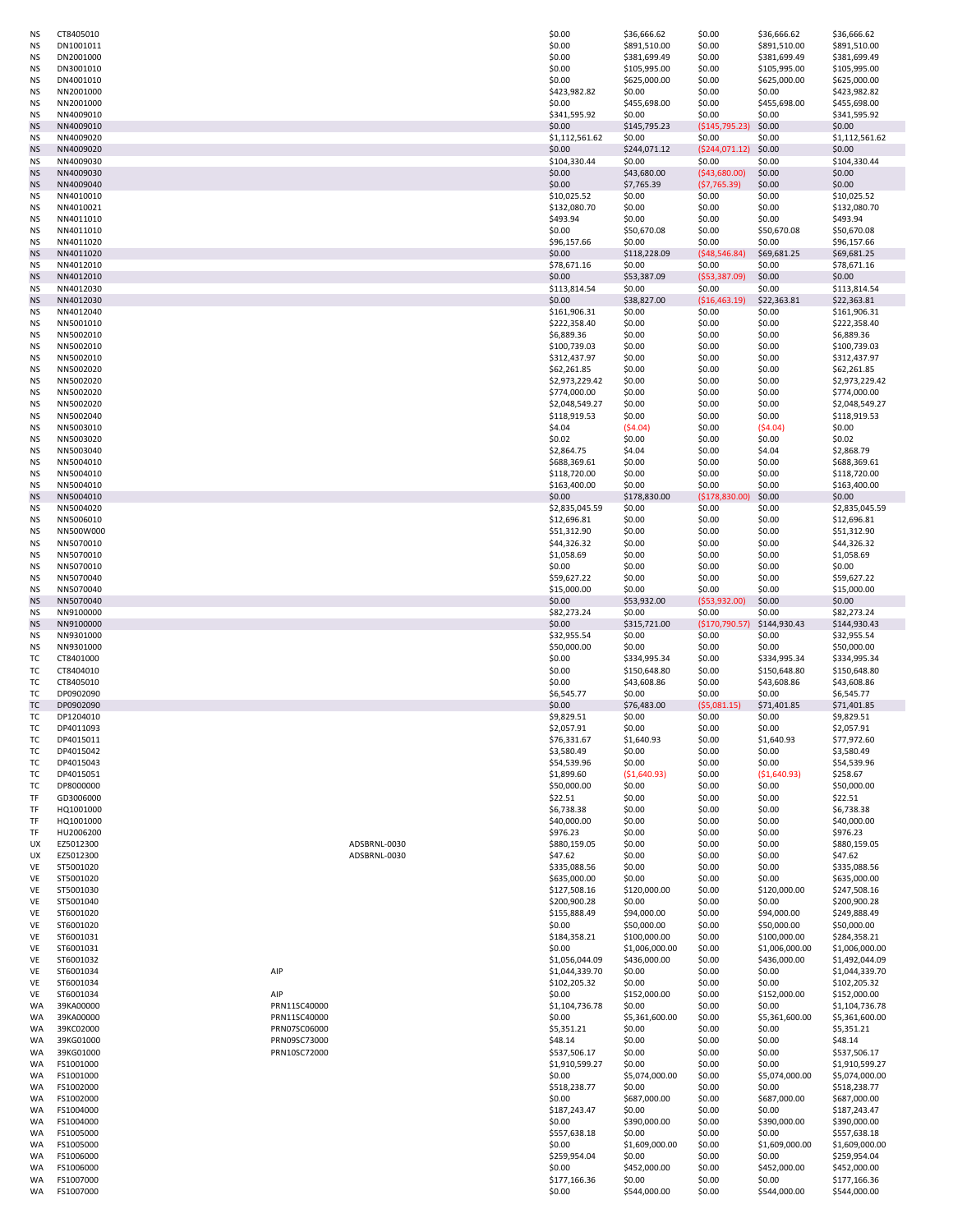| ΝS        | CT8405010              |              |              | \$0.00                 | \$36,666.62            | \$0.00           | \$36,666.62            | \$36,666.62                  |
|-----------|------------------------|--------------|--------------|------------------------|------------------------|------------------|------------------------|------------------------------|
| NS.       | DN1001011              |              |              | \$0.00                 | \$891,510.00           | \$0.00           | \$891,510.00           | \$891,510.00                 |
| ΝS        | DN2001000              |              |              | \$0.00                 | \$381,699.49           | \$0.00           | \$381,699.49           | \$381,699.49                 |
| <b>NS</b> | DN3001010              |              |              | \$0.00                 | \$105,995.00           | \$0.00           | \$105,995.00           | \$105,995.00                 |
| <b>NS</b> | DN4001010              |              |              | \$0.00                 | \$625,000.00           | \$0.00           | \$625,000.00           | \$625,000.00                 |
| <b>NS</b> | NN2001000              |              |              | \$423,982.82           | \$0.00                 | \$0.00           | \$0.00                 | \$423,982.82                 |
| ΝS        | NN2001000              |              |              | \$0.00                 | \$455,698.00           | \$0.00           | \$455,698.00           | \$455,698.00                 |
| <b>NS</b> | NN4009010              |              |              | \$341,595.92           | \$0.00                 | \$0.00           | \$0.00                 | \$341,595.92                 |
| <b>NS</b> | NN4009010              |              |              | \$0.00                 | \$145,795.23           | (\$145,795.23)   | \$0.00                 | \$0.00                       |
|           |                        |              |              |                        |                        |                  |                        |                              |
| <b>NS</b> | NN4009020              |              |              | \$1,112,561.62         | \$0.00                 | \$0.00           | \$0.00                 | \$1,112,561.62               |
| <b>NS</b> | NN4009020              |              |              | \$0.00                 | \$244,071.12           | ( \$244,071.12)  | \$0.00                 | \$0.00                       |
| ΝS        | NN4009030              |              |              | \$104,330.44           | \$0.00                 | \$0.00           | \$0.00                 | \$104,330.44                 |
| <b>NS</b> | NN4009030              |              |              | \$0.00                 | \$43,680.00            | ( \$43,680.00)   | \$0.00                 | \$0.00                       |
| <b>NS</b> | NN4009040              |              |              | \$0.00                 | \$7,765.39             | (57, 765.39)     | \$0.00                 | \$0.00                       |
| <b>NS</b> | NN4010010              |              |              | \$10,025.52            | \$0.00                 | \$0.00           | \$0.00                 | \$10,025.52                  |
| <b>NS</b> | NN4010021              |              |              | \$132,080.70           | \$0.00                 | \$0.00           | \$0.00                 | \$132,080.70                 |
| <b>NS</b> | NN4011010              |              |              | \$493.94               | \$0.00                 | \$0.00           | \$0.00                 | \$493.94                     |
|           | NN4011010              |              |              | \$0.00                 | \$50,670.08            | \$0.00           | \$50,670.08            | \$50,670.08                  |
| ΝS        |                        |              |              |                        |                        |                  |                        |                              |
| <b>NS</b> | NN4011020              |              |              | \$96,157.66            | \$0.00                 | \$0.00           | \$0.00                 | \$96,157.66                  |
| <b>NS</b> | NN4011020              |              |              | \$0.00                 | \$118,228.09           | ( \$48, 546.84)  | \$69,681.25            | \$69,681.25                  |
| ΝS        | NN4012010              |              |              | \$78,671.16            | \$0.00                 | \$0.00           | \$0.00                 | \$78,671.16                  |
| <b>NS</b> | NN4012010              |              |              | \$0.00                 | \$53,387.09            | ( \$53, 387.09)  | \$0.00                 | \$0.00                       |
| ΝS        | NN4012030              |              |              | \$113,814.54           | \$0.00                 | \$0.00           | \$0.00                 | \$113,814.54                 |
| <b>NS</b> | NN4012030              |              |              | \$0.00                 | \$38,827.00            | ( \$16,463.19)   | \$22,363.81            | \$22,363.81                  |
| <b>NS</b> | NN4012040              |              |              | \$161,906.31           | \$0.00                 | \$0.00           | \$0.00                 | \$161,906.31                 |
| <b>NS</b> | NN5001010              |              |              | \$222,358.40           | \$0.00                 | \$0.00           | \$0.00                 | \$222,358.40                 |
|           |                        |              |              |                        |                        |                  |                        |                              |
| ΝS        | NN5002010              |              |              | \$6,889.36             | \$0.00                 | \$0.00           | \$0.00                 | \$6,889.36                   |
| ΝS        | NN5002010              |              |              | \$100,739.03           | \$0.00                 | \$0.00           | \$0.00                 | \$100,739.03                 |
| NS.       | NN5002010              |              |              | \$312,437.97           | \$0.00                 | \$0.00           | \$0.00                 | \$312,437.97                 |
| ΝS        | NN5002020              |              |              | \$62,261.85            | \$0.00                 | \$0.00           | \$0.00                 | \$62,261.85                  |
| <b>NS</b> | NN5002020              |              |              | \$2,973,229.42         | \$0.00                 | \$0.00           | \$0.00                 | \$2,973,229.42               |
| <b>NS</b> | NN5002020              |              |              | \$774,000.00           | \$0.00                 | \$0.00           | \$0.00                 | \$774,000.00                 |
| <b>NS</b> | NN5002020              |              |              | \$2,048,549.27         | \$0.00                 | \$0.00           | \$0.00                 | \$2,048,549.27               |
| ΝS        | NN5002040              |              |              | \$118,919.53           | \$0.00                 | \$0.00           | \$0.00                 | \$118,919.53                 |
|           |                        |              |              |                        |                        |                  |                        |                              |
| NS.       | NN5003010              |              |              | \$4.04                 | (54.04)                | \$0.00           | (54.04)                | \$0.00                       |
| <b>NS</b> | NN5003020              |              |              | \$0.02\$               | \$0.00                 | \$0.00           | \$0.00                 | \$0.02\$                     |
| <b>NS</b> | NN5003040              |              |              | \$2,864.75             | \$4.04                 | \$0.00           | \$4.04                 | \$2,868.79                   |
| <b>NS</b> | NN5004010              |              |              | \$688,369.61           | \$0.00                 | \$0.00           | \$0.00                 | \$688,369.61                 |
| NS.       | NN5004010              |              |              | \$118,720.00           | \$0.00                 | \$0.00           | \$0.00                 | \$118,720.00                 |
| ΝS        | NN5004010              |              |              | \$163,400.00           | \$0.00                 | \$0.00           | \$0.00                 | \$163,400.00                 |
| <b>NS</b> | NN5004010              |              |              | \$0.00                 | \$178,830.00           | (\$178,830.00)   | \$0.00                 | \$0.00                       |
| <b>NS</b> | NN5004020              |              |              | \$2,835,045.59         | \$0.00                 | \$0.00           | \$0.00                 | \$2,835,045.59               |
|           |                        |              |              |                        |                        |                  |                        |                              |
| <b>NS</b> | NN5006010              |              |              | \$12,696.81            | \$0.00                 | \$0.00           | \$0.00                 | \$12,696.81                  |
| ΝS        | NN500W000              |              |              | \$51,312.90            | \$0.00                 | \$0.00           | \$0.00                 | \$51,312.90                  |
| ΝS        | NN5070010              |              |              | \$44,326.32            | \$0.00                 | \$0.00           | \$0.00                 | \$44,326.32                  |
| ΝS        | NN5070010              |              |              | \$1,058.69             | \$0.00                 | \$0.00           | \$0.00                 | \$1,058.69                   |
| <b>NS</b> | NN5070010              |              |              | \$0.00                 | \$0.00                 | \$0.00           | \$0.00                 | \$0.00                       |
| <b>NS</b> | NN5070040              |              |              | \$59,627.22            | \$0.00                 | \$0.00           | \$0.00                 | \$59,627.22                  |
| ΝS        | NN5070040              |              |              | \$15,000.00            | \$0.00                 | \$0.00           | \$0.00                 | \$15,000.00                  |
| <b>NS</b> | NN5070040              |              |              | \$0.00                 | \$53,932.00            | ( \$53, 932.00)  | \$0.00                 | \$0.00                       |
|           |                        |              |              |                        |                        |                  |                        |                              |
|           |                        |              |              |                        |                        |                  |                        |                              |
| <b>NS</b> | NN9100000              |              |              | \$82,273.24            | \$0.00                 | \$0.00           | \$0.00                 | \$82,273.24                  |
| <b>NS</b> | NN9100000              |              |              | \$0.00                 | \$315,721.00           | (\$170,790.57)   | \$144,930.43           | \$144,930.43                 |
| <b>NS</b> | NN9301000              |              |              | \$32,955.54            | \$0.00                 | \$0.00           | \$0.00                 | \$32,955.54                  |
| <b>NS</b> | NN9301000              |              |              | \$50,000.00            | \$0.00                 | \$0.00           | \$0.00                 | \$50,000.00                  |
| TC        | CT8401000              |              |              | \$0.00                 | \$334,995.34           | \$0.00           | \$334,995.34           | \$334,995.34                 |
| TC        | CT8404010              |              |              |                        | \$150,648.80           |                  | \$150,648.80           |                              |
|           |                        |              |              | \$0.00                 |                        | \$0.00           |                        | \$150,648.80                 |
| TC        | CT8405010              |              |              | \$0.00                 | \$43,608.86            | \$0.00           | \$43,608.86            | \$43,608.86                  |
| TC        | DP0902090              |              |              | \$6,545.77             | \$0.00                 | \$0.00           | \$0.00                 | \$6,545.77                   |
| TC        | DP0902090              |              |              | \$0.00                 | \$76,483.00            | (55,081.15)      | \$71,401.85            | \$71,401.85                  |
| TC        | DP1204010              |              |              | \$9,829.51             | \$0.00                 | \$0.00           | \$0.00                 | \$9,829.51                   |
| TC        | DP4011093              |              |              | \$2,057.91             | \$0.00                 | \$0.00           | \$0.00                 | \$2,057.91                   |
| TC        | DP4015011              |              |              | \$76,331.67            | \$1,640.93             | \$0.00           | \$1,640.93             | \$77,972.60                  |
| TC        | DP4015042              |              |              | \$3,580.49             | \$0.00                 | \$0.00           | \$0.00                 | \$3,580.49                   |
| TC        | DP4015043              |              |              | \$54,539.96            | \$0.00                 | \$0.00           | \$0.00                 | \$54,539.96                  |
| TC        | DP4015051              |              |              | \$1,899.60             | ( \$1,640.93)          | \$0.00           | ( \$1,640.93)          | \$258.67                     |
| TC        | DP8000000              |              |              | \$50,000.00            | \$0.00                 | \$0.00           | \$0.00                 | \$50,000.00                  |
|           |                        |              |              |                        |                        |                  |                        |                              |
| TF        | GD3006000              |              |              | \$22.51                | \$0.00                 | \$0.00           | \$0.00                 | \$22.51                      |
| TF        | HQ1001000              |              |              | \$6,738.38             | \$0.00                 | \$0.00           | \$0.00                 | \$6,738.38                   |
| TF        | HQ1001000              |              |              | \$40,000.00            | \$0.00                 | \$0.00           | \$0.00                 | \$40,000.00                  |
| TF        | HU2006200              |              |              | \$976.23               | \$0.00                 | \$0.00           | \$0.00                 | \$976.23                     |
| UX        | EZ5012300              |              | ADSBRNL-0030 | \$880,159.05           | \$0.00                 | \$0.00           | \$0.00                 | \$880,159.05                 |
| UX        | EZ5012300              |              | ADSBRNL-0030 | \$47.62                | \$0.00                 | \$0.00           | \$0.00                 | \$47.62                      |
| VE        | ST5001020              |              |              | \$335,088.56           | \$0.00                 | \$0.00           | \$0.00                 | \$335,088.56                 |
| VE        | ST5001020              |              |              | \$635,000.00           | \$0.00                 | \$0.00           | \$0.00                 | \$635,000.00                 |
| VE        | ST5001030              |              |              | \$127,508.16           | \$120,000.00           | \$0.00           | \$120,000.00           | \$247,508.16                 |
| VE        | ST5001040              |              |              | \$200,900.28           | \$0.00                 | \$0.00           | \$0.00                 | \$200,900.28                 |
| VE        | ST6001020              |              |              | \$155,888.49           | \$94,000.00            | \$0.00           | \$94,000.00            | \$249,888.49                 |
| VE        | ST6001020              |              |              |                        | \$50,000.00            | \$0.00           |                        |                              |
|           |                        |              |              | \$0.00                 |                        |                  | \$50,000.00            | \$50,000.00                  |
| VE        | ST6001031              |              |              | \$184,358.21           | \$100,000.00           | \$0.00           | \$100,000.00           | \$284,358.21                 |
| VE        | ST6001031              |              |              | \$0.00                 | \$1,006,000.00         | \$0.00           | \$1,006,000.00         | \$1,006,000.00               |
| VE        | ST6001032              |              |              | \$1,056,044.09         | \$436,000.00           | \$0.00           | \$436,000.00           | \$1,492,044.09               |
| VE        | ST6001034              | AIP          |              | \$1,044,339.70         | \$0.00                 | \$0.00           | \$0.00                 | \$1,044,339.70               |
| VE        | ST6001034              |              |              | \$102,205.32           | \$0.00                 | \$0.00           | \$0.00                 | \$102,205.32                 |
| VE        | ST6001034              | AIP          |              | \$0.00                 | \$152,000.00           | \$0.00           | \$152,000.00           | \$152,000.00                 |
| <b>WA</b> | 39KA00000              | PRN11SC40000 |              | \$1,104,736.78         | \$0.00                 | \$0.00           | \$0.00                 | \$1,104,736.78               |
| <b>WA</b> | 39KA00000              | PRN11SC40000 |              | \$0.00                 | \$5,361,600.00         | \$0.00           | \$5,361,600.00         | \$5,361,600.00               |
| <b>WA</b> |                        |              |              |                        |                        |                  |                        |                              |
|           | 39KC02000              | PRN07SC06000 |              | \$5,351.21             | \$0.00                 | \$0.00           | \$0.00                 | \$5,351.21                   |
| <b>WA</b> | 39KG01000              | PRN09SC73000 |              | \$48.14                | \$0.00                 | \$0.00           | \$0.00                 | \$48.14                      |
| WA        | 39KG01000              | PRN10SC72000 |              | \$537,506.17           | \$0.00                 | \$0.00           | \$0.00                 | \$537,506.17                 |
| WA        | FS1001000              |              |              | \$1,910,599.27         | \$0.00                 | \$0.00           | \$0.00                 | \$1,910,599.27               |
| WA        | FS1001000              |              |              | \$0.00                 | \$5,074,000.00         | \$0.00           | \$5,074,000.00         | \$5,074,000.00               |
| WA        | FS1002000              |              |              | \$518,238.77           | \$0.00                 | \$0.00           | \$0.00                 | \$518,238.77                 |
| WA        | FS1002000              |              |              | \$0.00                 | \$687,000.00           | \$0.00           | \$687,000.00           | \$687,000.00                 |
| WA        | FS1004000              |              |              |                        | \$0.00                 |                  |                        |                              |
| WA        |                        |              |              | \$187,243.47           |                        | \$0.00           | \$0.00                 | \$187,243.47                 |
|           | FS1004000              |              |              | \$0.00                 | \$390,000.00           | \$0.00           | \$390,000.00           | \$390,000.00                 |
| <b>WA</b> | FS1005000              |              |              | \$557,638.18           | \$0.00                 | \$0.00           | \$0.00                 | \$557,638.18                 |
| <b>WA</b> | FS1005000              |              |              | \$0.00                 | \$1,609,000.00         | \$0.00           | \$1,609,000.00         | \$1,609,000.00               |
| <b>WA</b> | FS1006000              |              |              | \$259,954.04           | \$0.00                 | \$0.00           | \$0.00                 | \$259,954.04                 |
| <b>WA</b> | FS1006000              |              |              | \$0.00                 | \$452,000.00           | \$0.00           | \$452,000.00           | \$452,000.00                 |
| <b>WA</b> | FS1007000<br>FS1007000 |              |              | \$177,166.36<br>\$0.00 | \$0.00<br>\$544,000.00 | \$0.00<br>\$0.00 | \$0.00<br>\$544,000.00 | \$177,166.36<br>\$544,000.00 |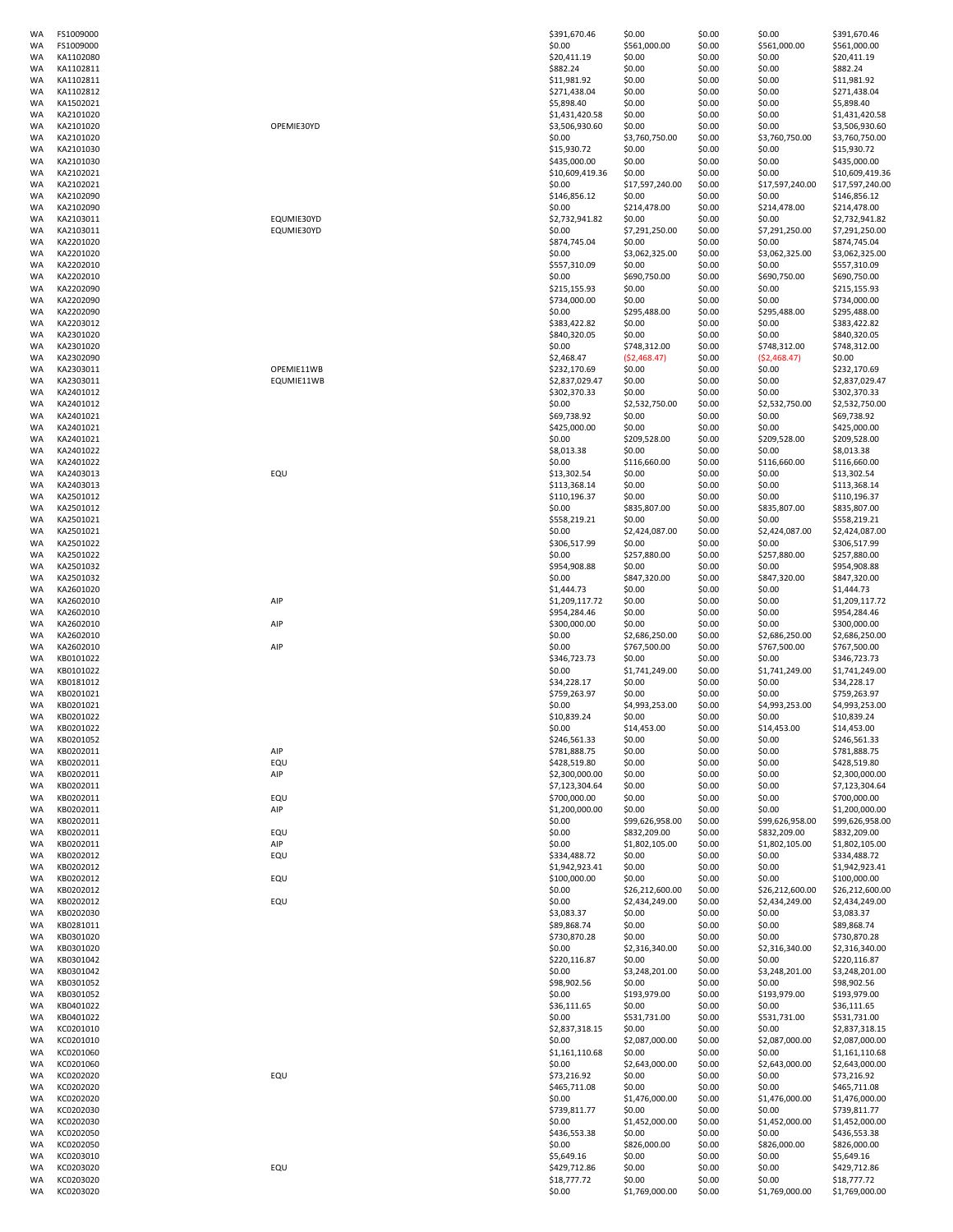| WA              | FS1009000              |                          | \$391,670.46                   | \$0.00                         | \$0.00           | \$0.00                         | \$391,670.46                     |
|-----------------|------------------------|--------------------------|--------------------------------|--------------------------------|------------------|--------------------------------|----------------------------------|
| WA              | FS1009000              |                          | \$0.00                         | \$561,000.00                   | \$0.00           | \$561,000.00                   | \$561,000.00                     |
| WA              | KA1102080              |                          | \$20,411.19                    | \$0.00                         | \$0.00           | \$0.00                         | \$20,411.19                      |
| WA<br>WA        | KA1102811<br>KA1102811 |                          | \$882.24<br>\$11,981.92        | \$0.00<br>\$0.00               | \$0.00<br>\$0.00 | \$0.00<br>\$0.00               | \$882.24<br>\$11,981.92          |
| WA              | KA1102812              |                          | \$271,438.04                   | \$0.00                         | \$0.00           | \$0.00                         | \$271,438.04                     |
| WA              | KA1502021              |                          | \$5,898.40                     | \$0.00                         | \$0.00           | \$0.00                         | \$5,898.40                       |
| WA              | KA2101020              |                          | \$1,431,420.58                 | \$0.00                         | \$0.00           | \$0.00                         | \$1,431,420.58                   |
| <b>WA</b>       | KA2101020              | OPEMIE30YD               | \$3,506,930.60                 | \$0.00                         | \$0.00           | \$0.00                         | \$3,506,930.60                   |
| WA              | KA2101020              |                          | \$0.00                         | \$3,760,750.00                 | \$0.00           | \$3,760,750.00                 | \$3,760,750.00                   |
| WA<br>WA        | KA2101030<br>KA2101030 |                          | \$15,930.72<br>\$435,000.00    | \$0.00<br>\$0.00               | \$0.00<br>\$0.00 | \$0.00<br>\$0.00               | \$15,930.72<br>\$435,000.00      |
| WA              | KA2102021              |                          | \$10,609,419.36                | \$0.00                         | \$0.00           | \$0.00                         | \$10,609,419.36                  |
| WA              | KA2102021              |                          | \$0.00                         | \$17,597,240.00                | \$0.00           | \$17,597,240.00                | \$17,597,240.00                  |
| WA              | KA2102090              |                          | \$146,856.12                   | \$0.00                         | \$0.00           | \$0.00                         | \$146,856.12                     |
| WA              | KA2102090              |                          | \$0.00                         | \$214,478.00                   | \$0.00           | \$214,478.00                   | \$214,478.00                     |
| WA              | KA2103011<br>KA2103011 | EQUMIE30YD<br>EQUMIE30YD | \$2,732,941.82<br>\$0.00       | \$0.00<br>\$7,291,250.00       | \$0.00<br>\$0.00 | \$0.00                         | \$2,732,941.82<br>\$7,291,250.00 |
| WA<br>WA        | KA2201020              |                          | \$874,745.04                   | \$0.00                         | \$0.00           | \$7,291,250.00<br>\$0.00       | \$874,745.04                     |
| <b>WA</b>       | KA2201020              |                          | \$0.00                         | \$3,062,325.00                 | \$0.00           | \$3,062,325.00                 | \$3,062,325.00                   |
| WA              | KA2202010              |                          | \$557,310.09                   | \$0.00                         | \$0.00           | \$0.00                         | \$557,310.09                     |
| WA              | KA2202010              |                          | \$0.00                         | \$690,750.00                   | \$0.00           | \$690,750.00                   | \$690,750.00                     |
| WA              | KA2202090              |                          | \$215,155.93                   | \$0.00                         | \$0.00           | \$0.00                         | \$215,155.93                     |
| WA<br>WA        | KA2202090<br>KA2202090 |                          | \$734,000.00<br>\$0.00         | \$0.00<br>\$295,488.00         | \$0.00<br>\$0.00 | \$0.00<br>\$295,488.00         | \$734,000.00<br>\$295,488.00     |
| WA              | KA2203012              |                          | \$383,422.82                   | \$0.00                         | \$0.00           | \$0.00                         | \$383,422.82                     |
| WA              | KA2301020              |                          | \$840,320.05                   | \$0.00                         | \$0.00           | \$0.00                         | \$840,320.05                     |
| WA              | KA2301020              |                          | \$0.00                         | \$748,312.00                   | \$0.00           | \$748,312.00                   | \$748,312.00                     |
| WA              | KA2302090              |                          | \$2,468.47                     | (52, 468.47)                   | \$0.00           | (52, 468.47)                   | \$0.00                           |
| WA              | KA2303011              | OPEMIE11WB               | \$232,170.69                   | \$0.00                         | \$0.00           | \$0.00                         | \$232,170.69                     |
| WA              | KA2303011              | EQUMIE11WB               | \$2,837,029.47                 | \$0.00<br>\$0.00               | \$0.00           | \$0.00                         | \$2,837,029.47<br>\$302,370.33   |
| WA<br>WA        | KA2401012<br>KA2401012 |                          | \$302,370.33<br>\$0.00         | \$2,532,750.00                 | \$0.00<br>\$0.00 | \$0.00<br>\$2,532,750.00       | \$2,532,750.00                   |
| WA              | KA2401021              |                          | \$69,738.92                    | \$0.00                         | \$0.00           | \$0.00                         | \$69,738.92                      |
| WA              | KA2401021              |                          | \$425,000.00                   | \$0.00                         | \$0.00           | \$0.00                         | \$425,000.00                     |
| WA              | KA2401021              |                          | \$0.00                         | \$209,528.00                   | \$0.00           | \$209,528.00                   | \$209,528.00                     |
| WA              | KA2401022              |                          | \$8,013.38                     | \$0.00                         | \$0.00           | \$0.00                         | \$8,013.38                       |
| WA              | KA2401022              |                          | \$0.00                         | \$116,660.00                   | \$0.00           | \$116,660.00                   | \$116,660.00                     |
| WA<br>WA        | KA2403013<br>KA2403013 | EQU                      | \$13,302.54<br>\$113,368.14    | \$0.00<br>\$0.00               | \$0.00<br>\$0.00 | \$0.00<br>\$0.00               | \$13,302.54<br>\$113,368.14      |
| WA              | KA2501012              |                          | \$110,196.37                   | \$0.00                         | \$0.00           | \$0.00                         | \$110,196.37                     |
| WA              | KA2501012              |                          | \$0.00                         | \$835,807.00                   | \$0.00           | \$835,807.00                   | \$835,807.00                     |
| WA              | KA2501021              |                          | \$558,219.21                   | \$0.00                         | \$0.00           | \$0.00                         | \$558,219.21                     |
| WA              | KA2501021              |                          | \$0.00                         | \$2,424,087.00                 | \$0.00           | \$2,424,087.00                 | \$2,424,087.00                   |
| WA              | KA2501022              |                          | \$306,517.99                   | \$0.00                         | \$0.00           | \$0.00                         | \$306,517.99                     |
| WA<br><b>WA</b> | KA2501022<br>KA2501032 |                          | \$0.00<br>\$954,908.88         | \$257,880.00<br>\$0.00         | \$0.00<br>\$0.00 | \$257,880.00<br>\$0.00         | \$257,880.00<br>\$954,908.88     |
| WA              | KA2501032              |                          | \$0.00                         | \$847,320.00                   | \$0.00           | \$847,320.00                   | \$847,320.00                     |
| WA              | KA2601020              |                          | \$1,444.73                     | \$0.00                         | \$0.00           | \$0.00                         | \$1,444.73                       |
| WA              | KA2602010              | AIP                      | \$1,209,117.72                 | \$0.00                         | \$0.00           | \$0.00                         | \$1,209,117.72                   |
| WA              | KA2602010              |                          | \$954,284.46                   | \$0.00                         | \$0.00           | \$0.00                         | \$954,284.46                     |
| WA              | KA2602010              | AIP                      | \$300,000.00                   | \$0.00                         | \$0.00           | \$0.00                         | \$300,000.00                     |
| WA<br>WA        | KA2602010<br>KA2602010 | AIP                      | \$0.00<br>\$0.00               | \$2,686,250.00<br>\$767,500.00 | \$0.00<br>\$0.00 | \$2,686,250.00<br>\$767,500.00 | \$2,686,250.00<br>\$767,500.00   |
| WA              | KB0101022              |                          | \$346,723.73                   | \$0.00                         | \$0.00           | \$0.00                         | \$346,723.73                     |
| WA              | KB0101022              |                          | \$0.00                         | \$1,741,249.00                 | \$0.00           | \$1,741,249.00                 | \$1,741,249.00                   |
| WA              | KB0181012              |                          | \$34,228.17                    | \$0.00                         | \$0.00           | \$0.00                         | \$34,228.17                      |
| <b>WA</b>       | KB0201021              |                          | \$759,263.97                   | \$0.00                         | \$0.00           | \$0.00                         | \$759,263.97                     |
| WA              | KB0201021<br>KB0201022 |                          | \$0.00                         | \$4,993,253.00<br>\$0.00       | \$0.00           | \$4,993,253.00<br>\$0.00       | \$4,993,253.00                   |
| WA<br>WA        | KB0201022              |                          | \$10,839.24<br>\$0.00          | \$14,453.00                    | \$0.00<br>\$0.00 | \$14,453.00                    | \$10,839.24<br>\$14,453.00       |
| WA              | KB0201052              |                          | \$246,561.33                   | \$0.00                         | \$0.00           | \$0.00                         | \$246,561.33                     |
| WA              | KB0202011              | AIP                      | \$781,888.75                   | \$0.00                         | \$0.00           | \$0.00                         | \$781,888.75                     |
| WA              | KB0202011              | EQU                      | \$428,519.80                   | \$0.00                         | \$0.00           | \$0.00                         | \$428,519.80                     |
| WA              | KB0202011              | AIP                      | \$2,300,000.00                 | \$0.00                         | \$0.00           | \$0.00                         | \$2,300,000.00                   |
| WA              | KB0202011              |                          | \$7,123,304.64                 | \$0.00                         | \$0.00           | \$0.00                         | \$7,123,304.64                   |
| WA<br>WA        | KB0202011<br>KB0202011 | EQU<br>AIP               | \$700,000.00<br>\$1,200,000.00 | \$0.00<br>\$0.00               | \$0.00<br>\$0.00 | \$0.00<br>\$0.00               | \$700,000.00<br>\$1,200,000.00   |
| <b>WA</b>       | KB0202011              |                          | \$0.00                         | \$99,626,958.00                | \$0.00           | \$99,626,958.00                | \$99,626,958.00                  |
| WA              | KB0202011              | EQU                      | \$0.00                         | \$832,209.00                   | \$0.00           | \$832,209.00                   | \$832,209.00                     |
| WA              | KB0202011              | AIP                      | \$0.00                         | \$1,802,105.00                 | \$0.00           | \$1,802,105.00                 | \$1,802,105.00                   |
| WA              | KB0202012              | EQU                      | \$334,488.72                   | \$0.00                         | \$0.00           | \$0.00                         | \$334,488.72                     |
| WA<br>WA        | KB0202012<br>KB0202012 | EQU                      | \$1,942,923.41<br>\$100,000.00 | \$0.00<br>\$0.00               | \$0.00<br>\$0.00 | \$0.00<br>\$0.00               | \$1,942,923.41<br>\$100,000.00   |
| WA              | KB0202012              |                          | \$0.00                         | \$26,212,600.00                | \$0.00           | \$26,212,600.00                | \$26,212,600.00                  |
| WA              | KB0202012              | EQU                      |                                | \$2,434,249.00                 | \$0.00           | \$2,434,249.00                 | \$2,434,249.00                   |
| WA              |                        |                          | \$0.00                         |                                |                  |                                |                                  |
| WA              | KB0202030              |                          | \$3,083.37                     | \$0.00                         | \$0.00           | \$0.00                         | \$3,083.37                       |
| WA              | KB0281011              |                          | \$89,868.74                    | \$0.00                         | \$0.00           | \$0.00                         | \$89,868.74                      |
| WA<br>WA        | KB0301020              |                          | \$730,870.28                   | \$0.00                         | \$0.00           | \$0.00                         | \$730,870.28                     |
|                 | KB0301020              |                          | \$0.00                         | \$2,316,340.00                 | \$0.00           | \$2,316,340.00                 | \$2,316,340.00                   |
| WA              | KB0301042<br>KB0301042 |                          | \$220,116.87<br>\$0.00         | \$0.00<br>\$3,248,201.00       | \$0.00<br>\$0.00 | \$0.00<br>\$3,248,201.00       | \$220,116.87<br>\$3,248,201.00   |
| WA              | KB0301052              |                          | \$98,902.56                    | \$0.00                         | \$0.00           | \$0.00                         | \$98,902.56                      |
| WA              | KB0301052              |                          | \$0.00                         | \$193,979.00                   | \$0.00           | \$193,979.00                   | \$193,979.00                     |
| WA              | KB0401022              |                          | \$36,111.65                    | \$0.00                         | \$0.00           | \$0.00                         | \$36,111.65                      |
| WA              | KB0401022              |                          | \$0.00                         | \$531,731.00                   | \$0.00           | \$531,731.00                   | \$531,731.00                     |
| WA<br>WA        | KC0201010<br>KC0201010 |                          | \$2,837,318.15<br>\$0.00       | \$0.00<br>\$2,087,000.00       | \$0.00<br>\$0.00 | \$0.00<br>\$2,087,000.00       | \$2,837,318.15<br>\$2,087,000.00 |
| WA              | KC0201060              |                          | \$1,161,110.68                 | \$0.00                         | \$0.00           | \$0.00                         | \$1,161,110.68                   |
| <b>WA</b>       | KC0201060              |                          | \$0.00                         | \$2,643,000.00                 | \$0.00           | \$2,643,000.00                 | \$2,643,000.00                   |
| WA              | KC0202020              | EQU                      | \$73,216.92                    | \$0.00                         | \$0.00           | \$0.00                         | \$73,216.92                      |
| WA              | KC0202020              |                          | \$465,711.08                   | \$0.00                         | \$0.00           | \$0.00                         | \$465,711.08                     |
| WA              | KC0202020              |                          | \$0.00                         | \$1,476,000.00                 | \$0.00           | \$1,476,000.00                 | \$1,476,000.00                   |
| WA<br>WA        | KC0202030<br>KC0202030 |                          | \$739,811.77<br>\$0.00         | \$0.00<br>\$1,452,000.00       | \$0.00<br>\$0.00 | \$0.00<br>\$1,452,000.00       | \$739,811.77<br>\$1,452,000.00   |
| <b>WA</b>       | KC0202050              |                          | \$436,553.38                   | \$0.00                         | \$0.00           | \$0.00                         | \$436,553.38                     |
| WA              | KC0202050              |                          | \$0.00                         | \$826,000.00                   | \$0.00           | \$826,000.00                   | \$826,000.00                     |
| WA              | KC0203010              |                          | \$5,649.16                     | \$0.00                         | \$0.00           | \$0.00                         | \$5,649.16                       |
| WA<br>WA        | KC0203020<br>KC0203020 | EQU                      | \$429,712.86<br>\$18,777.72    | \$0.00<br>\$0.00               | \$0.00<br>\$0.00 | \$0.00<br>\$0.00               | \$429,712.86<br>\$18,777.72      |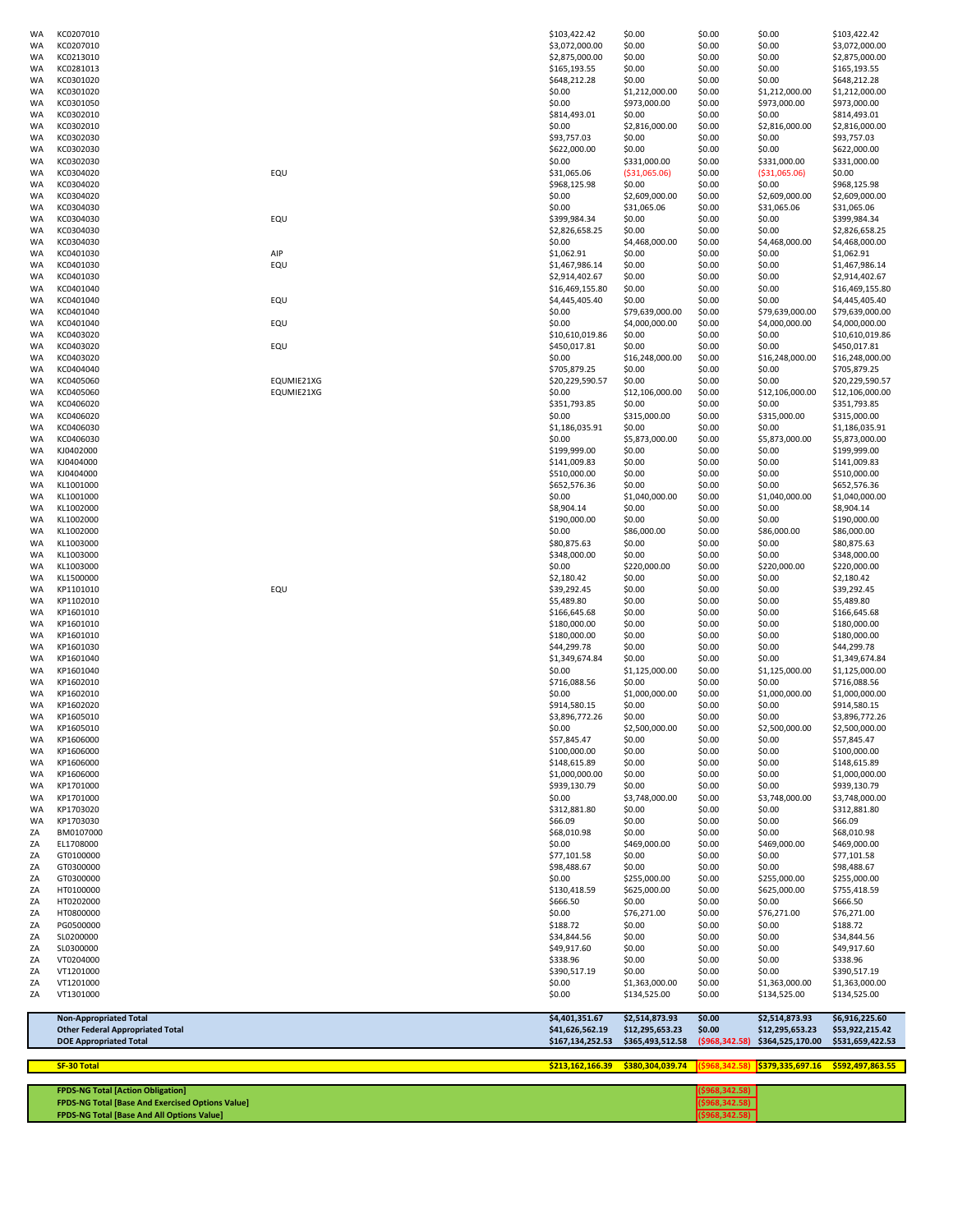| WA              | KC0207010                                               |                          | \$103,422.42                      | \$0.00                         | \$0.00           | \$0.00                         | \$103,422.42                       |
|-----------------|---------------------------------------------------------|--------------------------|-----------------------------------|--------------------------------|------------------|--------------------------------|------------------------------------|
| WA<br><b>WA</b> | KC0207010<br>KC0213010                                  |                          | \$3,072,000.00<br>\$2,875,000.00  | \$0.00<br>\$0.00               | \$0.00<br>\$0.00 | \$0.00<br>\$0.00               | \$3,072,000.00<br>\$2,875,000.00   |
| WA              | KC0281013                                               |                          | \$165,193.55                      | \$0.00                         | \$0.00           | \$0.00                         | \$165,193.55                       |
| WA              | KC0301020                                               |                          | \$648,212.28                      | \$0.00                         | \$0.00           | \$0.00                         | \$648,212.28                       |
| WA<br>WA        | KC0301020<br>KC0301050                                  |                          | \$0.00<br>\$0.00                  | \$1,212,000.00<br>\$973,000.00 | \$0.00<br>\$0.00 | \$1,212,000.00<br>\$973,000.00 | \$1,212,000.00<br>\$973,000.00     |
| WA              | KC0302010                                               |                          | \$814,493.01                      | \$0.00                         | \$0.00           | \$0.00                         | \$814,493.01                       |
| WA              | KC0302010                                               |                          | \$0.00                            | \$2,816,000.00                 | \$0.00           | \$2,816,000.00                 | \$2,816,000.00                     |
| WA<br>WA        | KC0302030<br>KC0302030                                  |                          | \$93,757.03<br>\$622,000.00       | \$0.00<br>\$0.00               | \$0.00<br>\$0.00 | \$0.00<br>\$0.00               | \$93,757.03<br>\$622,000.00        |
| WA              | KC0302030                                               |                          | \$0.00                            | \$331,000.00                   | \$0.00           | \$331,000.00                   | \$331,000.00                       |
| WA              | KC0304020                                               | EQU                      | \$31,065.06                       | ( \$31,065.06)                 | \$0.00           | ( \$31,065.06)                 | \$0.00                             |
| WA<br>WA        | KC0304020<br>KC0304020                                  |                          | \$968,125.98<br>\$0.00            | \$0.00<br>\$2,609,000.00       | \$0.00<br>\$0.00 | \$0.00<br>\$2,609,000.00       | \$968,125.98<br>\$2,609,000.00     |
| WA              | KC0304030                                               |                          | \$0.00                            | \$31,065.06                    | \$0.00           | \$31,065.06                    | \$31,065.06                        |
| WA              | KC0304030                                               | EQU                      | \$399,984.34                      | \$0.00                         | \$0.00           | \$0.00                         | \$399,984.34                       |
| WA<br>WA        | KC0304030<br>KC0304030                                  |                          | \$2,826,658.25<br>\$0.00          | \$0.00<br>\$4,468,000.00       | \$0.00<br>\$0.00 | \$0.00<br>\$4,468,000.00       | \$2,826,658.25<br>\$4,468,000.00   |
| WA              | KC0401030                                               | AIP                      | \$1,062.91                        | \$0.00                         | \$0.00           | \$0.00                         | \$1,062.91                         |
| WA              | KC0401030                                               | EQU                      | \$1,467,986.14                    | \$0.00                         | \$0.00           | \$0.00                         | \$1,467,986.14                     |
| WA<br>WA        | KC0401030<br>KC0401040                                  |                          | \$2,914,402.67<br>\$16,469,155.80 | \$0.00<br>\$0.00               | \$0.00<br>\$0.00 | \$0.00<br>\$0.00               | \$2,914,402.67<br>\$16,469,155.80  |
| WA              | KC0401040                                               | EQU                      | \$4,445,405.40                    | \$0.00                         | \$0.00           | \$0.00                         | \$4,445,405.40                     |
| WA              | KC0401040                                               |                          | \$0.00                            | \$79,639,000.00                | \$0.00           | \$79,639,000.00                | \$79,639,000.00                    |
| WA              | KC0401040                                               | EQU                      | \$0.00                            | \$4,000,000.00                 | \$0.00           | \$4,000,000.00                 | \$4,000,000.00                     |
| WA<br>WA        | KC0403020<br>KC0403020                                  | EQU                      | \$10,610,019.86<br>\$450,017.81   | \$0.00<br>\$0.00               | \$0.00<br>\$0.00 | \$0.00<br>\$0.00               | \$10,610,019.86<br>\$450,017.81    |
| WA              | KC0403020                                               |                          | \$0.00                            | \$16,248,000.00                | \$0.00           | \$16,248,000.00                | \$16,248,000.00                    |
| WA              | KC0404040                                               |                          | \$705,879.25                      | \$0.00                         | \$0.00           | \$0.00                         | \$705,879.25                       |
| WA<br>WA        | KC0405060<br>KC0405060                                  | EQUMIE21XG<br>EQUMIE21XG | \$20,229,590.57<br>\$0.00         | \$0.00<br>\$12,106,000.00      | \$0.00<br>\$0.00 | \$0.00<br>\$12,106,000.00      | \$20,229,590.57<br>\$12,106,000.00 |
| WA              | KC0406020                                               |                          | \$351,793.85                      | \$0.00                         | \$0.00           | \$0.00                         | \$351,793.85                       |
| WA              | KC0406020                                               |                          | \$0.00                            | \$315,000.00                   | \$0.00           | \$315,000.00                   | \$315,000.00                       |
| WA<br>WA        | KC0406030<br>KC0406030                                  |                          | \$1,186,035.91<br>\$0.00          | \$0.00<br>\$5,873,000.00       | \$0.00<br>\$0.00 | \$0.00<br>\$5,873,000.00       | \$1,186,035.91<br>\$5,873,000.00   |
| WA              | KJ0402000                                               |                          | \$199,999.00                      | \$0.00                         | \$0.00           | \$0.00                         | \$199,999.00                       |
| WA              | KJ0404000                                               |                          | \$141,009.83                      | \$0.00                         | \$0.00           | \$0.00                         | \$141,009.83                       |
| WA<br>WA        | KJ0404000<br>KL1001000                                  |                          | \$510,000.00<br>\$652,576.36      | \$0.00<br>\$0.00               | \$0.00<br>\$0.00 | \$0.00<br>\$0.00               | \$510,000.00<br>\$652,576.36       |
| WA              | KL1001000                                               |                          | \$0.00                            | \$1,040,000.00                 | \$0.00           | \$1,040,000.00                 | \$1,040,000.00                     |
| WA              | KL1002000                                               |                          | \$8,904.14                        | \$0.00                         | \$0.00           | \$0.00                         | \$8,904.14                         |
| WA              | KL1002000<br>KL1002000                                  |                          | \$190,000.00<br>\$0.00            | \$0.00<br>\$86,000.00          | \$0.00<br>\$0.00 | \$0.00<br>\$86,000.00          | \$190,000.00<br>\$86,000.00        |
| WA<br>WA        | KL1003000                                               |                          | \$80,875.63                       | \$0.00                         | \$0.00           | \$0.00                         | \$80,875.63                        |
| WA              | KL1003000                                               |                          | \$348,000.00                      | \$0.00                         | \$0.00           | \$0.00                         | \$348,000.00                       |
| WA              | KL1003000                                               |                          | \$0.00                            | \$220,000.00                   | \$0.00           | \$220,000.00                   | \$220,000.00                       |
| WA<br>WA        | KL1500000<br>KP1101010                                  | EQU                      | \$2,180.42<br>\$39,292.45         | \$0.00<br>\$0.00               | \$0.00<br>\$0.00 | \$0.00<br>\$0.00               | \$2,180.42<br>\$39,292.45          |
| WA              | KP1102010                                               |                          | \$5,489.80                        | \$0.00                         | \$0.00           | \$0.00                         | \$5,489.80                         |
| WA              | KP1601010                                               |                          | \$166,645.68                      | \$0.00                         | \$0.00           | \$0.00                         | \$166,645.68                       |
| WA<br>WA        | KP1601010<br>KP1601010                                  |                          | \$180,000.00<br>\$180,000.00      | \$0.00<br>\$0.00               | \$0.00<br>\$0.00 | \$0.00<br>\$0.00               | \$180,000.00<br>\$180,000.00       |
| WA              | KP1601030                                               |                          | \$44,299.78                       | \$0.00                         | \$0.00           | \$0.00                         | \$44,299.78                        |
| WA              | KP1601040                                               |                          | \$1,349,674.84                    | \$0.00                         | \$0.00           | \$0.00                         | \$1,349,674.84                     |
| WA<br>WA        | KP1601040<br>KP1602010                                  |                          | \$0.00<br>\$716,088.56            | \$1,125,000.00<br>\$0.00       | \$0.00<br>\$0.00 | \$1,125,000.00<br>\$0.00       | \$1,125,000.00<br>\$716,088.56     |
| WA              | KP1602010                                               |                          | \$0.00                            | \$1,000,000.00                 | \$0.00           | \$1,000,000.00                 | \$1,000,000.00                     |
| WA              | KP1602020                                               |                          | \$914,580.15                      | \$0.00                         | \$0.00           | \$0.00                         | \$914,580.15                       |
| WA<br>WA        | KP1605010<br>KP1605010                                  |                          | \$3,896,772.26<br>\$0.00          | \$0.00<br>\$2,500,000.00       | \$0.00<br>\$0.00 | \$0.00<br>\$2,500,000.00       | \$3,896,772.26<br>\$2,500,000.00   |
| WA              | KP1606000                                               |                          | \$57,845.47                       | \$0.00                         | \$0.00           | \$0.00                         | \$57,845.47                        |
| WA              | KP1606000                                               |                          | \$100,000.00                      | \$0.00                         | \$0.00           | \$0.00                         | \$100,000.00                       |
| WA<br>WA        | KP1606000<br>KP1606000                                  |                          | \$148,615.89<br>\$1,000,000.00    | \$0.00<br>\$0.00               | \$0.00<br>\$0.00 | \$0.00<br>\$0.00               | \$148,615.89<br>\$1,000,000.00     |
| WA              | KP1701000                                               |                          | \$939,130.79                      | \$0.00                         | \$0.00           | \$0.00                         | \$939,130.79                       |
| WA              | KP1701000                                               |                          | \$0.00                            | \$3,748,000.00                 | \$0.00           | \$3,748,000.00                 | \$3,748,000.00                     |
| WA<br>WA        | KP1703020<br>KP1703030                                  |                          | \$312,881.80<br>\$66.09           | \$0.00<br>\$0.00               | \$0.00<br>\$0.00 | \$0.00<br>\$0.00               | \$312,881.80<br>\$66.09            |
| ΖA              | BM0107000                                               |                          | \$68,010.98                       | \$0.00                         | \$0.00           | \$0.00                         | \$68,010.98                        |
| ZΑ              | EL1708000                                               |                          | \$0.00                            | \$469,000.00                   | \$0.00           | \$469,000.00                   | \$469,000.00                       |
| ΖA              | GT0100000<br>GT0300000                                  |                          | \$77,101.58                       | \$0.00                         | \$0.00           | \$0.00<br>\$0.00               | \$77,101.58<br>\$98,488.67         |
| ΖA<br>ΖA        | GT0300000                                               |                          | \$98,488.67<br>\$0.00             | \$0.00<br>\$255,000.00         | \$0.00<br>\$0.00 | \$255,000.00                   | \$255,000.00                       |
| ΖA              | HT0100000                                               |                          | \$130,418.59                      | \$625,000.00                   | \$0.00           | \$625,000.00                   | \$755,418.59                       |
| ZΑ              | HT0202000                                               |                          | \$666.50                          | \$0.00                         | \$0.00           | \$0.00                         | \$666.50                           |
| ΖA<br>ΖA        | HT0800000<br>PG0500000                                  |                          | \$0.00<br>\$188.72                | \$76,271.00<br>\$0.00          | \$0.00<br>\$0.00 | \$76,271.00<br>\$0.00          | \$76,271.00<br>\$188.72            |
| ΖA              | SL0200000                                               |                          | \$34,844.56                       | \$0.00                         | \$0.00           | \$0.00                         | \$34,844.56                        |
| ΖA              | SL0300000                                               |                          | \$49,917.60                       | \$0.00                         | \$0.00           | \$0.00                         | \$49,917.60                        |
| ΖA<br>ΖA        | VT0204000<br>VT1201000                                  |                          | \$338.96<br>\$390,517.19          | \$0.00<br>\$0.00               | \$0.00<br>\$0.00 | \$0.00<br>\$0.00               | \$338.96<br>\$390,517.19           |
| ZA              | VT1201000                                               |                          | \$0.00                            | \$1,363,000.00                 | \$0.00           | \$1,363,000.00                 | \$1,363,000.00                     |
| ΖA              | VT1301000                                               |                          | \$0.00                            | \$134,525.00                   | \$0.00           | \$134,525.00                   | \$134,525.00                       |
|                 | <b>Non-Appropriated Total</b>                           |                          | \$4,401,351.67                    | \$2,514,873.93                 | \$0.00           | \$2,514,873.93                 | \$6,916,225.60                     |
|                 | <b>Other Federal Appropriated Total</b>                 |                          | \$41,626,562.19                   | \$12,295,653.23                | \$0.00           | \$12,295,653.23                | \$53,922,215.42                    |
|                 | <b>DOE Appropriated Total</b>                           |                          | \$167,134,252.53                  | \$365,493,512.58               | ( \$968, 342.58) | \$364,525,170.00               | \$531,659,422.53                   |
|                 | SF-30 Total                                             |                          | \$213,162,166.39                  | \$380,304,039.74               | (\$968,342.58    | \$379,335,697.16               | \$592,497,863.55                   |
|                 | <b>FPDS-NG Total [Action Obligation]</b>                |                          |                                   |                                | ( \$968, 342.58] |                                |                                    |
|                 | <b>FPDS-NG Total [Base And Exercised Options Value]</b> |                          |                                   |                                | ( \$968, 342.58) |                                |                                    |
|                 | <b>FPDS-NG Total [Base And All Options Value]</b>       |                          |                                   |                                | (5968, 342.58)   |                                |                                    |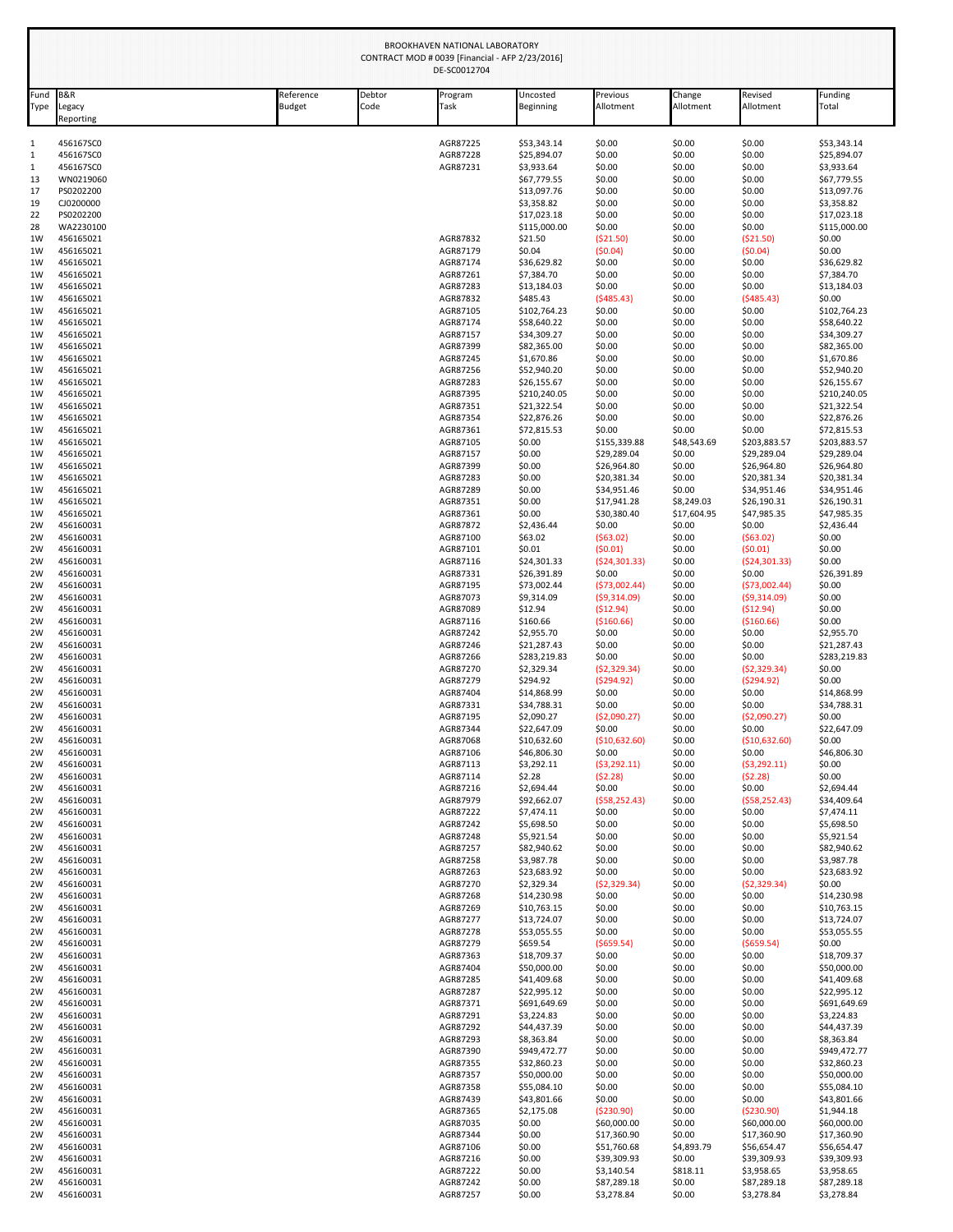| <b>B&amp;R</b><br>Fund<br>Type<br>Legacy | Reference<br><b>Budget</b> | Debtor<br>Code | Program<br>Task      | Uncosted<br>Beginning       | Previous<br>Allotment       | Change<br>Allotment  | Revised<br>Allotment        | Funding<br>Total            |
|------------------------------------------|----------------------------|----------------|----------------------|-----------------------------|-----------------------------|----------------------|-----------------------------|-----------------------------|
| Reporting                                |                            |                |                      |                             |                             |                      |                             |                             |
| 456167SC0                                |                            |                | AGR87225             | \$53,343.14                 | \$0.00                      | \$0.00               | \$0.00                      | \$53,343.14                 |
| 456167SC0<br>456167SC0                   |                            |                | AGR87228<br>AGR87231 | \$25,894.07<br>\$3,933.64   | \$0.00<br>\$0.00            | \$0.00<br>\$0.00     | \$0.00<br>\$0.00            | \$25,894.07<br>\$3,933.64   |
| WN0219060                                |                            |                |                      | \$67,779.55                 | \$0.00                      | \$0.00               | \$0.00                      | \$67,779.55                 |
| PS0202200                                |                            |                |                      | \$13,097.76                 | \$0.00                      | \$0.00               | \$0.00                      | \$13,097.76                 |
| CJ0200000                                |                            |                |                      | \$3,358.82                  | \$0.00                      | \$0.00               | \$0.00                      | \$3,358.82                  |
| PS0202200                                |                            |                |                      | \$17,023.18                 | \$0.00                      | \$0.00               | \$0.00                      | \$17,023.18                 |
| WA2230100                                |                            |                |                      | \$115,000.00                | \$0.00                      | \$0.00               | \$0.00                      | \$115,000.00                |
| 456165021                                |                            |                | AGR87832             | \$21.50                     | (\$21.50)                   | \$0.00               | ( \$21.50)                  | \$0.00                      |
| 456165021                                |                            |                | AGR87179             | \$0.04                      | (50.04)                     | \$0.00               | (50.04)                     | \$0.00                      |
| 456165021                                |                            |                | AGR87174             | \$36,629.82                 | \$0.00                      | \$0.00               | \$0.00                      | \$36,629.82                 |
| 456165021<br>456165021                   |                            |                | AGR87261<br>AGR87283 | \$7,384.70                  | \$0.00<br>\$0.00            | \$0.00<br>\$0.00     | \$0.00<br>\$0.00            | \$7,384.70                  |
| 456165021                                |                            |                | AGR87832             | \$13,184.03<br>\$485.43     | (5485.43)                   | \$0.00               | (5485.43)                   | \$13,184.03<br>\$0.00       |
| 456165021                                |                            |                | AGR87105             | \$102,764.23                | \$0.00                      | \$0.00               | \$0.00                      | \$102,764.23                |
| 456165021                                |                            |                | AGR87174             | \$58,640.22                 | \$0.00                      | \$0.00               | \$0.00                      | \$58,640.22                 |
| 456165021                                |                            |                | AGR87157             | \$34,309.27                 | \$0.00                      | \$0.00               | \$0.00                      | \$34,309.27                 |
| 456165021                                |                            |                | AGR87399             | \$82,365.00                 | \$0.00                      | \$0.00               | \$0.00                      | \$82,365.00                 |
| 456165021                                |                            |                | AGR87245             | \$1,670.86                  | \$0.00                      | \$0.00               | \$0.00                      | \$1,670.86                  |
| 456165021                                |                            |                | AGR87256             | \$52,940.20                 | \$0.00                      | \$0.00               | \$0.00                      | \$52,940.20                 |
| 456165021<br>456165021                   |                            |                | AGR87283<br>AGR87395 | \$26,155.67                 | \$0.00<br>\$0.00            | \$0.00<br>\$0.00     | \$0.00<br>\$0.00            | \$26,155.67                 |
| 456165021                                |                            |                | AGR87351             | \$210,240.05<br>\$21,322.54 | \$0.00                      | \$0.00               | \$0.00                      | \$210,240.05<br>\$21,322.54 |
| 456165021                                |                            |                | AGR87354             | \$22,876.26                 | \$0.00                      | \$0.00               | \$0.00                      | \$22,876.26                 |
| 456165021                                |                            |                | AGR87361             | \$72,815.53                 | \$0.00                      | \$0.00               | \$0.00                      | \$72,815.53                 |
| 456165021                                |                            |                | AGR87105             | \$0.00                      | \$155,339.88                | \$48,543.69          | \$203,883.57                | \$203,883.57                |
| 456165021                                |                            |                | AGR87157             | \$0.00                      | \$29,289.04                 | \$0.00               | \$29,289.04                 | \$29,289.04                 |
| 456165021                                |                            |                | AGR87399             | \$0.00                      | \$26,964.80                 | \$0.00               | \$26,964.80                 | \$26,964.80                 |
| 456165021                                |                            |                | AGR87283             | \$0.00                      | \$20,381.34                 | \$0.00               | \$20,381.34                 | \$20,381.34                 |
| 456165021<br>456165021                   |                            |                | AGR87289<br>AGR87351 | \$0.00<br>\$0.00            | \$34,951.46<br>\$17,941.28  | \$0.00<br>\$8,249.03 | \$34,951.46<br>\$26,190.31  | \$34,951.46<br>\$26,190.31  |
| 456165021                                |                            |                | AGR87361             | \$0.00                      | \$30,380.40                 | \$17,604.95          | \$47,985.35                 | \$47,985.35                 |
| 456160031                                |                            |                | AGR87872             | \$2,436.44                  | \$0.00                      | \$0.00               | \$0.00                      | \$2,436.44                  |
| 456160031                                |                            |                | AGR87100             | \$63.02                     | (563.02)                    | \$0.00               | (563.02)                    | \$0.00                      |
| 456160031                                |                            |                | AGR87101             | \$0.01                      | (50.01)                     | \$0.00               | (50.01)                     | \$0.00                      |
| 456160031                                |                            |                | AGR87116             | \$24,301.33                 | (524, 301.33)               | \$0.00               | ( \$24, 301.33)             | \$0.00                      |
| 456160031                                |                            |                | AGR87331             | \$26,391.89                 | \$0.00                      | \$0.00               | \$0.00                      | \$26,391.89                 |
| 456160031<br>456160031                   |                            |                | AGR87195             | \$73,002.44                 | (573,002.44)<br>(59,314.09) | \$0.00<br>\$0.00     | (573,002.44)<br>(59,314.09) | \$0.00<br>\$0.00            |
| 456160031                                |                            |                | AGR87073<br>AGR87089 | \$9,314.09<br>\$12.94       | (\$12.94)                   | \$0.00               | ( \$12.94)                  | \$0.00                      |
| 456160031                                |                            |                | AGR87116             | \$160.66                    | ( \$160.66)                 | \$0.00               | ( \$160.66)                 | \$0.00                      |
| 456160031                                |                            |                | AGR87242             | \$2,955.70                  | \$0.00                      | \$0.00               | \$0.00                      | \$2,955.70                  |
| 456160031                                |                            |                | AGR87246             | \$21,287.43                 | \$0.00                      | \$0.00               | \$0.00                      | \$21,287.43                 |
| 456160031                                |                            |                | AGR87266             | \$283,219.83                | \$0.00                      | \$0.00               | \$0.00                      | \$283,219.83                |
| 456160031                                |                            |                | AGR87270             | \$2,329.34                  | (52, 329.34)                | \$0.00               | (52, 329.34)                | \$0.00                      |
| 456160031                                |                            |                | AGR87279             | \$294.92                    | (\$294.92)                  | \$0.00               | (5294.92)                   | \$0.00                      |
| 456160031                                |                            |                | AGR87404             | \$14,868.99                 | \$0.00                      | \$0.00               | \$0.00                      | \$14,868.99                 |
| 456160031<br>456160031                   |                            |                | AGR87331<br>AGR87195 | \$34,788.31<br>\$2,090.27   | \$0.00<br>( \$2,090.27)     | \$0.00<br>\$0.00     | \$0.00<br>( \$2,090.27)     | \$34,788.31<br>\$0.00       |
| 456160031                                |                            |                | AGR87344             | \$22,647.09                 | \$0.00                      | \$0.00               | \$0.00                      | \$22,647.09                 |
| 456160031                                |                            |                | AGR87068             | \$10,632.60                 | (\$10,632.60)               | \$0.00               | (\$10,632.60)               | \$0.00                      |
| 456160031                                |                            |                | AGR87106             | \$46,806.30                 | \$0.00                      | \$0.00               | \$0.00                      | \$46,806.30                 |
| 456160031                                |                            |                | AGR87113             | \$3,292.11                  | (53, 292.11)                | \$0.00               | (53, 292.11)                | \$0.00                      |
| 456160031                                |                            |                | AGR87114             | \$2.28                      | (52.28)                     | \$0.00               | (52.28)                     | \$0.00                      |
| 456160031                                |                            |                | AGR87216             | \$2,694.44                  | \$0.00                      | \$0.00               | \$0.00                      | \$2,694.44                  |
| 456160031                                |                            |                | AGR87979             | \$92,662.07                 | (558, 252.43)               | \$0.00               | (558, 252.43)               | \$34,409.64                 |
| 456160031<br>456160031                   |                            |                | AGR87222<br>AGR87242 | \$7,474.11<br>\$5,698.50    | \$0.00<br>\$0.00            | \$0.00<br>\$0.00     | \$0.00<br>\$0.00            | \$7,474.11<br>\$5,698.50    |
| 456160031                                |                            |                | AGR87248             | \$5,921.54                  | \$0.00                      | \$0.00               | \$0.00                      | \$5,921.54                  |
| 456160031                                |                            |                | AGR87257             | \$82,940.62                 | \$0.00                      | \$0.00               | \$0.00                      | \$82,940.62                 |
| 456160031                                |                            |                | AGR87258             | \$3,987.78                  | \$0.00                      | \$0.00               | \$0.00                      | \$3,987.78                  |
| 456160031                                |                            |                | AGR87263             | \$23,683.92                 | \$0.00                      | \$0.00               | \$0.00                      | \$23,683.92                 |
| 456160031                                |                            |                | AGR87270             | \$2,329.34                  | (52, 329.34)                | \$0.00               | (52, 329.34)                | \$0.00                      |
| 456160031<br>456160031                   |                            |                | AGR87268<br>AGR87269 | \$14,230.98                 | \$0.00<br>\$0.00            | \$0.00<br>\$0.00     | \$0.00<br>\$0.00            | \$14,230.98                 |
| 456160031                                |                            |                | AGR87277             | \$10,763.15<br>\$13,724.07  | \$0.00                      | \$0.00               | \$0.00                      | \$10,763.15<br>\$13,724.07  |
| 456160031                                |                            |                | AGR87278             | \$53,055.55                 | \$0.00                      | \$0.00               | \$0.00                      | \$53,055.55                 |
| 456160031                                |                            |                | AGR87279             | \$659.54                    | ( \$659.54)                 | \$0.00               | ( \$659.54)                 | \$0.00                      |
| 456160031                                |                            |                | AGR87363             | \$18,709.37                 | \$0.00                      | \$0.00               | \$0.00                      | \$18,709.37                 |
| 456160031                                |                            |                | AGR87404             | \$50,000.00                 | \$0.00                      | \$0.00               | \$0.00                      | \$50,000.00                 |
| 456160031                                |                            |                | AGR87285             | \$41,409.68                 | \$0.00                      | \$0.00               | \$0.00                      | \$41,409.68                 |
| 456160031                                |                            |                | AGR87287             | \$22,995.12                 | \$0.00                      | \$0.00               | \$0.00                      | \$22,995.12                 |
| 456160031                                |                            |                | AGR87371             | \$691,649.69                | \$0.00                      | \$0.00               | \$0.00                      | \$691,649.69                |
| 456160031<br>456160031                   |                            |                | AGR87291<br>AGR87292 | \$3,224.83<br>\$44,437.39   | \$0.00<br>\$0.00            | \$0.00<br>\$0.00     | \$0.00<br>\$0.00            | \$3,224.83<br>\$44,437.39   |
| 456160031                                |                            |                | AGR87293             | \$8,363.84                  | \$0.00                      | \$0.00               | \$0.00                      | \$8,363.84                  |
| 456160031                                |                            |                | AGR87390             | \$949,472.77                | \$0.00                      | \$0.00               | \$0.00                      | \$949,472.77                |
| 456160031                                |                            |                | AGR87355             | \$32,860.23                 | \$0.00                      | \$0.00               | \$0.00                      | \$32,860.23                 |
| 456160031                                |                            |                | AGR87357             | \$50,000.00                 | \$0.00                      | \$0.00               | \$0.00                      | \$50,000.00                 |
| 456160031                                |                            |                | AGR87358             | \$55,084.10                 | \$0.00                      | \$0.00               | \$0.00                      | \$55,084.10                 |
| 456160031                                |                            |                | AGR87439             | \$43,801.66                 | \$0.00                      | \$0.00               | \$0.00                      | \$43,801.66                 |
| 456160031                                |                            |                | AGR87365             | \$2,175.08                  | ( \$230.90)                 | \$0.00               | ( \$230.90)                 | \$1,944.18                  |
| 456160031                                |                            |                | AGR87035             | \$0.00                      | \$60,000.00                 | \$0.00               | \$60,000.00                 | \$60,000.00                 |
| 456160031                                |                            |                | AGR87344             | \$0.00                      | \$17,360.90                 | \$0.00               | \$17,360.90                 | \$17,360.90                 |
| 456160031                                |                            |                | AGR87106             | \$0.00                      | \$51,760.68                 | \$4,893.79           | \$56,654.47                 | \$56,654.47                 |
| 456160031<br>456160031                   |                            |                | AGR87216<br>AGR87222 | \$0.00<br>\$0.00            | \$39,309.93<br>\$3,140.54   | \$0.00<br>\$818.11   | \$39,309.93<br>\$3,958.65   | \$39,309.93<br>\$3,958.65   |
| 456160031                                |                            |                | AGR87242             | \$0.00                      | \$87,289.18                 | \$0.00               | \$87,289.18                 | \$87,289.18                 |
| 456160031                                |                            |                | AGR87257             | \$0.00                      | \$3,278.84                  | \$0.00               | \$3,278.84                  | \$3,278.84                  |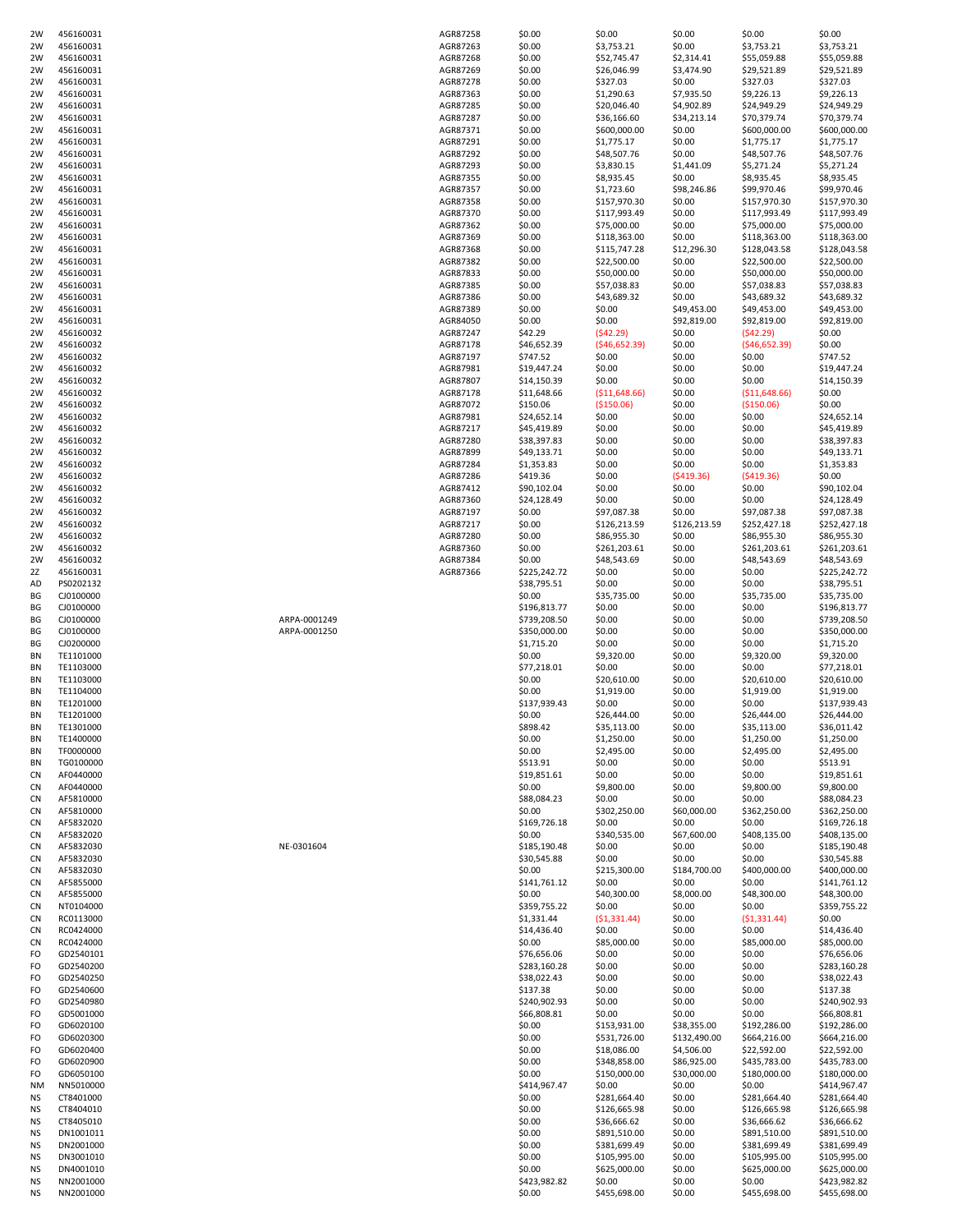| 2W                     | 456160031              |              | AGR87258             | \$0.00                     | \$0.00                       | \$0.00                 | \$0.00                       | \$0.00                       |
|------------------------|------------------------|--------------|----------------------|----------------------------|------------------------------|------------------------|------------------------------|------------------------------|
| 2W                     | 456160031              |              | AGR87263             | \$0.00                     | \$3,753.21                   | \$0.00                 | \$3,753.21                   | \$3,753.21                   |
| 2W                     | 456160031              |              | AGR87268             | \$0.00                     | \$52,745.47                  | \$2,314.41             | \$55,059.88                  | \$55,059.88                  |
| 2W<br>2W               | 456160031<br>456160031 |              | AGR87269<br>AGR87278 | \$0.00<br>\$0.00           | \$26,046.99<br>\$327.03      | \$3,474.90<br>\$0.00   | \$29,521.89<br>\$327.03      | \$29,521.89<br>\$327.03      |
| 2W                     | 456160031              |              | AGR87363             | \$0.00                     | \$1,290.63                   | \$7,935.50             | \$9,226.13                   | \$9,226.13                   |
| 2W                     | 456160031              |              | AGR87285             | \$0.00                     | \$20,046.40                  | \$4,902.89             | \$24,949.29                  | \$24,949.29                  |
| 2W                     | 456160031              |              | AGR87287             | \$0.00                     | \$36,166.60                  | \$34,213.14            | \$70,379.74                  | \$70,379.74                  |
| 2W                     | 456160031              |              | AGR87371             | \$0.00                     | \$600,000.00                 | \$0.00                 | \$600,000.00                 | \$600,000.00                 |
| 2W                     | 456160031              |              | AGR87291             | \$0.00                     | \$1,775.17                   | \$0.00                 | \$1,775.17                   | \$1,775.17                   |
| 2W                     | 456160031              |              | AGR87292             | \$0.00                     | \$48,507.76                  | \$0.00                 | \$48,507.76                  | \$48,507.76                  |
| 2W<br>2W               | 456160031<br>456160031 |              | AGR87293<br>AGR87355 | \$0.00<br>\$0.00           | \$3,830.15<br>\$8,935.45     | \$1,441.09<br>\$0.00   | \$5,271.24<br>\$8,935.45     | \$5,271.24<br>\$8,935.45     |
| 2W                     | 456160031              |              | AGR87357             | \$0.00                     | \$1,723.60                   | \$98,246.86            | \$99,970.46                  | \$99,970.46                  |
| 2W                     | 456160031              |              | AGR87358             | \$0.00                     | \$157,970.30                 | \$0.00                 | \$157,970.30                 | \$157,970.30                 |
| 2W                     | 456160031              |              | AGR87370             | \$0.00                     | \$117,993.49                 | \$0.00                 | \$117,993.49                 | \$117,993.49                 |
| 2W                     | 456160031              |              | AGR87362             | \$0.00                     | \$75,000.00                  | \$0.00                 | \$75,000.00                  | \$75,000.00                  |
| 2W                     | 456160031              |              | AGR87369             | \$0.00                     | \$118,363.00                 | \$0.00                 | \$118,363.00                 | \$118,363.00                 |
| 2W                     | 456160031              |              | AGR87368             | \$0.00                     | \$115,747.28                 | \$12,296.30            | \$128,043.58                 | \$128,043.58                 |
| 2W<br>2W               | 456160031<br>456160031 |              | AGR87382<br>AGR87833 | \$0.00<br>\$0.00           | \$22,500.00<br>\$50,000.00   | \$0.00<br>\$0.00       | \$22,500.00<br>\$50,000.00   | \$22,500.00<br>\$50,000.00   |
| 2W                     | 456160031              |              | AGR87385             | \$0.00                     | \$57,038.83                  | \$0.00                 | \$57,038.83                  | \$57,038.83                  |
| 2W                     | 456160031              |              | AGR87386             | \$0.00                     | \$43,689.32                  | \$0.00                 | \$43,689.32                  | \$43,689.32                  |
| 2W                     | 456160031              |              | AGR87389             | \$0.00                     | \$0.00                       | \$49,453.00            | \$49,453.00                  | \$49,453.00                  |
| 2W                     | 456160031              |              | AGR84050             | \$0.00                     | \$0.00                       | \$92,819.00            | \$92,819.00                  | \$92,819.00                  |
| 2W                     | 456160032              |              | AGR87247             | \$42.29                    | (542.29)                     | \$0.00                 | (542.29)                     | \$0.00                       |
| 2W<br>2W               | 456160032<br>456160032 |              | AGR87178<br>AGR87197 | \$46,652.39<br>\$747.52    | (546, 652.39)<br>\$0.00      | \$0.00<br>\$0.00       | (546, 652.39)<br>\$0.00      | \$0.00<br>\$747.52           |
| 2W                     | 456160032              |              | AGR87981             | \$19,447.24                | \$0.00                       | \$0.00                 | \$0.00                       | \$19,447.24                  |
| 2W                     | 456160032              |              | AGR87807             | \$14,150.39                | \$0.00                       | \$0.00                 | \$0.00                       | \$14,150.39                  |
| 2W                     | 456160032              |              | AGR87178             | \$11,648.66                | ( \$11,648.66)               | \$0.00                 | ( \$11,648.66)               | \$0.00                       |
| 2W                     | 456160032              |              | AGR87072             | \$150.06                   | ( \$150.06)                  | \$0.00                 | ( \$150.06)                  | \$0.00                       |
| 2W                     | 456160032              |              | AGR87981             | \$24,652.14                | \$0.00                       | \$0.00                 | \$0.00                       | \$24,652.14                  |
| 2W                     | 456160032              |              | AGR87217             | \$45,419.89                | \$0.00                       | \$0.00                 | \$0.00                       | \$45,419.89                  |
| 2W<br>2W               | 456160032<br>456160032 |              | AGR87280<br>AGR87899 | \$38,397.83<br>\$49,133.71 | \$0.00<br>\$0.00             | \$0.00<br>\$0.00       | \$0.00<br>\$0.00             | \$38,397.83<br>\$49,133.71   |
| 2W                     | 456160032              |              | AGR87284             | \$1,353.83                 | \$0.00                       | \$0.00                 | \$0.00                       | \$1,353.83                   |
| 2W                     | 456160032              |              | AGR87286             | \$419.36                   | \$0.00                       | (5419.36)              | (5419.36)                    | \$0.00                       |
| 2W                     | 456160032              |              | AGR87412             | \$90,102.04                | \$0.00                       | \$0.00                 | \$0.00                       | \$90,102.04                  |
| 2W                     | 456160032              |              | AGR87360             | \$24,128.49                | \$0.00                       | \$0.00                 | \$0.00                       | \$24,128.49                  |
| 2W                     | 456160032              |              | AGR87197             | \$0.00                     | \$97,087.38                  | \$0.00                 | \$97,087.38                  | \$97,087.38                  |
| 2W<br>2W               | 456160032<br>456160032 |              | AGR87217<br>AGR87280 | \$0.00<br>\$0.00           | \$126,213.59<br>\$86,955.30  | \$126,213.59<br>\$0.00 | \$252,427.18<br>\$86,955.30  | \$252,427.18<br>\$86,955.30  |
| 2W                     | 456160032              |              | AGR87360             | \$0.00                     | \$261,203.61                 | \$0.00                 | \$261,203.61                 | \$261,203.61                 |
| 2W                     | 456160032              |              | AGR87384             | \$0.00                     | \$48,543.69                  | \$0.00                 | \$48,543.69                  | \$48,543.69                  |
| 2Z                     | 456160031              |              | AGR87366             | \$225,242.72               | \$0.00                       | \$0.00                 | \$0.00                       | \$225,242.72                 |
| AD                     | PS0202132              |              |                      | \$38,795.51                | \$0.00                       | \$0.00                 | \$0.00                       | \$38,795.51                  |
| BG<br>ΒG               | CJ0100000<br>CJ0100000 |              |                      | \$0.00<br>\$196,813.77     | \$35,735.00<br>\$0.00        | \$0.00<br>\$0.00       | \$35,735.00<br>\$0.00        | \$35,735.00<br>\$196,813.77  |
| BG                     | CJ0100000              | ARPA-0001249 |                      | \$739,208.50               | \$0.00                       | \$0.00                 | \$0.00                       | \$739,208.50                 |
| ΒG                     | CJ0100000              | ARPA-0001250 |                      | \$350,000.00               | \$0.00                       | \$0.00                 | \$0.00                       | \$350,000.00                 |
| BG                     | CJ0200000              |              |                      | \$1,715.20                 | \$0.00                       | \$0.00                 | \$0.00                       | \$1,715.20                   |
| <b>BN</b>              | TE1101000              |              |                      | \$0.00                     | \$9,320.00                   | \$0.00                 | \$9,320.00                   | \$9,320.00                   |
| ΒN                     | TE1103000              |              |                      | \$77,218.01                | \$0.00                       | \$0.00                 | \$0.00                       | \$77,218.01                  |
| ΒN<br>ΒN               | TE1103000<br>TE1104000 |              |                      | \$0.00<br>\$0.00           | \$20,610.00<br>\$1,919.00    | \$0.00<br>\$0.00       | \$20,610.00<br>\$1,919.00    | \$20,610.00<br>\$1,919.00    |
| <b>BN</b>              | TE1201000              |              |                      | \$137,939.43               | \$0.00                       | \$0.00                 | \$0.00                       | \$137,939.43                 |
| ΒN                     | TE1201000              |              |                      | \$0.00                     | \$26,444.00                  | \$0.00                 | \$26,444.00                  | \$26,444.00                  |
| ΒN                     | TE1301000              |              |                      | \$898.42                   | \$35,113.00                  | \$0.00                 | \$35,113.00                  | \$36,011.42                  |
| ΒN                     | TE1400000              |              |                      | \$0.00                     | \$1,250.00                   | \$0.00                 | \$1,250.00                   | \$1,250.00                   |
| ΒN                     | TF0000000              |              |                      | \$0.00                     | \$2,495.00                   | \$0.00                 | \$2,495.00                   | \$2,495.00                   |
| ΒN<br><b>CN</b>        | TG0100000<br>AF0440000 |              |                      | \$513.91                   | \$0.00                       | \$0.00                 | \$0.00                       | \$513.91                     |
| <b>CN</b>              | AF0440000              |              |                      |                            |                              |                        |                              |                              |
| <b>CN</b>              | AF5810000              |              |                      | \$19,851.61                | \$0.00                       | \$0.00                 | \$0.00                       | \$19,851.61                  |
| CN                     |                        |              |                      | \$0.00<br>\$88,084.23      | \$9,800.00<br>\$0.00         | \$0.00<br>\$0.00       | \$9,800.00<br>\$0.00         | \$9,800.00<br>\$88,084.23    |
| CN                     | AF5810000              |              |                      | \$0.00                     | \$302,250.00                 | \$60,000.00            | \$362,250.00                 | \$362,250.00                 |
|                        | AF5832020              |              |                      | \$169,726.18               | \$0.00                       | \$0.00                 | \$0.00                       | \$169,726.18                 |
| CN                     | AF5832020              |              |                      | \$0.00                     | \$340,535.00                 | \$67,600.00            | \$408,135.00                 | \$408,135.00                 |
| <b>CN</b>              | AF5832030              | NE-0301604   |                      | \$185,190.48               | \$0.00                       | \$0.00                 | \$0.00                       | \$185,190.48                 |
| <b>CN</b><br><b>CN</b> | AF5832030<br>AF5832030 |              |                      | \$30,545.88<br>\$0.00      | \$0.00<br>\$215,300.00       | \$0.00<br>\$184,700.00 | \$0.00<br>\$400,000.00       | \$30,545.88<br>\$400,000.00  |
| <b>CN</b>              | AF5855000              |              |                      | \$141,761.12               | \$0.00                       | \$0.00                 | \$0.00                       | \$141,761.12                 |
| <b>CN</b>              | AF5855000              |              |                      | \$0.00                     | \$40,300.00                  | \$8,000.00             | \$48,300.00                  | \$48,300.00                  |
| <b>CN</b>              | NT0104000              |              |                      | \$359,755.22               | \$0.00                       | \$0.00                 | \$0.00                       | \$359,755.22                 |
| CN                     | RC0113000              |              |                      | \$1,331.44                 | (51, 331.44)                 | \$0.00                 | (51, 331.44)                 | \$0.00                       |
| CN                     | RC0424000              |              |                      | \$14,436.40                | \$0.00                       | \$0.00                 | \$0.00                       | \$14,436.40                  |
| CN<br>FO               | RC0424000<br>GD2540101 |              |                      | \$0.00<br>\$76,656.06      | \$85,000.00<br>\$0.00        | \$0.00<br>\$0.00       | \$85,000.00<br>\$0.00        | \$85,000.00<br>\$76,656.06   |
| FO                     | GD2540200              |              |                      | \$283,160.28               | \$0.00                       | \$0.00                 | \$0.00                       | \$283,160.28                 |
| FO                     | GD2540250              |              |                      | \$38,022.43                | \$0.00                       | \$0.00                 | \$0.00                       | \$38,022.43                  |
| FO                     | GD2540600              |              |                      | \$137.38                   | \$0.00                       | \$0.00                 | \$0.00                       | \$137.38                     |
| FO                     | GD2540980              |              |                      | \$240,902.93               | \$0.00                       | \$0.00                 | \$0.00                       | \$240,902.93                 |
| FO<br>FO               | GD5001000<br>GD6020100 |              |                      | \$66,808.81<br>\$0.00      | \$0.00<br>\$153,931.00       | \$0.00<br>\$38,355.00  | \$0.00<br>\$192,286.00       | \$66,808.81<br>\$192,286.00  |
| FO                     | GD6020300              |              |                      | \$0.00                     | \$531,726.00                 | \$132,490.00           | \$664,216.00                 | \$664,216.00                 |
| FO                     | GD6020400              |              |                      | \$0.00                     | \$18,086.00                  | \$4,506.00             | \$22,592.00                  | \$22,592.00                  |
| FO                     | GD6020900              |              |                      | \$0.00                     | \$348,858.00                 | \$86,925.00            | \$435,783.00                 | \$435,783.00                 |
| FO                     | GD6050100              |              |                      | \$0.00                     | \$150,000.00                 | \$30,000.00            | \$180,000.00                 | \$180,000.00                 |
| ΝM                     | NN5010000              |              |                      | \$414,967.47               | \$0.00                       | \$0.00                 | \$0.00                       | \$414,967.47                 |
| <b>NS</b><br><b>NS</b> | CT8401000<br>CT8404010 |              |                      | \$0.00<br>\$0.00           | \$281,664.40<br>\$126,665.98 | \$0.00<br>\$0.00       | \$281,664.40<br>\$126,665.98 | \$281,664.40<br>\$126,665.98 |
| <b>NS</b>              | CT8405010              |              |                      | \$0.00                     | \$36,666.62                  | \$0.00                 | \$36,666.62                  | \$36,666.62                  |
| NS.                    | DN1001011              |              |                      | \$0.00                     | \$891,510.00                 | \$0.00                 | \$891,510.00                 | \$891,510.00                 |
| NS.                    | DN2001000              |              |                      | \$0.00                     | \$381,699.49                 | \$0.00                 | \$381,699.49                 | \$381,699.49                 |
| <b>NS</b>              | DN3001010              |              |                      | \$0.00                     | \$105,995.00                 | \$0.00                 | \$105,995.00                 | \$105,995.00                 |
| <b>NS</b><br>NS.       | DN4001010<br>NN2001000 |              |                      | \$0.00                     | \$625,000.00                 | \$0.00                 | \$625,000.00<br>\$0.00       | \$625,000.00                 |
| NS.                    | NN2001000              |              |                      | \$423,982.82<br>\$0.00     | \$0.00<br>\$455,698.00       | \$0.00<br>\$0.00       | \$455,698.00                 | \$423,982.82<br>\$455,698.00 |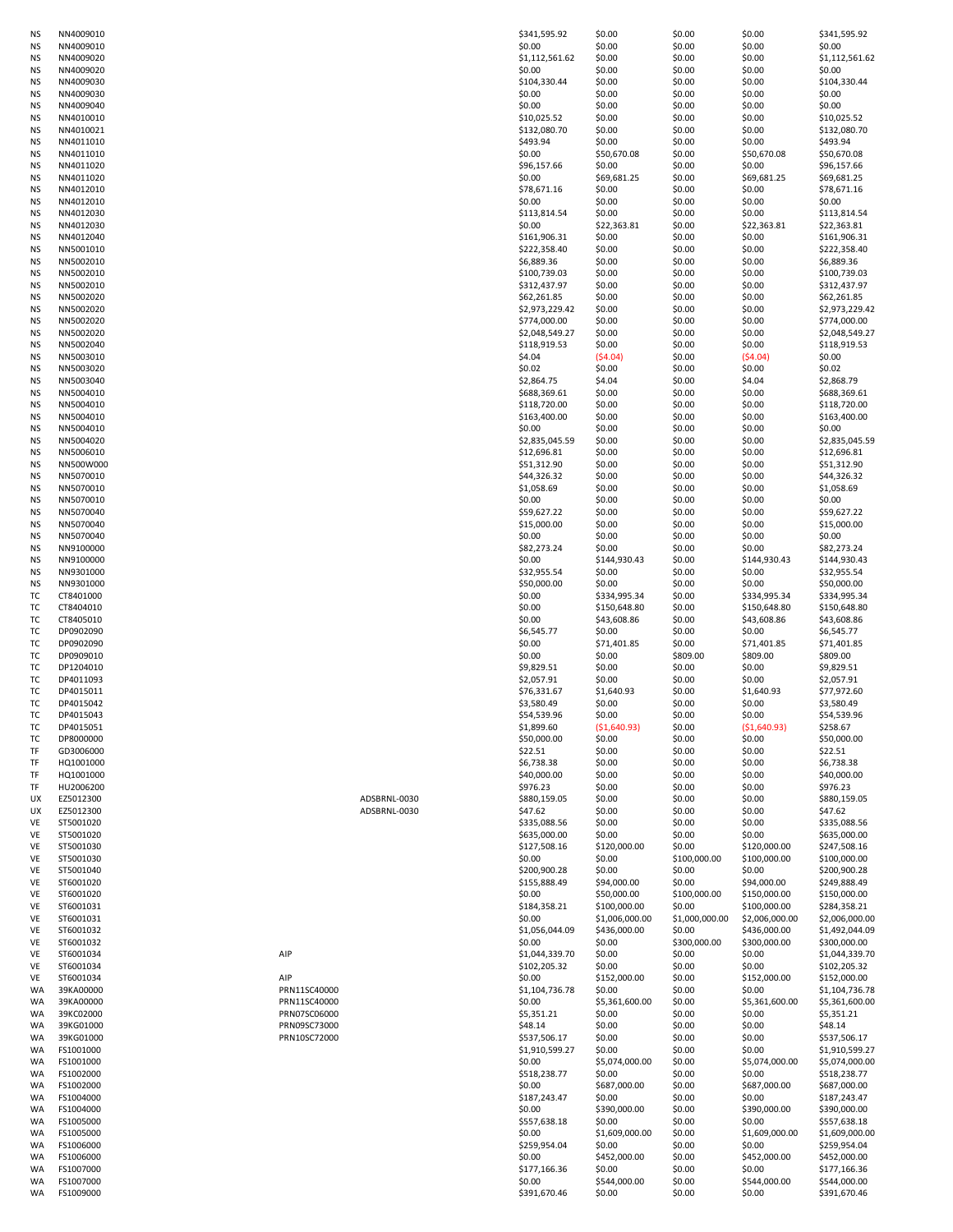| ΝS        | NN4009010 |              |              | \$341,595.92   | \$0.00         | \$0.00         | \$0.00         | \$341,595.92   |
|-----------|-----------|--------------|--------------|----------------|----------------|----------------|----------------|----------------|
| NS        | NN4009010 |              |              | \$0.00         | \$0.00         | \$0.00         | \$0.00         | \$0.00         |
| NS        | NN4009020 |              |              | \$1,112,561.62 | \$0.00         | \$0.00         | \$0.00         | \$1,112,561.62 |
| <b>NS</b> | NN4009020 |              |              | \$0.00         | \$0.00         | \$0.00         | \$0.00         | \$0.00         |
| NS        | NN4009030 |              |              | \$104,330.44   | \$0.00         | \$0.00         | \$0.00         | \$104,330.44   |
| ΝS        | NN4009030 |              |              | \$0.00         | \$0.00         | \$0.00         | \$0.00         | \$0.00         |
| ΝS        | NN4009040 |              |              | \$0.00         | \$0.00         | \$0.00         | \$0.00         | \$0.00         |
|           |           |              |              |                |                |                |                |                |
| ΝS        | NN4010010 |              |              | \$10,025.52    | \$0.00         | \$0.00         | \$0.00         | \$10,025.52    |
| ΝS        | NN4010021 |              |              | \$132.080.70   | \$0.00         | \$0.00         | \$0.00         | \$132,080.70   |
| ΝS        | NN4011010 |              |              | \$493.94       | \$0.00         | \$0.00         | \$0.00         | \$493.94       |
| ΝS        | NN4011010 |              |              | \$0.00         | \$50,670.08    | \$0.00         | \$50,670.08    | \$50,670.08    |
| ΝS        | NN4011020 |              |              | \$96,157.66    | \$0.00         | \$0.00         | \$0.00         | \$96,157.66    |
| ΝS        | NN4011020 |              |              | \$0.00         | \$69,681.25    | \$0.00         | \$69,681.25    | \$69,681.25    |
| ΝS        | NN4012010 |              |              | \$78,671.16    | \$0.00         | \$0.00         | \$0.00         | \$78,671.16    |
| ΝS        | NN4012010 |              |              | \$0.00         | \$0.00         | \$0.00         | \$0.00         | \$0.00         |
| <b>NS</b> | NN4012030 |              |              | \$113,814.54   | \$0.00         | \$0.00         | \$0.00         | \$113,814.54   |
| ΝS        | NN4012030 |              |              | \$0.00         | \$22,363.81    | \$0.00         | \$22,363.81    | \$22,363.81    |
|           |           |              |              |                |                |                |                |                |
| ΝS        | NN4012040 |              |              | \$161,906.31   | \$0.00         | \$0.00         | \$0.00         | \$161,906.31   |
| ΝS        | NN5001010 |              |              | \$222,358.40   | \$0.00         | \$0.00         | \$0.00         | \$222,358.40   |
| ΝS        | NN5002010 |              |              | \$6,889.36     | \$0.00         | \$0.00         | \$0.00         | \$6,889.36     |
| ΝS        | NN5002010 |              |              | \$100,739.03   | \$0.00         | \$0.00         | \$0.00         | \$100,739.03   |
| <b>NS</b> | NN5002010 |              |              | \$312,437.97   | \$0.00         | \$0.00         | \$0.00         | \$312,437.97   |
| ΝS        | NN5002020 |              |              | \$62,261.85    | \$0.00         | \$0.00         | \$0.00         | \$62,261.85    |
| ΝS        | NN5002020 |              |              | \$2,973,229.42 | \$0.00         | \$0.00         | \$0.00         | \$2,973,229.42 |
| ΝS        | NN5002020 |              |              | \$774,000.00   | \$0.00         | \$0.00         | \$0.00         | \$774,000.00   |
| ΝS        | NN5002020 |              |              | \$2,048,549.27 | \$0.00         | \$0.00         | \$0.00         | \$2,048,549.27 |
| ΝS        | NN5002040 |              |              | \$118,919.53   | \$0.00         | \$0.00         | \$0.00         | \$118,919.53   |
| ΝS        | NN5003010 |              |              | \$4.04         | (54.04)        | \$0.00         | (54.04)        | \$0.00         |
| ΝS        | NN5003020 |              |              | \$0.02         | \$0.00         | \$0.00         | \$0.00         | \$0.02         |
|           |           |              |              |                |                |                |                |                |
| ΝS        | NN5003040 |              |              | \$2,864.75     | \$4.04         | \$0.00         | \$4.04         | \$2,868.79     |
| ΝS        | NN5004010 |              |              | \$688,369.61   | \$0.00         | \$0.00         | \$0.00         | \$688,369.61   |
| ΝS        | NN5004010 |              |              | \$118,720.00   | \$0.00         | \$0.00         | \$0.00         | \$118,720.00   |
| <b>NS</b> | NN5004010 |              |              | \$163,400.00   | \$0.00         | \$0.00         | \$0.00         | \$163,400.00   |
| NS        | NN5004010 |              |              | \$0.00         | \$0.00         | \$0.00         | \$0.00         | \$0.00         |
| ΝS        | NN5004020 |              |              | \$2,835,045.59 | \$0.00         | \$0.00         | \$0.00         | \$2,835,045.59 |
| NS        | NN5006010 |              |              | \$12,696.81    | \$0.00         | \$0.00         | \$0.00         | \$12,696.81    |
| ΝS        | NN500W000 |              |              | \$51,312.90    | \$0.00         | \$0.00         | \$0.00         | \$51,312.90    |
| <b>NS</b> | NN5070010 |              |              | \$44,326.32    | \$0.00         | \$0.00         | \$0.00         | \$44,326.32    |
| NS        | NN5070010 |              |              | \$1,058.69     | \$0.00         | \$0.00         | \$0.00         | \$1,058.69     |
| <b>NS</b> | NN5070010 |              |              | \$0.00         | \$0.00         | \$0.00         | \$0.00         | \$0.00         |
|           |           |              |              |                |                |                |                |                |
| <b>NS</b> | NN5070040 |              |              | \$59,627.22    | \$0.00         | \$0.00         | \$0.00         | \$59,627.22    |
| <b>NS</b> | NN5070040 |              |              | \$15,000.00    | \$0.00         | \$0.00         | \$0.00         | \$15,000.00    |
| <b>NS</b> | NN5070040 |              |              | \$0.00         | \$0.00         | \$0.00         | \$0.00         | \$0.00         |
| <b>NS</b> | NN9100000 |              |              | \$82,273.24    | \$0.00         | \$0.00         | \$0.00         | \$82,273.24    |
| ΝS        | NN9100000 |              |              | \$0.00         | \$144,930.43   | \$0.00         | \$144,930.43   | \$144,930.43   |
| <b>NS</b> | NN9301000 |              |              | \$32,955.54    | \$0.00         | \$0.00         | \$0.00         | \$32,955.54    |
| <b>NS</b> | NN9301000 |              |              | \$50,000.00    | \$0.00         | \$0.00         | \$0.00         | \$50,000.00    |
| TC        | CT8401000 |              |              | \$0.00         | \$334,995.34   | \$0.00         | \$334,995.34   | \$334,995.34   |
| тс        | CT8404010 |              |              | \$0.00         | \$150,648.80   | \$0.00         | \$150,648.80   | \$150,648.80   |
| TC        | CT8405010 |              |              | \$0.00         | \$43,608.86    | \$0.00         | \$43,608.86    | \$43,608.86    |
|           | DP0902090 |              |              |                |                |                |                |                |
| TC        |           |              |              | \$6,545.77     | \$0.00         | \$0.00         | \$0.00         | \$6,545.77     |
| TC        | DP0902090 |              |              | \$0.00         | \$71,401.85    | \$0.00         | \$71,401.85    | \$71,401.85    |
| тс        | DP0909010 |              |              | \$0.00         | \$0.00         | \$809.00       | \$809.00       | \$809.00       |
| <b>TC</b> | DP1204010 |              |              | \$9,829.51     | \$0.00         | \$0.00         | \$0.00         | \$9,829.51     |
| TC        | DP4011093 |              |              | \$2,057.91     | \$0.00         | \$0.00         | \$0.00         | \$2,057.91     |
| TC        | DP4015011 |              |              | \$76,331.67    | \$1,640.93     | \$0.00         | \$1,640.93     | \$77,972.60    |
| TC        | DP4015042 |              |              | \$3,580.49     | \$0.00         | \$0.00         | \$0.00         | \$3,580.49     |
| <b>TC</b> | DP4015043 |              |              | \$54,539.96    | \$0.00         | \$0.00         | \$0.00         | \$54,539.96    |
| TC        | DP4015051 |              |              | \$1,899.60     | ( \$1,640.93)  | \$0.00         | ( \$1,640.93)  | \$258.67       |
| TC        | DP8000000 |              |              | \$50,000.00    | \$0.00         | \$0.00         | \$0.00         | \$50,000.00    |
| ΤF        | GD3006000 |              |              | \$22.51        | \$0.00         | \$0.00         | \$0.00         | \$22.51        |
| ΤF        | HQ1001000 |              |              | \$6,738.38     | \$0.00         | \$0.00         | \$0.00         | \$6,738.38     |
| TF        | HQ1001000 |              |              | \$40,000.00    | \$0.00         | \$0.00         | \$0.00         | \$40,000.00    |
|           |           |              |              |                |                |                |                |                |
| TF        | HU2006200 |              |              | \$976.23       | \$0.00         | \$0.00         | \$0.00         | \$976.23       |
| UX        | EZ5012300 |              | ADSBRNL-0030 | \$880,159.05   | \$0.00         | \$0.00         | \$0.00         | \$880,159.05   |
| UX        | EZ5012300 |              | ADSBRNL-0030 | \$47.62        | \$0.00         | \$0.00         | \$0.00         | \$47.62        |
| VE        | ST5001020 |              |              | \$335,088.56   | \$0.00         | \$0.00         | \$0.00         | \$335,088.56   |
| VE        | ST5001020 |              |              | \$635,000.00   | \$0.00         | \$0.00         | \$0.00         | \$635,000.00   |
| VE        | ST5001030 |              |              | \$127,508.16   | \$120,000.00   | \$0.00         | \$120,000.00   | \$247,508.16   |
| VE        | ST5001030 |              |              | \$0.00         | \$0.00         | \$100,000.00   | \$100,000.00   | \$100,000.00   |
| VE        | ST5001040 |              |              | \$200,900.28   | \$0.00         | \$0.00         | \$0.00         | \$200,900.28   |
| VE        | ST6001020 |              |              | \$155,888.49   | \$94,000.00    | \$0.00         | \$94,000.00    | \$249,888.49   |
| VE        | ST6001020 |              |              | \$0.00         | \$50,000.00    | \$100,000.00   | \$150,000.00   | \$150,000.00   |
| VE        | ST6001031 |              |              | \$184,358.21   | \$100,000.00   | \$0.00         | \$100,000.00   | \$284,358.21   |
| VE        | ST6001031 |              |              | \$0.00         | \$1,006,000.00 | \$1,000,000.00 | \$2,006,000.00 | \$2,006,000.00 |
| VE        | ST6001032 |              |              | \$1,056,044.09 | \$436,000.00   | \$0.00         | \$436,000.00   | \$1,492,044.09 |
| VE        | ST6001032 |              |              | \$0.00         | \$0.00         | \$300,000.00   | \$300,000.00   | \$300,000.00   |
| VE        | ST6001034 | AIP          |              | \$1,044,339.70 | \$0.00         | \$0.00         | \$0.00         | \$1,044,339.70 |
|           |           |              |              | \$102,205.32   | \$0.00         |                |                |                |
| VE        | ST6001034 |              |              |                |                | \$0.00         | \$0.00         | \$102,205.32   |
| VE        | ST6001034 | AIP          |              | \$0.00         | \$152,000.00   | \$0.00         | \$152,000.00   | \$152,000.00   |
| <b>WA</b> | 39KA00000 | PRN11SC40000 |              | \$1,104,736.78 | \$0.00         | \$0.00         | \$0.00         | \$1,104,736.78 |
| <b>WA</b> | 39KA00000 | PRN11SC40000 |              | \$0.00         | \$5,361,600.00 | \$0.00         | \$5,361,600.00 | \$5,361,600.00 |
| <b>WA</b> | 39KC02000 | PRN07SC06000 |              | \$5,351.21     | \$0.00         | \$0.00         | \$0.00         | \$5,351.21     |
| <b>WA</b> | 39KG01000 | PRN09SC73000 |              | \$48.14        | \$0.00         | \$0.00         | \$0.00         | \$48.14        |
| WA        | 39KG01000 | PRN10SC72000 |              | \$537,506.17   | \$0.00         | \$0.00         | \$0.00         | \$537,506.17   |
| WA        | FS1001000 |              |              | \$1,910,599.27 | \$0.00         | \$0.00         | \$0.00         | \$1,910,599.27 |
| WA        | FS1001000 |              |              | \$0.00         | \$5,074,000.00 | \$0.00         | \$5,074,000.00 | \$5,074,000.00 |
| WA        | FS1002000 |              |              | \$518,238.77   | \$0.00         | \$0.00         | \$0.00         | \$518,238.77   |
| WA        | FS1002000 |              |              | \$0.00         | \$687,000.00   | \$0.00         | \$687,000.00   | \$687,000.00   |
|           |           |              |              |                |                |                |                |                |
| <b>WA</b> | FS1004000 |              |              | \$187,243.47   | \$0.00         | \$0.00         | \$0.00         | \$187,243.47   |
| <b>WA</b> | FS1004000 |              |              | \$0.00         | \$390,000.00   | \$0.00         | \$390,000.00   | \$390,000.00   |
| <b>WA</b> | FS1005000 |              |              | \$557,638.18   | \$0.00         | \$0.00         | \$0.00         | \$557,638.18   |
| <b>WA</b> | FS1005000 |              |              | \$0.00         | \$1,609,000.00 | \$0.00         | \$1,609,000.00 | \$1,609,000.00 |
| WA        | FS1006000 |              |              | \$259,954.04   | \$0.00         | \$0.00         | \$0.00         | \$259,954.04   |
| WA        | FS1006000 |              |              | \$0.00         | \$452,000.00   | \$0.00         | \$452,000.00   | \$452,000.00   |
| WA        | FS1007000 |              |              | \$177,166.36   | \$0.00         | \$0.00         | \$0.00         | \$177,166.36   |
| <b>WA</b> | FS1007000 |              |              | \$0.00         | \$544,000.00   | \$0.00         | \$544,000.00   | \$544,000.00   |
| WA        | FS1009000 |              |              | \$391,670.46   | \$0.00         | \$0.00         | \$0.00         | \$391,670.46   |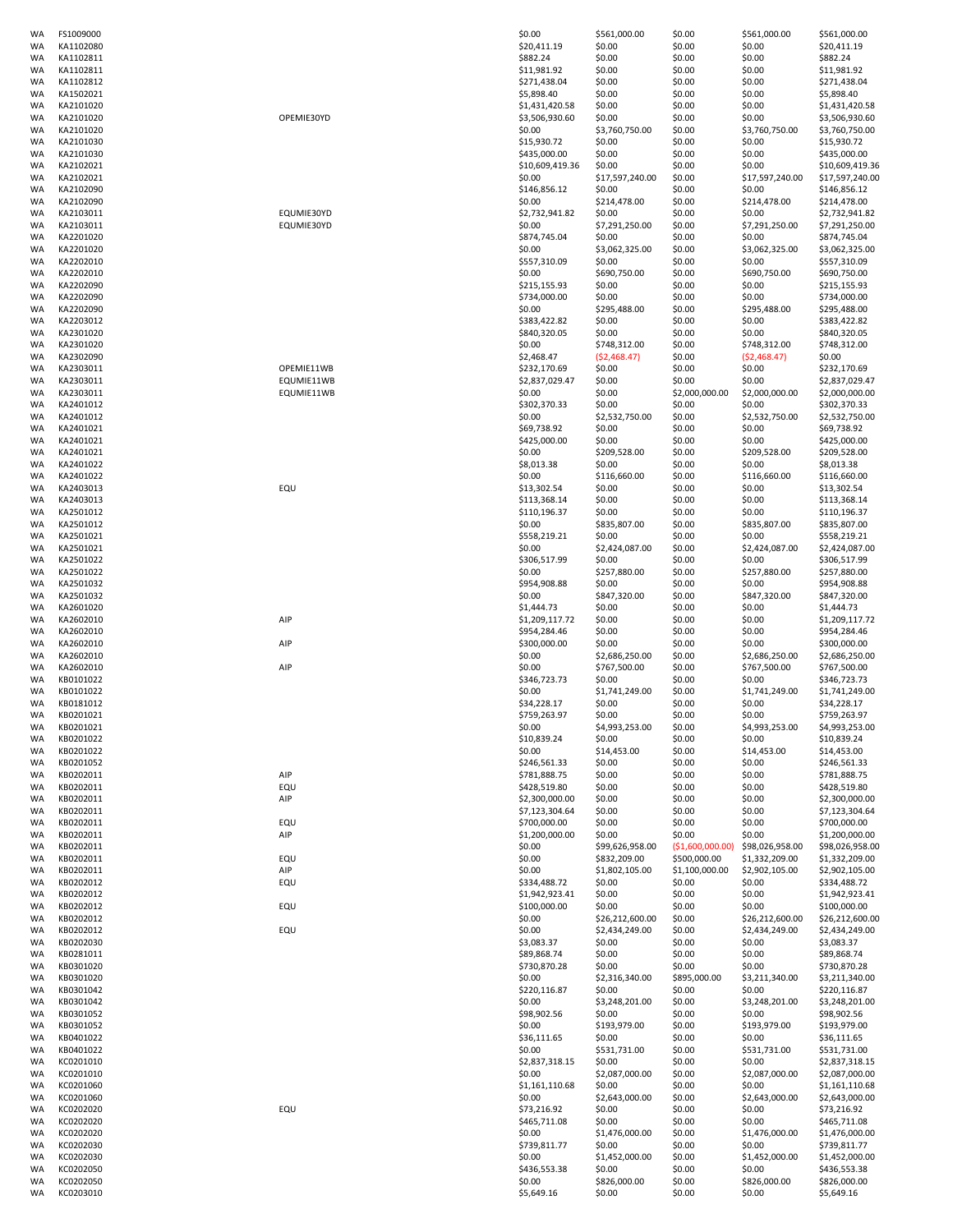| WA        | FS1009000 |            | \$0.00          | \$561,000.00             | \$0.00           | \$561,000.00             | \$561,000.00    |
|-----------|-----------|------------|-----------------|--------------------------|------------------|--------------------------|-----------------|
| WA        | KA1102080 |            | \$20,411.19     | \$0.00                   | \$0.00           | \$0.00                   | \$20,411.19     |
| WA        | KA1102811 |            | \$882.24        | \$0.00                   | \$0.00           | \$0.00                   | \$882.24        |
| WA        | KA1102811 |            | \$11,981.92     | \$0.00                   | \$0.00           | \$0.00                   | \$11,981.92     |
| WA        | KA1102812 |            | \$271,438.04    | \$0.00                   | \$0.00           | \$0.00                   | \$271,438.04    |
| WA        | KA1502021 |            | \$5,898.40      | \$0.00                   | \$0.00           | \$0.00                   | \$5,898.40      |
| WA        | KA2101020 |            | \$1,431,420.58  | \$0.00                   | \$0.00           | \$0.00                   | \$1,431,420.58  |
| WA        | KA2101020 | OPEMIE30YD | \$3,506,930.60  | \$0.00                   | \$0.00           | \$0.00                   | \$3,506,930.60  |
| WA        | KA2101020 |            | \$0.00          | \$3,760,750.00           | \$0.00           | \$3,760,750.00           | \$3,760,750.00  |
| WA        | KA2101030 |            | \$15,930.72     | \$0.00                   | \$0.00           | \$0.00                   | \$15,930.72     |
| WA        | KA2101030 |            | \$435,000.00    | \$0.00                   | \$0.00           | \$0.00                   | \$435,000.00    |
| WA        | KA2102021 |            | \$10,609,419.36 | \$0.00                   | \$0.00           | \$0.00                   | \$10,609,419.36 |
| WA        | KA2102021 |            | \$0.00          | \$17,597,240.00          | \$0.00           | \$17,597,240.00          | \$17,597,240.00 |
|           |           |            |                 |                          |                  |                          |                 |
| WA        | KA2102090 |            | \$146,856.12    | \$0.00                   | \$0.00           | \$0.00                   | \$146,856.12    |
| WA        | KA2102090 |            | \$0.00          | \$214,478.00             | \$0.00           | \$214,478.00             | \$214,478.00    |
| WA        | KA2103011 | EQUMIE30YD | \$2,732,941.82  | \$0.00                   | \$0.00           | \$0.00                   | \$2,732,941.82  |
| WA        | KA2103011 | EQUMIE30YD | \$0.00          | \$7,291,250.00           | \$0.00           | \$7,291,250.00           | \$7,291,250.00  |
| WA        | KA2201020 |            | \$874,745.04    | \$0.00                   | \$0.00           | \$0.00                   | \$874,745.04    |
| WA        | KA2201020 |            | \$0.00          | \$3,062,325.00           | \$0.00           | \$3,062,325.00           | \$3,062,325.00  |
| WA        | KA2202010 |            | \$557,310.09    | \$0.00                   | \$0.00           | \$0.00                   | \$557,310.09    |
| WA        | KA2202010 |            | \$0.00          | \$690,750.00             | \$0.00           | \$690,750.00             | \$690,750.00    |
| WA        | KA2202090 |            | \$215,155.93    | \$0.00                   | \$0.00           | \$0.00                   | \$215,155.93    |
| WA        | KA2202090 |            | \$734,000.00    | \$0.00                   | \$0.00           | \$0.00                   | \$734,000.00    |
|           |           |            |                 | \$295,488.00             |                  |                          |                 |
| WA        | KA2202090 |            | \$0.00          |                          | \$0.00           | \$295,488.00             | \$295,488.00    |
| WA        | KA2203012 |            | \$383,422.82    | \$0.00                   | \$0.00           | \$0.00                   | \$383,422.82    |
| WA        | KA2301020 |            | \$840,320.05    | \$0.00                   | \$0.00           | \$0.00                   | \$840,320.05    |
| WA        | KA2301020 |            | \$0.00          | \$748,312.00             | \$0.00           | \$748,312.00             | \$748,312.00    |
| WA        | KA2302090 |            | \$2,468.47      | ( \$2,468.47)            | \$0.00           | (52, 468.47)             | \$0.00          |
| WA        | KA2303011 | OPEMIE11WB | \$232,170.69    | \$0.00                   | \$0.00           | \$0.00                   | \$232,170.69    |
| WA        | KA2303011 | EQUMIE11WB | \$2,837,029.47  | \$0.00                   | \$0.00           | \$0.00                   | \$2,837,029.47  |
| WA        | KA2303011 | EQUMIE11WB | \$0.00          | \$0.00                   | \$2,000,000.00   | \$2,000,000.00           | \$2,000,000.00  |
| WA        | KA2401012 |            | \$302,370.33    | \$0.00                   | \$0.00           | \$0.00                   | \$302,370.33    |
| WA        | KA2401012 |            | \$0.00          | \$2,532,750.00           | \$0.00           | \$2,532,750.00           | \$2,532,750.00  |
| WA        | KA2401021 |            | \$69,738.92     | \$0.00                   | \$0.00           | \$0.00                   | \$69,738.92     |
| WA        | KA2401021 |            | \$425,000.00    | \$0.00                   | \$0.00           | \$0.00                   | \$425,000.00    |
|           |           |            |                 |                          |                  |                          |                 |
| WA        | KA2401021 |            | \$0.00          | \$209,528.00             | \$0.00           | \$209,528.00             | \$209,528.00    |
| WA        | KA2401022 |            | \$8,013.38      | \$0.00                   | \$0.00           | \$0.00                   | \$8,013.38      |
| WA        | KA2401022 |            | \$0.00          | \$116,660.00             | \$0.00           | \$116,660.00             | \$116,660.00    |
| WA        | KA2403013 | EQU        | \$13,302.54     | \$0.00                   | \$0.00           | \$0.00                   | \$13,302.54     |
| WA        | KA2403013 |            | \$113,368.14    | \$0.00                   | \$0.00           | \$0.00                   | \$113,368.14    |
| WA        | KA2501012 |            | \$110,196.37    | \$0.00                   | \$0.00           | \$0.00                   | \$110,196.37    |
| WA        | KA2501012 |            | \$0.00          | \$835,807.00             | \$0.00           | \$835,807.00             | \$835,807.00    |
| WA        | KA2501021 |            | \$558,219.21    | \$0.00                   | \$0.00           | \$0.00                   | \$558,219.21    |
| WA        | KA2501021 |            | \$0.00          | \$2,424,087.00           | \$0.00           | \$2,424,087.00           | \$2,424,087.00  |
| WA        | KA2501022 |            | \$306,517.99    | \$0.00                   | \$0.00           | \$0.00                   | \$306,517.99    |
|           | KA2501022 |            |                 |                          |                  |                          |                 |
| WA        |           |            | \$0.00          | \$257,880.00             | \$0.00           | \$257,880.00             | \$257,880.00    |
| WA        | KA2501032 |            | \$954,908.88    | \$0.00                   | \$0.00           | \$0.00                   | \$954,908.88    |
| WA        | KA2501032 |            | \$0.00          | \$847,320.00             | \$0.00           | \$847,320.00             | \$847,320.00    |
| WA        | KA2601020 |            | \$1,444.73      | \$0.00                   | \$0.00           | \$0.00                   | \$1,444.73      |
| WA        | KA2602010 | AIP        | \$1,209,117.72  | \$0.00                   | \$0.00           | \$0.00                   | \$1,209,117.72  |
| WA        | KA2602010 |            | \$954,284.46    | \$0.00                   | \$0.00           | \$0.00                   | \$954,284.46    |
| WA        | KA2602010 | AIP        | \$300,000.00    | \$0.00                   | \$0.00           | \$0.00                   | \$300,000.00    |
| WA        | KA2602010 |            | \$0.00          | \$2,686,250.00           | \$0.00           | \$2,686,250.00           | \$2,686,250.00  |
| WA        | KA2602010 | AIP        | \$0.00          | \$767,500.00             | \$0.00           | \$767,500.00             | \$767,500.00    |
|           |           |            |                 |                          |                  |                          | \$346,723.73    |
| WA        | KB0101022 |            | \$346,723.73    | \$0.00                   | \$0.00           | \$0.00                   |                 |
| WA        | KB0101022 |            | \$0.00          | \$1,741,249.00           | \$0.00           | \$1,741,249.00           | \$1,741,249.00  |
| WA        | KB0181012 |            | \$34,228.17     | \$0.00                   | \$0.00           | \$0.00                   | \$34,228.17     |
| WA        | KB0201021 |            | \$759,263.97    | \$0.00                   | \$0.00           | \$0.00                   | \$759,263.97    |
| WA        | KB0201021 |            | \$0.00          | \$4,993,253.00           | \$0.00           | \$4,993,253.00           | \$4,993,253.00  |
| WA        | KB0201022 |            | \$10,839.24     | \$0.00                   | \$0.00           | \$0.00                   | \$10,839.24     |
| WA        | KB0201022 |            | \$0.00          | \$14,453.00              | \$0.00           | \$14,453.00              | \$14,453.00     |
| WA        | KB0201052 |            | \$246,561.33    | \$0.00                   | \$0.00           | \$0.00                   | \$246,561.33    |
| WA        | KB0202011 | AIP        | \$781,888.75    | \$0.00                   | \$0.00           | \$0.00                   | \$781,888.75    |
| WA        | KB0202011 | EQU        | \$428,519.80    | \$0.00                   | \$0.00           | \$0.00                   | \$428,519.80    |
| WA        | KB0202011 | AIP        | \$2,300,000.00  | \$0.00                   | \$0.00           | \$0.00                   | \$2,300,000.00  |
| WA        | KB0202011 |            | \$7,123,304.64  | \$0.00                   | \$0.00           | \$0.00                   | \$7,123,304.64  |
|           |           |            |                 |                          |                  |                          |                 |
| WA        | KB0202011 | EQU        | \$700,000.00    | \$0.00                   | \$0.00           | \$0.00                   | \$700,000.00    |
| WA        | KB0202011 | AIP        | \$1,200,000.00  | \$0.00                   | \$0.00           | \$0.00                   | \$1,200,000.00  |
| WA        | KB0202011 |            | \$0.00          | \$99,626,958.00          | (\$1,600,000.00) | \$98,026,958.00          | \$98,026,958.00 |
| WA        | KB0202011 | EQU        | \$0.00          | \$832,209.00             | \$500,000.00     | \$1,332,209.00           | \$1,332,209.00  |
| WA        | KB0202011 | AIP        | \$0.00          | \$1,802,105.00           | \$1,100,000.00   | \$2,902,105.00           | \$2,902,105.00  |
| WA        | KB0202012 | EQU        | \$334,488.72    | \$0.00                   | \$0.00           | \$0.00                   | \$334,488.72    |
| WA        | KB0202012 |            | \$1,942,923.41  | \$0.00                   | \$0.00           | \$0.00                   | \$1,942,923.41  |
| WA        | KB0202012 | EQU        | \$100,000.00    | \$0.00                   | \$0.00           | \$0.00                   | \$100,000.00    |
| WA        | KB0202012 |            | \$0.00          | \$26,212,600.00          | \$0.00           | \$26,212,600.00          | \$26,212,600.00 |
| WA        | KB0202012 | EQU        | \$0.00          | \$2,434,249.00           | \$0.00           | \$2,434,249.00           | \$2,434,249.00  |
| WA        | KB0202030 |            | \$3,083.37      | \$0.00                   | \$0.00           | \$0.00                   | \$3,083.37      |
| <b>WA</b> | KB0281011 |            | \$89,868.74     | \$0.00                   | \$0.00           | \$0.00                   | \$89,868.74     |
| WA        | KB0301020 |            | \$730,870.28    | \$0.00                   | \$0.00           | \$0.00                   | \$730,870.28    |
| WA        | KB0301020 |            | \$0.00          |                          | \$895,000.00     |                          | \$3,211,340.00  |
| WA        | KB0301042 |            | \$220,116.87    | \$2,316,340.00<br>\$0.00 | \$0.00           | \$3,211,340.00<br>\$0.00 | \$220,116.87    |
|           |           |            |                 |                          |                  |                          |                 |
| WA        | KB0301042 |            | \$0.00          | \$3,248,201.00           | \$0.00           | \$3,248,201.00           | \$3,248,201.00  |
| WA        | KB0301052 |            | \$98,902.56     | \$0.00                   | \$0.00           | \$0.00                   | \$98,902.56     |
| WA        | KB0301052 |            | \$0.00          | \$193,979.00             | \$0.00           | \$193,979.00             | \$193,979.00    |
| WA        | KB0401022 |            | \$36,111.65     | \$0.00                   | \$0.00           | \$0.00                   | \$36,111.65     |
| WA        | KB0401022 |            | \$0.00          | \$531,731.00             | \$0.00           | \$531,731.00             | \$531,731.00    |
| WA        | KC0201010 |            | \$2,837,318.15  | \$0.00                   | \$0.00           | \$0.00                   | \$2,837,318.15  |
| WA        | KC0201010 |            | \$0.00          | \$2,087,000.00           | \$0.00           | \$2,087,000.00           | \$2,087,000.00  |
| WA        | KC0201060 |            | \$1,161,110.68  | \$0.00                   | \$0.00           | \$0.00                   | \$1,161,110.68  |
| WA        | KC0201060 |            | \$0.00          | \$2,643,000.00           | \$0.00           | \$2,643,000.00           | \$2,643,000.00  |
|           |           |            |                 |                          |                  |                          |                 |
| WA        | KC0202020 | EQU        | \$73,216.92     | \$0.00                   | \$0.00           | \$0.00                   | \$73,216.92     |
| WA        | KC0202020 |            | \$465,711.08    | \$0.00                   | \$0.00           | \$0.00                   | \$465,711.08    |
| WA        | KC0202020 |            | \$0.00          | \$1,476,000.00           | \$0.00           | \$1,476,000.00           | \$1,476,000.00  |
| WA        | KC0202030 |            | \$739,811.77    | \$0.00                   | \$0.00           | \$0.00                   | \$739,811.77    |
| WA        | KC0202030 |            | \$0.00          | \$1,452,000.00           | \$0.00           | \$1,452,000.00           | \$1,452,000.00  |
| WA        | KC0202050 |            | \$436,553.38    | \$0.00                   | \$0.00           | \$0.00                   | \$436,553.38    |
| WA        | KC0202050 |            | \$0.00          | \$826,000.00             | \$0.00           | \$826,000.00             | \$826,000.00    |
| WA        | KC0203010 |            | \$5,649.16      | \$0.00                   | \$0.00           | \$0.00                   | \$5,649.16      |
|           |           |            |                 |                          |                  |                          |                 |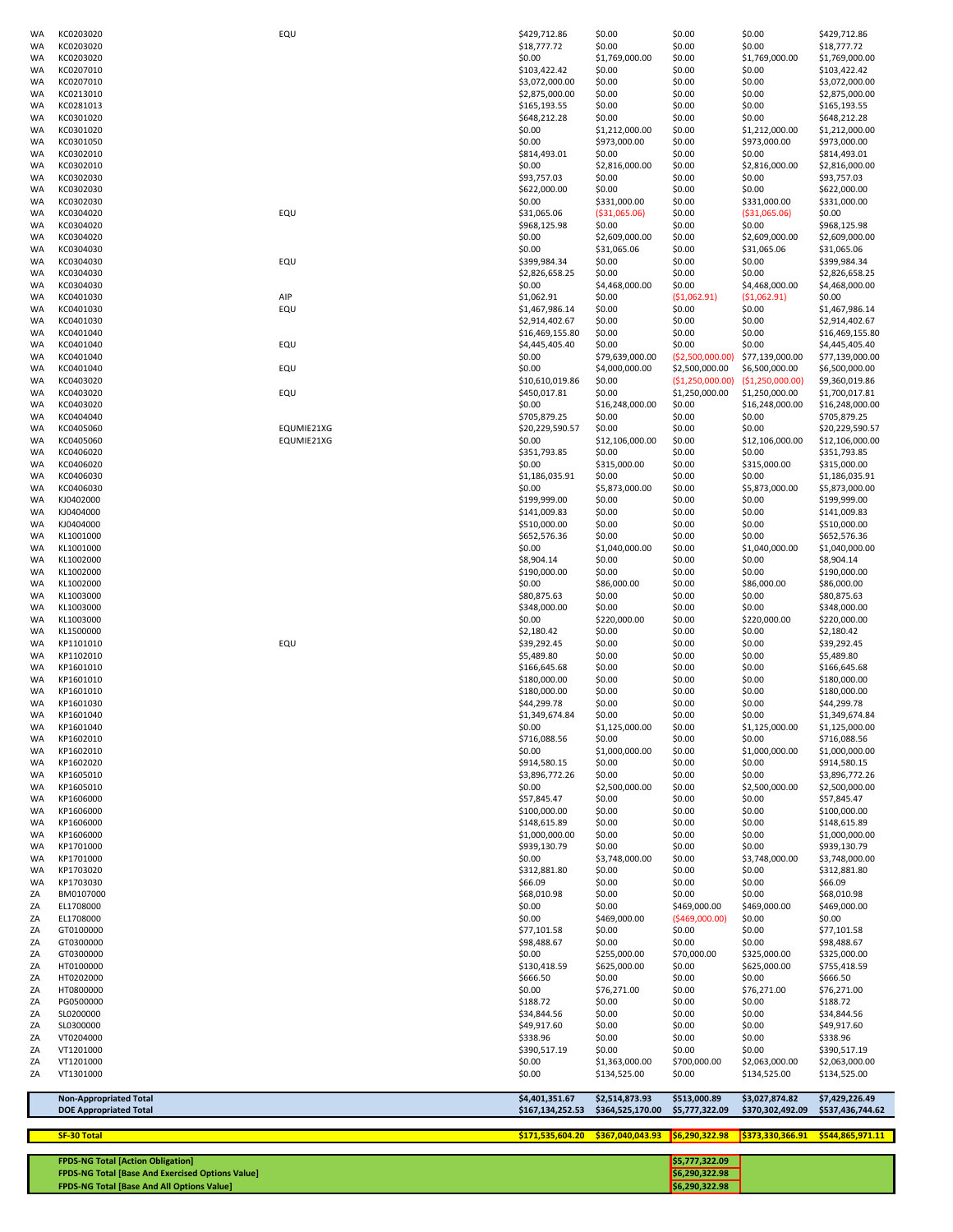| WA                     | KC0203020                                                      | EQU        | \$429,712.86                       | \$0.00                             | \$0.00                          | \$0.00                                                    | \$429,712.86                       |
|------------------------|----------------------------------------------------------------|------------|------------------------------------|------------------------------------|---------------------------------|-----------------------------------------------------------|------------------------------------|
| WA                     | KC0203020<br>KC0203020                                         |            | \$18,777.72<br>\$0.00              | \$0.00                             | \$0.00<br>\$0.00                | \$0.00<br>\$1,769,000.00                                  | \$18,777.72<br>\$1,769,000.00      |
| WA<br>WA               | KC0207010                                                      |            | \$103,422.42                       | \$1,769,000.00<br>\$0.00           | \$0.00                          | \$0.00                                                    | \$103,422.42                       |
| <b>WA</b>              | KC0207010                                                      |            | \$3,072,000.00                     | \$0.00                             | \$0.00                          | \$0.00                                                    | \$3,072,000.00                     |
| WA                     | KC0213010                                                      |            | \$2,875,000.00                     | \$0.00                             | \$0.00                          | \$0.00                                                    | \$2,875,000.00                     |
| WA<br>WA               | KC0281013<br>KC0301020                                         |            | \$165,193.55<br>\$648,212.28       | \$0.00<br>\$0.00                   | \$0.00<br>\$0.00                | \$0.00<br>\$0.00                                          | \$165,193.55<br>\$648,212.28       |
| WA                     | KC0301020                                                      |            | \$0.00                             | \$1,212,000.00                     | \$0.00                          | \$1,212,000.00                                            | \$1,212,000.00                     |
| <b>WA</b>              | KC0301050                                                      |            | \$0.00                             | \$973,000.00                       | \$0.00                          | \$973,000.00                                              | \$973,000.00                       |
| WA                     | KC0302010                                                      |            | \$814,493.01                       | \$0.00                             | \$0.00                          | \$0.00                                                    | \$814,493.01                       |
| <b>WA</b><br>WA        | KC0302010<br>KC0302030                                         |            | \$0.00<br>\$93,757.03              | \$2,816,000.00<br>\$0.00           | \$0.00<br>\$0.00                | \$2,816,000.00<br>\$0.00                                  | \$2,816,000.00<br>\$93,757.03      |
| <b>WA</b>              | KC0302030                                                      |            | \$622,000.00                       | \$0.00                             | \$0.00                          | \$0.00                                                    | \$622,000.00                       |
| WA                     | KC0302030                                                      |            | \$0.00                             | \$331,000.00                       | \$0.00                          | \$331,000.00                                              | \$331,000.00                       |
| WA<br><b>WA</b>        | KC0304020<br>KC0304020                                         | EQU        | \$31,065.06<br>\$968,125.98        | ( \$31,065.06)<br>\$0.00           | \$0.00<br>\$0.00                | ( \$31,065.06)<br>\$0.00                                  | \$0.00<br>\$968,125.98             |
| <b>WA</b>              | KC0304020                                                      |            | \$0.00                             | \$2,609,000.00                     | \$0.00                          | \$2,609,000.00                                            | \$2,609,000.00                     |
| WA                     | KC0304030                                                      |            | \$0.00                             | \$31,065.06                        | \$0.00                          | \$31,065.06                                               | \$31,065.06                        |
| WA<br>WA               | KC0304030<br>KC0304030                                         | EQU        | \$399,984.34<br>\$2,826,658.25     | \$0.00<br>\$0.00                   | \$0.00<br>\$0.00                | \$0.00<br>\$0.00                                          | \$399,984.34<br>\$2,826,658.25     |
| <b>WA</b>              | KC0304030                                                      |            | \$0.00                             | \$4,468,000.00                     | \$0.00                          | \$4,468,000.00                                            | \$4,468,000.00                     |
| WA                     | KC0401030                                                      | AIP        | \$1,062.91                         | \$0.00                             | (\$1,062.91)                    | (51,062.91)                                               | \$0.00                             |
| WA                     | KC0401030                                                      | EQU        | \$1,467,986.14                     | \$0.00                             | \$0.00                          | \$0.00                                                    | \$1,467,986.14                     |
| WA<br>WA               | KC0401030<br>KC0401040                                         |            | \$2,914,402.67<br>\$16,469,155.80  | \$0.00<br>\$0.00                   | \$0.00<br>\$0.00                | \$0.00<br>\$0.00                                          | \$2,914,402.67<br>\$16,469,155.80  |
| WA                     | KC0401040                                                      | EQU        | \$4,445,405.40                     | \$0.00                             | \$0.00                          | \$0.00                                                    | \$4,445,405.40                     |
| WA                     | KC0401040                                                      |            | \$0.00                             | \$79,639,000.00                    | ( \$2,500,000.00)               | \$77,139,000.00                                           | \$77,139,000.00                    |
| <b>WA</b><br><b>WA</b> | KC0401040<br>KC0403020                                         | EQU        | \$0.00<br>\$10,610,019.86          | \$4,000,000.00<br>\$0.00           | \$2,500,000.00                  | \$6,500,000.00<br>$(51, 250, 000.00)$ $(51, 250, 000.00)$ | \$6,500,000.00<br>\$9,360,019.86   |
| <b>WA</b>              | KC0403020                                                      | EQU        | \$450,017.81                       | \$0.00                             | \$1,250,000.00                  | \$1,250,000.00                                            | \$1,700,017.81                     |
| WA                     | KC0403020                                                      |            | \$0.00                             | \$16,248,000.00                    | \$0.00                          | \$16,248,000.00                                           | \$16,248,000.00                    |
| WA<br><b>WA</b>        | KC0404040<br>KC0405060                                         | EQUMIE21XG | \$705,879.25<br>\$20,229,590.57    | \$0.00<br>\$0.00                   | \$0.00<br>\$0.00                | \$0.00<br>\$0.00                                          | \$705,879.25<br>\$20,229,590.57    |
| WA                     | KC0405060                                                      | EQUMIE21XG | \$0.00                             | \$12,106,000.00                    | \$0.00                          | \$12,106,000.00                                           | \$12,106,000.00                    |
| WA                     | KC0406020                                                      |            | \$351,793.85                       | \$0.00                             | \$0.00                          | \$0.00                                                    | \$351,793.85                       |
| WA<br>WA               | KC0406020<br>KC0406030                                         |            | \$0.00<br>\$1,186,035.91           | \$315,000.00<br>\$0.00             | \$0.00<br>\$0.00                | \$315,000.00<br>\$0.00                                    | \$315,000.00<br>\$1,186,035.91     |
| WA                     | KC0406030                                                      |            | \$0.00                             | \$5,873,000.00                     | \$0.00                          | \$5,873,000.00                                            | \$5,873,000.00                     |
| WA                     | KJ0402000                                                      |            | \$199,999.00                       | \$0.00                             | \$0.00                          | \$0.00                                                    | \$199,999.00                       |
| WA                     | KJ0404000<br>KJ0404000                                         |            | \$141,009.83<br>\$510,000.00       | \$0.00<br>\$0.00                   | \$0.00<br>\$0.00                | \$0.00<br>\$0.00                                          | \$141,009.83<br>\$510,000.00       |
| WA<br>WA               | KL1001000                                                      |            | \$652,576.36                       | \$0.00                             | \$0.00                          | \$0.00                                                    | \$652,576.36                       |
| WA                     | KL1001000                                                      |            | \$0.00                             | \$1,040,000.00                     | \$0.00                          | \$1,040,000.00                                            | \$1,040,000.00                     |
| WA                     | KL1002000                                                      |            | \$8,904.14                         | \$0.00                             | \$0.00                          | \$0.00                                                    | \$8,904.14                         |
| WA<br>WA               | KL1002000<br>KL1002000                                         |            | \$190,000.00<br>\$0.00             | \$0.00<br>\$86,000.00              | \$0.00<br>\$0.00                | \$0.00<br>\$86,000.00                                     | \$190,000.00<br>\$86,000.00        |
| WA                     | KL1003000                                                      |            | \$80,875.63                        | \$0.00                             | \$0.00                          | \$0.00                                                    | \$80,875.63                        |
| WA                     | KL1003000                                                      |            | \$348,000.00                       | \$0.00                             | \$0.00                          | \$0.00                                                    | \$348,000.00                       |
| WA<br>WA               | KL1003000<br>KL1500000                                         |            | \$0.00<br>\$2,180.42               | \$220,000.00<br>\$0.00             | \$0.00<br>\$0.00                | \$220,000.00<br>\$0.00                                    | \$220,000.00<br>\$2,180.42         |
| <b>WA</b>              | KP1101010                                                      | EQU        | \$39,292.45                        | \$0.00                             | \$0.00                          | \$0.00                                                    | \$39,292.45                        |
| WA                     | KP1102010                                                      |            | \$5,489.80                         | \$0.00                             | \$0.00                          | \$0.00                                                    | \$5,489.80                         |
| <b>WA</b><br><b>WA</b> | KP1601010<br>KP1601010                                         |            | \$166,645.68<br>\$180,000.00       | \$0.00<br>\$0.00                   | \$0.00<br>\$0.00                | \$0.00<br>\$0.00                                          | \$166,645.68<br>\$180,000.00       |
| <b>WA</b>              | KP1601010                                                      |            | \$180,000.00                       | \$0.00                             | \$0.00                          | \$0.00                                                    | \$180,000.00                       |
| WA                     | KP1601030                                                      |            | \$44,299.78                        | \$0.00                             | \$0.00                          | \$0.00                                                    | \$44,299.78                        |
| WA<br>WA               | KP1601040<br>KP1601040                                         |            | \$1,349,674.84<br>\$0.00           | \$0.00<br>\$1,125,000.00           | \$0.00<br>\$0.00                | \$0.00<br>\$1,125,000.00                                  | \$1,349,674.84<br>\$1,125,000.00   |
| WA                     | KP1602010                                                      |            | \$716,088.56                       | \$0.00                             | \$0.00                          | \$0.00                                                    | \$716,088.56                       |
| <b>WA</b>              | KP1602010                                                      |            | \$0.00                             | \$1,000,000.00                     | \$0.00                          | \$1,000,000.00                                            | \$1,000,000.00                     |
| WA<br><b>WA</b>        | KP1602020<br>KP1605010                                         |            | \$914,580.15<br>\$3,896,772.26     | \$0.00<br>\$0.00                   | \$0.00<br>\$0.00                | \$0.00<br>\$0.00                                          | \$914,580.15<br>\$3,896,772.26     |
| WA                     | KP1605010                                                      |            | \$0.00                             | \$2,500,000.00                     | \$0.00                          | \$2,500,000.00                                            | \$2,500,000.00                     |
| WA                     | KP1606000                                                      |            | \$57,845.47                        | \$0.00                             | \$0.00                          | \$0.00                                                    | \$57,845.47                        |
| WA<br>WA               | KP1606000<br>KP1606000                                         |            | \$100,000.00<br>\$148,615.89       | \$0.00<br>\$0.00                   | \$0.00<br>\$0.00                | \$0.00<br>\$0.00                                          | \$100,000.00<br>\$148,615.89       |
| WA                     | KP1606000                                                      |            | \$1,000,000.00                     | \$0.00                             | \$0.00                          | \$0.00                                                    | \$1,000,000.00                     |
| <b>WA</b>              | KP1701000                                                      |            | \$939,130.79                       | \$0.00                             | \$0.00                          | \$0.00                                                    | \$939,130.79                       |
| WA<br>WA               | KP1701000<br>KP1703020                                         |            | \$0.00<br>\$312,881.80             | \$3,748,000.00<br>\$0.00           | \$0.00<br>\$0.00                | \$3,748,000.00<br>\$0.00                                  | \$3,748,000.00<br>\$312,881.80     |
| <b>WA</b>              | KP1703030                                                      |            | \$66.09                            | \$0.00                             | \$0.00                          | \$0.00                                                    | \$66.09                            |
| ΖA                     | BM0107000                                                      |            | \$68,010.98                        | \$0.00                             | \$0.00                          | \$0.00                                                    | \$68,010.98                        |
| ΖA<br>ΖA               | EL1708000<br>EL1708000                                         |            | \$0.00<br>\$0.00                   | \$0.00<br>\$469,000.00             | \$469,000.00<br>( \$469,000.00] | \$469,000.00<br>\$0.00                                    | \$469,000.00<br>\$0.00             |
| ΖA                     | GT0100000                                                      |            | \$77,101.58                        | \$0.00                             | \$0.00                          | \$0.00                                                    | \$77,101.58                        |
| ΖA                     | GT0300000                                                      |            | \$98,488.67                        | \$0.00                             | \$0.00                          | \$0.00                                                    | \$98,488.67                        |
| ΖA<br>ΖA               | GT0300000<br>HT0100000                                         |            | \$0.00<br>\$130,418.59             | \$255,000.00<br>\$625,000.00       | \$70,000.00<br>\$0.00           | \$325,000.00<br>\$625,000.00                              | \$325,000.00<br>\$755,418.59       |
| ΖA                     | HT0202000                                                      |            | \$666.50                           | \$0.00                             | \$0.00                          | \$0.00                                                    | \$666.50                           |
| ΖA                     | HT0800000                                                      |            | \$0.00                             | \$76,271.00                        | \$0.00                          | \$76,271.00                                               | \$76,271.00                        |
| ΖA<br>ΖA               | PG0500000<br>SL0200000                                         |            | \$188.72<br>\$34,844.56            | \$0.00<br>\$0.00                   | \$0.00<br>\$0.00                | \$0.00<br>\$0.00                                          | \$188.72<br>\$34,844.56            |
| ZA                     | SL0300000                                                      |            | \$49,917.60                        | \$0.00                             | \$0.00                          | \$0.00                                                    | \$49,917.60                        |
| ZA                     | VT0204000                                                      |            | \$338.96                           | \$0.00                             | \$0.00                          | \$0.00                                                    | \$338.96                           |
| ΖA<br>ΖA               | VT1201000<br>VT1201000                                         |            | \$390,517.19<br>\$0.00             | \$0.00<br>\$1,363,000.00           | \$0.00<br>\$700,000.00          | \$0.00<br>\$2,063,000.00                                  | \$390,517.19<br>\$2,063,000.00     |
| ZA                     | VT1301000                                                      |            | \$0.00                             | \$134,525.00                       | \$0.00                          | \$134,525.00                                              | \$134,525.00                       |
|                        | <b>Non-Appropriated Total</b><br><b>DOE Appropriated Total</b> |            | \$4,401,351.67<br>\$167,134,252.53 | \$2,514,873.93<br>\$364,525,170.00 | \$513,000.89<br>\$5,777,322.09  | \$3,027,874.82<br>\$370,302,492.09                        | \$7,429,226.49<br>\$537,436,744.62 |
|                        | <b>SF-30 Total</b>                                             |            | \$171,535,604.20                   | \$367,040,043.93                   | 56,290,322.98                   | \$373,330,366.91                                          | \$544,865,971.11                   |
|                        | <b>FPDS-NG Total [Action Obligation]</b>                       |            |                                    |                                    | \$5,777,322.09                  |                                                           |                                    |
|                        | <b>FPDS-NG Total [Base And Exercised Options Value]</b>        |            |                                    |                                    | \$6,290,322.98                  |                                                           |                                    |

**FPDS-NG Total [Base And All Options Value] <b>All options Value <b>All options** Value **1999 1999 1999 1999 1999 1999 1999 1999 1999 1999 1999 1999 1999 1999 1999 1999 1999 1999 1999 1**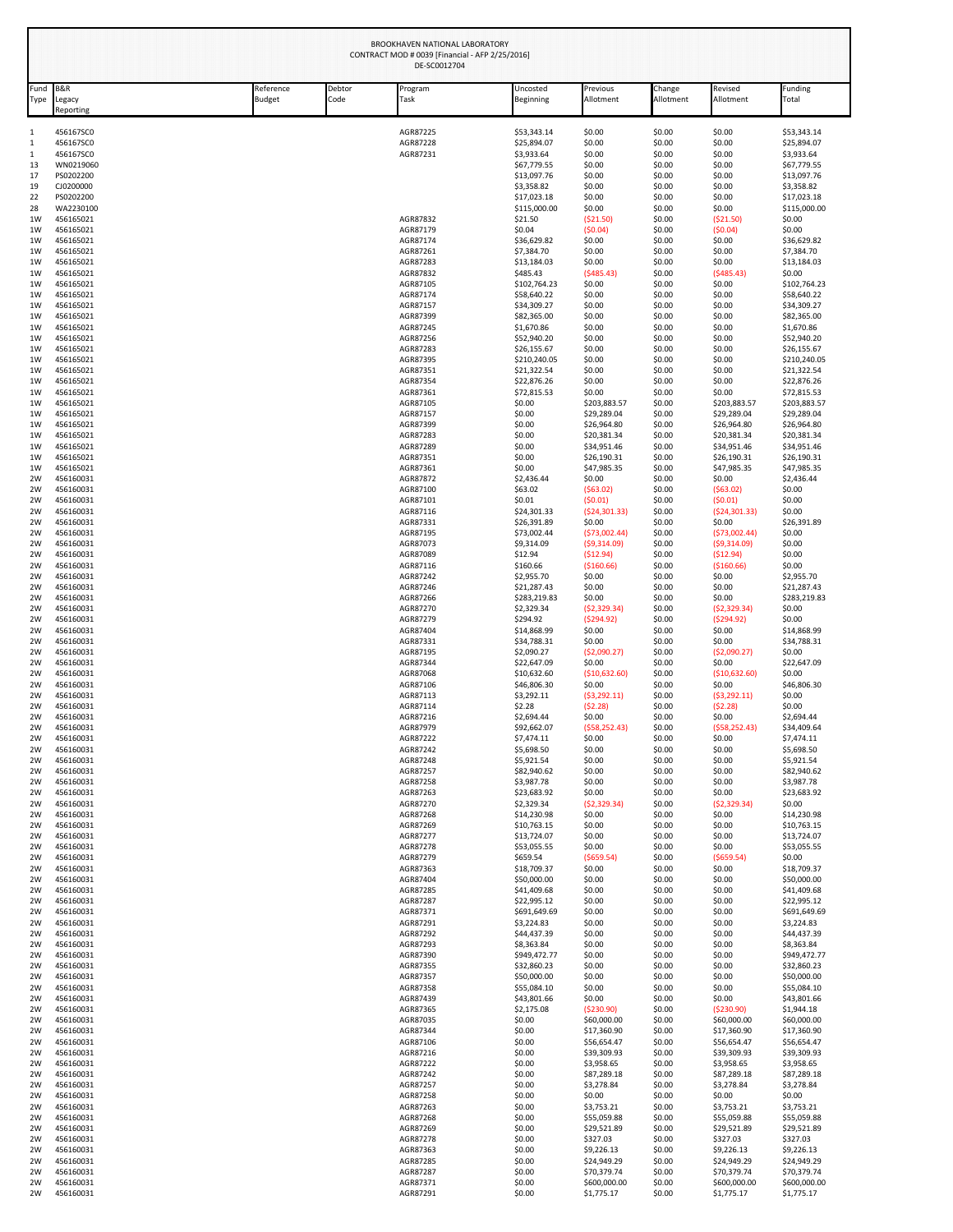|                     |                                       |                            |                | CONTRACT MOD # 0039 [Financial - AFP 2/25/2016]<br>DE-SC0012704 |                             |                             |                     |                             |                             |
|---------------------|---------------------------------------|----------------------------|----------------|-----------------------------------------------------------------|-----------------------------|-----------------------------|---------------------|-----------------------------|-----------------------------|
| Fund<br><b>Type</b> | <b>B&amp;R</b><br>Legacy<br>Reporting | Reference<br><b>Budget</b> | Debtor<br>Code | Program<br>Task                                                 | Uncosted<br>Beginning       | Previous<br>Allotment       | Change<br>Allotment | Revised<br>Allotment        | Funding<br>Total            |
| 1                   | 456167SC0                             |                            |                | AGR87225                                                        | \$53,343.14                 | \$0.00                      | \$0.00              | \$0.00                      | \$53,343.14                 |
| 1<br>1              | 456167SC0<br>456167SC0                |                            |                | AGR87228<br>AGR87231                                            | \$25,894.07<br>\$3,933.64   | \$0.00<br>\$0.00            | \$0.00<br>\$0.00    | \$0.00<br>\$0.00            | \$25,894.07<br>\$3,933.64   |
| 13                  | WN0219060                             |                            |                |                                                                 | \$67,779.55                 | \$0.00                      | \$0.00              | \$0.00                      | \$67,779.55                 |
| 17                  | PS0202200<br>CJ0200000                |                            |                |                                                                 | \$13,097.76                 | \$0.00                      | \$0.00              | \$0.00<br>\$0.00            | \$13,097.76<br>\$3,358.82   |
| 19<br>22            | PS0202200                             |                            |                |                                                                 | \$3,358.82<br>\$17,023.18   | \$0.00<br>\$0.00            | \$0.00<br>\$0.00    | \$0.00                      | \$17,023.18                 |
| 28                  | WA2230100                             |                            |                |                                                                 | \$115,000.00                | \$0.00                      | \$0.00              | \$0.00                      | \$115,000.00<br>\$0.00      |
| 1W<br>1W            | 456165021<br>456165021                |                            |                | AGR87832<br>AGR87179                                            | \$21.50<br>\$0.04           | ( \$21.50)<br>(50.04)       | \$0.00<br>\$0.00    | ( \$21.50)<br>(50.04)       | \$0.00                      |
| 1W                  | 456165021                             |                            |                | AGR87174                                                        | \$36,629.82                 | \$0.00                      | \$0.00              | \$0.00                      | \$36,629.82                 |
| 1W<br>1W            | 456165021<br>456165021                |                            |                | AGR87261<br>AGR87283                                            | \$7,384.70<br>\$13,184.03   | \$0.00<br>\$0.00            | \$0.00<br>\$0.00    | \$0.00<br>\$0.00            | \$7,384.70<br>\$13,184.03   |
| 1W                  | 456165021                             |                            |                | AGR87832                                                        | \$485.43                    | (5485.43)                   | \$0.00              | (5485.43)                   | \$0.00                      |
| 1W<br>1W            | 456165021<br>456165021                |                            |                | AGR87105<br>AGR87174                                            | \$102,764.23<br>\$58,640.22 | \$0.00<br>\$0.00            | \$0.00<br>\$0.00    | \$0.00<br>\$0.00            | \$102,764.23<br>\$58,640.22 |
| 1W                  | 456165021                             |                            |                | AGR87157                                                        | \$34,309.27                 | \$0.00                      | \$0.00              | \$0.00                      | \$34,309.27                 |
| 1W<br>1W            | 456165021<br>456165021                |                            |                | AGR87399<br>AGR87245                                            | \$82,365.00<br>\$1,670.86   | \$0.00<br>\$0.00            | \$0.00<br>\$0.00    | \$0.00<br>\$0.00            | \$82,365.00<br>\$1,670.86   |
| 1W                  | 456165021                             |                            |                | AGR87256                                                        | \$52,940.20                 | \$0.00                      | \$0.00              | \$0.00                      | \$52,940.20                 |
| 1W<br>1W            | 456165021<br>456165021                |                            |                | AGR87283<br>AGR87395                                            | \$26,155.67<br>\$210,240.05 | \$0.00<br>\$0.00            | \$0.00<br>\$0.00    | \$0.00<br>\$0.00            | \$26,155.67<br>\$210,240.05 |
| 1W                  | 456165021                             |                            |                | AGR87351                                                        | \$21,322.54                 | \$0.00                      | \$0.00              | \$0.00                      | \$21,322.54                 |
| 1W<br>1W            | 456165021<br>456165021                |                            |                | AGR87354<br>AGR87361                                            | \$22,876.26<br>\$72,815.53  | \$0.00<br>\$0.00            | \$0.00<br>\$0.00    | \$0.00<br>\$0.00            | \$22,876.26<br>\$72,815.53  |
| 1W                  | 456165021                             |                            |                | AGR87105                                                        | \$0.00                      | \$203,883.57                | \$0.00              | \$203,883.57                | \$203,883.57                |
| 1W<br>1W            | 456165021<br>456165021                |                            |                | AGR87157<br>AGR87399                                            | \$0.00<br>\$0.00            | \$29,289.04<br>\$26,964.80  | \$0.00<br>\$0.00    | \$29,289.04<br>\$26,964.80  | \$29,289.04<br>\$26,964.80  |
| 1W                  | 456165021                             |                            |                | AGR87283                                                        | \$0.00                      | \$20,381.34                 | \$0.00              | \$20,381.34                 | \$20,381.34                 |
| 1W<br>1W            | 456165021<br>456165021                |                            |                | AGR87289<br>AGR87351                                            | \$0.00<br>\$0.00            | \$34,951.46<br>\$26,190.31  | \$0.00<br>\$0.00    | \$34,951.46<br>\$26,190.31  | \$34,951.46<br>\$26,190.31  |
| 1W                  | 456165021                             |                            |                | AGR87361                                                        | \$0.00                      | \$47,985.35                 | \$0.00              | \$47,985.35                 | \$47,985.35                 |
| 2W                  | 456160031                             |                            |                | AGR87872                                                        | \$2,436.44                  | \$0.00                      | \$0.00              | \$0.00                      | \$2,436.44                  |
| 2W<br>2W            | 456160031<br>456160031                |                            |                | AGR87100<br>AGR87101                                            | \$63.02<br>\$0.01           | (563.02)<br>(50.01)         | \$0.00<br>\$0.00    | (563.02)<br>(50.01)         | \$0.00<br>\$0.00            |
| 2W                  | 456160031                             |                            |                | AGR87116                                                        | \$24,301.33                 | (524, 301.33)               | \$0.00              | (524, 301.33)               | \$0.00                      |
| 2W<br>2W            | 456160031<br>456160031                |                            |                | AGR87331<br>AGR87195                                            | \$26,391.89<br>\$73,002.44  | \$0.00<br>(573,002.44)      | \$0.00<br>\$0.00    | \$0.00<br>(573,002.44)      | \$26,391.89<br>\$0.00       |
| 2W                  | 456160031                             |                            |                | AGR87073                                                        | \$9,314.09                  | (59,314.09)                 | \$0.00              | (59,314.09)                 | \$0.00                      |
| 2W<br>2W            | 456160031<br>456160031                |                            |                | AGR87089<br>AGR87116                                            | \$12.94<br>\$160.66         | ( \$12.94)<br>( \$160.66)   | \$0.00<br>\$0.00    | ( \$12.94)<br>( \$160.66)   | \$0.00<br>\$0.00            |
| 2W                  | 456160031                             |                            |                | AGR87242                                                        | \$2,955.70                  | \$0.00                      | \$0.00              | \$0.00                      | \$2,955.70                  |
| 2W<br>2W            | 456160031<br>456160031                |                            |                | AGR87246<br>AGR87266                                            | \$21,287.43<br>\$283,219.83 | \$0.00<br>\$0.00            | \$0.00<br>\$0.00    | \$0.00<br>\$0.00            | \$21,287.43<br>\$283,219.83 |
| 2W                  | 456160031                             |                            |                | AGR87270                                                        | \$2,329.34                  | (52, 329.34)                | \$0.00              | ( \$2,329.34)               | \$0.00                      |
| 2W<br>2W            | 456160031<br>456160031                |                            |                | AGR87279<br>AGR87404                                            | \$294.92<br>\$14,868.99     | (5294.92)<br>\$0.00         | \$0.00<br>\$0.00    | (5294.92)<br>\$0.00         | \$0.00<br>\$14,868.99       |
| 2W                  | 456160031                             |                            |                | AGR87331                                                        | \$34,788.31                 | \$0.00                      | \$0.00              | \$0.00                      | \$34,788.31                 |
| 2W<br>2W            | 456160031<br>456160031                |                            |                | AGR87195<br>AGR87344                                            | \$2,090.27<br>\$22,647.09   | ( \$2,090.27)<br>\$0.00     | \$0.00<br>\$0.00    | ( \$2,090.27)<br>\$0.00     | \$0.00<br>\$22,647.09       |
| 2W                  | 456160031                             |                            |                | AGR87068                                                        | \$10,632.60                 | ( \$10,632.60)              | \$0.00              | ( \$10,632.60)              | \$0.00                      |
| 2W<br>2W            | 456160031<br>456160031                |                            |                | AGR87106<br>AGR87113                                            | \$46,806.30<br>\$3,292.11   | \$0.00<br>(53, 292.11)      | \$0.00<br>\$0.00    | \$0.00<br>(53, 292.11)      | \$46,806.30<br>\$0.00       |
| 2W                  | 456160031                             |                            |                | AGR87114                                                        | \$2.28                      | (52.28)                     | \$0.00              | (52.28)                     | \$0.00                      |
| 2W<br>2W            | 456160031<br>456160031                |                            |                | AGR87216<br>AGR87979                                            | \$2,694.44<br>\$92,662.07   | \$0.00<br>(558, 252.43)     | \$0.00<br>\$0.00    | \$0.00<br>(558, 252.43)     | \$2,694.44<br>\$34,409.64   |
| 2W                  | 456160031                             |                            |                | AGR87222                                                        | \$7,474.11                  | \$0.00                      | \$0.00              | \$0.00                      | \$7,474.11                  |
| 2W                  | 456160031<br>456160031                |                            |                | AGR87242<br>AGR87248                                            | \$5,698.50<br>\$5,921.54    | \$0.00<br>\$0.00            | \$0.00<br>\$0.00    | \$0.00<br>\$0.00            | \$5,698.50<br>\$5,921.54    |
| 2W<br>2W            | 456160031                             |                            |                | AGR87257                                                        | \$82,940.62                 | \$0.00                      | \$0.00              | \$0.00                      | \$82,940.62                 |
| 2W                  | 456160031                             |                            |                | AGR87258                                                        | \$3,987.78                  | \$0.00                      | \$0.00              | \$0.00                      | \$3,987.78                  |
| 2W<br>2W            | 456160031<br>456160031                |                            |                | AGR87263<br>AGR87270                                            | \$23,683.92<br>\$2,329.34   | \$0.00<br>(52, 329.34)      | \$0.00<br>\$0.00    | \$0.00<br>(52, 329.34)      | \$23,683.92<br>\$0.00       |
| 2W                  | 456160031                             |                            |                | AGR87268                                                        | \$14,230.98                 | \$0.00                      | \$0.00              | \$0.00                      | \$14,230.98                 |
| 2W<br>2W            | 456160031<br>456160031                |                            |                | AGR87269<br>AGR87277                                            | \$10,763.15<br>\$13,724.07  | \$0.00<br>\$0.00            | \$0.00<br>\$0.00    | \$0.00<br>\$0.00            | \$10,763.15<br>\$13,724.07  |
| 2W                  | 456160031                             |                            |                | AGR87278                                                        | \$53,055.55                 | \$0.00                      | \$0.00              | \$0.00                      | \$53,055.55                 |
| 2W<br>2W            | 456160031<br>456160031                |                            |                | AGR87279<br>AGR87363                                            | \$659.54<br>\$18,709.37     | ( \$659.54)<br>\$0.00       | \$0.00<br>\$0.00    | ( \$659.54)<br>\$0.00       | \$0.00<br>\$18,709.37       |
| 2W                  | 456160031                             |                            |                | AGR87404                                                        | \$50,000.00                 | \$0.00                      | \$0.00              | \$0.00                      | \$50,000.00                 |
| 2W<br>2W            | 456160031<br>456160031                |                            |                | AGR87285<br>AGR87287                                            | \$41,409.68<br>\$22,995.12  | \$0.00<br>\$0.00            | \$0.00<br>\$0.00    | \$0.00<br>\$0.00            | \$41,409.68<br>\$22,995.12  |
| 2W                  | 456160031                             |                            |                | AGR87371                                                        | \$691,649.69                | \$0.00                      | \$0.00              | \$0.00                      | \$691,649.69                |
| 2W<br>2W            | 456160031<br>456160031                |                            |                | AGR87291<br>AGR87292                                            | \$3,224.83<br>\$44,437.39   | \$0.00<br>\$0.00            | \$0.00<br>\$0.00    | \$0.00<br>\$0.00            | \$3,224.83<br>\$44,437.39   |
| 2W                  | 456160031                             |                            |                | AGR87293                                                        | \$8,363.84                  | \$0.00                      | \$0.00              | \$0.00                      | \$8,363.84                  |
| 2W<br>2W            | 456160031<br>456160031                |                            |                | AGR87390<br>AGR87355                                            | \$949,472.77<br>\$32,860.23 | \$0.00<br>\$0.00            | \$0.00<br>\$0.00    | \$0.00<br>\$0.00            | \$949,472.77<br>\$32,860.23 |
| 2W                  | 456160031                             |                            |                | AGR87357                                                        | \$50,000.00                 | \$0.00                      | \$0.00              | \$0.00                      | \$50,000.00                 |
| 2W<br>2W            | 456160031<br>456160031                |                            |                | AGR87358<br>AGR87439                                            | \$55,084.10<br>\$43,801.66  | \$0.00<br>\$0.00            | \$0.00<br>\$0.00    | \$0.00<br>\$0.00            | \$55,084.10<br>\$43,801.66  |
| 2W                  | 456160031                             |                            |                | AGR87365                                                        | \$2,175.08                  | ( \$230.90)                 | \$0.00              | ( \$230.90)                 | \$1,944.18                  |
| 2W                  | 456160031                             |                            |                | AGR87035                                                        | \$0.00                      | \$60,000.00                 | \$0.00              | \$60,000.00                 | \$60,000.00                 |
| 2W<br>2W            | 456160031<br>456160031                |                            |                | AGR87344<br>AGR87106                                            | \$0.00<br>\$0.00            | \$17,360.90<br>\$56,654.47  | \$0.00<br>\$0.00    | \$17,360.90<br>\$56,654.47  | \$17,360.90<br>\$56,654.47  |
| 2W                  | 456160031                             |                            |                | AGR87216                                                        | \$0.00                      | \$39,309.93                 | \$0.00              | \$39,309.93                 | \$39,309.93                 |
| 2W<br>2W            | 456160031<br>456160031                |                            |                | AGR87222<br>AGR87242                                            | \$0.00<br>\$0.00            | \$3,958.65<br>\$87,289.18   | \$0.00<br>\$0.00    | \$3,958.65<br>\$87,289.18   | \$3,958.65<br>\$87,289.18   |
| 2W                  | 456160031                             |                            |                | AGR87257                                                        | \$0.00                      | \$3,278.84                  | \$0.00              | \$3,278.84                  | \$3,278.84                  |
| 2W<br>2W            | 456160031<br>456160031                |                            |                | AGR87258<br>AGR87263                                            | \$0.00<br>\$0.00            | \$0.00<br>\$3,753.21        | \$0.00<br>\$0.00    | \$0.00<br>\$3,753.21        | \$0.00<br>\$3,753.21        |
| 2W                  | 456160031                             |                            |                | AGR87268                                                        | \$0.00                      | \$55,059.88                 | \$0.00              | \$55,059.88                 | \$55,059.88                 |
| 2W                  | 456160031<br>456160031                |                            |                | AGR87269<br>AGR87278                                            | \$0.00<br>\$0.00            | \$29,521.89<br>\$327.03     | \$0.00<br>\$0.00    | \$29,521.89<br>\$327.03     | \$29,521.89<br>\$327.03     |
| 2W<br>2W            | 456160031                             |                            |                | AGR87363                                                        | \$0.00                      | \$9,226.13                  | \$0.00              | \$9,226.13                  | \$9,226.13                  |
| 2W                  | 456160031                             |                            |                | AGR87285                                                        | \$0.00                      | \$24,949.29                 | \$0.00              | \$24,949.29                 | \$24,949.29                 |
| 2W<br>2W            | 456160031<br>456160031                |                            |                | AGR87287<br>AGR87371                                            | \$0.00<br>\$0.00            | \$70,379.74<br>\$600,000.00 | \$0.00<br>\$0.00    | \$70,379.74<br>\$600,000.00 | \$70,379.74<br>\$600,000.00 |
| 2W                  | 456160031                             |                            |                | AGR87291                                                        | \$0.00                      | \$1,775.17                  | \$0.00              | \$1,775.17                  | \$1,775.17                  |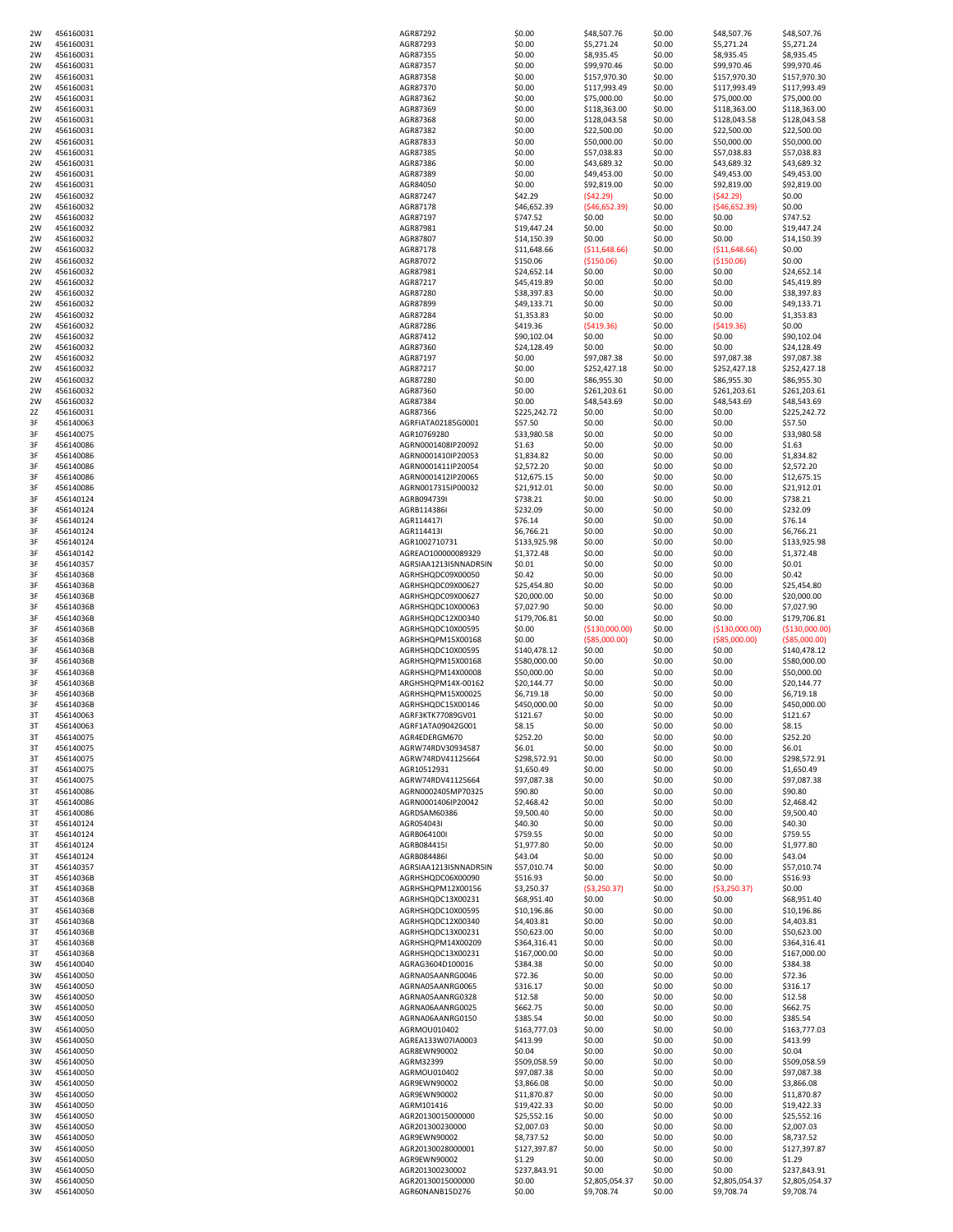| 2W | 456160031 | AGR87292              | \$0.00       | \$48,507.76     | \$0.00 | \$48,507.76     | \$48,507.76    |
|----|-----------|-----------------------|--------------|-----------------|--------|-----------------|----------------|
| 2W | 456160031 | AGR87293              | \$0.00       | \$5,271.24      | \$0.00 | \$5,271.24      | \$5,271.24     |
| 2W | 456160031 | AGR87355              | \$0.00       | \$8,935.45      | \$0.00 | \$8,935.45      | \$8,935.45     |
| 2W | 456160031 | AGR87357              | \$0.00       | \$99,970.46     | \$0.00 | \$99,970.46     | \$99,970.46    |
| 2W | 456160031 | AGR87358              | \$0.00       | \$157,970.30    | \$0.00 | \$157,970.30    | \$157,970.30   |
| 2W | 456160031 | AGR87370              | \$0.00       | \$117,993.49    | \$0.00 | \$117,993.49    | \$117,993.49   |
| 2W | 456160031 | AGR87362              | \$0.00       | \$75,000.00     | \$0.00 | \$75,000.00     | \$75,000.00    |
| 2W | 456160031 | AGR87369              | \$0.00       | \$118,363.00    | \$0.00 | \$118,363.00    | \$118,363.00   |
| 2W | 456160031 | AGR87368              | \$0.00       | \$128,043.58    | \$0.00 | \$128,043.58    | \$128,043.58   |
|    |           |                       |              |                 |        |                 |                |
| 2W | 456160031 | AGR87382              | \$0.00       | \$22,500.00     | \$0.00 | \$22,500.00     | \$22,500.00    |
| 2W | 456160031 | AGR87833              | \$0.00       | \$50,000.00     | \$0.00 | \$50,000.00     | \$50,000.00    |
| 2W | 456160031 | AGR87385              | \$0.00       | \$57,038.83     | \$0.00 | \$57,038.83     | \$57,038.83    |
| 2W | 456160031 | AGR87386              | \$0.00       | \$43,689.32     | \$0.00 | \$43,689.32     | \$43,689.32    |
| 2W | 456160031 | AGR87389              | \$0.00       | \$49,453.00     | \$0.00 | \$49,453.00     | \$49,453.00    |
| 2W | 456160031 | AGR84050              | \$0.00       | \$92,819.00     | \$0.00 | \$92,819.00     | \$92,819.00    |
| 2W | 456160032 | AGR87247              | \$42.29      | (542.29)        | \$0.00 | (542.29)        | \$0.00         |
| 2W | 456160032 | AGR87178              | \$46,652.39  | (546, 652.39)   | \$0.00 | (546, 652.39)   | \$0.00         |
| 2W | 456160032 | AGR87197              | \$747.52     | \$0.00          | \$0.00 | \$0.00          | \$747.52       |
| 2W | 456160032 | AGR87981              | \$19,447.24  | \$0.00          | \$0.00 | \$0.00          | \$19,447.24    |
|    | 456160032 | AGR87807              | \$14,150.39  | \$0.00          | \$0.00 | \$0.00          | \$14,150.39    |
| 2W |           |                       |              |                 |        |                 |                |
| 2W | 456160032 | AGR87178              | \$11,648.66  | ( \$11,648.66)  | \$0.00 | ( \$11,648.66)  | \$0.00         |
| 2W | 456160032 | AGR87072              | \$150.06     | ( \$150.06)     | \$0.00 | ( \$150.06)     | \$0.00         |
| 2W | 456160032 | AGR87981              | \$24,652.14  | \$0.00          | \$0.00 | \$0.00          | \$24,652.14    |
| 2W | 456160032 | AGR87217              | \$45,419.89  | \$0.00          | \$0.00 | \$0.00          | \$45,419.89    |
| 2W | 456160032 | AGR87280              | \$38,397.83  | \$0.00          | \$0.00 | \$0.00          | \$38,397.83    |
| 2W | 456160032 | AGR87899              | \$49,133.71  | \$0.00          | \$0.00 | \$0.00          | \$49,133.71    |
| 2W | 456160032 | AGR87284              | \$1,353.83   | \$0.00          | \$0.00 | \$0.00          | \$1,353.83     |
| 2W | 456160032 | AGR87286              | \$419.36     | (5419.36)       | \$0.00 | (5419.36)       | \$0.00         |
| 2W | 456160032 | AGR87412              | \$90,102.04  | \$0.00          | \$0.00 | \$0.00          | \$90,102.04    |
| 2W | 456160032 | AGR87360              | \$24,128.49  | \$0.00          | \$0.00 | \$0.00          | \$24,128.49    |
| 2W | 456160032 | AGR87197              | \$0.00       | \$97,087.38     | \$0.00 | \$97,087.38     | \$97,087.38    |
| 2W | 456160032 | AGR87217              | \$0.00       | \$252,427.18    | \$0.00 | \$252,427.18    | \$252,427.18   |
| 2W | 456160032 | AGR87280              | \$0.00       | \$86,955.30     | \$0.00 | \$86,955.30     | \$86,955.30    |
| 2W | 456160032 | AGR87360              | \$0.00       | \$261,203.61    | \$0.00 | \$261,203.61    | \$261,203.61   |
|    |           |                       |              |                 |        |                 |                |
| 2W | 456160032 | AGR87384              | \$0.00       | \$48,543.69     | \$0.00 | \$48,543.69     | \$48,543.69    |
| 2Z | 456160031 | AGR87366              | \$225,242.72 | \$0.00          | \$0.00 | \$0.00          | \$225,242.72   |
| 3F | 456140063 | AGRFIATA02185G0001    | \$57.50      | \$0.00          | \$0.00 | \$0.00          | \$57.50        |
| 3F | 456140075 | AGR10769280           | \$33,980.58  | \$0.00          | \$0.00 | \$0.00          | \$33,980.58    |
| 3F | 456140086 | AGRN0001408IP20092    | \$1.63       | \$0.00          | \$0.00 | \$0.00          | \$1.63         |
| 3F | 456140086 | AGRN0001410IP20053    | \$1,834.82   | \$0.00          | \$0.00 | \$0.00          | \$1,834.82     |
| 3F | 456140086 | AGRN0001411IP20054    | \$2,572.20   | \$0.00          | \$0.00 | \$0.00          | \$2,572.20     |
| 3F | 456140086 | AGRN0001412IP20065    | \$12,675.15  | \$0.00          | \$0.00 | \$0.00          | \$12,675.15    |
| 3F | 456140086 | AGRN0017315IP00032    | \$21,912.01  | \$0.00          | \$0.00 | \$0.00          | \$21,912.01    |
| 3F | 456140124 | AGRB094739I           | \$738.21     | \$0.00          | \$0.00 | \$0.00          | \$738.21       |
| 3F | 456140124 | AGRB114386I           | \$232.09     | \$0.00          | \$0.00 | \$0.00          | \$232.09       |
| 3F | 456140124 | AGR114417I            | \$76.14      | \$0.00          | \$0.00 | \$0.00          | \$76.14        |
| 3F | 456140124 | AGR114413I            | \$6,766.21   | \$0.00          | \$0.00 | \$0.00          | \$6,766.21     |
|    |           |                       |              |                 |        |                 |                |
| 3F | 456140124 | AGR1002710731         | \$133,925.98 | \$0.00          | \$0.00 | \$0.00          | \$133,925.98   |
| 3F | 456140142 | AGREAO100000089329    | \$1,372.48   | \$0.00          | \$0.00 | \$0.00          | \$1,372.48     |
| 3F | 456140357 | AGRSIAA1213ISNNADR5IN | \$0.01       | \$0.00          | \$0.00 | \$0.00          | \$0.01         |
| 3F | 45614036B | AGRHSHQDC09X00050     | \$0.42       | \$0.00          | \$0.00 | \$0.00          | \$0.42         |
| 3F | 45614036B | AGRHSHQDC09X00627     | \$25,454.80  | \$0.00          | \$0.00 | \$0.00          | \$25,454.80    |
| 3F | 45614036B | AGRHSHQDC09X00627     | \$20,000.00  | \$0.00          | \$0.00 | \$0.00          | \$20,000.00    |
| 3F | 45614036B | AGRHSHQDC10X00063     | \$7,027.90   | \$0.00          | \$0.00 | \$0.00          | \$7,027.90     |
| 3F | 45614036B | AGRHSHQDC12X00340     | \$179,706.81 | \$0.00          | \$0.00 | \$0.00          | \$179,706.81   |
| 3F | 45614036B | AGRHSHQDC10X00595     | \$0.00       | ( \$130,000.00) | \$0.00 | ( \$130,000.00) | (\$130,000.00) |
| 3F | 45614036B | AGRHSHQPM15X00168     | \$0.00       | ( \$85,000.00)  | \$0.00 | ( \$85,000.00)  | ( \$85,000.00) |
| 3F | 45614036B | AGRHSHQDC10X00595     | \$140,478.12 | \$0.00          | \$0.00 | \$0.00          | \$140,478.12   |
| 3F | 45614036B | AGRHSHQPM15X00168     | \$580,000.00 | \$0.00          | \$0.00 | \$0.00          | \$580,000.00   |
|    | 45614036B | AGRHSHQPM14X00008     | \$50,000.00  | \$0.00          | \$0.00 | \$0.00          | \$50,000.00    |
| 3F |           |                       |              |                 |        |                 |                |
| 3F | 45614036B | ARGHSHQPM14X-00162    | \$20,144.77  | \$0.00          | \$0.00 | \$0.00          | \$20,144.77    |
| 3F | 45614036B | AGRHSHQPM15X00025     | \$6,719.18   | \$0.00          | \$0.00 | \$0.00          | \$6,719.18     |
| 3F | 45614036B | AGRHSHQDC15X00146     | \$450,000.00 | \$0.00          | \$0.00 | \$0.00          | \$450,000.00   |
| 3T | 456140063 | AGRF3KTK77089GV01     | \$121.67     | \$0.00          | \$0.00 | \$0.00          | \$121.67       |
| 3T | 456140063 | AGRF1ATA09042G001     | \$8.15       | \$0.00          | \$0.00 | \$0.00          | \$8.15         |
| 3T | 456140075 | AGR4EDERGM670         | \$252.20     | \$0.00          | \$0.00 | \$0.00          | \$252.20       |
| 3T | 456140075 | AGRW74RDV30934587     | \$6.01       | \$0.00          | \$0.00 | \$0.00          | \$6.01         |
| 3T | 456140075 | AGRW74RDV41125664     | \$298,572.91 | \$0.00          | \$0.00 | \$0.00          | \$298,572.91   |
| 3T | 456140075 | AGR10512931           | \$1,650.49   | \$0.00          | \$0.00 | \$0.00          | \$1,650.49     |
| 3T | 456140075 | AGRW74RDV41125664     | \$97,087.38  | \$0.00          | \$0.00 | \$0.00          | \$97,087.38    |
| 3T | 456140086 | AGRN0002405MP70325    | \$90.80      | \$0.00          | \$0.00 | \$0.00          | \$90.80        |
| 3T | 456140086 | AGRN0001406IP20042    | \$2,468.42   | \$0.00          | \$0.00 | \$0.00          | \$2,468.42     |
| 3T | 456140086 | AGRDSAM60386          | \$9,500.40   | \$0.00          | \$0.00 | \$0.00          | \$9,500.40     |
| 3T | 456140124 | AGR054043I            | \$40.30      | \$0.00          | \$0.00 | \$0.00          | \$40.30        |
| 3T | 456140124 | AGRB064100I           | \$759.55     | \$0.00          | \$0.00 | \$0.00          | \$759.55       |
| 3T | 456140124 | AGRB084415I           | \$1,977.80   | \$0.00          | \$0.00 | \$0.00          | \$1,977.80     |
| 3T | 456140124 | AGRB084486I           | \$43.04      | \$0.00          | \$0.00 | \$0.00          | \$43.04        |
|    | 456140357 |                       |              |                 |        |                 |                |
| 3T |           | AGRSIAA1213ISNNADR5IN | \$57,010.74  | \$0.00          | \$0.00 | \$0.00          | \$57,010.74    |
| 3T | 45614036B | AGRHSHQDC06X00090     | \$516.93     | \$0.00          | \$0.00 | \$0.00          | \$516.93       |
| 3T | 45614036B | AGRHSHQPM12X00156     | \$3,250.37   | (53,250.37)     | \$0.00 | (53,250.37)     | \$0.00         |
| 3T | 45614036B | AGRHSHQDC13X00231     | \$68,951.40  | \$0.00          | \$0.00 | \$0.00          | \$68,951.40    |
| 3T | 45614036B | AGRHSHQDC10X00595     | \$10,196.86  | \$0.00          | \$0.00 | \$0.00          | \$10,196.86    |
| 3T | 45614036B | AGRHSHQDC12X00340     | \$4,403.81   | \$0.00          | \$0.00 | \$0.00          | \$4,403.81     |
| 3T | 45614036B | AGRHSHQDC13X00231     | \$50,623.00  | \$0.00          | \$0.00 | \$0.00          | \$50,623.00    |
| 3T |           |                       |              |                 |        | \$0.00          | \$364,316.41   |
| 3T | 45614036B | AGRHSHQPM14X00209     | \$364,316.41 | \$0.00          | \$0.00 |                 |                |
|    | 45614036B | AGRHSHQDC13X00231     | \$167,000.00 | \$0.00          | \$0.00 | \$0.00          | \$167,000.00   |
| 3W | 456140040 | AGRAG3604D100016      | \$384.38     | \$0.00          | \$0.00 | \$0.00          | \$384.38       |
| 3W | 456140050 | AGRNA05AANRG0046      |              |                 |        |                 |                |
| 3W | 456140050 | AGRNA05AANRG0065      | \$72.36      | \$0.00          | \$0.00 | \$0.00          | \$72.36        |
|    |           |                       | \$316.17     | \$0.00          | \$0.00 | \$0.00          | \$316.17       |
| 3W | 456140050 | AGRNA05AANRG0328      | \$12.58      | \$0.00          | \$0.00 | \$0.00          | \$12.58        |
| 3W | 456140050 | AGRNA06AANRG0025      | \$662.75     | \$0.00          | \$0.00 | \$0.00          | \$662.75       |
| 3W | 456140050 | AGRNA06AANRG0150      | \$385.54     | \$0.00          | \$0.00 | \$0.00          | \$385.54       |
| 3W | 456140050 | AGRMOU010402          | \$163,777.03 | \$0.00          | \$0.00 | \$0.00          | \$163,777.03   |
| 3W | 456140050 | AGREA133W07IA0003     | \$413.99     | \$0.00          | \$0.00 | \$0.00          | \$413.99       |
| 3W | 456140050 | AGR8EWN90002          | \$0.04       | \$0.00          | \$0.00 | \$0.00          | \$0.04         |
| 3W | 456140050 | AGRM32399             | \$509,058.59 | \$0.00          | \$0.00 | \$0.00          | \$509,058.59   |
| 3W | 456140050 | AGRMOU010402          | \$97,087.38  | \$0.00          | \$0.00 | \$0.00          | \$97,087.38    |
| 3W | 456140050 | AGR9EWN90002          | \$3,866.08   | \$0.00          | \$0.00 | \$0.00          | \$3,866.08     |
| 3W | 456140050 | AGR9EWN90002          | \$11,870.87  | \$0.00          | \$0.00 | \$0.00          | \$11,870.87    |
| 3W | 456140050 | AGRM101416            | \$19,422.33  | \$0.00          | \$0.00 | \$0.00          | \$19,422.33    |
| 3W | 456140050 | AGR20130015000000     | \$25,552.16  | \$0.00          | \$0.00 | \$0.00          | \$25,552.16    |
| 3W | 456140050 | AGR201300230000       | \$2,007.03   | \$0.00          | \$0.00 | \$0.00          | \$2,007.03     |
| 3W | 456140050 | AGR9EWN90002          | \$8,737.52   | \$0.00          | \$0.00 | \$0.00          | \$8,737.52     |
| 3W | 456140050 | AGR20130028000001     | \$127,397.87 | \$0.00          | \$0.00 | \$0.00          | \$127,397.87   |
| 3W | 456140050 | AGR9EWN90002          | \$1.29       | \$0.00          | \$0.00 | \$0.00          | \$1.29         |
| 3W | 456140050 | AGR201300230002       | \$237,843.91 | \$0.00          | \$0.00 | \$0.00          | \$237,843.91   |
| 3W | 456140050 | AGR20130015000000     | \$0.00       | \$2,805,054.37  | \$0.00 | \$2,805,054.37  | \$2,805,054.37 |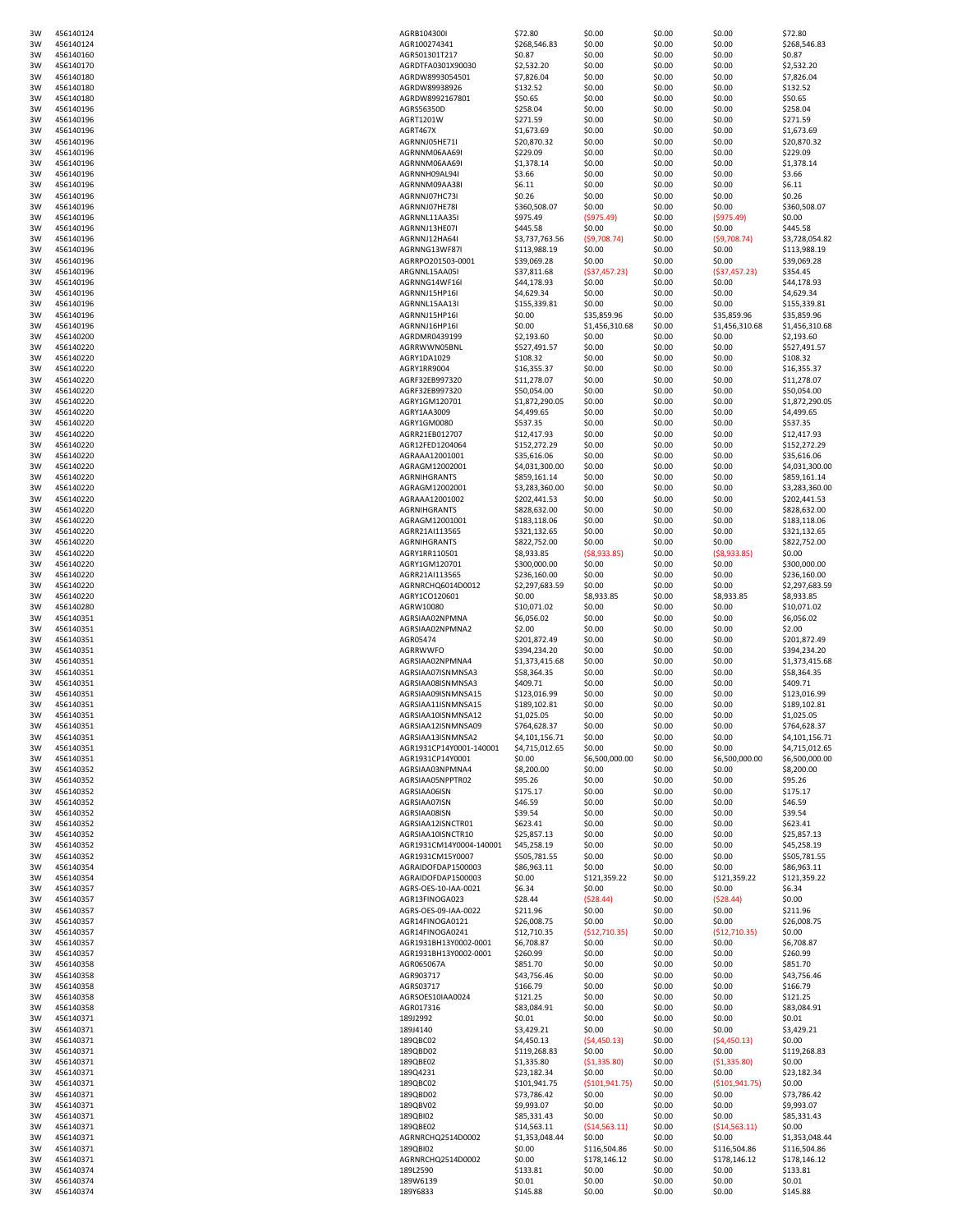| 3W | 456140124              | AGRB104300I                   | \$72.80                 | \$0.00           | \$0.00           | \$0.00           | \$72.80                 |
|----|------------------------|-------------------------------|-------------------------|------------------|------------------|------------------|-------------------------|
| 3W | 456140124              | AGR100274341                  | \$268,546.83            | \$0.00           | \$0.00           | \$0.00           | \$268,546.83            |
| 3W | 456140160              | AGR501301T217                 | \$0.87                  | \$0.00           | \$0.00           | \$0.00           | \$0.87                  |
| 3W | 456140170              | AGRDTFA0301X90030             | \$2,532.20              | \$0.00           | \$0.00           | \$0.00           | \$2,532.20              |
| 3W | 456140180              | AGRDW8993054501               | \$7,826.04              | \$0.00           | \$0.00           | \$0.00           | \$7,826.04              |
| 3W | 456140180              | AGRDW89938926                 | \$132.52                | \$0.00           | \$0.00           | \$0.00           | \$132.52                |
| 3W | 456140180              | AGRDW8992167801               | \$50.65                 | \$0.00           | \$0.00           | \$0.00           | \$50.65                 |
| 3W | 456140196              | AGRS56350D                    | \$258.04                | \$0.00           | \$0.00           | \$0.00           | \$258.04                |
| 3W | 456140196              | AGRT1201W                     | \$271.59                | \$0.00           | \$0.00           | \$0.00           | \$271.59                |
| 3W | 456140196              | AGRT467X                      | \$1,673.69              | \$0.00           | \$0.00           | \$0.00           | \$1,673.69              |
|    |                        |                               | \$20,870.32             |                  |                  |                  |                         |
| 3W | 456140196              | AGRNNJ05HE71I                 |                         | \$0.00           | \$0.00           | \$0.00           | \$20,870.32             |
| 3W | 456140196              | AGRNNM06AA69I                 | \$229.09                | \$0.00           | \$0.00           | \$0.00           | \$229.09                |
| 3W | 456140196              | AGRNNM06AA69I                 | \$1,378.14              | \$0.00           | \$0.00           | \$0.00           | \$1,378.14              |
| 3W | 456140196              | AGRNNH09AL94I                 | \$3.66                  | \$0.00           | \$0.00           | \$0.00           | \$3.66                  |
| 3W | 456140196              | AGRNNM09AA38I                 | \$6.11                  | \$0.00           | \$0.00           | \$0.00           | \$6.11                  |
| 3W | 456140196              | AGRNNJ07HC73I                 | \$0.26                  | \$0.00           | \$0.00           | \$0.00           | \$0.26                  |
| 3W | 456140196              | AGRNNJ07HE78I                 | \$360,508.07            | \$0.00           | \$0.00           | \$0.00           | \$360,508.07            |
| 3W | 456140196              | AGRNNL11AA35I                 | \$975.49                | (5975.49)        | \$0.00           | (5975.49)        | \$0.00                  |
| 3W | 456140196              | AGRNNJ13HE07I                 | \$445.58                | \$0.00           | \$0.00           | \$0.00           | \$445.58                |
| 3W | 456140196              | AGRNNJ12HA64I                 | \$3,737,763.56          | (59,708.74)      | \$0.00           | ( \$9,708.74)    | \$3,728,054.82          |
| 3W | 456140196              | AGRNNG13WF87I                 | \$113,988.19            | \$0.00           | \$0.00           | \$0.00           | \$113,988.19            |
| 3W | 456140196              | AGRRPO201503-0001             | \$39,069.28             | \$0.00           | \$0.00           | \$0.00           | \$39,069.28             |
| 3W | 456140196              | ARGNNL15AA05I                 | \$37,811.68             | ( \$37,457.23)   | \$0.00           | ( \$37,457.23)   | \$354.45                |
| 3W | 456140196              | AGRNNG14WF16I                 | \$44,178.93             | \$0.00           | \$0.00           | \$0.00           | \$44,178.93             |
| 3W | 456140196              | AGRNNJ15HP16I                 | \$4,629.34              | \$0.00           | \$0.00           | \$0.00           | \$4,629.34              |
| 3W | 456140196              | AGRNNL15AA13I                 | \$155,339.81            | \$0.00           | \$0.00           | \$0.00           | \$155,339.81            |
| 3W | 456140196              | AGRNNJ15HP16I                 | \$0.00                  | \$35,859.96      | \$0.00           | \$35,859.96      | \$35,859.96             |
| 3W | 456140196              | AGRNNJ16HP16I                 | \$0.00                  | \$1,456,310.68   | \$0.00           | \$1,456,310.68   | \$1,456,310.68          |
| 3W | 456140200              | AGRDMR0439199                 | \$2,193.60              | \$0.00           | \$0.00           | \$0.00           | \$2,193.60              |
| 3W | 456140220              | AGRRWWN05BNL                  | \$527,491.57            | \$0.00           | \$0.00           | \$0.00           | \$527,491.57            |
| 3W | 456140220              | AGRY1DA1029                   | \$108.32                | \$0.00           | \$0.00           | \$0.00           | \$108.32                |
| 3W | 456140220              | AGRY1RR9004                   | \$16,355.37             | \$0.00           | \$0.00           | \$0.00           | \$16,355.37             |
| 3W | 456140220              | AGRF32EB997320                | \$11,278.07             | \$0.00           | \$0.00           | \$0.00           | \$11,278.07             |
| 3W | 456140220              | AGRF32EB997320                | \$50,054.00             | \$0.00           | \$0.00           | \$0.00           | \$50,054.00             |
| 3W | 456140220              | AGRY1GM120701                 | \$1,872,290.05          | \$0.00           | \$0.00           | \$0.00           | \$1,872,290.05          |
|    |                        |                               |                         |                  |                  |                  |                         |
| 3W | 456140220              | AGRY1AA3009                   | \$4,499.65              | \$0.00           | \$0.00           | \$0.00           | \$4,499.65              |
| 3W | 456140220<br>456140220 | AGRY1GM0080<br>AGRR21EB012707 | \$537.35<br>\$12,417.93 | \$0.00<br>\$0.00 | \$0.00<br>\$0.00 | \$0.00<br>\$0.00 | \$537.35<br>\$12,417.93 |
| 3W |                        |                               |                         |                  |                  |                  |                         |
| 3W | 456140220              | AGR12FED1204064               | \$152,272.29            | \$0.00           | \$0.00           | \$0.00           | \$152,272.29            |
| 3W | 456140220              | AGRAAA12001001                | \$35,616.06             | \$0.00           | \$0.00           | \$0.00           | \$35,616.06             |
| 3W | 456140220              | AGRAGM12002001                | \$4,031,300.00          | \$0.00           | \$0.00           | \$0.00           | \$4,031,300.00          |
| 3W | 456140220              | AGRNIHGRANTS                  | \$859,161.14            | \$0.00           | \$0.00           | \$0.00           | \$859,161.14            |
| 3W | 456140220              | AGRAGM12002001                | \$3,283,360.00          | \$0.00           | \$0.00           | \$0.00           | \$3,283,360.00          |
| 3W | 456140220              | AGRAAA12001002                | \$202,441.53            | \$0.00           | \$0.00           | \$0.00           | \$202,441.53            |
| 3W | 456140220              | <b>AGRNIHGRANTS</b>           | \$828,632.00            | \$0.00           | \$0.00           | \$0.00           | \$828,632.00            |
| 3W | 456140220              | AGRAGM12001001                | \$183,118.06            | \$0.00           | \$0.00           | \$0.00           | \$183,118.06            |
| 3W | 456140220              | AGRR21AI113565                | \$321,132.65            | \$0.00           | \$0.00           | \$0.00           | \$321,132.65            |
| 3W | 456140220              | <b>AGRNIHGRANTS</b>           | \$822,752.00            | \$0.00           | \$0.00           | \$0.00           | \$822,752.00            |
| 3W | 456140220              | AGRY1RR110501                 | \$8,933.85              | ( \$8,933.85)    | \$0.00           | ( \$8,933.85)    | \$0.00                  |
| 3W | 456140220              | AGRY1GM120701                 | \$300,000.00            | \$0.00           | \$0.00           | \$0.00           | \$300,000.00            |
| 3W | 456140220              | AGRR21AI113565                | \$236,160.00            | \$0.00           | \$0.00           | \$0.00           | \$236,160.00            |
| 3W | 456140220              | AGRNRCHQ6014D0012             | \$2,297,683.59          | \$0.00           | \$0.00           | \$0.00           | \$2,297,683.59          |
| 3W | 456140220              | AGRY1CO120601                 | \$0.00                  | \$8,933.85       | \$0.00           | \$8,933.85       | \$8,933.85              |
| 3W | 456140280              | AGRW10080                     | \$10,071.02             | \$0.00           | \$0.00           | \$0.00           | \$10,071.02             |
| 3W | 456140351              | AGRSIAA02NPMNA                | \$6,056.02              | \$0.00           | \$0.00           | \$0.00           | \$6,056.02              |
| 3W | 456140351              | AGRSIAA02NPMNA2               | \$2.00                  | \$0.00           | \$0.00           | \$0.00           | \$2.00                  |
| 3W | 456140351              | AGR05474                      | \$201,872.49            | \$0.00           | \$0.00           | \$0.00           | \$201,872.49            |
| 3W | 456140351              | AGRRWWFO                      | \$394,234.20            | \$0.00           | \$0.00           | \$0.00           | \$394,234.20            |
| 3W | 456140351              | AGRSIAA02NPMNA4               | \$1,373,415.68          | \$0.00           | \$0.00           | \$0.00           | \$1,373,415.68          |
| 3W | 456140351              | AGRSIAA07ISNMNSA3             | \$58,364.35             | \$0.00           | \$0.00           | \$0.00           | \$58,364.35             |
| 3W | 456140351              | AGRSIAA08ISNMNSA3             | \$409.71                | \$0.00           | \$0.00           | \$0.00           | \$409.71                |
| 3W | 456140351              | AGRSIAA09ISNMNSA15            | \$123,016.99            | \$0.00           | \$0.00           | \$0.00           | \$123,016.99            |
|    | 456140351              | AGRSIAA11ISNMNSA15            | \$189,102.81            | \$0.00           | \$0.00           | \$0.00           | \$189,102.81            |
| 3W |                        |                               |                         |                  |                  |                  |                         |
| 3W | 456140351              | AGRSIAA10ISNMNSA12            | \$1,025.05              | \$0.00           | \$0.00           | \$0.00           | \$1,025.05              |
| 3W | 456140351              | AGRSIAA12ISNMNSA09            | \$764,628.37            | \$0.00           | \$0.00           | \$0.00           | \$764,628.37            |
| 3W | 456140351              | AGRSIAA13ISNMNSA2             | \$4,101,156.71          | \$0.00           | \$0.00           | \$0.00           | \$4,101,156.71          |
| 3W | 456140351              | AGR1931CP14Y0001-140001       | \$4,715,012.65          | \$0.00           | \$0.00           | \$0.00           | \$4,715,012.65          |
| 3W | 456140351              | AGR1931CP14Y0001              | \$0.00                  | \$6,500,000.00   | \$0.00           | \$6,500,000.00   | \$6,500,000.00          |
| 3W | 456140352              | AGRSIAA03NPMNA4               | \$8,200.00              | \$0.00           | \$0.00           | \$0.00           | \$8,200.00              |
| 3W | 456140352              | AGRSIAA05NPPTR02              | \$95.26                 | \$0.00           | \$0.00           | \$0.00           | \$95.26                 |
| 3W | 456140352              | AGRSIAA06ISN                  | \$175.17                | \$0.00           | \$0.00           | \$0.00           | \$175.17                |
| 3W | 456140352              | AGRSIAA07ISN                  | \$46.59                 | \$0.00           | \$0.00           | \$0.00           | \$46.59                 |
| 3W | 456140352              | AGRSIAA08ISN                  | \$39.54                 | \$0.00           | \$0.00           | \$0.00           | \$39.54                 |
| 3W | 456140352              | AGRSIAA12ISNCTR01             | \$623.41                | \$0.00           | \$0.00           | \$0.00           | \$623.41                |
| 3W | 456140352              | AGRSIAA10ISNCTR10             | \$25,857.13             | \$0.00           | \$0.00           | \$0.00           | \$25,857.13             |
| 3W | 456140352              | AGR1931CM14Y0004-140001       | \$45,258.19             | \$0.00           | \$0.00           | \$0.00           | \$45,258.19             |
| 3W | 456140352              | AGR1931CM15Y0007              | \$505,781.55            | \$0.00           | \$0.00           | \$0.00           | \$505,781.55            |
| 3W | 456140354              | AGRAIDOFDAP1500003            | \$86,963.11             | \$0.00           | \$0.00           | \$0.00           | \$86,963.11             |
| 3W | 456140354              | AGRAIDOFDAP1500003            | \$0.00                  | \$121,359.22     | \$0.00           | \$121,359.22     | \$121,359.22            |
| 3W | 456140357              | AGRS-OES-10-IAA-0021          | \$6.34                  | \$0.00           | \$0.00           | \$0.00           | \$6.34                  |
| 3W | 456140357              | AGR13FINOGA023                | \$28.44                 | (528.44)         | \$0.00           | (528.44)         | \$0.00                  |
| 3W | 456140357              | AGRS-OES-09-IAA-0022          | \$211.96                | \$0.00           | \$0.00           | \$0.00           | \$211.96                |
| 3W | 456140357              | AGR14FINOGA0121               | \$26,008.75             | \$0.00           | \$0.00           | \$0.00           | \$26,008.75             |
| 3W |                        |                               |                         |                  |                  | (\$12,710.35)    | \$0.00                  |
| 3W | 456140357              | AGR14FINOGA0241               | \$12,710.35             | (\$12,710.35)    | \$0.00           |                  |                         |
| 3W | 456140357              | AGR1931BH13Y0002-0001         | \$6,708.87              | \$0.00           | \$0.00           | \$0.00           | \$6,708.87              |
|    | 456140357              | AGR1931BH13Y0002-0001         | \$260.99                | \$0.00           | \$0.00           | \$0.00           | \$260.99                |
| 3W | 456140358              | AGR065067A                    | \$851.70                | \$0.00           | \$0.00           | \$0.00           | \$851.70                |
| 3W | 456140358              | AGR903717                     | \$43,756.46             | \$0.00           | \$0.00           | \$0.00           | \$43,756.46             |
| 3W | 456140358              | AGRS03717                     | \$166.79                |                  |                  |                  | \$166.79                |
| 3W | 456140358              | AGRSOES10IAA0024              | \$121.25                | \$0.00           | \$0.00<br>\$0.00 | \$0.00<br>\$0.00 | \$121.25                |
| 3W | 456140358              | AGR017316                     | \$83,084.91             | \$0.00           |                  |                  |                         |
|    |                        |                               |                         | \$0.00           | \$0.00           | \$0.00           | \$83,084.91             |
| 3W | 456140371              | 189J2992                      | \$0.01                  | \$0.00           | \$0.00           | \$0.00           | \$0.01                  |
| 3W | 456140371              | 189J4140                      | \$3,429.21              | \$0.00           | \$0.00           | \$0.00           | \$3,429.21              |
| 3W | 456140371              | 189QBC02                      | \$4,450.13              | (54, 450.13)     | \$0.00           | (54, 450.13)     | \$0.00                  |
| 3W | 456140371              | 189QBD02                      | \$119,268.83            | \$0.00           | \$0.00           | \$0.00           | \$119,268.83            |
| 3W | 456140371              | 189QBE02                      | \$1,335.80              | (51, 335.80)     | \$0.00           | (51, 335.80)     | \$0.00                  |
| 3W | 456140371              | 189Q4231                      | \$23,182.34             | \$0.00           | \$0.00           | \$0.00           | \$23,182.34             |
| 3W | 456140371              | 189QBC02                      | \$101,941.75            | ( \$101, 941.75) | \$0.00           | ( \$101, 941.75) | \$0.00                  |
| 3W | 456140371              | 189QBD02                      | \$73,786.42             | \$0.00           | \$0.00           | \$0.00           | \$73,786.42             |
| 3W | 456140371              | 189QBV02                      | \$9,993.07              | \$0.00           | \$0.00           | \$0.00           | \$9,993.07              |
| 3W | 456140371              | 189QBI02                      | \$85,331.43             | \$0.00           | \$0.00           | \$0.00           | \$85,331.43             |
| 3W | 456140371              | 189QBE02                      | \$14,563.11             | ( \$14,563.11)   | \$0.00           | ( \$14,563.11)   | \$0.00                  |
| 3W | 456140371              | AGRNRCHQ2514D0002             | \$1,353,048.44          | \$0.00           | \$0.00           | \$0.00           | \$1,353,048.44          |
| 3W | 456140371              | 189QBI02                      | \$0.00                  | \$116,504.86     | \$0.00           | \$116,504.86     | \$116,504.86            |
| 3W | 456140371              | AGRNRCHQ2514D0002             | \$0.00                  | \$178,146.12     | \$0.00           | \$178,146.12     | \$178,146.12            |
| 3W | 456140374              | 189L2590                      | \$133.81                | \$0.00           | \$0.00           | \$0.00           | \$133.81                |
| 3W | 456140374              | 189W6139                      | \$0.01                  | \$0.00           | \$0.00           | \$0.00           | \$0.01                  |
| 3W | 456140374              | 189Y6833                      | \$145.88                | \$0.00           | \$0.00           | \$0.00           | \$145.88                |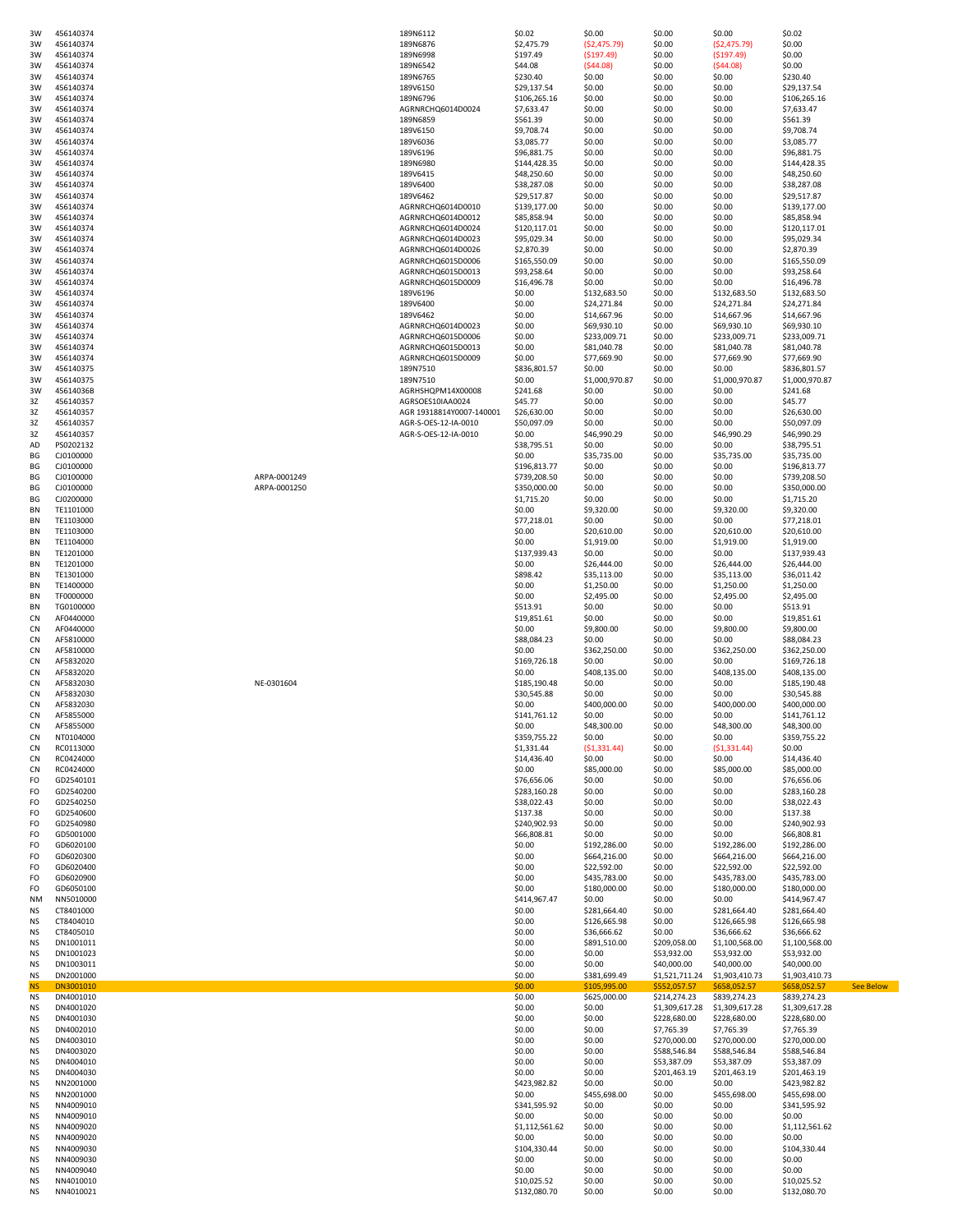| 3W         | 456140374              |              | 189N6112                                     | \$0.02                      | \$0.00                       | \$0.00                         | \$0.00                         | \$0.02                                      |  |
|------------|------------------------|--------------|----------------------------------------------|-----------------------------|------------------------------|--------------------------------|--------------------------------|---------------------------------------------|--|
| 3W         | 456140374              |              | 189N6876                                     | \$2,475.79                  | (\$2,475.79)                 | \$0.00                         | (52, 475.79)                   | \$0.00                                      |  |
| 3W<br>3W   | 456140374<br>456140374 |              | 189N6998<br>189N6542                         | \$197.49<br>\$44.08         | ( \$197.49)<br>(544.08)      | \$0.00<br>\$0.00               | ( \$197.49)<br>(544.08)        | \$0.00<br>\$0.00                            |  |
| 3W         | 456140374              |              | 189N6765                                     | \$230.40                    | \$0.00                       | \$0.00                         | \$0.00                         | \$230.40                                    |  |
| 3W         | 456140374              |              | 189V6150                                     | \$29,137.54                 | \$0.00                       | \$0.00                         | \$0.00                         | \$29,137.54                                 |  |
| 3W         | 456140374              |              | 189N6796                                     | \$106,265.16                | \$0.00                       | \$0.00                         | \$0.00                         | \$106,265.16                                |  |
| 3W         | 456140374              |              | AGRNRCHQ6014D0024                            | \$7,633.47                  | \$0.00                       | \$0.00                         | \$0.00                         | \$7,633.47                                  |  |
| 3W<br>3W   | 456140374<br>456140374 |              | 189N6859<br>189V6150                         | \$561.39<br>\$9,708.74      | \$0.00<br>\$0.00             | \$0.00<br>\$0.00               | \$0.00<br>\$0.00               | \$561.39<br>\$9,708.74                      |  |
| 3W         | 456140374              |              | 189V6036                                     | \$3,085.77                  | \$0.00                       | \$0.00                         | \$0.00                         | \$3,085.77                                  |  |
| 3W         | 456140374              |              | 189V6196                                     | \$96,881.75                 | \$0.00                       | \$0.00                         | \$0.00                         | \$96,881.75                                 |  |
| 3W         | 456140374              |              | 189N6980                                     | \$144,428.35                | \$0.00                       | \$0.00                         | \$0.00                         | \$144,428.35                                |  |
| 3W         | 456140374              |              | 189V6415                                     | \$48,250.60                 | \$0.00                       | \$0.00                         | \$0.00                         | \$48,250.60                                 |  |
| 3W<br>3W   | 456140374<br>456140374 |              | 189V6400<br>189V6462                         | \$38,287.08<br>\$29,517.87  | \$0.00<br>\$0.00             | \$0.00<br>\$0.00               | \$0.00<br>\$0.00               | \$38,287.08<br>\$29,517.87                  |  |
| 3W         | 456140374              |              | AGRNRCHQ6014D0010                            | \$139,177.00                | \$0.00                       | \$0.00                         | \$0.00                         | \$139,177.00                                |  |
| 3W         | 456140374              |              | AGRNRCHQ6014D0012                            | \$85,858.94                 | \$0.00                       | \$0.00                         | \$0.00                         | \$85,858.94                                 |  |
| 3W         | 456140374              |              | AGRNRCHQ6014D0024                            | \$120,117.01                | \$0.00                       | \$0.00                         | \$0.00                         | \$120,117.01                                |  |
| 3W<br>3W   | 456140374<br>456140374 |              | AGRNRCHQ6014D0023<br>AGRNRCHQ6014D0026       | \$95,029.34<br>\$2,870.39   | \$0.00<br>\$0.00             | \$0.00<br>\$0.00               | \$0.00<br>\$0.00               | \$95,029.34<br>\$2,870.39                   |  |
| 3W         | 456140374              |              | AGRNRCHQ6015D0006                            | \$165,550.09                | \$0.00                       | \$0.00                         | \$0.00                         | \$165,550.09                                |  |
| 3W         | 456140374              |              | AGRNRCHQ6015D0013                            | \$93,258.64                 | \$0.00                       | \$0.00                         | \$0.00                         | \$93,258.64                                 |  |
| 3W         | 456140374              |              | AGRNRCHQ6015D0009                            | \$16,496.78                 | \$0.00                       | \$0.00                         | \$0.00                         | \$16,496.78                                 |  |
| 3W         | 456140374              |              | 189V6196                                     | \$0.00                      | \$132,683.50                 | \$0.00                         | \$132,683.50                   | \$132,683.50                                |  |
| 3W<br>3W   | 456140374<br>456140374 |              | 189V6400<br>189V6462                         | \$0.00<br>\$0.00            | \$24,271.84<br>\$14,667.96   | \$0.00<br>\$0.00               | \$24,271.84<br>\$14,667.96     | \$24,271.84<br>\$14,667.96                  |  |
| 3W         | 456140374              |              | AGRNRCHQ6014D0023                            | \$0.00                      | \$69,930.10                  | \$0.00                         | \$69,930.10                    | \$69,930.10                                 |  |
| 3W         | 456140374              |              | AGRNRCHQ6015D0006                            | \$0.00                      | \$233,009.71                 | \$0.00                         | \$233,009.71                   | \$233,009.71                                |  |
| 3W         | 456140374              |              | AGRNRCHQ6015D0013                            | \$0.00                      | \$81,040.78                  | \$0.00                         | \$81,040.78                    | \$81,040.78                                 |  |
| 3W         | 456140374              |              | AGRNRCHQ6015D0009                            | \$0.00                      | \$77,669.90                  | \$0.00                         | \$77,669.90                    | \$77,669.90                                 |  |
| 3W<br>3W   | 456140375<br>456140375 |              | 189N7510<br>189N7510                         | \$836,801.57<br>\$0.00      | \$0.00<br>\$1,000,970.87     | \$0.00<br>\$0.00               | \$0.00<br>\$1,000,970.87       | \$836,801.57<br>\$1,000,970.87              |  |
| 3W         | 45614036B              |              | AGRHSHQPM14X00008                            | \$241.68                    | \$0.00                       | \$0.00                         | \$0.00                         | \$241.68                                    |  |
| 3Z         | 456140357              |              | AGRSOES10IAA0024                             | \$45.77                     | \$0.00                       | \$0.00                         | \$0.00                         | \$45.77                                     |  |
| 3Z         | 456140357              |              | AGR 19318814Y0007-140001                     | \$26,630.00                 | \$0.00                       | \$0.00                         | \$0.00                         | \$26,630.00                                 |  |
| 3Z<br>3Z   | 456140357<br>456140357 |              | AGR-S-OES-12-IA-0010<br>AGR-S-OES-12-IA-0010 | \$50,097.09<br>\$0.00       | \$0.00<br>\$46,990.29        | \$0.00<br>\$0.00               | \$0.00<br>\$46,990.29          | \$50,097.09<br>\$46,990.29                  |  |
| AD         | PS0202132              |              |                                              | \$38,795.51                 | \$0.00                       | \$0.00                         | \$0.00                         | \$38,795.51                                 |  |
| ΒG         | CJ0100000              |              |                                              | \$0.00                      | \$35,735.00                  | \$0.00                         | \$35,735.00                    | \$35,735.00                                 |  |
| ВG         | CJ0100000              |              |                                              | \$196,813.77                | \$0.00                       | \$0.00                         | \$0.00                         | \$196,813.77                                |  |
| ВG         | CJ0100000              | ARPA-0001249 |                                              | \$739,208.50                | \$0.00                       | \$0.00                         | \$0.00                         | \$739,208.50                                |  |
| ВG<br>ВG   | CJ0100000<br>CJ0200000 | ARPA-0001250 |                                              | \$350,000.00<br>\$1,715.20  | \$0.00<br>\$0.00             | \$0.00<br>\$0.00               | \$0.00<br>\$0.00               | \$350,000.00<br>\$1,715.20                  |  |
| ΒN         | TE1101000              |              |                                              | \$0.00                      | \$9,320.00                   | \$0.00                         | \$9,320.00                     | \$9,320.00                                  |  |
| BN.        | TE1103000              |              |                                              | \$77,218.01                 | \$0.00                       | \$0.00                         | \$0.00                         | \$77,218.01                                 |  |
| ΒN         | TE1103000              |              |                                              | \$0.00                      | \$20,610.00                  | \$0.00                         | \$20,610.00                    | \$20,610.00                                 |  |
| BN<br>ΒN   | TE1104000<br>TE1201000 |              |                                              | \$0.00<br>\$137,939.43      | \$1,919.00<br>\$0.00         | \$0.00<br>\$0.00               | \$1,919.00<br>\$0.00           | \$1,919.00<br>\$137,939.43                  |  |
| ΒN         | TE1201000              |              |                                              | \$0.00                      | \$26,444.00                  | \$0.00                         | \$26,444.00                    | \$26,444.00                                 |  |
| ΒN         | TE1301000              |              |                                              | \$898.42                    | \$35,113.00                  | \$0.00                         | \$35,113.00                    | \$36,011.42                                 |  |
| ΒN         | TE1400000              |              |                                              | \$0.00                      | \$1,250.00                   | \$0.00                         | \$1,250.00                     | \$1,250.00                                  |  |
| BN         | TF0000000              |              |                                              | \$0.00                      | \$2,495.00                   | \$0.00                         | \$2,495.00                     | \$2,495.00                                  |  |
| BN.<br>CN  | TG0100000<br>AF0440000 |              |                                              | \$513.91                    | \$0.00                       | \$0.00                         | \$0.00                         | \$513.91                                    |  |
|            |                        |              |                                              |                             |                              |                                |                                |                                             |  |
|            |                        |              |                                              | \$19,851.61                 | \$0.00                       | \$0.00                         | \$0.00                         | \$19,851.61                                 |  |
| CN<br>CN   | AF0440000<br>AF5810000 |              |                                              | \$0.00<br>\$88,084.23       | \$9,800.00<br>\$0.00         | \$0.00<br>\$0.00               | \$9,800.00<br>\$0.00           | \$9,800.00<br>\$88,084.23                   |  |
| CN         | AF5810000              |              |                                              | \$0.00                      | \$362,250.00                 | \$0.00                         | \$362,250.00                   | \$362,250.00                                |  |
| CN         | AF5832020              |              |                                              | \$169,726.18                | \$0.00                       | \$0.00                         | \$0.00                         | \$169,726.18                                |  |
| CN         | AF5832020              |              |                                              | \$0.00                      | \$408,135.00                 | \$0.00                         | \$408,135.00                   | \$408,135.00                                |  |
| CN<br>CN   | AF5832030<br>AF5832030 | NE-0301604   |                                              | \$185,190.48                | \$0.00<br>\$0.00             | \$0.00                         | \$0.00<br>\$0.00               | \$185,190.48                                |  |
| CN         | AF5832030              |              |                                              | \$30,545.88<br>\$0.00       | \$400,000.00                 | \$0.00<br>\$0.00               | \$400,000.00                   | \$30,545.88<br>\$400,000.00                 |  |
| CN         | AF5855000              |              |                                              | \$141,761.12                | \$0.00                       | \$0.00                         | \$0.00                         | \$141,761.12                                |  |
| CN         | AF5855000              |              |                                              | \$0.00                      | \$48,300.00                  | \$0.00                         | \$48,300.00                    | \$48,300.00                                 |  |
| CN         | NT0104000              |              |                                              | \$359,755.22                | \$0.00                       | \$0.00                         | \$0.00                         | \$359,755.22                                |  |
| CN<br>CN   | RC0113000<br>RC0424000 |              |                                              | \$1,331.44<br>\$14,436.40   | (51, 331.44)<br>\$0.00       | \$0.00<br>\$0.00               | (51, 331.44)<br>\$0.00         | \$0.00<br>\$14,436.40                       |  |
| CN         | RC0424000              |              |                                              | \$0.00                      | \$85,000.00                  | \$0.00                         | \$85,000.00                    | \$85,000.00                                 |  |
| FO         | GD2540101              |              |                                              | \$76,656.06                 | \$0.00                       | \$0.00                         | \$0.00                         | \$76,656.06                                 |  |
| FO         | GD2540200              |              |                                              | \$283,160.28                | \$0.00                       | \$0.00                         | \$0.00                         | \$283,160.28                                |  |
| FO<br>FO   | GD2540250<br>GD2540600 |              |                                              | \$38,022.43<br>\$137.38     | \$0.00<br>\$0.00             | \$0.00<br>\$0.00               | \$0.00<br>\$0.00               | \$38,022.43<br>\$137.38                     |  |
| FO         | GD2540980              |              |                                              | \$240,902.93                | \$0.00                       | \$0.00                         | \$0.00                         | \$240,902.93                                |  |
| FO         | GD5001000              |              |                                              | \$66,808.81                 | \$0.00                       | \$0.00                         | \$0.00                         | \$66,808.81                                 |  |
| FO<br>FO   | GD6020100<br>GD6020300 |              |                                              | \$0.00                      | \$192,286.00                 | \$0.00                         | \$192,286.00                   | \$192,286.00                                |  |
| FO         | GD6020400              |              |                                              | \$0.00<br>\$0.00            | \$664,216.00<br>\$22,592.00  | \$0.00<br>\$0.00               | \$664,216.00<br>\$22,592.00    | \$664,216.00<br>\$22,592.00                 |  |
| FO         | GD6020900              |              |                                              | \$0.00                      | \$435,783.00                 | \$0.00                         | \$435,783.00                   | \$435,783.00                                |  |
| FO         | GD6050100              |              |                                              | \$0.00                      | \$180,000.00                 | \$0.00                         | \$180,000.00                   | \$180,000.00                                |  |
| NM         | NN5010000              |              |                                              | \$414,967.47                | \$0.00                       | \$0.00                         | \$0.00                         | \$414,967.47                                |  |
| ΝS<br>ΝS   | CT8401000<br>CT8404010 |              |                                              | \$0.00<br>\$0.00            | \$281,664.40<br>\$126,665.98 | \$0.00<br>\$0.00               | \$281,664.40<br>\$126,665.98   | \$281,664.40<br>\$126,665.98                |  |
| ΝS         | CT8405010              |              |                                              | \$0.00                      | \$36,666.62                  | \$0.00                         | \$36,666.62                    | \$36,666.62                                 |  |
| ΝS         | DN1001011              |              |                                              | \$0.00                      | \$891,510.00                 | \$209,058.00                   | \$1,100,568.00                 | \$1,100,568.00                              |  |
| ΝS         | DN1001023              |              |                                              | \$0.00                      | \$0.00                       | \$53,932.00                    | \$53,932.00                    | \$53,932.00                                 |  |
| ΝS<br>NS.  | DN1003011              |              |                                              | \$0.00                      | \$0.00                       | \$40,000.00                    | \$40,000.00                    | \$40,000.00                                 |  |
| <b>NS</b>  | DN2001000<br>DN3001010 |              |                                              | \$0.00<br>\$0.00            | \$381,699.49<br>\$105,995.00 | \$1,521,711.24<br>\$552,057.57 | \$1,903,410.73<br>\$658,052.57 | \$1,903,410.73<br>\$658,052.57<br>See Below |  |
| <b>NS</b>  | DN4001010              |              |                                              | \$0.00                      | \$625,000.00                 | \$214,274.23                   | \$839,274.23                   | \$839,274.23                                |  |
| ΝS         | DN4001020              |              |                                              | \$0.00                      | \$0.00                       | \$1,309,617.28                 | \$1,309,617.28                 | \$1,309,617.28                              |  |
| ΝS<br>NS.  | DN4001030              |              |                                              | \$0.00                      | \$0.00                       | \$228,680.00                   | \$228,680.00                   | \$228,680.00                                |  |
| NS.        | DN4002010<br>DN4003010 |              |                                              | \$0.00<br>\$0.00            | \$0.00<br>\$0.00             | \$7,765.39<br>\$270,000.00     | \$7,765.39<br>\$270,000.00     | \$7,765.39<br>\$270,000.00                  |  |
| ΝS         | DN4003020              |              |                                              | \$0.00                      | \$0.00                       | \$588,546.84                   | \$588,546.84                   | \$588,546.84                                |  |
| ΝS         | DN4004010              |              |                                              | \$0.00                      | \$0.00                       | \$53,387.09                    | \$53,387.09                    | \$53,387.09                                 |  |
| NS.        | DN4004030              |              |                                              | \$0.00                      | \$0.00                       | \$201,463.19                   | \$201,463.19                   | \$201,463.19                                |  |
| NS.<br>NS. | NN2001000<br>NN2001000 |              |                                              | \$423,982.82<br>\$0.00      | \$0.00<br>\$455,698.00       | \$0.00<br>\$0.00               | \$0.00<br>\$455,698.00         | \$423,982.82<br>\$455,698.00                |  |
| ΝS         | NN4009010              |              |                                              | \$341,595.92                | \$0.00                       | \$0.00                         | \$0.00                         | \$341,595.92                                |  |
| ΝS         | NN4009010              |              |                                              | \$0.00                      | \$0.00                       | \$0.00                         | \$0.00                         | \$0.00                                      |  |
| ΝS         | NN4009020              |              |                                              | \$1,112,561.62              | \$0.00                       | \$0.00                         | \$0.00                         | \$1,112,561.62                              |  |
| ΝS<br>ΝS   | NN4009020<br>NN4009030 |              |                                              | \$0.00<br>\$104,330.44      | \$0.00<br>\$0.00             | \$0.00<br>\$0.00               | \$0.00<br>\$0.00               | \$0.00<br>\$104,330.44                      |  |
| ΝS         | NN4009030              |              |                                              | \$0.00                      | \$0.00                       | \$0.00                         | \$0.00                         | \$0.00                                      |  |
| ΝS         | NN4009040              |              |                                              | \$0.00                      | \$0.00                       | \$0.00                         | \$0.00                         | \$0.00                                      |  |
| NS.<br>NS. | NN4010010<br>NN4010021 |              |                                              | \$10,025.52<br>\$132,080.70 | \$0.00<br>\$0.00             | \$0.00<br>\$0.00               | \$0.00<br>\$0.00               | \$10,025.52<br>\$132,080.70                 |  |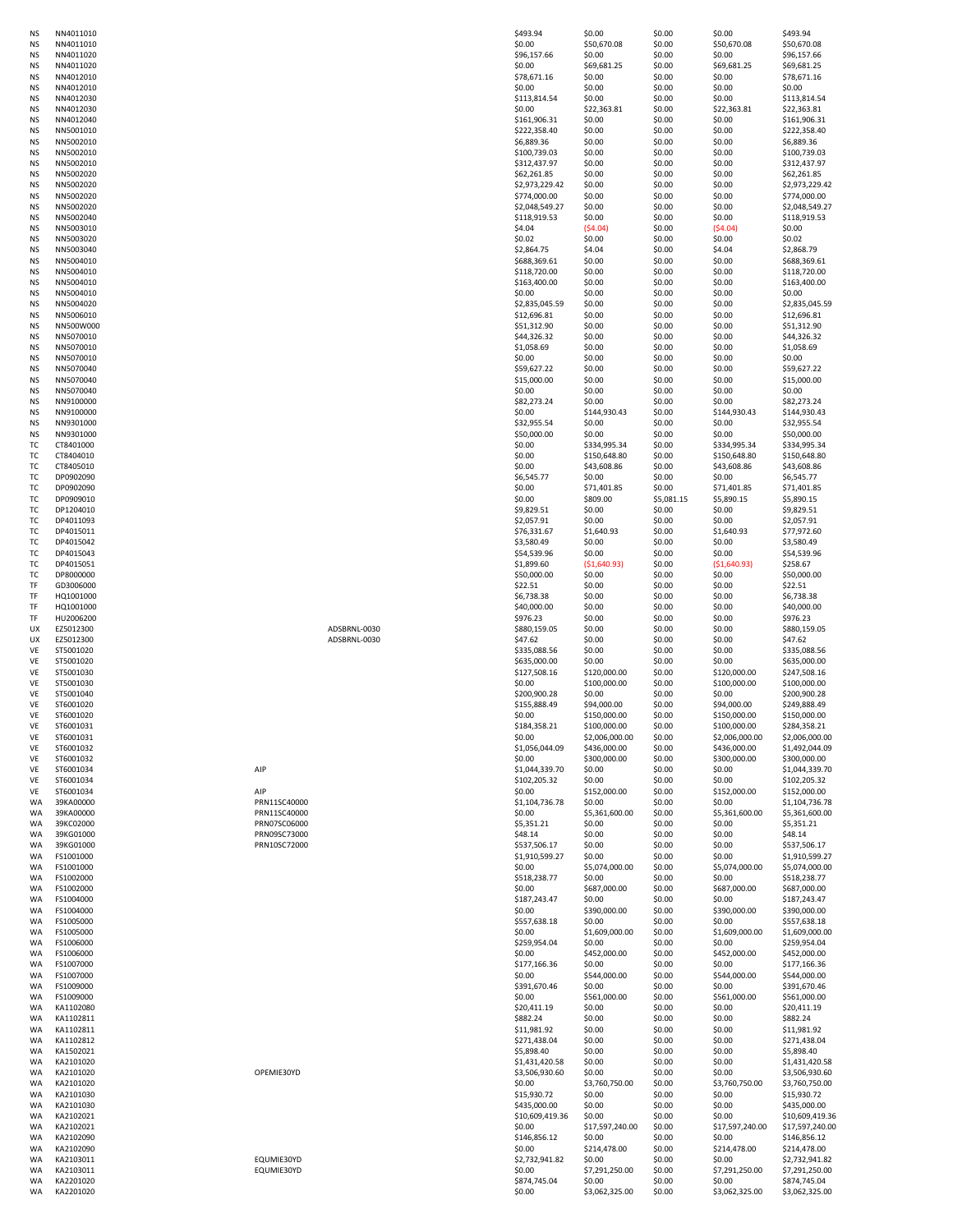| ΝS<br><b>NS</b>        | NN4011010<br>NN4011010 |                              |              | \$493.94<br>\$0.00              | \$0.00<br>\$50,670.08        | \$0.00<br>\$0.00 | \$0.00<br>\$50,670.08        | \$493.94<br>\$50,670.08          |
|------------------------|------------------------|------------------------------|--------------|---------------------------------|------------------------------|------------------|------------------------------|----------------------------------|
| <b>NS</b>              | NN4011020              |                              |              | \$96,157.66                     | \$0.00                       | \$0.00           | \$0.00                       | \$96,157.66                      |
| <b>NS</b>              | NN4011020              |                              |              | \$0.00                          | \$69,681.25                  | \$0.00           | \$69,681.25                  | \$69,681.25                      |
| <b>NS</b><br><b>NS</b> | NN4012010<br>NN4012010 |                              |              | \$78,671.16<br>\$0.00           | \$0.00<br>\$0.00             | \$0.00<br>\$0.00 | \$0.00<br>\$0.00             | \$78,671.16<br>\$0.00            |
| <b>NS</b>              | NN4012030              |                              |              | \$113,814.54                    | \$0.00                       | \$0.00           | \$0.00                       | \$113,814.54                     |
| <b>NS</b>              | NN4012030              |                              |              | \$0.00                          | \$22,363.81                  | \$0.00           | \$22,363.81                  | \$22,363.81                      |
| <b>NS</b><br><b>NS</b> | NN4012040<br>NN5001010 |                              |              | \$161,906.31                    | \$0.00<br>\$0.00             | \$0.00           | \$0.00<br>\$0.00             | \$161,906.31<br>\$222,358.40     |
| <b>NS</b>              | NN5002010              |                              |              | \$222,358.40<br>\$6,889.36      | \$0.00                       | \$0.00<br>\$0.00 | \$0.00                       | \$6,889.36                       |
| <b>NS</b>              | NN5002010              |                              |              | \$100,739.03                    | \$0.00                       | \$0.00           | \$0.00                       | \$100,739.03                     |
| <b>NS</b>              | NN5002010              |                              |              | \$312,437.97                    | \$0.00                       | \$0.00           | \$0.00                       | \$312,437.97                     |
| <b>NS</b><br><b>NS</b> | NN5002020<br>NN5002020 |                              |              | \$62,261.85<br>\$2,973,229.42   | \$0.00<br>\$0.00             | \$0.00<br>\$0.00 | \$0.00<br>\$0.00             | \$62,261.85<br>\$2,973,229.42    |
| <b>NS</b>              | NN5002020              |                              |              | \$774,000.00                    | \$0.00                       | \$0.00           | \$0.00                       | \$774,000.00                     |
| <b>NS</b>              | NN5002020              |                              |              | \$2,048,549.27                  | \$0.00                       | \$0.00           | \$0.00                       | \$2,048,549.27                   |
| <b>NS</b>              | NN5002040              |                              |              | \$118,919.53                    | \$0.00                       | \$0.00           | \$0.00                       | \$118,919.53                     |
| <b>NS</b><br><b>NS</b> | NN5003010<br>NN5003020 |                              |              | \$4.04<br>\$0.02                | (54.04)<br>\$0.00            | \$0.00<br>\$0.00 | (54.04)<br>\$0.00            | \$0.00<br>\$0.02                 |
| <b>NS</b>              | NN5003040              |                              |              | \$2,864.75                      | \$4.04                       | \$0.00           | \$4.04                       | \$2,868.79                       |
| <b>NS</b>              | NN5004010              |                              |              | \$688,369.61                    | \$0.00                       | \$0.00           | \$0.00                       | \$688,369.61                     |
| <b>NS</b><br><b>NS</b> | NN5004010<br>NN5004010 |                              |              | \$118,720.00<br>\$163,400.00    | \$0.00<br>\$0.00             | \$0.00<br>\$0.00 | \$0.00<br>\$0.00             | \$118,720.00<br>\$163,400.00     |
| <b>NS</b>              | NN5004010              |                              |              | \$0.00                          | \$0.00                       | \$0.00           | \$0.00                       | \$0.00                           |
| <b>NS</b>              | NN5004020              |                              |              | \$2,835,045.59                  | \$0.00                       | \$0.00           | \$0.00                       | \$2,835,045.59                   |
| <b>NS</b>              | NN5006010              |                              |              | \$12,696.81                     | \$0.00                       | \$0.00           | \$0.00                       | \$12,696.81                      |
| <b>NS</b><br><b>NS</b> | NN500W000<br>NN5070010 |                              |              | \$51,312.90<br>\$44,326.32      | \$0.00<br>\$0.00             | \$0.00<br>\$0.00 | \$0.00<br>\$0.00             | \$51,312.90<br>\$44,326.32       |
| <b>NS</b>              | NN5070010              |                              |              | \$1,058.69                      | \$0.00                       | \$0.00           | \$0.00                       | \$1,058.69                       |
| <b>NS</b>              | NN5070010              |                              |              | \$0.00                          | \$0.00                       | \$0.00           | \$0.00                       | \$0.00                           |
| <b>NS</b><br><b>NS</b> | NN5070040<br>NN5070040 |                              |              | \$59,627.22<br>\$15,000.00      | \$0.00<br>\$0.00             | \$0.00<br>\$0.00 | \$0.00<br>\$0.00             | \$59,627.22<br>\$15,000.00       |
| <b>NS</b>              | NN5070040              |                              |              | \$0.00                          | \$0.00                       | \$0.00           | \$0.00                       | \$0.00                           |
| <b>NS</b>              | NN9100000              |                              |              | \$82,273.24                     | \$0.00                       | \$0.00           | \$0.00                       | \$82,273.24                      |
| <b>NS</b>              | NN9100000              |                              |              | \$0.00                          | \$144,930.43                 | \$0.00           | \$144,930.43                 | \$144,930.43                     |
| <b>NS</b><br><b>NS</b> | NN9301000<br>NN9301000 |                              |              | \$32,955.54<br>\$50,000.00      | \$0.00<br>\$0.00             | \$0.00<br>\$0.00 | \$0.00<br>\$0.00             | \$32,955.54<br>\$50,000.00       |
| TC                     | CT8401000              |                              |              | \$0.00                          | \$334,995.34                 | \$0.00           | \$334,995.34                 | \$334,995.34                     |
| <b>TC</b>              | CT8404010              |                              |              | \$0.00                          | \$150,648.80                 | \$0.00           | \$150,648.80                 | \$150,648.80                     |
| тс<br>тc               | CT8405010<br>DP0902090 |                              |              | \$0.00<br>\$6,545.77            | \$43,608.86<br>\$0.00        | \$0.00<br>\$0.00 | \$43,608.86<br>\$0.00        | \$43,608.86<br>\$6,545.77        |
| тc                     | DP0902090              |                              |              | \$0.00                          | \$71,401.85                  | \$0.00           | \$71,401.85                  | \$71,401.85                      |
| тс                     | DP0909010              |                              |              | \$0.00                          | \$809.00                     | \$5,081.15       | \$5,890.15                   | \$5,890.15                       |
| <b>TC</b>              | DP1204010              |                              |              | \$9,829.51                      | \$0.00                       | \$0.00           | \$0.00                       | \$9,829.51                       |
| тс<br>тс               | DP4011093<br>DP4015011 |                              |              | \$2,057.91<br>\$76,331.67       | \$0.00<br>\$1,640.93         | \$0.00<br>\$0.00 | \$0.00<br>\$1,640.93         | \$2,057.91<br>\$77,972.60        |
| тс                     | DP4015042              |                              |              | \$3,580.49                      | \$0.00                       | \$0.00           | \$0.00                       | \$3,580.49                       |
| TC                     | DP4015043              |                              |              | \$54,539.96                     | \$0.00                       | \$0.00           | \$0.00                       | \$54,539.96                      |
| TC<br>TC               | DP4015051<br>DP8000000 |                              |              | \$1,899.60<br>\$50,000.00       | ( \$1,640.93)<br>\$0.00      | \$0.00<br>\$0.00 | ( \$1,640.93)<br>\$0.00      | \$258.67<br>\$50,000.00          |
| TF                     | GD3006000              |                              |              | \$22.51                         | \$0.00                       | \$0.00           | \$0.00                       | \$22.51                          |
| TF                     | HQ1001000              |                              |              | \$6,738.38                      | \$0.00                       | \$0.00           | \$0.00                       | \$6,738.38                       |
| TF                     | HQ1001000              |                              |              | \$40,000.00                     | \$0.00                       | \$0.00           | \$0.00                       | \$40,000.00                      |
| TF<br>UX               | HU2006200<br>EZ5012300 |                              | ADSBRNL-0030 | \$976.23<br>\$880,159.05        | \$0.00<br>\$0.00             | \$0.00<br>\$0.00 | \$0.00<br>\$0.00             | \$976.23<br>\$880,159.05         |
| UX                     | EZ5012300              |                              | ADSBRNL-0030 | \$47.62                         | \$0.00                       | \$0.00           | \$0.00                       | \$47.62                          |
| VE                     | ST5001020              |                              |              | \$335,088.56                    | \$0.00                       | \$0.00           | \$0.00                       | \$335,088.56                     |
| <b>VE</b><br><b>VE</b> | ST5001020<br>ST5001030 |                              |              | \$635,000.00<br>\$127,508.16    | \$0.00<br>\$120,000.00       | \$0.00<br>\$0.00 | \$0.00<br>\$120,000.00       | \$635,000.00<br>\$247,508.16     |
| VE                     | ST5001030              |                              |              | \$0.00                          | \$100,000.00                 | \$0.00           | \$100,000.00                 | \$100,000.00                     |
| VE                     | ST5001040              |                              |              | \$200,900.28                    | \$0.00                       | \$0.00           | \$0.00                       | \$200,900.28                     |
| VE                     | ST6001020              |                              |              | \$155,888.49                    | \$94,000.00                  | \$0.00           | \$94,000.00                  | \$249,888.49                     |
| VE<br><b>VE</b>        | ST6001020<br>ST6001031 |                              |              | \$0.00<br>\$184,358.21          | \$150,000.00<br>\$100,000.00 | \$0.00<br>\$0.00 | \$150,000.00<br>\$100,000.00 | \$150,000.00<br>\$284,358.21     |
| VE                     | ST6001031              |                              |              | \$0.00                          | \$2,006,000.00               | \$0.00           | \$2,006,000.00               | \$2,006,000.00                   |
| VE                     | ST6001032              |                              |              | \$1,056,044.09                  | \$436,000.00                 | \$0.00           | \$436,000.00                 | \$1,492,044.09                   |
| <b>VE</b><br>VE        | ST6001032<br>ST6001034 | AIP                          |              | \$0.00<br>\$1,044,339.70        | \$300,000.00<br>\$0.00       | \$0.00<br>\$0.00 | \$300,000.00<br>\$0.00       | \$300,000.00<br>\$1,044,339.70   |
| <b>VE</b>              | ST6001034              |                              |              | \$102,205.32                    | \$0.00                       | \$0.00           | \$0.00                       | \$102,205.32                     |
| <b>VE</b>              | ST6001034              | AIP                          |              | \$0.00                          | \$152,000.00                 | \$0.00           | \$152,000.00                 | \$152,000.00                     |
| WA                     | 39KA00000<br>39KA00000 | PRN11SC40000<br>PRN11SC40000 |              | \$1,104,736.78<br>\$0.00        | \$0.00<br>\$5,361,600.00     | \$0.00<br>\$0.00 | \$0.00<br>\$5,361,600.00     | \$1,104,736.78<br>\$5,361,600.00 |
| WA<br>WA               | 39KC02000              | PRN07SC06000                 |              | \$5,351.21                      | \$0.00                       | \$0.00           | \$0.00                       | \$5,351.21                       |
| WA                     | 39KG01000              | PRN09SC73000                 |              | \$48.14                         | \$0.00                       | \$0.00           | \$0.00                       | \$48.14                          |
| WA                     | 39KG01000              | PRN10SC72000                 |              | \$537,506.17                    | \$0.00                       | \$0.00           | \$0.00                       | \$537,506.17                     |
| WA<br>WA               | FS1001000<br>FS1001000 |                              |              | \$1,910,599.27<br>\$0.00        | \$0.00<br>\$5,074,000.00     | \$0.00<br>\$0.00 | \$0.00<br>\$5,074,000.00     | \$1,910,599.27<br>\$5,074,000.00 |
| WA                     | FS1002000              |                              |              | \$518,238.77                    | \$0.00                       | \$0.00           | \$0.00                       | \$518,238.77                     |
| WA                     | FS1002000              |                              |              | \$0.00                          | \$687,000.00                 | \$0.00           | \$687,000.00                 | \$687,000.00                     |
| WA<br>WA               | FS1004000<br>FS1004000 |                              |              | \$187,243.47<br>\$0.00          | \$0.00<br>\$390,000.00       | \$0.00<br>\$0.00 | \$0.00<br>\$390,000.00       | \$187,243.47<br>\$390,000.00     |
| WA                     | FS1005000              |                              |              | \$557,638.18                    | \$0.00                       | \$0.00           | \$0.00                       | \$557,638.18                     |
| WA                     | FS1005000              |                              |              | \$0.00                          | \$1,609,000.00               | \$0.00           | \$1,609,000.00               | \$1,609,000.00                   |
| WA                     | FS1006000              |                              |              | \$259,954.04                    | \$0.00                       | \$0.00           | \$0.00                       | \$259,954.04                     |
| WA<br>WA               | FS1006000<br>FS1007000 |                              |              | \$0.00<br>\$177,166.36          | \$452,000.00<br>\$0.00       | \$0.00<br>\$0.00 | \$452,000.00<br>\$0.00       | \$452,000.00<br>\$177,166.36     |
| WA                     | FS1007000              |                              |              | \$0.00                          | \$544,000.00                 | \$0.00           | \$544,000.00                 | \$544,000.00                     |
| <b>WA</b>              | FS1009000              |                              |              | \$391,670.46                    | \$0.00                       | \$0.00           | \$0.00                       | \$391,670.46                     |
| <b>WA</b>              | FS1009000              |                              |              | \$0.00                          | \$561,000.00                 | \$0.00           | \$561,000.00                 | \$561,000.00                     |
| WA<br>WA               | KA1102080<br>KA1102811 |                              |              | \$20,411.19<br>\$882.24         | \$0.00<br>\$0.00             | \$0.00<br>\$0.00 | \$0.00<br>\$0.00             | \$20,411.19<br>\$882.24          |
| WA                     | KA1102811              |                              |              | \$11,981.92                     | \$0.00                       | \$0.00           | \$0.00                       | \$11,981.92                      |
| WA                     | KA1102812              |                              |              | \$271,438.04                    | \$0.00                       | \$0.00           | \$0.00                       | \$271,438.04                     |
| WA<br>WA               | KA1502021<br>KA2101020 |                              |              | \$5,898.40<br>\$1,431,420.58    | \$0.00<br>\$0.00             | \$0.00<br>\$0.00 | \$0.00<br>\$0.00             | \$5,898.40<br>\$1,431,420.58     |
| WA                     | KA2101020              | OPEMIE30YD                   |              | \$3,506,930.60                  | \$0.00                       | \$0.00           | \$0.00                       | \$3,506,930.60                   |
| WA                     | KA2101020              |                              |              | \$0.00                          | \$3,760,750.00               | \$0.00           | \$3,760,750.00               | \$3,760,750.00                   |
| WA                     | KA2101030              |                              |              | \$15,930.72                     | \$0.00                       | \$0.00           | \$0.00                       | \$15,930.72                      |
| WA<br>WA               | KA2101030<br>KA2102021 |                              |              | \$435,000.00<br>\$10,609,419.36 | \$0.00<br>\$0.00             | \$0.00<br>\$0.00 | \$0.00<br>\$0.00             | \$435,000.00<br>\$10,609,419.36  |
| WA                     | KA2102021              |                              |              | \$0.00                          | \$17,597,240.00              | \$0.00           | \$17,597,240.00              | \$17,597,240.00                  |
| WA                     | KA2102090              |                              |              | \$146,856.12                    | \$0.00                       | \$0.00           | \$0.00                       | \$146,856.12                     |
| WA<br>WA               | KA2102090<br>KA2103011 | EQUMIE30YD                   |              | \$0.00<br>\$2,732,941.82        | \$214,478.00<br>\$0.00       | \$0.00<br>\$0.00 | \$214,478.00<br>\$0.00       | \$214,478.00<br>\$2,732,941.82   |
| WA                     | KA2103011              | EQUMIE30YD                   |              | \$0.00                          | \$7,291,250.00               | \$0.00           | \$7,291,250.00               | \$7,291,250.00                   |
| WA                     | KA2201020              |                              |              | \$874,745.04                    | \$0.00                       | \$0.00           | \$0.00                       | \$874,745.04                     |
| WA.                    | KA2201020              |                              |              | \$0.00                          | \$3,062,325.00               | \$0.00           | \$3,062,325.00               | \$3,062,325.00                   |

| <b>NS</b>              | NN4011010<br>NN4011010 |                              |              | \$493.94<br>\$0.00           | \$0.00<br>\$50,670.08       | \$0.00<br>\$0.00 | \$0.00<br>\$50,670.08       | \$493.94<br>\$50,670.08          |
|------------------------|------------------------|------------------------------|--------------|------------------------------|-----------------------------|------------------|-----------------------------|----------------------------------|
| <b>NS</b>              | NN4011020              |                              |              | \$96,157.66                  | \$0.00                      | \$0.00           | \$0.00                      | \$96,157.66                      |
| <b>NS</b>              | NN4011020              |                              |              | \$0.00                       | \$69,681.25                 | \$0.00           | \$69,681.25                 | \$69,681.25                      |
| <b>NS</b>              | NN4012010              |                              |              | \$78,671.16                  | \$0.00                      | \$0.00           | \$0.00                      | \$78,671.16                      |
| <b>NS</b><br><b>NS</b> | NN4012010<br>NN4012030 |                              |              | \$0.00<br>\$113,814.54       | \$0.00<br>\$0.00            | \$0.00<br>\$0.00 | \$0.00<br>\$0.00            | \$0.00<br>\$113,814.54           |
| <b>NS</b>              | NN4012030              |                              |              | \$0.00                       | \$22,363.81                 | \$0.00           | \$22,363.81                 | \$22,363.81                      |
| <b>NS</b>              | NN4012040              |                              |              | \$161,906.31                 | \$0.00                      | \$0.00           | \$0.00                      | \$161,906.31                     |
| <b>NS</b>              | NN5001010              |                              |              | \$222,358.40                 | \$0.00                      | \$0.00           | \$0.00                      | \$222,358.40                     |
| <b>NS</b>              | NN5002010              |                              |              | \$6,889.36                   | \$0.00                      | \$0.00           | \$0.00                      | \$6,889.36                       |
| <b>NS</b><br><b>NS</b> | NN5002010<br>NN5002010 |                              |              | \$100,739.03<br>\$312,437.97 | \$0.00<br>\$0.00            | \$0.00<br>\$0.00 | \$0.00<br>\$0.00            | \$100,739.03<br>\$312,437.97     |
| <b>NS</b>              | NN5002020              |                              |              | \$62,261.85                  | \$0.00                      | \$0.00           | \$0.00                      | \$62,261.85                      |
| <b>NS</b>              | NN5002020              |                              |              | \$2,973,229.42               | \$0.00                      | \$0.00           | \$0.00                      | \$2,973,229.42                   |
| <b>NS</b>              | NN5002020              |                              |              | \$774,000.00                 | \$0.00                      | \$0.00           | \$0.00                      | \$774,000.00                     |
| <b>NS</b>              | NN5002020              |                              |              | \$2,048,549.27               | \$0.00                      | \$0.00           | \$0.00                      | \$2,048,549.27                   |
| <b>NS</b><br><b>NS</b> | NN5002040<br>NN5003010 |                              |              | \$118,919.53<br>\$4.04       | \$0.00<br>(54.04)           | \$0.00<br>\$0.00 | \$0.00<br>(54.04)           | \$118,919.53<br>\$0.00           |
| <b>NS</b>              | NN5003020              |                              |              | \$0.02                       | \$0.00                      | \$0.00           | \$0.00                      | \$0.02                           |
| <b>NS</b>              | NN5003040              |                              |              | \$2,864.75                   | \$4.04                      | \$0.00           | \$4.04                      | \$2,868.79                       |
| <b>NS</b>              | NN5004010              |                              |              | \$688,369.61                 | \$0.00                      | \$0.00           | \$0.00                      | \$688,369.61                     |
| <b>NS</b>              | NN5004010              |                              |              | \$118,720.00                 | \$0.00                      | \$0.00           | \$0.00                      | \$118,720.00                     |
| <b>NS</b><br><b>NS</b> | NN5004010<br>NN5004010 |                              |              | \$163,400.00<br>\$0.00       | \$0.00<br>\$0.00            | \$0.00<br>\$0.00 | \$0.00<br>\$0.00            | \$163,400.00<br>\$0.00           |
| <b>NS</b>              | NN5004020              |                              |              | \$2,835,045.59               | \$0.00                      | \$0.00           | \$0.00                      | \$2,835,045.59                   |
| <b>NS</b>              | NN5006010              |                              |              | \$12,696.81                  | \$0.00                      | \$0.00           | \$0.00                      | \$12,696.81                      |
| <b>NS</b>              | NN500W000              |                              |              | \$51,312.90                  | \$0.00                      | \$0.00           | \$0.00                      | \$51,312.90                      |
| <b>NS</b><br><b>NS</b> | NN5070010<br>NN5070010 |                              |              | \$44,326.32<br>\$1,058.69    | \$0.00<br>\$0.00            | \$0.00<br>\$0.00 | \$0.00<br>\$0.00            | \$44,326.32<br>\$1,058.69        |
| <b>NS</b>              | NN5070010              |                              |              | \$0.00                       | \$0.00                      | \$0.00           | \$0.00                      | \$0.00                           |
| <b>NS</b>              | NN5070040              |                              |              | \$59,627.22                  | \$0.00                      | \$0.00           | \$0.00                      | \$59,627.22                      |
| <b>NS</b>              | NN5070040              |                              |              | \$15,000.00                  | \$0.00                      | \$0.00           | \$0.00                      | \$15,000.00                      |
| <b>NS</b>              | NN5070040              |                              |              | \$0.00                       | \$0.00                      | \$0.00           | \$0.00                      | \$0.00                           |
| <b>NS</b><br><b>NS</b> | NN9100000<br>NN9100000 |                              |              | \$82,273.24<br>\$0.00        | \$0.00<br>\$144,930.43      | \$0.00<br>\$0.00 | \$0.00<br>\$144,930.43      | \$82,273.24<br>\$144,930.43      |
| <b>NS</b>              | NN9301000              |                              |              | \$32,955.54                  | \$0.00                      | \$0.00           | \$0.00                      | \$32,955.54                      |
| <b>NS</b>              | NN9301000              |                              |              | \$50,000.00                  | \$0.00                      | \$0.00           | \$0.00                      | \$50,000.00                      |
| <b>TC</b>              | CT8401000              |                              |              | \$0.00                       | \$334,995.34                | \$0.00           | \$334,995.34                | \$334,995.34                     |
| TC.                    | CT8404010              |                              |              | \$0.00                       | \$150,648.80                | \$0.00           | \$150,648.80                | \$150,648.80                     |
| тс<br>тc               | CT8405010<br>DP0902090 |                              |              | \$0.00<br>\$6,545.77         | \$43,608.86<br>\$0.00       | \$0.00<br>\$0.00 | \$43,608.86<br>\$0.00       | \$43,608.86<br>\$6,545.77        |
| тc                     | DP0902090              |                              |              | \$0.00                       | \$71,401.85                 | \$0.00           | \$71,401.85                 | \$71,401.85                      |
| <b>TC</b>              | DP0909010              |                              |              | \$0.00                       | \$809.00                    | \$5,081.15       | \$5,890.15                  | \$5,890.15                       |
| тс                     | DP1204010              |                              |              | \$9,829.51                   | \$0.00                      | \$0.00           | \$0.00                      | \$9,829.51                       |
| тс<br>TC               | DP4011093<br>DP4015011 |                              |              | \$2,057.91<br>\$76,331.67    | \$0.00<br>\$1,640.93        | \$0.00<br>\$0.00 | \$0.00<br>\$1,640.93        | \$2,057.91<br>\$77,972.60        |
| TC                     | DP4015042              |                              |              | \$3,580.49                   | \$0.00                      | \$0.00           | \$0.00                      | \$3,580.49                       |
| <b>TC</b>              | DP4015043              |                              |              | \$54,539.96                  | \$0.00                      | \$0.00           | \$0.00                      | \$54,539.96                      |
| тс                     | DP4015051              |                              |              | \$1,899.60                   | ( \$1,640.93)               | \$0.00           | ( \$1,640.93)               | \$258.67                         |
| TC                     | DP8000000              |                              |              | \$50,000.00                  | \$0.00                      | \$0.00           | \$0.00                      | \$50,000.00                      |
| TF<br>TF               | GD3006000<br>HQ1001000 |                              |              | \$22.51<br>\$6,738.38        | \$0.00<br>\$0.00            | \$0.00<br>\$0.00 | \$0.00<br>\$0.00            | \$22.51<br>\$6,738.38            |
| TF                     | HQ1001000              |                              |              | \$40,000.00                  | \$0.00                      | \$0.00           | \$0.00                      | \$40,000.00                      |
| TF                     | HU2006200              |                              |              | \$976.23                     | \$0.00                      | \$0.00           | \$0.00                      | \$976.23                         |
| UX                     | EZ5012300              |                              | ADSBRNL-0030 | \$880,159.05                 | \$0.00                      | \$0.00           | \$0.00                      | \$880,159.05                     |
| UX                     | EZ5012300              |                              | ADSBRNL-0030 | \$47.62                      | \$0.00                      | \$0.00           | \$0.00                      | \$47.62                          |
| VE<br><b>VE</b>        | ST5001020<br>ST5001020 |                              |              | \$335,088.56<br>\$635,000.00 | \$0.00<br>\$0.00            | \$0.00<br>\$0.00 | \$0.00<br>\$0.00            | \$335,088.56<br>\$635,000.00     |
| <b>VE</b>              | ST5001030              |                              |              | \$127,508.16                 | \$120,000.00                | \$0.00           | \$120,000.00                | \$247,508.16                     |
| VE                     | ST5001030              |                              |              | \$0.00                       | \$100,000.00                | \$0.00           | \$100,000.00                | \$100,000.00                     |
| VE                     | ST5001040              |                              |              | \$200,900.28                 | \$0.00                      | \$0.00           | \$0.00                      | \$200,900.28                     |
| VE<br><b>VE</b>        | ST6001020<br>ST6001020 |                              |              | \$155,888.49<br>\$0.00       | \$94,000.00<br>\$150,000.00 | \$0.00<br>\$0.00 | \$94,000.00<br>\$150,000.00 | \$249,888.49<br>\$150,000.00     |
| VE                     | ST6001031              |                              |              | \$184,358.21                 | \$100,000.00                | \$0.00           | \$100,000.00                | \$284,358.21                     |
| <b>VE</b>              | ST6001031              |                              |              | \$0.00                       | \$2,006,000.00              | \$0.00           | \$2,006,000.00              | \$2,006,000.00                   |
| <b>VE</b>              | ST6001032              |                              |              | \$1,056,044.09               | \$436,000.00                | \$0.00           |                             | \$1,492,044.09                   |
| <b>VE</b>              | ST6001032              |                              |              |                              |                             |                  | \$436,000.00                |                                  |
| <b>VE</b><br><b>VE</b> |                        |                              |              | \$0.00                       | \$300,000.00                | \$0.00           | \$300,000.00                | \$300,000.00                     |
|                        | ST6001034              | AIP                          |              | \$1,044,339.70               | \$0.00                      | \$0.00           | \$0.00                      | \$1,044,339.70                   |
| VE                     | ST6001034              |                              |              | \$102,205.32                 | \$0.00                      | \$0.00           | \$0.00                      | \$102,205.32                     |
| WA                     | ST6001034<br>39KA00000 | AIP<br>PRN11SC40000          |              | \$0.00<br>\$1,104,736.78     | \$152,000.00<br>\$0.00      | \$0.00<br>\$0.00 | \$152,000.00<br>\$0.00      | \$152,000.00<br>\$1,104,736.78   |
| WA                     | 39KA00000              | PRN11SC40000                 |              | \$0.00                       | \$5,361,600.00              | \$0.00           | \$5,361,600.00              | \$5,361,600.00                   |
| WA                     | 39KC02000              | PRN07SC06000                 |              | \$5,351.21                   | \$0.00                      | \$0.00           | \$0.00                      | \$5,351.21                       |
| WA<br><b>WA</b>        | 39KG01000<br>39KG01000 | PRN09SC73000<br>PRN10SC72000 |              | \$48.14<br>\$537,506.17      | \$0.00<br>\$0.00            | \$0.00<br>\$0.00 | \$0.00<br>\$0.00            | \$48.14                          |
| WA                     | FS1001000              |                              |              | \$1,910,599.27               | \$0.00                      | \$0.00           | \$0.00                      | \$537,506.17<br>\$1,910,599.27   |
| WA                     | FS1001000              |                              |              | \$0.00                       | \$5,074,000.00              | \$0.00           | \$5,074,000.00              | \$5,074,000.00                   |
| WA                     | FS1002000              |                              |              | \$518,238.77                 | \$0.00                      | \$0.00           | \$0.00                      | \$518,238.77                     |
| WA<br>WA               | FS1002000<br>FS1004000 |                              |              | \$0.00<br>\$187,243.47       | \$687,000.00<br>\$0.00      | \$0.00<br>\$0.00 | \$687,000.00<br>\$0.00      | \$687,000.00<br>\$187,243.47     |
| WA                     | FS1004000              |                              |              | \$0.00                       | \$390,000.00                | \$0.00           | \$390,000.00                | \$390,000.00                     |
| WA                     | FS1005000              |                              |              | \$557,638.18                 | \$0.00                      | \$0.00           | \$0.00                      | \$557,638.18                     |
| WA                     | FS1005000              |                              |              | \$0.00                       | \$1,609,000.00              | \$0.00           | \$1,609,000.00              | \$1,609,000.00                   |
| WA                     | FS1006000              |                              |              | \$259,954.04                 | \$0.00                      | \$0.00           | \$0.00                      | \$259,954.04                     |
| WA<br>WA               | FS1006000<br>FS1007000 |                              |              | \$0.00<br>\$177,166.36       | \$452,000.00<br>\$0.00      | \$0.00<br>\$0.00 | \$452,000.00<br>\$0.00      | \$452,000.00<br>\$177,166.36     |
| <b>WA</b>              | FS1007000              |                              |              | \$0.00                       | \$544,000.00                | \$0.00           | \$544,000.00                | \$544,000.00                     |
| WA                     | FS1009000              |                              |              | \$391,670.46                 | \$0.00                      | \$0.00           | \$0.00                      | \$391,670.46                     |
| WA                     | FS1009000              |                              |              | \$0.00                       | \$561,000.00                | \$0.00           | \$561,000.00                | \$561,000.00                     |
| WA<br>WA               | KA1102080<br>KA1102811 |                              |              | \$20,411.19<br>\$882.24      | \$0.00                      | \$0.00           | \$0.00<br>\$0.00            | \$20,411.19<br>\$882.24          |
| WA                     | KA1102811              |                              |              | \$11,981.92                  | \$0.00<br>\$0.00            | \$0.00<br>\$0.00 | \$0.00                      | \$11,981.92                      |
| WA                     | KA1102812              |                              |              | \$271,438.04                 | \$0.00                      | \$0.00           | \$0.00                      | \$271,438.04                     |
| WA                     | KA1502021              |                              |              | \$5,898.40                   | \$0.00                      | \$0.00           | \$0.00                      | \$5,898.40                       |
| WA                     | KA2101020              |                              |              | \$1,431,420.58               | \$0.00                      | \$0.00           | \$0.00                      | \$1,431,420.58                   |
| WA<br>WA               | KA2101020<br>KA2101020 | OPEMIE30YD                   |              | \$3,506,930.60<br>\$0.00     | \$0.00<br>\$3,760,750.00    | \$0.00<br>\$0.00 | \$0.00<br>\$3,760,750.00    | \$3,506,930.60<br>\$3,760,750.00 |
| WA                     | KA2101030              |                              |              | \$15,930.72                  | \$0.00                      | \$0.00           | \$0.00                      | \$15,930.72                      |
| <b>WA</b>              | KA2101030              |                              |              | \$435,000.00                 | \$0.00                      | \$0.00           | \$0.00                      | \$435,000.00                     |
| WA                     | KA2102021              |                              |              | \$10,609,419.36              | \$0.00                      | \$0.00           | \$0.00                      | \$10,609,419.36                  |
| WA<br>WA               | KA2102021<br>KA2102090 |                              |              | \$0.00<br>\$146,856.12       | \$17,597,240.00<br>\$0.00   | \$0.00<br>\$0.00 | \$17,597,240.00<br>\$0.00   | \$17,597,240.00<br>\$146,856.12  |
| WA                     | KA2102090              |                              |              | \$0.00                       | \$214,478.00                | \$0.00           | \$214,478.00                | \$214,478.00                     |
| WA                     | KA2103011              | EQUMIE30YD                   |              | \$2,732,941.82               | \$0.00                      | \$0.00           | \$0.00                      | \$2,732,941.82                   |
| WA<br>WA               | KA2103011<br>KA2201020 | EQUMIE30YD                   |              | \$0.00<br>\$874,745.04       | \$7,291,250.00<br>\$0.00    | \$0.00<br>\$0.00 | \$7,291,250.00<br>\$0.00    | \$7,291,250.00<br>\$874,745.04   |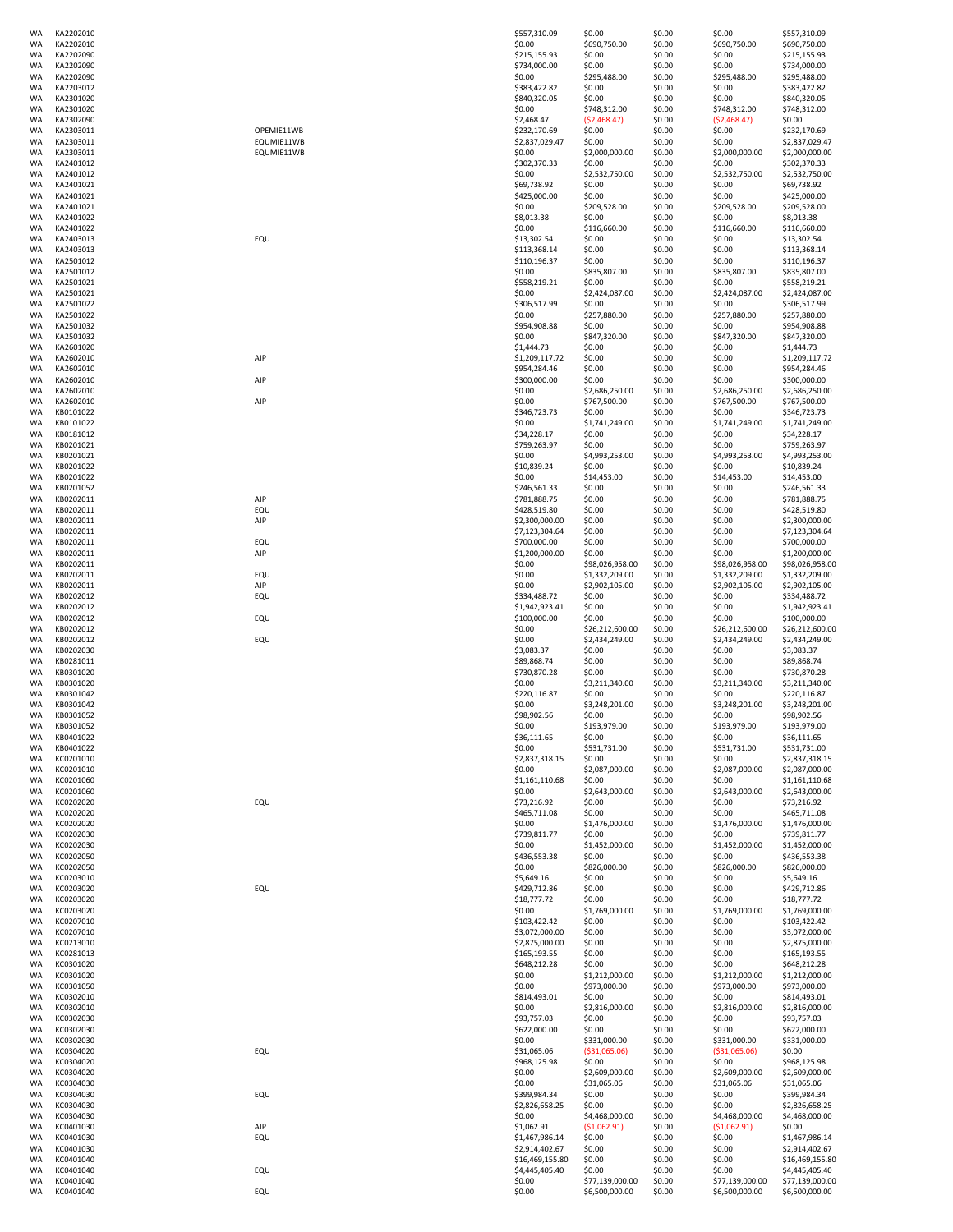| WA        | KA2202010              |                | \$557,310.09             | \$0.00                    | \$0.00           | \$0.00          | \$557,310.09                      |
|-----------|------------------------|----------------|--------------------------|---------------------------|------------------|-----------------|-----------------------------------|
| <b>WA</b> | KA2202010              |                | \$0.00                   | \$690,750.00              | \$0.00           | \$690,750.00    | \$690,750.00                      |
| <b>WA</b> | KA2202090              |                | \$215,155.93             | \$0.00                    | \$0.00           | \$0.00          | \$215,155.93                      |
| <b>WA</b> | KA2202090              |                | \$734,000.00             | \$0.00                    | \$0.00           | \$0.00          | \$734,000.00                      |
| <b>WA</b> | KA2202090              |                | \$0.00                   | \$295,488.00              | \$0.00           | \$295,488.00    | \$295,488.00                      |
| <b>WA</b> | KA2203012              |                | \$383,422.82             | \$0.00                    | \$0.00           | \$0.00          | \$383,422.82                      |
| <b>WA</b> | KA2301020              |                | \$840,320.05             | \$0.00                    | \$0.00           | \$0.00          | \$840,320.05                      |
| <b>WA</b> | KA2301020              |                | \$0.00                   | \$748,312.00              | \$0.00           | \$748,312.00    | \$748,312.00                      |
| <b>WA</b> | KA2302090              |                | \$2,468.47               | ( \$2,468.47)             | \$0.00           | (52, 468.47)    | \$0.00                            |
|           |                        |                | \$232,170.69             |                           |                  |                 | \$232,170.69                      |
| WA        | KA2303011              | OPEMIE11WB     |                          | \$0.00                    | \$0.00           | \$0.00          |                                   |
| <b>WA</b> | KA2303011              | EQUMIE11WB     | \$2,837,029.47           | \$0.00                    | \$0.00           | \$0.00          | \$2,837,029.47                    |
| <b>WA</b> | KA2303011              | EQUMIE11WB     | \$0.00                   | \$2,000,000.00            | \$0.00           | \$2,000,000.00  | \$2,000,000.00                    |
| <b>WA</b> | KA2401012              |                | \$302,370.33             | \$0.00                    | \$0.00           | \$0.00          | \$302,370.33                      |
| <b>WA</b> | KA2401012              |                | \$0.00                   | \$2,532,750.00            | \$0.00           | \$2,532,750.00  | \$2,532,750.00                    |
| <b>WA</b> | KA2401021              |                | \$69,738.92              | \$0.00                    | \$0.00           | \$0.00          | \$69,738.92                       |
| <b>WA</b> | KA2401021              |                | \$425,000.00             | \$0.00                    | \$0.00           | \$0.00          | \$425,000.00                      |
| <b>WA</b> | KA2401021              |                | \$0.00                   | \$209,528.00              | \$0.00           | \$209,528.00    | \$209,528.00                      |
| <b>WA</b> | KA2401022              |                | \$8,013.38               | \$0.00                    | \$0.00           | \$0.00          | \$8,013.38                        |
| <b>WA</b> | KA2401022              |                | \$0.00                   | \$116,660.00              | \$0.00           | \$116,660.00    | \$116,660.00                      |
| WA        | KA2403013              | EQU            | \$13,302.54              | \$0.00                    | \$0.00           | \$0.00          | \$13,302.54                       |
| <b>WA</b> | KA2403013              |                | \$113,368.14             | \$0.00                    | \$0.00           | \$0.00          | \$113,368.14                      |
| <b>WA</b> | KA2501012              |                | \$110,196.37             | \$0.00                    | \$0.00           | \$0.00          | \$110,196.37                      |
| <b>WA</b> | KA2501012              |                | \$0.00                   | \$835,807.00              | \$0.00           | \$835,807.00    | \$835,807.00                      |
| <b>WA</b> | KA2501021              |                | \$558,219.21             | \$0.00                    | \$0.00           | \$0.00          | \$558,219.21                      |
| <b>WA</b> | KA2501021              |                | \$0.00                   | \$2,424,087.00            | \$0.00           | \$2,424,087.00  | \$2,424,087.00                    |
| <b>WA</b> | KA2501022              |                | \$306,517.99             | \$0.00                    | \$0.00           | \$0.00          | \$306,517.99                      |
| <b>WA</b> | KA2501022              |                | \$0.00                   | \$257,880.00              | \$0.00           | \$257,880.00    | \$257,880.00                      |
| <b>WA</b> | KA2501032              |                | \$954,908.88             | \$0.00                    | \$0.00           | \$0.00          | \$954,908.88                      |
| <b>WA</b> | KA2501032              |                | \$0.00                   | \$847,320.00              | \$0.00           | \$847,320.00    | \$847,320.00                      |
|           |                        |                |                          |                           |                  |                 |                                   |
| <b>WA</b> | KA2601020              |                | \$1,444.73               | \$0.00                    | \$0.00           | \$0.00          | \$1,444.73                        |
| <b>WA</b> | KA2602010              | AIP            | \$1,209,117.72           | \$0.00                    | \$0.00           | \$0.00          | \$1,209,117.72                    |
| <b>WA</b> | KA2602010              |                | \$954,284.46             | \$0.00                    | \$0.00           | \$0.00          | \$954,284.46                      |
| <b>WA</b> | KA2602010              | AIP            | \$300,000.00             | \$0.00                    | \$0.00           | \$0.00          | \$300,000.00                      |
| <b>WA</b> | KA2602010              |                | \$0.00                   | \$2,686,250.00            | \$0.00           | \$2,686,250.00  | \$2,686,250.00                    |
| <b>WA</b> | KA2602010              | AIP            | \$0.00                   | \$767,500.00              | \$0.00           | \$767,500.00    | \$767,500.00                      |
| <b>WA</b> | KB0101022              |                | \$346,723.73             | \$0.00                    | \$0.00           | \$0.00          | \$346,723.73                      |
| <b>WA</b> | KB0101022              |                | \$0.00                   | \$1,741,249.00            | \$0.00           | \$1,741,249.00  | \$1,741,249.00                    |
| <b>WA</b> | KB0181012              |                | \$34,228.17              | \$0.00                    | \$0.00           | \$0.00          | \$34,228.17                       |
| WA        | KB0201021              |                | \$759,263.97             | \$0.00                    | \$0.00           | \$0.00          | \$759,263.97                      |
| WA        | KB0201021              |                | \$0.00                   | \$4,993,253.00            | \$0.00           | \$4,993,253.00  | \$4,993,253.00                    |
| WA        | KB0201022              |                | \$10,839.24              | \$0.00                    | \$0.00           | \$0.00          | \$10,839.24                       |
| <b>WA</b> | KB0201022              |                | \$0.00                   | \$14,453.00               | \$0.00           | \$14,453.00     | \$14,453.00                       |
| <b>WA</b> | KB0201052              |                | \$246,561.33             | \$0.00                    | \$0.00           | \$0.00          | \$246,561.33                      |
| <b>WA</b> | KB0202011              | AIP            | \$781,888.75             | \$0.00                    | \$0.00           | \$0.00          | \$781,888.75                      |
| <b>WA</b> | KB0202011              | EQU            | \$428,519.80             | \$0.00                    | \$0.00           | \$0.00          | \$428,519.80                      |
| <b>WA</b> | KB0202011              | AIP            | \$2,300,000.00           | \$0.00                    | \$0.00           | \$0.00          | \$2,300,000.00                    |
| <b>WA</b> | KB0202011              |                | \$7,123,304.64           | \$0.00                    | \$0.00           | \$0.00          | \$7,123,304.64                    |
| <b>WA</b> | KB0202011              | EQU            | \$700,000.00             | \$0.00                    | \$0.00           | \$0.00          | \$700,000.00                      |
| WA        | KB0202011              | AIP            | \$1,200,000.00           | \$0.00                    | \$0.00           | \$0.00          | \$1,200,000.00                    |
|           |                        |                |                          |                           |                  |                 |                                   |
| WA        | KB0202011              |                | \$0.00                   | \$98,026,958.00           | \$0.00           | \$98,026,958.00 | \$98,026,958.00                   |
| <b>WA</b> | KB0202011              | EQU            | \$0.00                   | \$1,332,209.00            | \$0.00           | \$1,332,209.00  | \$1,332,209.00                    |
| <b>WA</b> | KB0202011              | $\mathsf{AIP}$ | \$0.00                   | \$2,902,105.00            | \$0.00           | \$2,902,105.00  | \$2,902,105.00                    |
| <b>WA</b> | KB0202012              | EQU            | \$334,488.72             | \$0.00                    | \$0.00           | \$0.00          | \$334,488.72                      |
| <b>WA</b> | KB0202012              |                | \$1,942,923.41           | \$0.00                    | \$0.00           | \$0.00          | \$1,942,923.41                    |
| <b>WA</b> | KB0202012              | EQU            | \$100,000.00             | \$0.00                    | \$0.00           | \$0.00          | \$100,000.00                      |
| <b>WA</b> | KB0202012              |                | \$0.00                   | \$26,212,600.00           | \$0.00           | \$26,212,600.00 | \$26,212,600.00                   |
| <b>WA</b> | KB0202012              | EQU            | \$0.00                   | \$2,434,249.00            | \$0.00           | \$2,434,249.00  | \$2,434,249.00                    |
| <b>WA</b> | KB0202030              |                | \$3,083.37               | \$0.00                    | \$0.00           | \$0.00          | \$3,083.37                        |
| WA        | KB0281011              |                | \$89,868.74              | \$0.00                    | \$0.00           | \$0.00          | \$89,868.74                       |
| WA        | KB0301020              |                | \$730,870.28             | \$0.00                    | \$0.00           | \$0.00          | \$730,870.28                      |
| WA        | KB0301020              |                | \$0.00                   | \$3,211,340.00            | \$0.00           | \$3,211,340.00  | \$3,211,340.00                    |
| <b>WA</b> | KB0301042              |                | \$220,116.87             | \$0.00                    | \$0.00           | \$0.00          | \$220,116.87                      |
| <b>WA</b> | KB0301042              |                | \$0.00                   | \$3,248,201.00            | \$0.00           | \$3,248,201.00  | \$3,248,201.00                    |
| <b>WA</b> | KB0301052              |                | \$98,902.56              | \$0.00                    | \$0.00           | \$0.00          | \$98,902.56                       |
| <b>WA</b> | KB0301052              |                | \$0.00                   | \$193,979.00              | \$0.00           | \$193,979.00    | \$193,979.00                      |
| <b>WA</b> | KB0401022              |                | \$36,111.65              | \$0.00                    | \$0.00           | \$0.00          | \$36,111.65                       |
| <b>WA</b> | KB0401022              |                | \$0.00                   | \$531,731.00              | \$0.00           | \$531,731.00    | \$531,731.00                      |
| <b>WA</b> | KC0201010              |                | \$2,837,318.15           | \$0.00                    | \$0.00           | \$0.00          | \$2,837,318.15                    |
|           |                        |                | \$0.00                   |                           |                  | \$2,087,000.00  | \$2,087,000.00                    |
| WA        | KC0201010              |                |                          | \$2,087,000.00            | \$0.00           |                 |                                   |
| <b>WA</b> | KC0201060              |                | \$1,161,110.68           | \$0.00                    | \$0.00           | \$0.00          | \$1,161,110.68                    |
| <b>WA</b> | KC0201060              |                | \$0.00                   | \$2,643,000.00            | \$0.00           | \$2,643,000.00  | \$2,643,000.00                    |
| <b>WA</b> | KC0202020              | EQU            | \$73,216.92              | \$0.00                    | \$0.00           | \$0.00          | \$73,216.92                       |
| <b>WA</b> | KC0202020              |                | \$465,711.08             | \$0.00                    | \$0.00           | \$0.00          | \$465,711.08                      |
| <b>WA</b> | KC0202020              |                | \$0.00                   | \$1,476,000.00            | \$0.00           | \$1,476,000.00  | \$1,476,000.00                    |
| <b>WA</b> | KC0202030              |                | \$739,811.77             | \$0.00                    | \$0.00           | \$0.00          | \$739,811.77                      |
| <b>WA</b> | KC0202030              |                | \$0.00                   | \$1,452,000.00            | \$0.00           | \$1,452,000.00  | \$1,452,000.00                    |
| <b>WA</b> | KC0202050              |                | \$436,553.38             | \$0.00                    | \$0.00           | \$0.00          | \$436,553.38                      |
| WA        | KC0202050              |                | \$0.00                   | \$826,000.00              | \$0.00           | \$826,000.00    | \$826,000.00                      |
| WA        | KC0203010              |                | \$5,649.16               | \$0.00                    | \$0.00           | \$0.00          | \$5,649.16                        |
| WA        | KC0203020              | EQU            | \$429,712.86             | \$0.00                    | \$0.00           | \$0.00          | \$429,712.86                      |
| WA        | KC0203020              |                | \$18,777.72              | \$0.00                    | \$0.00           | \$0.00          | \$18,777.72                       |
| WA        | KC0203020              |                | \$0.00                   | \$1,769,000.00            | \$0.00           | \$1,769,000.00  | \$1,769,000.00                    |
| WA        | KC0207010              |                | \$103,422.42             | \$0.00                    | \$0.00           | \$0.00          | \$103,422.42                      |
| <b>WA</b> | KC0207010              |                | \$3,072,000.00           | \$0.00                    | \$0.00           | \$0.00          | \$3,072,000.00                    |
| <b>WA</b> | KC0213010              |                | \$2,875,000.00           | \$0.00                    | \$0.00           | \$0.00          | \$2,875,000.00                    |
| <b>WA</b> | KC0281013              |                | \$165,193.55             | \$0.00                    | \$0.00           | \$0.00          | \$165,193.55                      |
| <b>WA</b> |                        |                |                          |                           |                  |                 |                                   |
| <b>WA</b> |                        |                |                          |                           |                  |                 |                                   |
| WA        | KC0301020<br>KC0301020 |                | \$648,212.28             | \$0.00                    | \$0.00           | \$0.00          | \$648,212.28                      |
| WA        |                        |                | \$0.00                   | \$1,212,000.00            | \$0.00           | \$1,212,000.00  | \$1,212,000.00                    |
| WA        | KC0301050              |                | \$0.00                   | \$973,000.00              | \$0.00           | \$973,000.00    | \$973,000.00                      |
|           | KC0302010              |                | \$814,493.01             | \$0.00                    | \$0.00           | \$0.00          | \$814,493.01                      |
|           | KC0302010              |                | \$0.00                   | \$2,816,000.00            | \$0.00           | \$2,816,000.00  | \$2,816,000.00                    |
| WA        | KC0302030              |                | \$93,757.03              | \$0.00                    | \$0.00           | \$0.00          | \$93,757.03                       |
| WA        | KC0302030              |                | \$622,000.00             | \$0.00                    | \$0.00           | \$0.00          | \$622,000.00                      |
| WA        | KC0302030              |                | \$0.00                   | \$331,000.00              | \$0.00           | \$331,000.00    | \$331,000.00                      |
| <b>WA</b> | KC0304020              | EQU            | \$31,065.06              | ( \$31,065.06)            | \$0.00           | ( \$31,065.06)  | \$0.00                            |
| <b>WA</b> | KC0304020              |                | \$968,125.98             | \$0.00                    | \$0.00           | \$0.00          | \$968,125.98                      |
| WA        | KC0304020              |                | \$0.00                   | \$2,609,000.00            | \$0.00           | \$2,609,000.00  | \$2,609,000.00                    |
| <b>WA</b> | KC0304030              |                | \$0.00                   | \$31,065.06               | \$0.00           | \$31,065.06     | \$31,065.06                       |
| WA        | KC0304030              | EQU            | \$399,984.34             | \$0.00                    | \$0.00           | \$0.00          | \$399,984.34                      |
| <b>WA</b> | KC0304030              |                | \$2,826,658.25           | \$0.00                    | \$0.00           | \$0.00          | \$2,826,658.25                    |
| <b>WA</b> | KC0304030              |                | \$0.00                   | \$4,468,000.00            | \$0.00           | \$4,468,000.00  | \$4,468,000.00                    |
| WA        | KC0401030              | AIP            | \$1,062.91               | (51,062.91)               | \$0.00           | (51,062.91)     | \$0.00                            |
| WA        | KC0401030              | EQU            | \$1,467,986.14           | \$0.00                    | \$0.00           | \$0.00          | \$1,467,986.14                    |
| WA        | KC0401030              |                | \$2,914,402.67           | \$0.00                    | \$0.00           | \$0.00          | \$2,914,402.67                    |
| <b>WA</b> | KC0401040              |                | \$16,469,155.80          | \$0.00                    | \$0.00           | \$0.00          | \$16,469,155.80                   |
| <b>WA</b> | KC0401040              |                |                          |                           |                  | \$0.00          |                                   |
| WA        | KC0401040              | EQU            | \$4,445,405.40<br>\$0.00 | \$0.00<br>\$77,139,000.00 | \$0.00<br>\$0.00 | \$77,139,000.00 | \$4,445,405.40<br>\$77,139,000.00 |
| <b>WA</b> | KC0401040              | EQU            | \$0.00                   | \$6,500,000.00            | \$0.00           | \$6,500,000.00  | \$6,500,000.00                    |